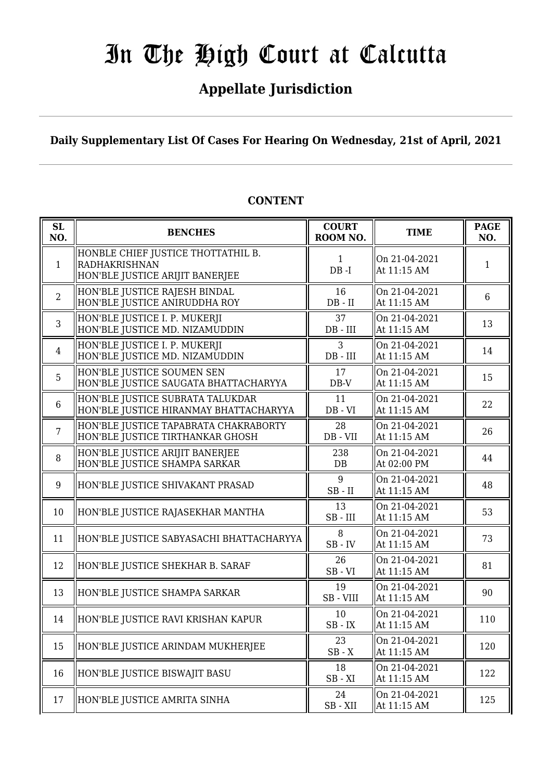# **Appellate Jurisdiction**

**Daily Supplementary List Of Cases For Hearing On Wednesday, 21st of April, 2021**

| SL<br>NO.      | <b>BENCHES</b>                                                                         | <b>COURT</b><br>ROOM NO. | <b>TIME</b>                  | <b>PAGE</b><br>NO. |
|----------------|----------------------------------------------------------------------------------------|--------------------------|------------------------------|--------------------|
| 1              | HONBLE CHIEF JUSTICE THOTTATHIL B.<br>RADHAKRISHNAN<br>HON'BLE JUSTICE ARIJIT BANERJEE | $\mathbf{1}$<br>$DB - I$ | On 21-04-2021<br>At 11:15 AM | $\mathbf{1}$       |
| $\overline{2}$ | HON'BLE JUSTICE RAJESH BINDAL<br>HON'BLE JUSTICE ANIRUDDHA ROY                         | 16<br>$DB - II$          | On 21-04-2021<br>At 11:15 AM | 6                  |
| $\overline{3}$ | HON'BLE JUSTICE I. P. MUKERJI<br>HON'BLE JUSTICE MD. NIZAMUDDIN                        | 37<br>$DB$ - $III$       | On 21-04-2021<br>At 11:15 AM | 13                 |
| $\overline{4}$ | HON'BLE JUSTICE I. P. MUKERJI<br>HON'BLE JUSTICE MD. NIZAMUDDIN                        | 3<br>$DB$ - $III$        | On 21-04-2021<br>At 11:15 AM | 14                 |
| 5              | HON'BLE JUSTICE SOUMEN SEN<br>HON'BLE JUSTICE SAUGATA BHATTACHARYYA                    | 17<br>$DB-V$             | On 21-04-2021<br>At 11:15 AM | 15                 |
| 6              | HON'BLE JUSTICE SUBRATA TALUKDAR<br>HON'BLE JUSTICE HIRANMAY BHATTACHARYYA             | 11<br>$DB - VI$          | On 21-04-2021<br>At 11:15 AM | 22                 |
| $\overline{7}$ | HON'BLE JUSTICE TAPABRATA CHAKRABORTY<br>HON'BLE JUSTICE TIRTHANKAR GHOSH              | 28<br>DB - VII           | On 21-04-2021<br>At 11:15 AM | 26                 |
| 8              | HON'BLE JUSTICE ARIJIT BANERJEE<br>HON'BLE JUSTICE SHAMPA SARKAR                       | 238<br>DB                | On 21-04-2021<br>At 02:00 PM | 44                 |
| 9              | HON'BLE JUSTICE SHIVAKANT PRASAD                                                       | 9<br>$SB$ - $II$         | On 21-04-2021<br>At 11:15 AM | 48                 |
| 10             | HON'BLE JUSTICE RAJASEKHAR MANTHA                                                      | 13<br>$SB$ - $III$       | On 21-04-2021<br>At 11:15 AM | 53                 |
| 11             | HON'BLE JUSTICE SABYASACHI BHATTACHARYYA                                               | 8<br>$SB$ - $IV$         | On 21-04-2021<br>At 11:15 AM | 73                 |
| 12             | HON'BLE JUSTICE SHEKHAR B. SARAF                                                       | 26<br>$SB - VI$          | On 21-04-2021<br>At 11:15 AM | 81                 |
| 13             | HON'BLE JUSTICE SHAMPA SARKAR                                                          | 19<br>SB - VIII          | On 21-04-2021<br>At 11:15 AM | 90                 |
| 14             | HON'BLE JUSTICE RAVI KRISHAN KAPUR                                                     | 10<br>$SB$ - $IX$        | On 21-04-2021<br>At 11:15 AM | 110                |
| 15             | HON'BLE JUSTICE ARINDAM MUKHERJEE                                                      | 23<br>$SB - X$           | On 21-04-2021<br>At 11:15 AM | 120                |
| 16             | HON'BLE JUSTICE BISWAJIT BASU                                                          | 18<br>$SB - XI$          | On 21-04-2021<br>At 11:15 AM | 122                |
| 17             | HON'BLE JUSTICE AMRITA SINHA                                                           | 24<br>$SB - XII$         | On 21-04-2021<br>At 11:15 AM | 125                |

## **CONTENT**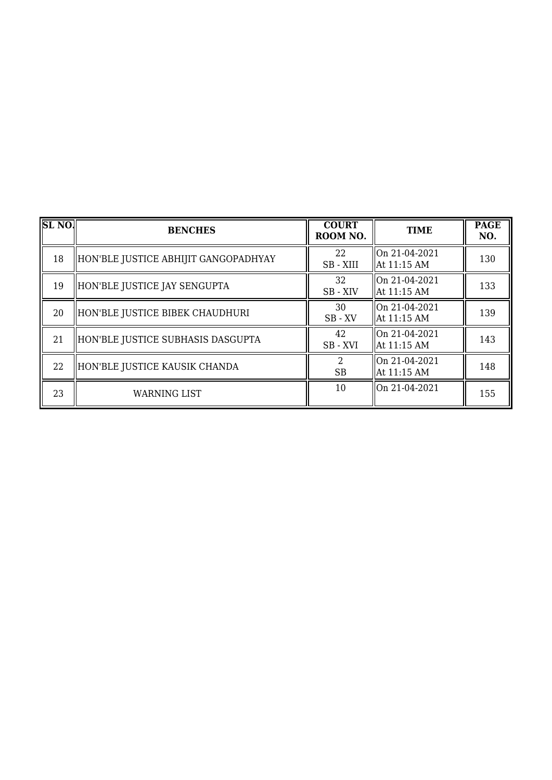| $SL$ NO. | <b>BENCHES</b>                       | <b>COURT</b><br>ROOM NO. | <b>TIME</b>                    | <b>PAGE</b><br>NO. |
|----------|--------------------------------------|--------------------------|--------------------------------|--------------------|
| 18       | HON'BLE JUSTICE ABHIJIT GANGOPADHYAY | 22<br>SB - XIII          | llOn 21-04-2021<br>At 11:15 AM | 130                |
| 19       | HON'BLE JUSTICE JAY SENGUPTA         | 32<br>SB - XIV           | On 21-04-2021<br>At 11:15 AM   | 133                |
| 20       | HON'BLE JUSTICE BIBEK CHAUDHURI      | 30<br>$SB$ - $XV$        | On 21-04-2021<br>  At 11:15 AM | 139                |
| 21       | HON'BLE JUSTICE SUBHASIS DASGUPTA    | 42<br>SB-XVI             | On 21-04-2021<br>  At 11:15 AM | 143                |
| 22       | HON'BLE JUSTICE KAUSIK CHANDA        | 2<br><b>SB</b>           | On 21-04-2021<br>At 11:15 AM   | 148                |
| 23       | <b>WARNING LIST</b>                  | 10                       | On 21-04-2021                  | 155                |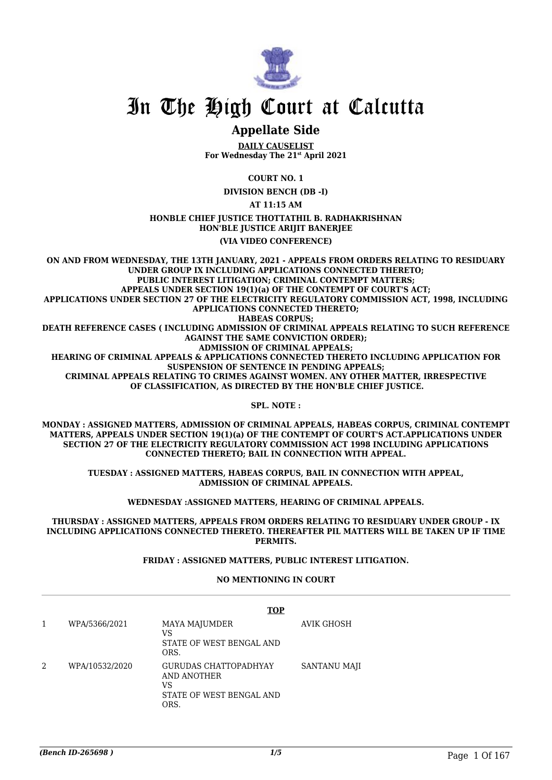

## **Appellate Side**

**DAILY CAUSELIST For Wednesday The 21st April 2021**

**COURT NO. 1**

**DIVISION BENCH (DB -I)**

**AT 11:15 AM**

**HONBLE CHIEF JUSTICE THOTTATHIL B. RADHAKRISHNAN HON'BLE JUSTICE ARIJIT BANERJEE**

#### **(VIA VIDEO CONFERENCE)**

**ON AND FROM WEDNESDAY, THE 13TH JANUARY, 2021 - APPEALS FROM ORDERS RELATING TO RESIDUARY UNDER GROUP IX INCLUDING APPLICATIONS CONNECTED THERETO; PUBLIC INTEREST LITIGATION; CRIMINAL CONTEMPT MATTERS; APPEALS UNDER SECTION 19(1)(a) OF THE CONTEMPT OF COURT'S ACT; APPLICATIONS UNDER SECTION 27 OF THE ELECTRICITY REGULATORY COMMISSION ACT, 1998, INCLUDING APPLICATIONS CONNECTED THERETO; HABEAS CORPUS; DEATH REFERENCE CASES ( INCLUDING ADMISSION OF CRIMINAL APPEALS RELATING TO SUCH REFERENCE AGAINST THE SAME CONVICTION ORDER); ADMISSION OF CRIMINAL APPEALS; HEARING OF CRIMINAL APPEALS & APPLICATIONS CONNECTED THERETO INCLUDING APPLICATION FOR SUSPENSION OF SENTENCE IN PENDING APPEALS; CRIMINAL APPEALS RELATING TO CRIMES AGAINST WOMEN. ANY OTHER MATTER, IRRESPECTIVE OF CLASSIFICATION, AS DIRECTED BY THE HON'BLE CHIEF JUSTICE.**

**SPL. NOTE :**

**MONDAY : ASSIGNED MATTERS, ADMISSION OF CRIMINAL APPEALS, HABEAS CORPUS, CRIMINAL CONTEMPT MATTERS, APPEALS UNDER SECTION 19(1)(a) OF THE CONTEMPT OF COURT'S ACT.APPLICATIONS UNDER SECTION 27 OF THE ELECTRICITY REGULATORY COMMISSION ACT 1998 INCLUDING APPLICATIONS CONNECTED THERETO; BAIL IN CONNECTION WITH APPEAL.**

**TUESDAY : ASSIGNED MATTERS, HABEAS CORPUS, BAIL IN CONNECTION WITH APPEAL, ADMISSION OF CRIMINAL APPEALS.**

**WEDNESDAY :ASSIGNED MATTERS, HEARING OF CRIMINAL APPEALS.**

**THURSDAY : ASSIGNED MATTERS, APPEALS FROM ORDERS RELATING TO RESIDUARY UNDER GROUP - IX INCLUDING APPLICATIONS CONNECTED THERETO. THEREAFTER PIL MATTERS WILL BE TAKEN UP IF TIME PERMITS.**

#### **FRIDAY : ASSIGNED MATTERS, PUBLIC INTEREST LITIGATION.**

#### **NO MENTIONING IN COURT**

|                | TOP                                                                            |              |
|----------------|--------------------------------------------------------------------------------|--------------|
| WPA/5366/2021  | <b>MAYA MAJUMDER</b><br>VS<br>STATE OF WEST BENGAL AND<br>ORS.                 | AVIK GHOSH   |
| WPA/10532/2020 | GURUDAS CHATTOPADHYAY<br>AND ANOTHER<br>VS<br>STATE OF WEST BENGAL AND<br>ORS. | SANTANU MAJI |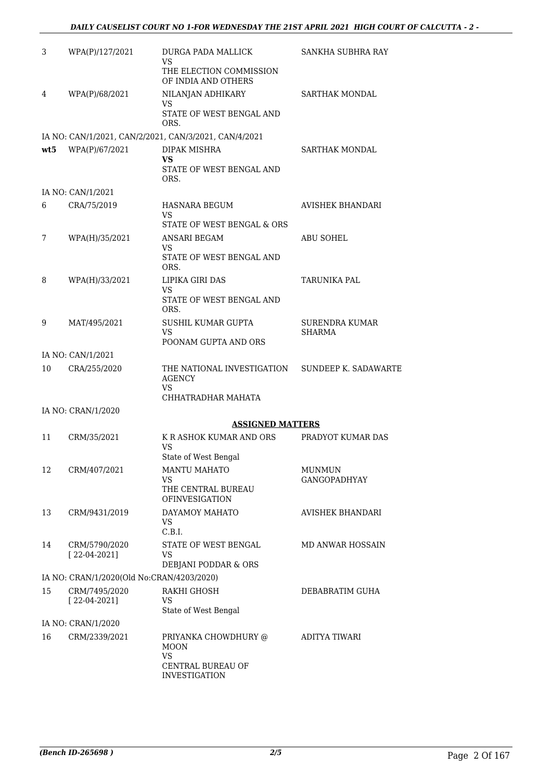| 3   | WPA(P)/127/2021                           | DURGA PADA MALLICK<br>VS.<br>THE ELECTION COMMISSION<br>OF INDIA AND OTHERS                   | SANKHA SUBHRA RAY                    |
|-----|-------------------------------------------|-----------------------------------------------------------------------------------------------|--------------------------------------|
| 4   | WPA(P)/68/2021                            | NILANJAN ADHIKARY<br>VS<br>STATE OF WEST BENGAL AND<br>ORS.                                   | SARTHAK MONDAL                       |
|     |                                           | IA NO: CAN/1/2021, CAN/2/2021, CAN/3/2021, CAN/4/2021                                         |                                      |
| wt5 | WPA(P)/67/2021                            | DIPAK MISHRA<br><b>VS</b><br>STATE OF WEST BENGAL AND<br>ORS.                                 | <b>SARTHAK MONDAL</b>                |
|     | IA NO: CAN/1/2021                         |                                                                                               |                                      |
| 6   | CRA/75/2019                               | HASNARA BEGUM<br>VS                                                                           | AVISHEK BHANDARI                     |
| 7   | WPA(H)/35/2021                            | STATE OF WEST BENGAL & ORS<br>ANSARI BEGAM<br>VS<br>STATE OF WEST BENGAL AND<br>ORS.          | <b>ABU SOHEL</b>                     |
| 8   | WPA(H)/33/2021                            | LIPIKA GIRI DAS<br><b>VS</b><br>STATE OF WEST BENGAL AND<br>ORS.                              | <b>TARUNIKA PAL</b>                  |
| 9   | MAT/495/2021                              | SUSHIL KUMAR GUPTA<br><b>VS</b><br>POONAM GUPTA AND ORS                                       | SURENDRA KUMAR<br>SHARMA             |
|     | IA NO: CAN/1/2021                         |                                                                                               |                                      |
| 10  | CRA/255/2020                              | THE NATIONAL INVESTIGATION<br><b>AGENCY</b><br>VS                                             | <b>SUNDEEP K. SADAWARTE</b>          |
|     |                                           | CHHATRADHAR MAHATA                                                                            |                                      |
|     | IA NO: CRAN/1/2020                        |                                                                                               |                                      |
| 11  | CRM/35/2021                               | <b>ASSIGNED MATTERS</b><br>K R ASHOK KUMAR AND ORS<br>VS                                      | PRADYOT KUMAR DAS                    |
|     |                                           | State of West Bengal                                                                          |                                      |
| 12  | CRM/407/2021                              | <b>MANTU MAHATO</b><br>VS<br>THE CENTRAL BUREAU<br><b>OFINVESIGATION</b>                      | <b>MUNMUN</b><br><b>GANGOPADHYAY</b> |
| 13  | CRM/9431/2019                             | DAYAMOY MAHATO<br><b>VS</b><br>C.B.I.                                                         | <b>AVISHEK BHANDARI</b>              |
| 14  | CRM/5790/2020<br>$[22-04-2021]$           | STATE OF WEST BENGAL<br>VS<br>DEBJANI PODDAR & ORS                                            | <b>MD ANWAR HOSSAIN</b>              |
|     | IA NO: CRAN/1/2020(Old No:CRAN/4203/2020) |                                                                                               |                                      |
| 15  | CRM/7495/2020<br>$[22-04-2021]$           | RAKHI GHOSH<br>VS.<br>State of West Bengal                                                    | DEBABRATIM GUHA                      |
|     | IA NO: CRAN/1/2020                        |                                                                                               |                                      |
| 16  | CRM/2339/2021                             | PRIYANKA CHOWDHURY @<br><b>MOON</b><br><b>VS</b><br>CENTRAL BUREAU OF<br><b>INVESTIGATION</b> | ADITYA TIWARI                        |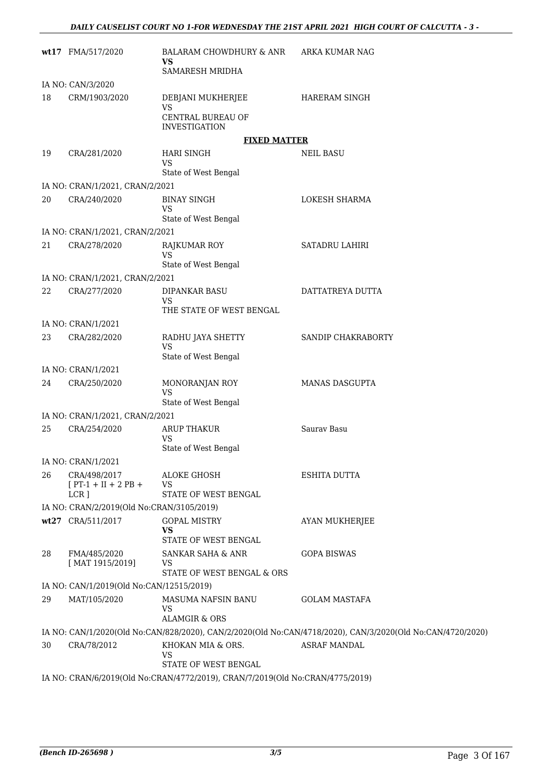|    | wt17 FMA/517/2020                              | BALARAM CHOWDHURY & ANR<br>VS.<br>SAMARESH MRIDHA                                                     | ARKA KUMAR NAG                                                                                             |
|----|------------------------------------------------|-------------------------------------------------------------------------------------------------------|------------------------------------------------------------------------------------------------------------|
|    | IA NO: CAN/3/2020                              |                                                                                                       |                                                                                                            |
| 18 | CRM/1903/2020                                  | DEBJANI MUKHERJEE<br><b>VS</b>                                                                        | HARERAM SINGH                                                                                              |
|    |                                                | CENTRAL BUREAU OF<br><b>INVESTIGATION</b>                                                             |                                                                                                            |
|    |                                                | <b>FIXED MATTER</b>                                                                                   |                                                                                                            |
| 19 | CRA/281/2020                                   | HARI SINGH<br><b>VS</b><br>State of West Bengal                                                       | <b>NEIL BASU</b>                                                                                           |
|    | IA NO: CRAN/1/2021, CRAN/2/2021                |                                                                                                       |                                                                                                            |
| 20 | CRA/240/2020                                   | <b>BINAY SINGH</b>                                                                                    | LOKESH SHARMA                                                                                              |
|    |                                                | <b>VS</b><br>State of West Bengal                                                                     |                                                                                                            |
|    | IA NO: CRAN/1/2021, CRAN/2/2021                |                                                                                                       |                                                                                                            |
| 21 | CRA/278/2020                                   | RAJKUMAR ROY<br><b>VS</b>                                                                             | <b>SATADRU LAHIRI</b>                                                                                      |
|    | IA NO: CRAN/1/2021, CRAN/2/2021                | State of West Bengal                                                                                  |                                                                                                            |
| 22 | CRA/277/2020                                   | DIPANKAR BASU                                                                                         | DATTATREYA DUTTA                                                                                           |
|    |                                                | VS<br>THE STATE OF WEST BENGAL                                                                        |                                                                                                            |
|    | IA NO: CRAN/1/2021                             |                                                                                                       |                                                                                                            |
| 23 | CRA/282/2020                                   | RADHU JAYA SHETTY<br><b>VS</b><br>State of West Bengal                                                | SANDIP CHAKRABORTY                                                                                         |
|    | IA NO: CRAN/1/2021                             |                                                                                                       |                                                                                                            |
| 24 | CRA/250/2020                                   | MONORANJAN ROY<br>VS                                                                                  | <b>MANAS DASGUPTA</b>                                                                                      |
|    | IA NO: CRAN/1/2021, CRAN/2/2021                | State of West Bengal                                                                                  |                                                                                                            |
| 25 | CRA/254/2020                                   | ARUP THAKUR                                                                                           | Saurav Basu                                                                                                |
|    |                                                | VS.<br>State of West Bengal                                                                           |                                                                                                            |
|    | IA NO: CRAN/1/2021                             |                                                                                                       |                                                                                                            |
| 26 | CRA/498/2017<br>$[PT-1 + II + 2 PB +$<br>LCR ] | ALOKE GHOSH<br>VS<br>STATE OF WEST BENGAL                                                             | <b>ESHITA DUTTA</b>                                                                                        |
|    | IA NO: CRAN/2/2019(Old No:CRAN/3105/2019)      |                                                                                                       |                                                                                                            |
|    | wt27 CRA/511/2017                              | <b>GOPAL MISTRY</b><br>VS<br>STATE OF WEST BENGAL                                                     | <b>AYAN MUKHERJEE</b>                                                                                      |
| 28 | FMA/485/2020<br>[MAT 1915/2019]                | SANKAR SAHA & ANR<br>VS                                                                               | <b>GOPA BISWAS</b>                                                                                         |
|    |                                                | STATE OF WEST BENGAL & ORS                                                                            |                                                                                                            |
|    | IA NO: CAN/1/2019(Old No:CAN/12515/2019)       |                                                                                                       |                                                                                                            |
| 29 | MAT/105/2020                                   | MASUMA NAFSIN BANU<br>VS<br><b>ALAMGIR &amp; ORS</b>                                                  | <b>GOLAM MASTAFA</b>                                                                                       |
|    |                                                |                                                                                                       | IA NO: CAN/1/2020(Old No:CAN/828/2020), CAN/2/2020(Old No:CAN/4718/2020), CAN/3/2020(Old No:CAN/4720/2020) |
| 30 | CRA/78/2012                                    | KHOKAN MIA & ORS.<br><b>VS</b>                                                                        | <b>ASRAF MANDAL</b>                                                                                        |
|    |                                                | STATE OF WEST BENGAL<br>IA NO: CRAN/6/2019(Old No:CRAN/4772/2019), CRAN/7/2019(Old No:CRAN/4775/2019) |                                                                                                            |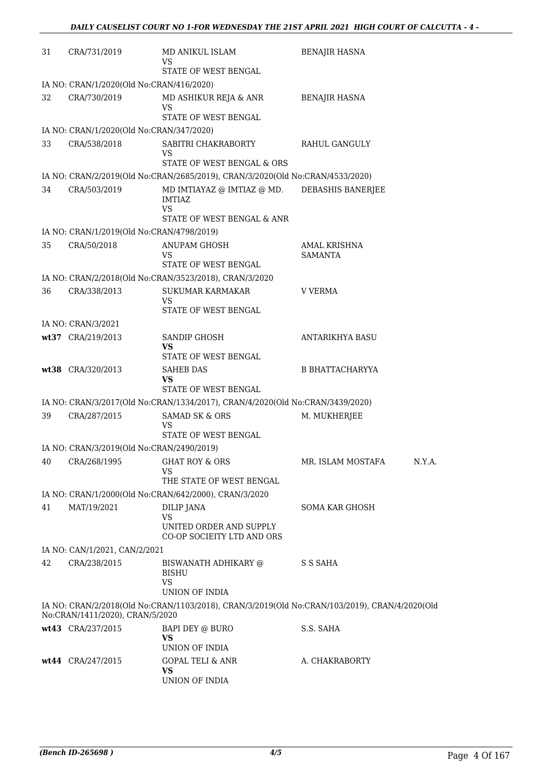| 31 | CRA/731/2019                              | MD ANIKUL ISLAM<br>VS                                                                                                                                     | <b>BENAJIR HASNA</b>                                                                          |
|----|-------------------------------------------|-----------------------------------------------------------------------------------------------------------------------------------------------------------|-----------------------------------------------------------------------------------------------|
|    |                                           | STATE OF WEST BENGAL                                                                                                                                      |                                                                                               |
|    | IA NO: CRAN/1/2020(Old No:CRAN/416/2020)  |                                                                                                                                                           |                                                                                               |
| 32 | CRA/730/2019                              | MD ASHIKUR REJA & ANR<br>VS                                                                                                                               | <b>BENAJIR HASNA</b>                                                                          |
|    |                                           | STATE OF WEST BENGAL                                                                                                                                      |                                                                                               |
|    | IA NO: CRAN/1/2020(Old No:CRAN/347/2020)  |                                                                                                                                                           |                                                                                               |
| 33 | CRA/538/2018                              | SABITRI CHAKRABORTY<br>VS<br>STATE OF WEST BENGAL & ORS                                                                                                   | RAHUL GANGULY                                                                                 |
|    |                                           |                                                                                                                                                           |                                                                                               |
| 34 | CRA/503/2019                              | IA NO: CRAN/2/2019(Old No:CRAN/2685/2019), CRAN/3/2020(Old No:CRAN/4533/2020)<br>MD IMTIAYAZ @ IMTIAZ @ MD.<br>IMTIAZ<br>VS<br>STATE OF WEST BENGAL & ANR | DEBASHIS BANERJEE                                                                             |
|    | IA NO: CRAN/1/2019(Old No:CRAN/4798/2019) |                                                                                                                                                           |                                                                                               |
| 35 | CRA/50/2018                               | ANUPAM GHOSH<br>VS                                                                                                                                        | AMAL KRISHNA<br><b>SAMANTA</b>                                                                |
|    |                                           | STATE OF WEST BENGAL                                                                                                                                      |                                                                                               |
|    |                                           | IA NO: CRAN/2/2018(Old No:CRAN/3523/2018), CRAN/3/2020                                                                                                    |                                                                                               |
| 36 | CRA/338/2013                              | <b>SUKUMAR KARMAKAR</b><br>VS<br>STATE OF WEST BENGAL                                                                                                     | V VERMA                                                                                       |
|    | IA NO: CRAN/3/2021                        |                                                                                                                                                           |                                                                                               |
|    | wt37 CRA/219/2013                         | SANDIP GHOSH<br>VS                                                                                                                                        | ANTARIKHYA BASU                                                                               |
|    |                                           | STATE OF WEST BENGAL                                                                                                                                      |                                                                                               |
|    | wt38 CRA/320/2013                         | <b>SAHEB DAS</b><br>VS                                                                                                                                    | <b>B BHATTACHARYYA</b>                                                                        |
|    |                                           | STATE OF WEST BENGAL                                                                                                                                      |                                                                                               |
|    |                                           | IA NO: CRAN/3/2017(Old No:CRAN/1334/2017), CRAN/4/2020(Old No:CRAN/3439/2020)                                                                             |                                                                                               |
| 39 | CRA/287/2015                              | <b>SAMAD SK &amp; ORS</b><br>VS<br>STATE OF WEST BENGAL                                                                                                   | M. MUKHERJEE                                                                                  |
|    | IA NO: CRAN/3/2019(Old No:CRAN/2490/2019) |                                                                                                                                                           |                                                                                               |
| 40 | CRA/268/1995                              | GHAT ROY & ORS<br>VS                                                                                                                                      | MR. ISLAM MOSTAFA<br>N.Y.A.                                                                   |
|    |                                           | THE STATE OF WEST BENGAL                                                                                                                                  |                                                                                               |
|    |                                           | IA NO: CRAN/1/2000(Old No:CRAN/642/2000), CRAN/3/2020                                                                                                     |                                                                                               |
| 41 | MAT/19/2021                               | DILIP JANA<br>VS<br>UNITED ORDER AND SUPPLY                                                                                                               | SOMA KAR GHOSH                                                                                |
|    |                                           | CO-OP SOCIEITY LTD AND ORS                                                                                                                                |                                                                                               |
|    | IA NO: CAN/1/2021, CAN/2/2021             |                                                                                                                                                           |                                                                                               |
| 42 | CRA/238/2015                              | BISWANATH ADHIKARY @<br><b>BISHU</b><br><b>VS</b>                                                                                                         | S S SAHA                                                                                      |
|    |                                           | UNION OF INDIA                                                                                                                                            |                                                                                               |
|    | No:CRAN/1411/2020), CRAN/5/2020           |                                                                                                                                                           | IA NO: CRAN/2/2018(Old No:CRAN/1103/2018), CRAN/3/2019(Old No:CRAN/103/2019), CRAN/4/2020(Old |
|    | wt43 CRA/237/2015                         | BAPI DEY @ BURO<br>VS<br>UNION OF INDIA                                                                                                                   | S.S. SAHA                                                                                     |
|    | wt44 CRA/247/2015                         | <b>GOPAL TELI &amp; ANR</b><br><b>VS</b><br>UNION OF INDIA                                                                                                | A. CHAKRABORTY                                                                                |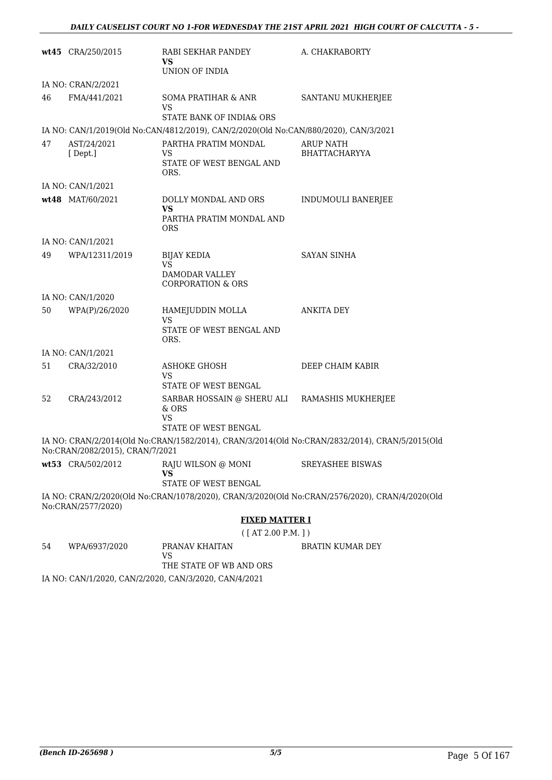|    | wt45 CRA/250/2015               | RABI SEKHAR PANDEY<br>VS                                                             | A. CHAKRABORTY                                                                                 |
|----|---------------------------------|--------------------------------------------------------------------------------------|------------------------------------------------------------------------------------------------|
|    |                                 | UNION OF INDIA                                                                       |                                                                                                |
|    | IA NO: CRAN/2/2021              |                                                                                      |                                                                                                |
| 46 | FMA/441/2021                    | <b>SOMA PRATIHAR &amp; ANR</b><br>VS                                                 | SANTANU MUKHERJEE                                                                              |
|    |                                 | STATE BANK OF INDIA& ORS                                                             |                                                                                                |
|    |                                 | IA NO: CAN/1/2019(Old No:CAN/4812/2019), CAN/2/2020(Old No:CAN/880/2020), CAN/3/2021 |                                                                                                |
| 47 | AST/24/2021<br>[Dept.]          | PARTHA PRATIM MONDAL<br>VS<br>STATE OF WEST BENGAL AND<br>ORS.                       | ARUP NATH<br><b>BHATTACHARYYA</b>                                                              |
|    | IA NO: CAN/1/2021               |                                                                                      |                                                                                                |
|    | wt48 MAT/60/2021                | DOLLY MONDAL AND ORS<br><b>VS</b><br>PARTHA PRATIM MONDAL AND<br><b>ORS</b>          | INDUMOULI BANERJEE                                                                             |
|    | IA NO: CAN/1/2021               |                                                                                      |                                                                                                |
| 49 | WPA/12311/2019                  | <b>BIJAY KEDIA</b>                                                                   | SAYAN SINHA                                                                                    |
|    |                                 | <b>VS</b><br><b>DAMODAR VALLEY</b><br><b>CORPORATION &amp; ORS</b>                   |                                                                                                |
|    | IA NO: CAN/1/2020               |                                                                                      |                                                                                                |
| 50 | WPA(P)/26/2020                  | HAMEJUDDIN MOLLA<br>VS                                                               | <b>ANKITA DEY</b>                                                                              |
|    |                                 | STATE OF WEST BENGAL AND<br>ORS.                                                     |                                                                                                |
|    | IA NO: CAN/1/2021               |                                                                                      |                                                                                                |
| 51 | CRA/32/2010                     | ASHOKE GHOSH<br>VS                                                                   | DEEP CHAIM KABIR                                                                               |
|    |                                 | STATE OF WEST BENGAL                                                                 |                                                                                                |
| 52 | CRA/243/2012                    | SARBAR HOSSAIN @ SHERU ALI RAMASHIS MUKHERJEE<br>& ORS<br>VS                         |                                                                                                |
|    |                                 | STATE OF WEST BENGAL                                                                 |                                                                                                |
|    | No:CRAN/2082/2015), CRAN/7/2021 |                                                                                      | IA NO: CRAN/2/2014(Old No:CRAN/1582/2014), CRAN/3/2014(Old No:CRAN/2832/2014), CRAN/5/2015(Old |
|    | wt53 CRA/502/2012               | RAJU WILSON @ MONI<br><b>VS</b>                                                      | <b>SREYASHEE BISWAS</b>                                                                        |
|    |                                 | STATE OF WEST BENGAL                                                                 |                                                                                                |
|    | No:CRAN/2577/2020)              |                                                                                      | IA NO: CRAN/2/2020(Old No:CRAN/1078/2020), CRAN/3/2020(Old No:CRAN/2576/2020), CRAN/4/2020(Old |
|    |                                 | <b>FIXED MATTER I</b>                                                                |                                                                                                |
|    |                                 | ([AT 2.00 P.M.]                                                                      |                                                                                                |
| 54 | WPA/6937/2020                   | PRANAV KHAITAN<br><b>VS</b>                                                          | BRATIN KUMAR DEY                                                                               |

THE STATE OF WB AND ORS

IA NO: CAN/1/2020, CAN/2/2020, CAN/3/2020, CAN/4/2021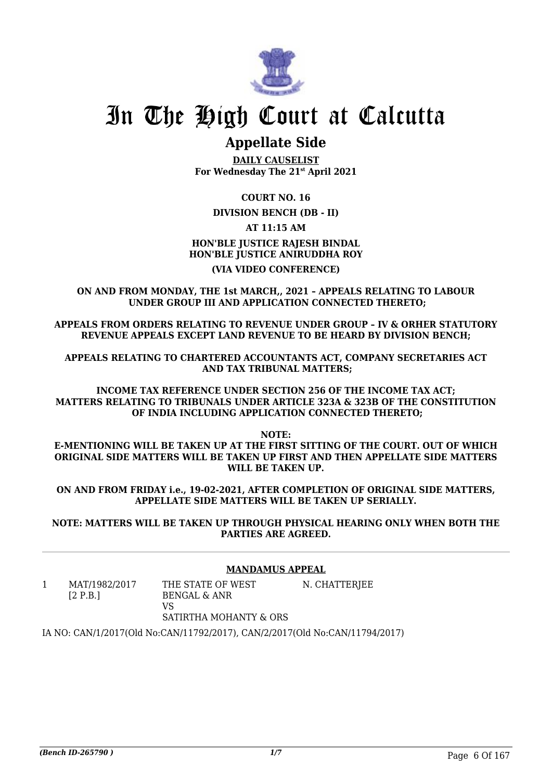

# **Appellate Side**

**DAILY CAUSELIST For Wednesday The 21st April 2021**

**COURT NO. 16**

### **DIVISION BENCH (DB - II)**

**AT 11:15 AM**

## **HON'BLE JUSTICE RAJESH BINDAL HON'BLE JUSTICE ANIRUDDHA ROY (VIA VIDEO CONFERENCE)**

**ON AND FROM MONDAY, THE 1st MARCH,, 2021 – APPEALS RELATING TO LABOUR UNDER GROUP III AND APPLICATION CONNECTED THERETO;**

**APPEALS FROM ORDERS RELATING TO REVENUE UNDER GROUP – IV & ORHER STATUTORY REVENUE APPEALS EXCEPT LAND REVENUE TO BE HEARD BY DIVISION BENCH;**

**APPEALS RELATING TO CHARTERED ACCOUNTANTS ACT, COMPANY SECRETARIES ACT AND TAX TRIBUNAL MATTERS;**

**INCOME TAX REFERENCE UNDER SECTION 256 OF THE INCOME TAX ACT; MATTERS RELATING TO TRIBUNALS UNDER ARTICLE 323A & 323B OF THE CONSTITUTION OF INDIA INCLUDING APPLICATION CONNECTED THERETO;**

**NOTE:**

**E-MENTIONING WILL BE TAKEN UP AT THE FIRST SITTING OF THE COURT. OUT OF WHICH ORIGINAL SIDE MATTERS WILL BE TAKEN UP FIRST AND THEN APPELLATE SIDE MATTERS WILL BE TAKEN UP.**

**ON AND FROM FRIDAY i.e., 19-02-2021, AFTER COMPLETION OF ORIGINAL SIDE MATTERS, APPELLATE SIDE MATTERS WILL BE TAKEN UP SERIALLY.**

**NOTE: MATTERS WILL BE TAKEN UP THROUGH PHYSICAL HEARING ONLY WHEN BOTH THE PARTIES ARE AGREED.**

### **MANDAMUS APPEAL**

1 MAT/1982/2017 [2 P.B.] THE STATE OF WEST BENGAL & ANR  $V<sub>S</sub>$ N. CHATTERJEE

## SATIRTHA MOHANTY & ORS

IA NO: CAN/1/2017(Old No:CAN/11792/2017), CAN/2/2017(Old No:CAN/11794/2017)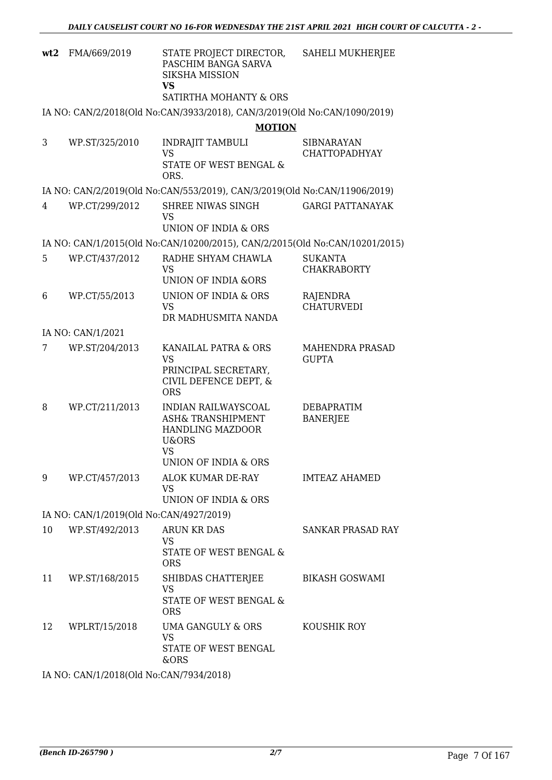| wt2 | FMA/669/2019                            | STATE PROJECT DIRECTOR,<br>PASCHIM BANGA SARVA<br><b>SIKSHA MISSION</b><br>VS<br>SATIRTHA MOHANTY & ORS                                     | SAHELI MUKHERJEE                          |
|-----|-----------------------------------------|---------------------------------------------------------------------------------------------------------------------------------------------|-------------------------------------------|
|     |                                         | IA NO: CAN/2/2018(Old No:CAN/3933/2018), CAN/3/2019(Old No:CAN/1090/2019)                                                                   |                                           |
|     |                                         | <b>MOTION</b>                                                                                                                               |                                           |
| 3   | WP.ST/325/2010                          | <b>INDRAJIT TAMBULI</b><br><b>VS</b><br>STATE OF WEST BENGAL &<br>ORS.                                                                      | <b>SIBNARAYAN</b><br><b>CHATTOPADHYAY</b> |
|     |                                         | IA NO: CAN/2/2019(Old No:CAN/553/2019), CAN/3/2019(Old No:CAN/11906/2019)                                                                   |                                           |
| 4   | WP.CT/299/2012                          | SHREE NIWAS SINGH<br><b>VS</b><br>UNION OF INDIA & ORS                                                                                      | <b>GARGI PATTANAYAK</b>                   |
|     |                                         | IA NO: CAN/1/2015(Old No:CAN/10200/2015), CAN/2/2015(Old No:CAN/10201/2015)                                                                 |                                           |
| 5   | WP.CT/437/2012                          | RADHE SHYAM CHAWLA<br><b>VS</b><br><b>UNION OF INDIA &amp;ORS</b>                                                                           | <b>SUKANTA</b><br><b>CHAKRABORTY</b>      |
| 6   | WP.CT/55/2013                           | UNION OF INDIA & ORS<br><b>VS</b><br>DR MADHUSMITA NANDA                                                                                    | RAJENDRA<br><b>CHATURVEDI</b>             |
|     | IA NO: CAN/1/2021                       |                                                                                                                                             |                                           |
| 7   | WP.ST/204/2013                          | KANAILAL PATRA & ORS<br><b>VS</b><br>PRINCIPAL SECRETARY,<br>CIVIL DEFENCE DEPT, &<br><b>ORS</b>                                            | MAHENDRA PRASAD<br><b>GUPTA</b>           |
| 8   | WP.CT/211/2013                          | INDIAN RAILWAYSCOAL<br><b>ASH&amp; TRANSHIPMENT</b><br><b>HANDLING MAZDOOR</b><br><b>U&amp;ORS</b><br>VS<br><b>UNION OF INDIA &amp; ORS</b> | DEBAPRATIM<br><b>BANERJEE</b>             |
| 9   | WP.CT/457/2013                          | ALOK KUMAR DE-RAY<br><b>VS</b><br>UNION OF INDIA & ORS                                                                                      | <b>IMTEAZ AHAMED</b>                      |
|     | IA NO: CAN/1/2019(Old No:CAN/4927/2019) |                                                                                                                                             |                                           |
| 10  | WP.ST/492/2013                          | <b>ARUN KR DAS</b><br><b>VS</b><br>STATE OF WEST BENGAL &<br><b>ORS</b>                                                                     | <b>SANKAR PRASAD RAY</b>                  |
| 11  | WP.ST/168/2015                          | SHIBDAS CHATTERJEE<br><b>VS</b><br>STATE OF WEST BENGAL &<br><b>ORS</b>                                                                     | <b>BIKASH GOSWAMI</b>                     |
| 12  | WPLRT/15/2018                           | UMA GANGULY & ORS<br><b>VS</b><br>STATE OF WEST BENGAL<br>&ORS                                                                              | KOUSHIK ROY                               |
|     | IA NO: CAN/1/2018(Old No:CAN/7934/2018) |                                                                                                                                             |                                           |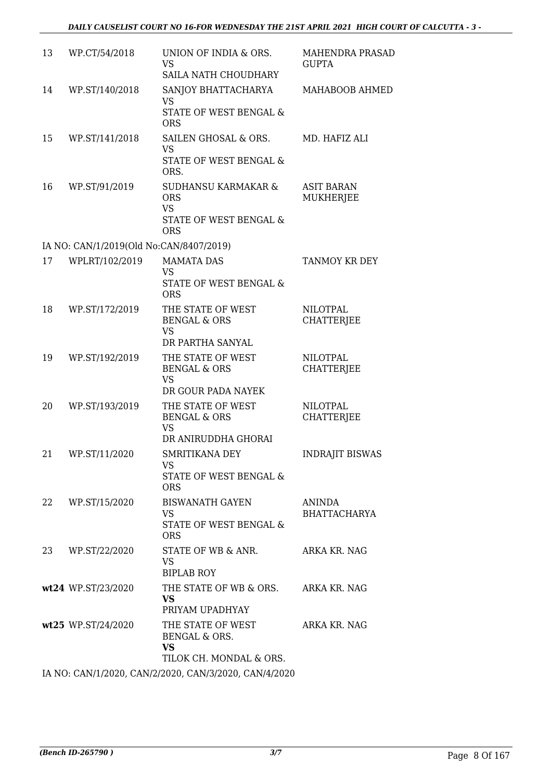| 13 | WP.CT/54/2018                           | UNION OF INDIA & ORS.<br><b>VS</b><br>SAILA NATH CHOUDHARY                             | MAHENDRA PRASAD<br><b>GUPTA</b>       |
|----|-----------------------------------------|----------------------------------------------------------------------------------------|---------------------------------------|
| 14 | WP.ST/140/2018                          | SANJOY BHATTACHARYA<br><b>VS</b><br>STATE OF WEST BENGAL &<br><b>ORS</b>               | MAHABOOB AHMED                        |
| 15 | WP.ST/141/2018                          | SAILEN GHOSAL & ORS.<br><b>VS</b><br>STATE OF WEST BENGAL &<br>ORS.                    | MD. HAFIZ ALI                         |
| 16 | WP.ST/91/2019                           | SUDHANSU KARMAKAR &<br><b>ORS</b><br><b>VS</b><br>STATE OF WEST BENGAL &<br><b>ORS</b> | <b>ASIT BARAN</b><br><b>MUKHERJEE</b> |
|    | IA NO: CAN/1/2019(Old No:CAN/8407/2019) |                                                                                        |                                       |
| 17 | WPLRT/102/2019                          | <b>MAMATA DAS</b><br><b>VS</b><br>STATE OF WEST BENGAL &<br><b>ORS</b>                 | TANMOY KR DEY                         |
| 18 | WP.ST/172/2019                          | THE STATE OF WEST<br><b>BENGAL &amp; ORS</b><br><b>VS</b><br>DR PARTHA SANYAL          | <b>NILOTPAL</b><br><b>CHATTERJEE</b>  |
| 19 | WP.ST/192/2019                          | THE STATE OF WEST<br><b>BENGAL &amp; ORS</b><br><b>VS</b><br>DR GOUR PADA NAYEK        | <b>NILOTPAL</b><br><b>CHATTERJEE</b>  |
| 20 | WP.ST/193/2019                          | THE STATE OF WEST<br><b>BENGAL &amp; ORS</b><br><b>VS</b><br>DR ANIRUDDHA GHORAI       | <b>NILOTPAL</b><br><b>CHATTERIEE</b>  |
| 21 | WP.ST/11/2020                           | <b>SMRITIKANA DEY</b><br>VS<br>STATE OF WEST BENGAL &<br><b>ORS</b>                    | <b>INDRAJIT BISWAS</b>                |
| 22 | WP.ST/15/2020                           | <b>BISWANATH GAYEN</b><br><b>VS</b><br><b>STATE OF WEST BENGAL &amp;</b><br><b>ORS</b> | <b>ANINDA</b><br><b>BHATTACHARYA</b>  |
| 23 | WP.ST/22/2020                           | STATE OF WB & ANR.<br>VS<br><b>BIPLAB ROY</b>                                          | ARKA KR. NAG                          |
|    | wt24 WP.ST/23/2020                      | THE STATE OF WB & ORS. ARKA KR. NAG<br><b>VS</b><br>PRIYAM UPADHYAY                    |                                       |
|    | wt25 WP.ST/24/2020                      | THE STATE OF WEST<br>BENGAL & ORS.<br>VS<br>TILOK CH. MONDAL & ORS.                    | ARKA KR. NAG                          |
|    |                                         | IA NO: CAN/1/2020, CAN/2/2020, CAN/3/2020, CAN/4/2020                                  |                                       |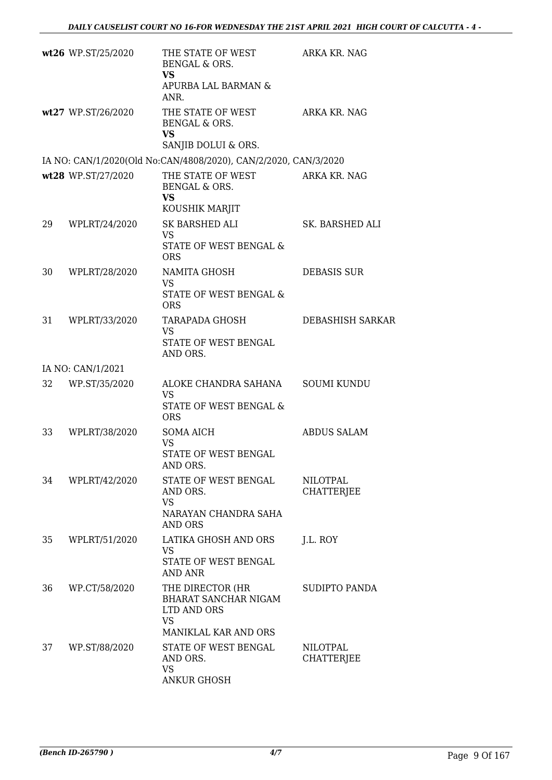|    | wt26 WP.ST/25/2020 | THE STATE OF WEST<br>BENGAL & ORS.<br><b>VS</b><br>APURBA LAL BARMAN &<br>ANR.              | ARKA KR. NAG                         |
|----|--------------------|---------------------------------------------------------------------------------------------|--------------------------------------|
|    | wt27 WP.ST/26/2020 | THE STATE OF WEST<br><b>BENGAL &amp; ORS.</b><br><b>VS</b>                                  | ARKA KR. NAG                         |
|    |                    | SANJIB DOLUI & ORS.                                                                         |                                      |
|    |                    | IA NO: CAN/1/2020(Old No:CAN/4808/2020), CAN/2/2020, CAN/3/2020                             |                                      |
|    | wt28 WP.ST/27/2020 | THE STATE OF WEST ARKA KR. NAG<br>BENGAL & ORS.<br>VS<br>KOUSHIK MARJIT                     |                                      |
| 29 | WPLRT/24/2020      | SK BARSHED ALI<br><b>VS</b><br><b>STATE OF WEST BENGAL &amp;</b><br><b>ORS</b>              | SK. BARSHED ALI                      |
| 30 | WPLRT/28/2020      | NAMITA GHOSH<br><b>VS</b><br>STATE OF WEST BENGAL &<br><b>ORS</b>                           | <b>DEBASIS SUR</b>                   |
| 31 | WPLRT/33/2020      | TARAPADA GHOSH<br>VS<br>STATE OF WEST BENGAL<br>AND ORS.                                    | <b>DEBASHISH SARKAR</b>              |
|    | IA NO: CAN/1/2021  |                                                                                             |                                      |
| 32 | WP.ST/35/2020      | ALOKE CHANDRA SAHANA<br><b>VS</b><br><b>STATE OF WEST BENGAL &amp;</b><br><b>ORS</b>        | <b>SOUMI KUNDU</b>                   |
| 33 | WPLRT/38/2020      | <b>SOMA AICH</b><br><b>VS</b><br>STATE OF WEST BENGAL<br>AND ORS.                           | <b>ABDUS SALAM</b>                   |
| 34 | WPLRT/42/2020      | STATE OF WEST BENGAL<br>AND ORS.<br><b>VS</b><br>NARAYAN CHANDRA SAHA<br>AND ORS            | <b>NILOTPAL</b><br><b>CHATTERJEE</b> |
| 35 | WPLRT/51/2020      | LATIKA GHOSH AND ORS<br>VS<br><b>STATE OF WEST BENGAL</b><br><b>AND ANR</b>                 | J.L. ROY                             |
| 36 | WP.CT/58/2020      | THE DIRECTOR (HR<br>BHARAT SANCHAR NIGAM<br>LTD AND ORS<br><b>VS</b>                        | SUDIPTO PANDA                        |
| 37 | WP.ST/88/2020      | MANIKLAL KAR AND ORS<br>STATE OF WEST BENGAL<br>AND ORS.<br><b>VS</b><br><b>ANKUR GHOSH</b> | <b>NILOTPAL</b><br><b>CHATTERJEE</b> |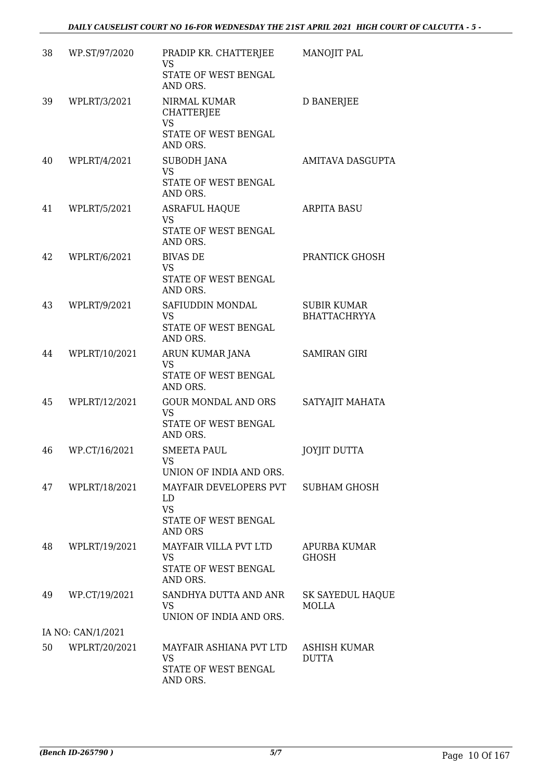| 38 | WP.ST/97/2020     | PRADIP KR. CHATTERJEE<br><b>VS</b><br>STATE OF WEST BENGAL<br>AND ORS.              | MANOJIT PAL                               |
|----|-------------------|-------------------------------------------------------------------------------------|-------------------------------------------|
| 39 | WPLRT/3/2021      | NIRMAL KUMAR<br><b>CHATTERJEE</b><br><b>VS</b><br>STATE OF WEST BENGAL<br>AND ORS.  | <b>D BANERJEE</b>                         |
| 40 | WPLRT/4/2021      | <b>SUBODH JANA</b><br><b>VS</b><br>STATE OF WEST BENGAL<br>AND ORS.                 | AMITAVA DASGUPTA                          |
| 41 | WPLRT/5/2021      | <b>ASRAFUL HAQUE</b><br><b>VS</b><br>STATE OF WEST BENGAL<br>AND ORS.               | <b>ARPITA BASU</b>                        |
| 42 | WPLRT/6/2021      | <b>BIVAS DE</b><br><b>VS</b><br>STATE OF WEST BENGAL<br>AND ORS.                    | PRANTICK GHOSH                            |
| 43 | WPLRT/9/2021      | SAFIUDDIN MONDAL<br><b>VS</b><br>STATE OF WEST BENGAL<br>AND ORS.                   | <b>SUBIR KUMAR</b><br><b>BHATTACHRYYA</b> |
| 44 | WPLRT/10/2021     | ARUN KUMAR JANA<br><b>VS</b><br>STATE OF WEST BENGAL<br>AND ORS.                    | <b>SAMIRAN GIRI</b>                       |
| 45 | WPLRT/12/2021     | <b>GOUR MONDAL AND ORS</b><br><b>VS</b><br>STATE OF WEST BENGAL<br>AND ORS.         | SATYAJIT MAHATA                           |
| 46 | WP.CT/16/2021     | <b>SMEETA PAUL</b><br>VS<br>UNION OF INDIA AND ORS.                                 | <b>JOYJIT DUTTA</b>                       |
| 47 | WPLRT/18/2021     | MAYFAIR DEVELOPERS PVT<br>LD<br><b>VS</b><br>STATE OF WEST BENGAL<br><b>AND ORS</b> | <b>SUBHAM GHOSH</b>                       |
| 48 | WPLRT/19/2021     | MAYFAIR VILLA PVT LTD<br><b>VS</b><br>STATE OF WEST BENGAL<br>AND ORS.              | APURBA KUMAR<br><b>GHOSH</b>              |
| 49 | WP.CT/19/2021     | SANDHYA DUTTA AND ANR<br><b>VS</b><br>UNION OF INDIA AND ORS.                       | SK SAYEDUL HAQUE<br>MOLLA                 |
|    | IA NO: CAN/1/2021 |                                                                                     |                                           |
| 50 | WPLRT/20/2021     | MAYFAIR ASHIANA PVT LTD<br><b>VS</b><br>STATE OF WEST BENGAL<br>AND ORS.            | ASHISH KUMAR<br><b>DUTTA</b>              |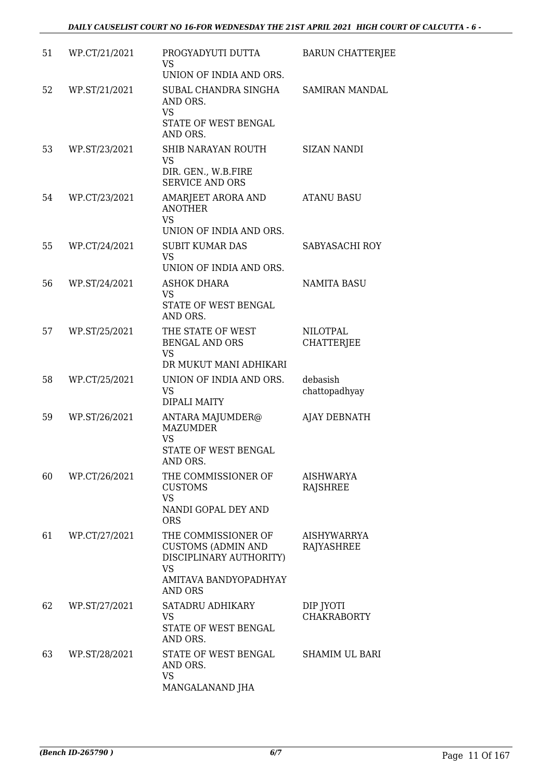| 51 | WP.CT/21/2021 | PROGYADYUTI DUTTA<br><b>VS</b><br>UNION OF INDIA AND ORS.                                                                           | <b>BARUN CHATTERJEE</b>                 |
|----|---------------|-------------------------------------------------------------------------------------------------------------------------------------|-----------------------------------------|
| 52 | WP.ST/21/2021 | SUBAL CHANDRA SINGHA<br>AND ORS.<br><b>VS</b><br>STATE OF WEST BENGAL<br>AND ORS.                                                   | <b>SAMIRAN MANDAL</b>                   |
| 53 | WP.ST/23/2021 | SHIB NARAYAN ROUTH<br><b>VS</b><br>DIR. GEN., W.B.FIRE<br><b>SERVICE AND ORS</b>                                                    | <b>SIZAN NANDI</b>                      |
| 54 | WP.CT/23/2021 | AMARJEET ARORA AND<br><b>ANOTHER</b><br><b>VS</b><br>UNION OF INDIA AND ORS.                                                        | <b>ATANU BASU</b>                       |
| 55 | WP.CT/24/2021 | <b>SUBIT KUMAR DAS</b><br><b>VS</b><br>UNION OF INDIA AND ORS.                                                                      | SABYASACHI ROY                          |
| 56 | WP.ST/24/2021 | <b>ASHOK DHARA</b><br><b>VS</b><br>STATE OF WEST BENGAL<br>AND ORS.                                                                 | <b>NAMITA BASU</b>                      |
| 57 | WP.ST/25/2021 | THE STATE OF WEST<br><b>BENGAL AND ORS</b><br><b>VS</b><br>DR MUKUT MANI ADHIKARI                                                   | <b>NILOTPAL</b><br><b>CHATTERJEE</b>    |
| 58 | WP.CT/25/2021 | UNION OF INDIA AND ORS.<br><b>VS</b><br><b>DIPALI MAITY</b>                                                                         | debasish<br>chattopadhyay               |
| 59 | WP.ST/26/2021 | ANTARA MAJUMDER@<br><b>MAZUMDER</b><br><b>VS</b><br>STATE OF WEST BENGAL<br>AND ORS.                                                | AJAY DEBNATH                            |
| 60 | WP.CT/26/2021 | THE COMMISSIONER OF<br><b>CUSTOMS</b><br><b>VS</b><br>NANDI GOPAL DEY AND<br><b>ORS</b>                                             | AISHWARYA<br><b>RAJSHREE</b>            |
| 61 | WP.CT/27/2021 | THE COMMISSIONER OF<br><b>CUSTOMS (ADMIN AND</b><br>DISCIPLINARY AUTHORITY)<br><b>VS</b><br>AMITAVA BANDYOPADHYAY<br><b>AND ORS</b> | <b>AISHYWARRYA</b><br><b>RAJYASHREE</b> |
| 62 | WP.ST/27/2021 | SATADRU ADHIKARY<br><b>VS</b><br>STATE OF WEST BENGAL<br>AND ORS.                                                                   | DIP JYOTI<br><b>CHAKRABORTY</b>         |
| 63 | WP.ST/28/2021 | STATE OF WEST BENGAL<br>AND ORS.<br><b>VS</b><br>MANGALANAND JHA                                                                    | <b>SHAMIM UL BARI</b>                   |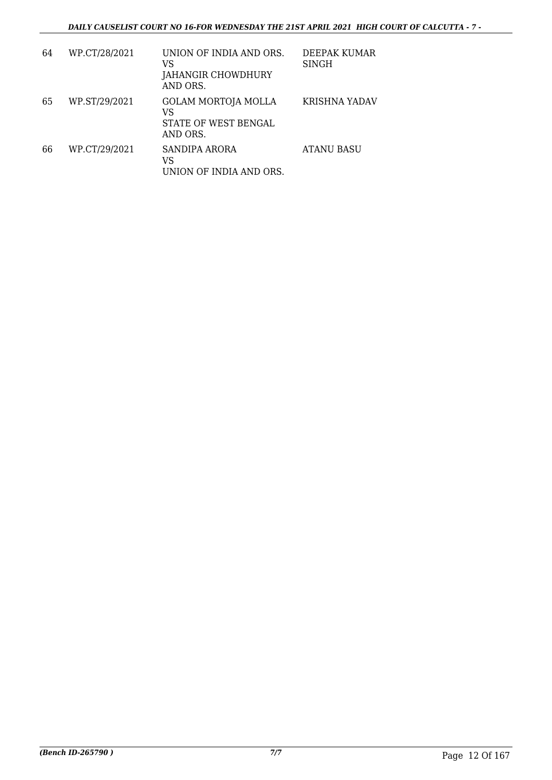| 64 | WP.CT/28/2021 | UNION OF INDIA AND ORS.<br>VS<br>JAHANGIR CHOWDHURY<br>AND ORS.      | DEEPAK KUMAR<br><b>SINGH</b> |
|----|---------------|----------------------------------------------------------------------|------------------------------|
| 65 | WP.ST/29/2021 | <b>GOLAM MORTOJA MOLLA</b><br>VS<br>STATE OF WEST BENGAL<br>AND ORS. | KRISHNA YADAV                |
| 66 | WP.CT/29/2021 | SANDIPA ARORA<br>VS<br>UNION OF INDIA AND ORS.                       | <b>ATANU BASU</b>            |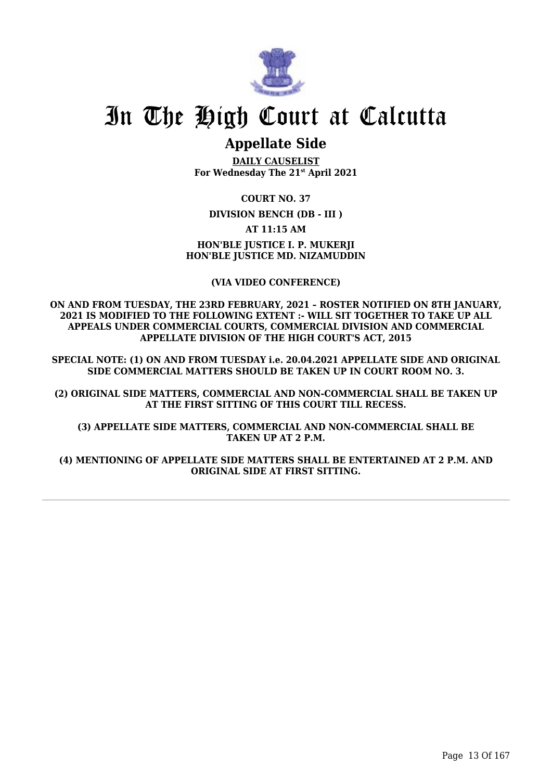

# **Appellate Side**

**DAILY CAUSELIST For Wednesday The 21st April 2021**

**COURT NO. 37 DIVISION BENCH (DB - III ) AT 11:15 AM HON'BLE JUSTICE I. P. MUKERJI HON'BLE JUSTICE MD. NIZAMUDDIN**

**(VIA VIDEO CONFERENCE)**

**ON AND FROM TUESDAY, THE 23RD FEBRUARY, 2021 – ROSTER NOTIFIED ON 8TH JANUARY, 2021 IS MODIFIED TO THE FOLLOWING EXTENT :- WILL SIT TOGETHER TO TAKE UP ALL APPEALS UNDER COMMERCIAL COURTS, COMMERCIAL DIVISION AND COMMERCIAL APPELLATE DIVISION OF THE HIGH COURT'S ACT, 2015**

**SPECIAL NOTE: (1) ON AND FROM TUESDAY i.e. 20.04.2021 APPELLATE SIDE AND ORIGINAL SIDE COMMERCIAL MATTERS SHOULD BE TAKEN UP IN COURT ROOM NO. 3.**

**(2) ORIGINAL SIDE MATTERS, COMMERCIAL AND NON-COMMERCIAL SHALL BE TAKEN UP AT THE FIRST SITTING OF THIS COURT TILL RECESS.**

**(3) APPELLATE SIDE MATTERS, COMMERCIAL AND NON-COMMERCIAL SHALL BE TAKEN UP AT 2 P.M.**

**(4) MENTIONING OF APPELLATE SIDE MATTERS SHALL BE ENTERTAINED AT 2 P.M. AND ORIGINAL SIDE AT FIRST SITTING.**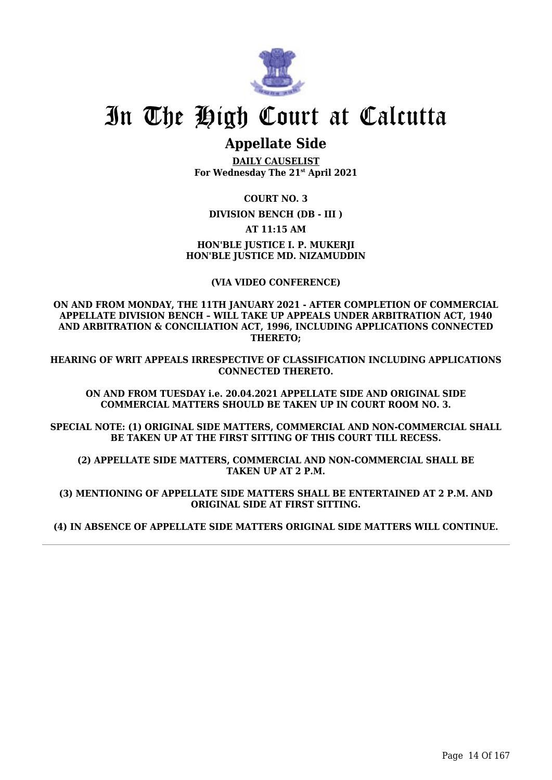

# **Appellate Side**

**DAILY CAUSELIST For Wednesday The 21st April 2021**

**COURT NO. 3**

**DIVISION BENCH (DB - III )**

**AT 11:15 AM**

## **HON'BLE JUSTICE I. P. MUKERJI HON'BLE JUSTICE MD. NIZAMUDDIN**

**(VIA VIDEO CONFERENCE)**

**ON AND FROM MONDAY, THE 11TH JANUARY 2021 - AFTER COMPLETION OF COMMERCIAL APPELLATE DIVISION BENCH – WILL TAKE UP APPEALS UNDER ARBITRATION ACT, 1940 AND ARBITRATION & CONCILIATION ACT, 1996, INCLUDING APPLICATIONS CONNECTED THERETO;**

**HEARING OF WRIT APPEALS IRRESPECTIVE OF CLASSIFICATION INCLUDING APPLICATIONS CONNECTED THERETO.**

**ON AND FROM TUESDAY i.e. 20.04.2021 APPELLATE SIDE AND ORIGINAL SIDE COMMERCIAL MATTERS SHOULD BE TAKEN UP IN COURT ROOM NO. 3.**

**SPECIAL NOTE: (1) ORIGINAL SIDE MATTERS, COMMERCIAL AND NON-COMMERCIAL SHALL BE TAKEN UP AT THE FIRST SITTING OF THIS COURT TILL RECESS.**

**(2) APPELLATE SIDE MATTERS, COMMERCIAL AND NON-COMMERCIAL SHALL BE TAKEN UP AT 2 P.M.**

**(3) MENTIONING OF APPELLATE SIDE MATTERS SHALL BE ENTERTAINED AT 2 P.M. AND ORIGINAL SIDE AT FIRST SITTING.**

**(4) IN ABSENCE OF APPELLATE SIDE MATTERS ORIGINAL SIDE MATTERS WILL CONTINUE.**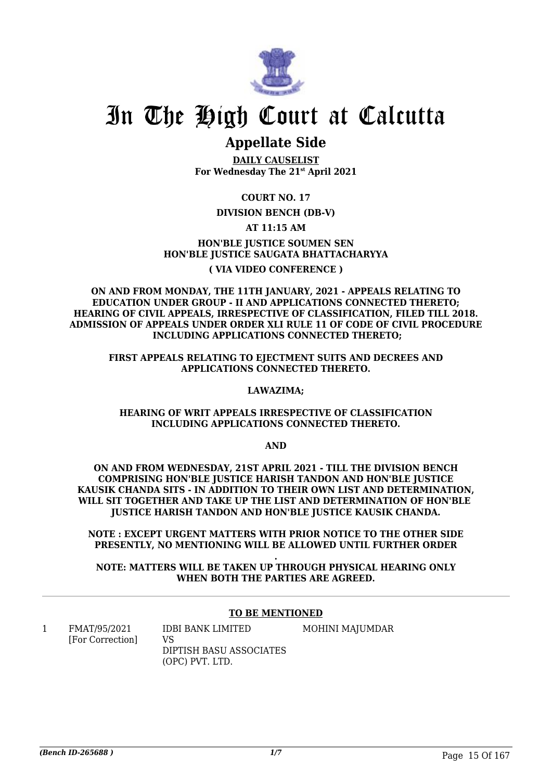

# **Appellate Side**

**DAILY CAUSELIST For Wednesday The 21st April 2021**

**COURT NO. 17**

## **DIVISION BENCH (DB-V)**

### **AT 11:15 AM**

**HON'BLE JUSTICE SOUMEN SEN HON'BLE JUSTICE SAUGATA BHATTACHARYYA ( VIA VIDEO CONFERENCE )**

**ON AND FROM MONDAY, THE 11TH JANUARY, 2021 - APPEALS RELATING TO EDUCATION UNDER GROUP - II AND APPLICATIONS CONNECTED THERETO; HEARING OF CIVIL APPEALS, IRRESPECTIVE OF CLASSIFICATION, FILED TILL 2018. ADMISSION OF APPEALS UNDER ORDER XLI RULE 11 OF CODE OF CIVIL PROCEDURE INCLUDING APPLICATIONS CONNECTED THERETO;**

**FIRST APPEALS RELATING TO EJECTMENT SUITS AND DECREES AND APPLICATIONS CONNECTED THERETO.**

#### **LAWAZIMA;**

### **HEARING OF WRIT APPEALS IRRESPECTIVE OF CLASSIFICATION INCLUDING APPLICATIONS CONNECTED THERETO.**

**AND**

**ON AND FROM WEDNESDAY, 21ST APRIL 2021 - TILL THE DIVISION BENCH COMPRISING HON'BLE JUSTICE HARISH TANDON AND HON'BLE JUSTICE KAUSIK CHANDA SITS - IN ADDITION TO THEIR OWN LIST AND DETERMINATION, WILL SIT TOGETHER AND TAKE UP THE LIST AND DETERMINATION OF HON'BLE JUSTICE HARISH TANDON AND HON'BLE JUSTICE KAUSIK CHANDA.**

**NOTE : EXCEPT URGENT MATTERS WITH PRIOR NOTICE TO THE OTHER SIDE PRESENTLY, NO MENTIONING WILL BE ALLOWED UNTIL FURTHER ORDER**

**. NOTE: MATTERS WILL BE TAKEN UP THROUGH PHYSICAL HEARING ONLY WHEN BOTH THE PARTIES ARE AGREED.**

### **TO BE MENTIONED**

1 FMAT/95/2021 [For Correction] IDBI BANK LIMITED VS DIPTISH BASU ASSOCIATES (OPC) PVT. LTD. MOHINI MAJUMDAR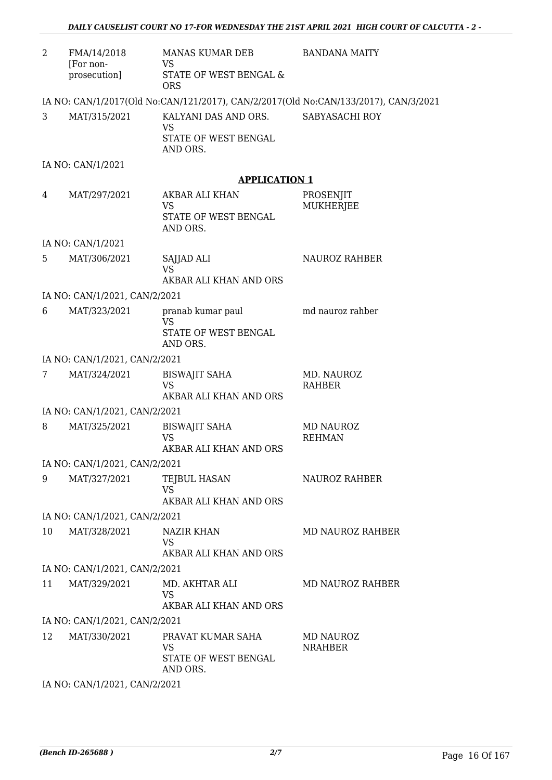| 2  | FMA/14/2018<br>[For non-<br>prosecution] | MANAS KUMAR DEB<br>VS<br>STATE OF WEST BENGAL &<br><b>ORS</b>         | <b>BANDANA MAITY</b>                                                                |
|----|------------------------------------------|-----------------------------------------------------------------------|-------------------------------------------------------------------------------------|
|    |                                          |                                                                       | IA NO: CAN/1/2017(Old No:CAN/121/2017), CAN/2/2017(Old No:CAN/133/2017), CAN/3/2021 |
| 3  | MAT/315/2021                             | KALYANI DAS AND ORS.<br><b>VS</b><br>STATE OF WEST BENGAL<br>AND ORS. | SABYASACHI ROY                                                                      |
|    | IA NO: CAN/1/2021                        |                                                                       |                                                                                     |
|    |                                          | <b>APPLICATION 1</b>                                                  |                                                                                     |
| 4  | MAT/297/2021                             | AKBAR ALI KHAN<br><b>VS</b><br>STATE OF WEST BENGAL<br>AND ORS.       | PROSENJIT<br>MUKHERJEE                                                              |
|    | IA NO: CAN/1/2021                        |                                                                       |                                                                                     |
| 5  | MAT/306/2021                             | SAJJAD ALI<br><b>VS</b>                                               | <b>NAUROZ RAHBER</b>                                                                |
|    | IA NO: CAN/1/2021, CAN/2/2021            | AKBAR ALI KHAN AND ORS                                                |                                                                                     |
| 6  | MAT/323/2021                             | pranab kumar paul                                                     | md nauroz rahber                                                                    |
|    |                                          | <b>VS</b><br>STATE OF WEST BENGAL<br>AND ORS.                         |                                                                                     |
|    | IA NO: CAN/1/2021, CAN/2/2021            |                                                                       |                                                                                     |
| 7  | MAT/324/2021                             | <b>BISWAJIT SAHA</b><br><b>VS</b><br>AKBAR ALI KHAN AND ORS           | MD. NAUROZ<br><b>RAHBER</b>                                                         |
|    | IA NO: CAN/1/2021, CAN/2/2021            |                                                                       |                                                                                     |
| 8  | MAT/325/2021                             | <b>BISWAJIT SAHA</b><br><b>VS</b><br>AKBAR ALI KHAN AND ORS           | <b>MD NAUROZ</b><br><b>REHMAN</b>                                                   |
|    | IA NO: CAN/1/2021, CAN/2/2021            |                                                                       |                                                                                     |
| 9  | MAT/327/2021                             | TEJBUL HASAN<br><b>VS</b><br>AKBAR ALI KHAN AND ORS                   | <b>NAUROZ RAHBER</b>                                                                |
|    | IA NO: CAN/1/2021, CAN/2/2021            |                                                                       |                                                                                     |
| 10 | MAT/328/2021                             | NAZIR KHAN<br><b>VS</b><br>AKBAR ALI KHAN AND ORS                     | <b>MD NAUROZ RAHBER</b>                                                             |
|    | IA NO: CAN/1/2021, CAN/2/2021            |                                                                       |                                                                                     |
| 11 | MAT/329/2021                             | MD. AKHTAR ALI<br><b>VS</b><br>AKBAR ALI KHAN AND ORS                 | MD NAUROZ RAHBER                                                                    |
|    | IA NO: CAN/1/2021, CAN/2/2021            |                                                                       |                                                                                     |
| 12 | MAT/330/2021                             | PRAVAT KUMAR SAHA<br>VS<br>STATE OF WEST BENGAL<br>AND ORS.           | <b>MD NAUROZ</b><br><b>NRAHBER</b>                                                  |
|    | IA NO CANTA 2001 CANTO 2001              |                                                                       |                                                                                     |

IA NO: CAN/1/2021, CAN/2/2021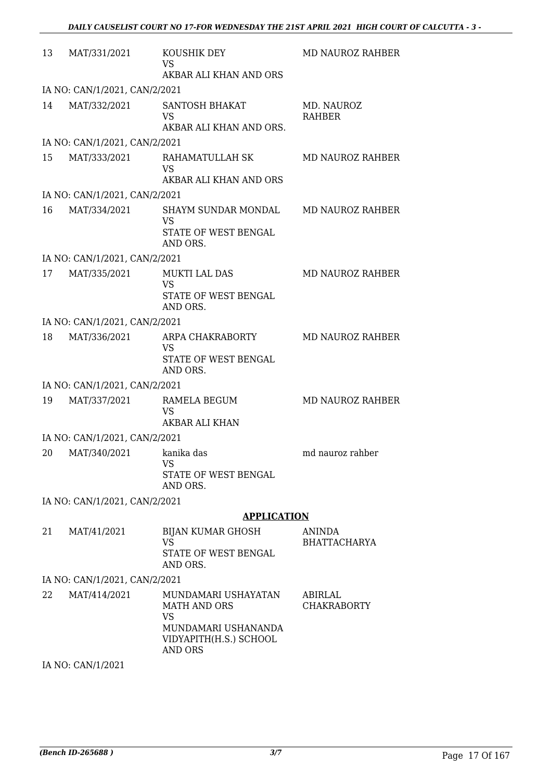| 13 | MAT/331/2021                  | KOUSHIK DEY<br><b>VS</b><br>AKBAR ALI KHAN AND ORS                                                                         | MD NAUROZ RAHBER                     |
|----|-------------------------------|----------------------------------------------------------------------------------------------------------------------------|--------------------------------------|
|    | IA NO: CAN/1/2021, CAN/2/2021 |                                                                                                                            |                                      |
| 14 | MAT/332/2021                  | <b>SANTOSH BHAKAT</b><br><b>VS</b><br>AKBAR ALI KHAN AND ORS.                                                              | MD. NAUROZ<br><b>RAHBER</b>          |
|    | IA NO: CAN/1/2021, CAN/2/2021 |                                                                                                                            |                                      |
| 15 | MAT/333/2021                  | RAHAMATULLAH SK<br><b>VS</b><br>AKBAR ALI KHAN AND ORS                                                                     | MD NAUROZ RAHBER                     |
|    | IA NO: CAN/1/2021, CAN/2/2021 |                                                                                                                            |                                      |
| 16 | MAT/334/2021                  | SHAYM SUNDAR MONDAL<br><b>VS</b><br>STATE OF WEST BENGAL<br>AND ORS.                                                       | <b>MD NAUROZ RAHBER</b>              |
|    | IA NO: CAN/1/2021, CAN/2/2021 |                                                                                                                            |                                      |
| 17 | MAT/335/2021                  | <b>MUKTI LAL DAS</b><br><b>VS</b><br>STATE OF WEST BENGAL<br>AND ORS.                                                      | <b>MD NAUROZ RAHBER</b>              |
|    | IA NO: CAN/1/2021, CAN/2/2021 |                                                                                                                            |                                      |
| 18 | MAT/336/2021                  | ARPA CHAKRABORTY<br><b>VS</b><br>STATE OF WEST BENGAL<br>AND ORS.                                                          | <b>MD NAUROZ RAHBER</b>              |
|    | IA NO: CAN/1/2021, CAN/2/2021 |                                                                                                                            |                                      |
| 19 | MAT/337/2021                  | RAMELA BEGUM<br><b>VS</b><br>AKBAR ALI KHAN                                                                                | <b>MD NAUROZ RAHBER</b>              |
|    | IA NO: CAN/1/2021, CAN/2/2021 |                                                                                                                            |                                      |
|    | 20 MAT/340/2021               | kanika das<br>VS<br>STATE OF WEST BENGAL<br>AND ORS.                                                                       | md nauroz rahber                     |
|    | IA NO: CAN/1/2021, CAN/2/2021 |                                                                                                                            |                                      |
|    |                               | <b>APPLICATION</b>                                                                                                         |                                      |
| 21 | MAT/41/2021                   | BIJAN KUMAR GHOSH<br><b>VS</b><br>STATE OF WEST BENGAL<br>AND ORS.                                                         | <b>ANINDA</b><br><b>BHATTACHARYA</b> |
|    | IA NO: CAN/1/2021, CAN/2/2021 |                                                                                                                            |                                      |
| 22 | MAT/414/2021                  | MUNDAMARI USHAYATAN<br><b>MATH AND ORS</b><br><b>VS</b><br>MUNDAMARI USHANANDA<br>VIDYAPITH(H.S.) SCHOOL<br><b>AND ORS</b> | ABIRLAL<br><b>CHAKRABORTY</b>        |

IA NO: CAN/1/2021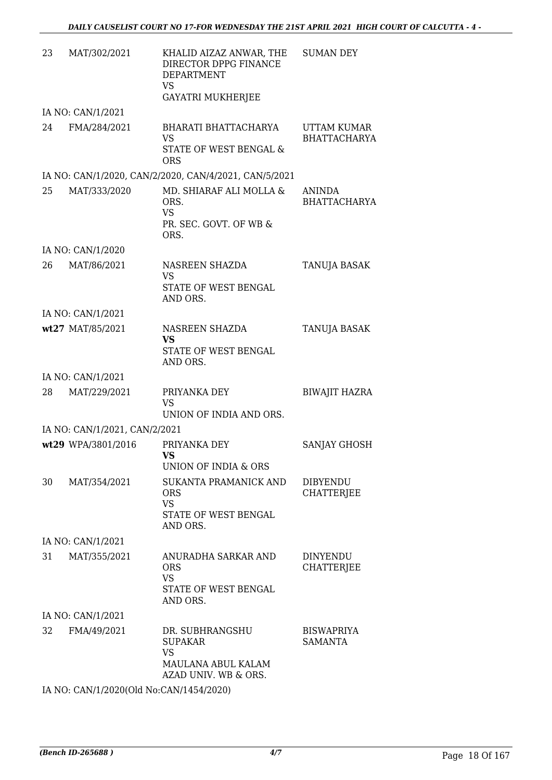| 23 | MAT/302/2021                  | KHALID AIZAZ ANWAR, THE<br>DIRECTOR DPPG FINANCE<br><b>DEPARTMENT</b><br><b>VS</b><br><b>GAYATRI MUKHERJEE</b> | <b>SUMAN DEY</b>                     |
|----|-------------------------------|----------------------------------------------------------------------------------------------------------------|--------------------------------------|
|    | IA NO: CAN/1/2021             |                                                                                                                |                                      |
| 24 | FMA/284/2021                  | BHARATI BHATTACHARYA<br><b>VS</b><br><b>STATE OF WEST BENGAL &amp;</b><br><b>ORS</b>                           | UTTAM KUMAR<br><b>BHATTACHARYA</b>   |
|    |                               | IA NO: CAN/1/2020, CAN/2/2020, CAN/4/2021, CAN/5/2021                                                          |                                      |
| 25 | MAT/333/2020                  | MD. SHIARAF ALI MOLLA &<br>ORS.<br><b>VS</b><br>PR. SEC. GOVT. OF WB &<br>ORS.                                 | <b>ANINDA</b><br><b>BHATTACHARYA</b> |
|    | IA NO: CAN/1/2020             |                                                                                                                |                                      |
| 26 | MAT/86/2021                   | NASREEN SHAZDA<br><b>VS</b><br>STATE OF WEST BENGAL<br>AND ORS.                                                | TANUJA BASAK                         |
|    | IA NO: CAN/1/2021             |                                                                                                                |                                      |
|    | wt27 MAT/85/2021              | NASREEN SHAZDA<br><b>VS</b><br>STATE OF WEST BENGAL<br>AND ORS.                                                | TANUJA BASAK                         |
|    | IA NO: CAN/1/2021             |                                                                                                                |                                      |
| 28 | MAT/229/2021                  | PRIYANKA DEY<br>VS<br>UNION OF INDIA AND ORS.                                                                  | <b>BIWAJIT HAZRA</b>                 |
|    | IA NO: CAN/1/2021, CAN/2/2021 |                                                                                                                |                                      |
|    | wt29 WPA/3801/2016            | PRIYANKA DEY<br>VS<br>UNION OF INDIA & ORS                                                                     | SANJAY GHOSH                         |
| 30 | MAT/354/2021                  | SUKANTA PRAMANICK AND<br><b>ORS</b><br><b>VS</b><br>STATE OF WEST BENGAL<br>AND ORS.                           | <b>DIBYENDU</b><br><b>CHATTERJEE</b> |
|    | IA NO: CAN/1/2021             |                                                                                                                |                                      |
| 31 | MAT/355/2021                  | ANURADHA SARKAR AND<br><b>ORS</b><br><b>VS</b><br>STATE OF WEST BENGAL<br>AND ORS.                             | <b>DINYENDU</b><br><b>CHATTERJEE</b> |
|    | IA NO: CAN/1/2021             |                                                                                                                |                                      |
| 32 | FMA/49/2021                   | DR. SUBHRANGSHU<br><b>SUPAKAR</b><br><b>VS</b><br>MAULANA ABUL KALAM<br>AZAD UNIV. WB & ORS.                   | <b>BISWAPRIYA</b><br><b>SAMANTA</b>  |

IA NO: CAN/1/2020(Old No:CAN/1454/2020)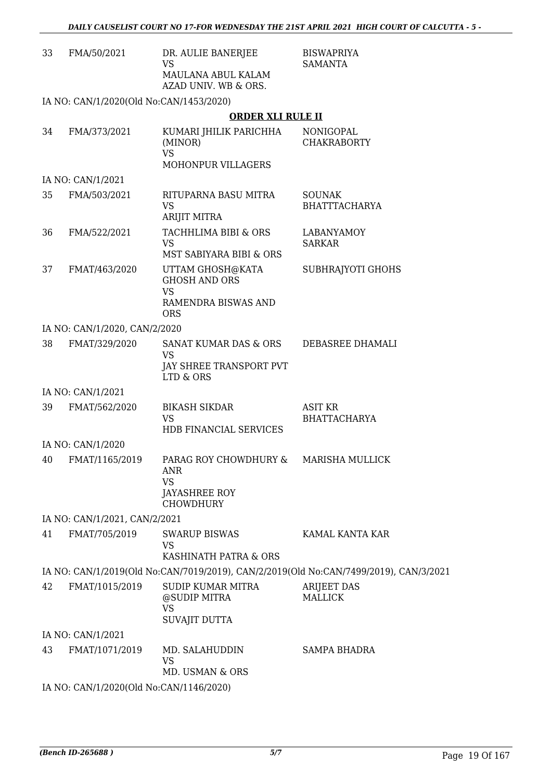| 33 | FMA/50/2021                             | DR. AULIE BANERJEE<br><b>VS</b><br>MAULANA ABUL KALAM<br>AZAD UNIV. WB & ORS.                         | <b>BISWAPRIYA</b><br>SAMANTA                                                          |
|----|-----------------------------------------|-------------------------------------------------------------------------------------------------------|---------------------------------------------------------------------------------------|
|    | IA NO: CAN/1/2020(Old No:CAN/1453/2020) |                                                                                                       |                                                                                       |
|    |                                         | <b>ORDER XLI RULE II</b>                                                                              |                                                                                       |
| 34 | FMA/373/2021                            | KUMARI JHILIK PARICHHA<br>(MINOR)<br><b>VS</b>                                                        | NONIGOPAL<br><b>CHAKRABORTY</b>                                                       |
|    |                                         | MOHONPUR VILLAGERS                                                                                    |                                                                                       |
|    | IA NO: CAN/1/2021                       |                                                                                                       |                                                                                       |
| 35 | FMA/503/2021                            | RITUPARNA BASU MITRA<br><b>VS</b><br>ARIJIT MITRA                                                     | <b>SOUNAK</b><br><b>BHATTTACHARYA</b>                                                 |
| 36 | FMA/522/2021                            | TACHHLIMA BIBI & ORS<br><b>VS</b>                                                                     | <b>LABANYAMOY</b><br><b>SARKAR</b>                                                    |
|    |                                         | MST SABIYARA BIBI & ORS                                                                               |                                                                                       |
| 37 | FMAT/463/2020                           | UTTAM GHOSH@KATA<br><b>GHOSH AND ORS</b><br><b>VS</b><br>RAMENDRA BISWAS AND<br><b>ORS</b>            | SUBHRAJYOTI GHOHS                                                                     |
|    | IA NO: CAN/1/2020, CAN/2/2020           |                                                                                                       |                                                                                       |
| 38 | FMAT/329/2020                           | SANAT KUMAR DAS & ORS                                                                                 | DEBASREE DHAMALI                                                                      |
|    |                                         | <b>VS</b><br>JAY SHREE TRANSPORT PVT<br>LTD & ORS                                                     |                                                                                       |
|    | IA NO: CAN/1/2021                       |                                                                                                       |                                                                                       |
| 39 | FMAT/562/2020                           | <b>BIKASH SIKDAR</b><br><b>VS</b>                                                                     | <b>ASIT KR</b><br><b>BHATTACHARYA</b>                                                 |
|    |                                         | HDB FINANCIAL SERVICES                                                                                |                                                                                       |
|    | IA NO: CAN/1/2020                       |                                                                                                       |                                                                                       |
| 40 | FMAT/1165/2019                          | PARAG ROY CHOWDHURY & MARISHA MULLICK<br>ANR<br><b>VS</b><br><b>JAYASHREE ROY</b><br><b>CHOWDHURY</b> |                                                                                       |
|    | IA NO: CAN/1/2021, CAN/2/2021           |                                                                                                       |                                                                                       |
| 41 | FMAT/705/2019                           | <b>SWARUP BISWAS</b><br><b>VS</b>                                                                     | KAMAL KANTA KAR                                                                       |
|    |                                         | KASHINATH PATRA & ORS                                                                                 |                                                                                       |
|    |                                         |                                                                                                       | IA NO: CAN/1/2019(Old No:CAN/7019/2019), CAN/2/2019(Old No:CAN/7499/2019), CAN/3/2021 |
| 42 | FMAT/1015/2019                          | SUDIP KUMAR MITRA<br>@SUDIP MITRA<br><b>VS</b>                                                        | <b>ARIJEET DAS</b><br><b>MALLICK</b>                                                  |
|    |                                         | SUVAJIT DUTTA                                                                                         |                                                                                       |
|    | IA NO: CAN/1/2021                       |                                                                                                       |                                                                                       |
| 43 | FMAT/1071/2019                          | MD. SALAHUDDIN<br>VS<br>MD. USMAN & ORS                                                               | <b>SAMPA BHADRA</b>                                                                   |
|    | IA NO: CAN/1/2020(Old No:CAN/1146/2020) |                                                                                                       |                                                                                       |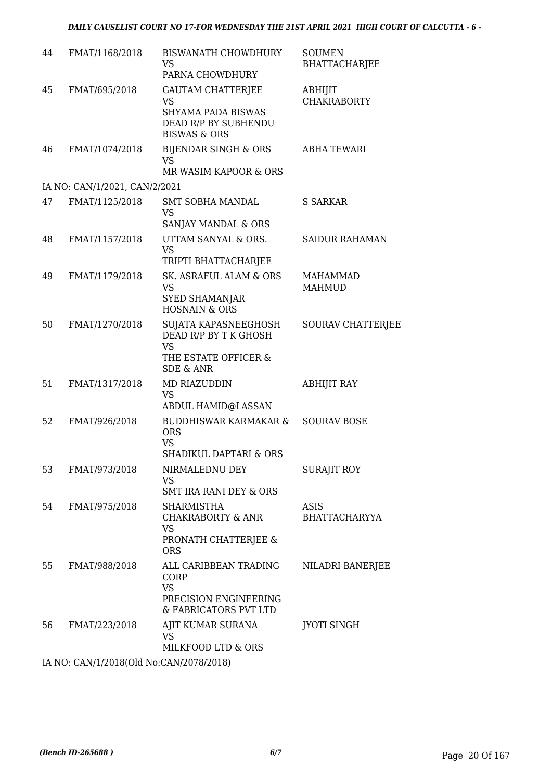| 44 | FMAT/1168/2018                                                                               | <b>BISWANATH CHOWDHURY</b><br>VS<br>PARNA CHOWDHURY                                                                   | <b>SOUMEN</b><br><b>BHATTACHARJEE</b> |
|----|----------------------------------------------------------------------------------------------|-----------------------------------------------------------------------------------------------------------------------|---------------------------------------|
| 45 | FMAT/695/2018                                                                                | <b>GAUTAM CHATTERJEE</b><br><b>VS</b><br><b>SHYAMA PADA BISWAS</b><br>DEAD R/P BY SUBHENDU<br><b>BISWAS &amp; ORS</b> | ABHIJIT<br><b>CHAKRABORTY</b>         |
| 46 | FMAT/1074/2018                                                                               | <b>BIJENDAR SINGH &amp; ORS</b><br><b>VS</b><br>MR WASIM KAPOOR & ORS                                                 | <b>ABHA TEWARI</b>                    |
|    | IA NO: CAN/1/2021, CAN/2/2021                                                                |                                                                                                                       |                                       |
| 47 | FMAT/1125/2018                                                                               | <b>SMT SOBHA MANDAL</b><br><b>VS</b><br>SANJAY MANDAL & ORS                                                           | S SARKAR                              |
| 48 | FMAT/1157/2018                                                                               | UTTAM SANYAL & ORS.<br><b>VS</b><br>TRIPTI BHATTACHARJEE                                                              | <b>SAIDUR RAHAMAN</b>                 |
| 49 | FMAT/1179/2018                                                                               | SK. ASRAFUL ALAM & ORS<br><b>VS</b><br><b>SYED SHAMANJAR</b><br><b>HOSNAIN &amp; ORS</b>                              | <b>MAHAMMAD</b><br><b>MAHMUD</b>      |
| 50 | FMAT/1270/2018                                                                               | SUJATA KAPASNEEGHOSH<br>DEAD R/P BY T K GHOSH<br><b>VS</b><br>THE ESTATE OFFICER &<br><b>SDE &amp; ANR</b>            | <b>SOURAV CHATTERJEE</b>              |
| 51 | FMAT/1317/2018                                                                               | MD RIAZUDDIN<br><b>VS</b><br><b>ABDUL HAMID@LASSAN</b>                                                                | ABHIJIT RAY                           |
| 52 | FMAT/926/2018                                                                                | <b>BUDDHISWAR KARMAKAR &amp;</b><br><b>ORS</b><br><b>VS</b><br>SHADIKUL DAPTARI & ORS                                 | <b>SOURAV BOSE</b>                    |
| 53 | FMAT/973/2018                                                                                | NIRMALEDNU DEY<br><b>VS</b><br><b>SMT IRA RANI DEY &amp; ORS</b>                                                      | <b>SURAJIT ROY</b>                    |
| 54 | FMAT/975/2018                                                                                | <b>SHARMISTHA</b><br><b>CHAKRABORTY &amp; ANR</b><br><b>VS</b><br>PRONATH CHATTERJEE &<br><b>ORS</b>                  | ASIS<br><b>BHATTACHARYYA</b>          |
| 55 | FMAT/988/2018                                                                                | ALL CARIBBEAN TRADING<br>CORP<br><b>VS</b><br>PRECISION ENGINEERING<br>& FABRICATORS PVT LTD                          | NILADRI BANERJEE                      |
| 56 | FMAT/223/2018                                                                                | AJIT KUMAR SURANA<br>VS<br>MILKFOOD LTD & ORS                                                                         | JYOTI SINGH                           |
|    | $14 \text{ NLO}$ , $C \Lambda N^{1/2}$ (2019) $O[A N_{\Omega} C \Lambda N^{1/2} 0.79$ (2019) |                                                                                                                       |                                       |

IA NO: CAN/1/2018(Old No:CAN/2078/2018)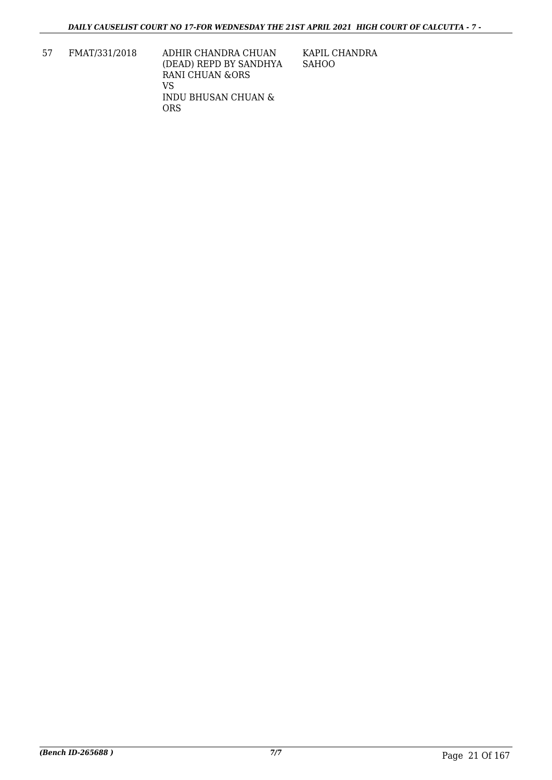57 FMAT/331/2018 ADHIR CHANDRA CHUAN (DEAD) REPD BY SANDHYA RANI CHUAN &ORS VS INDU BHUSAN CHUAN & ORS

KAPIL CHANDRA SAHOO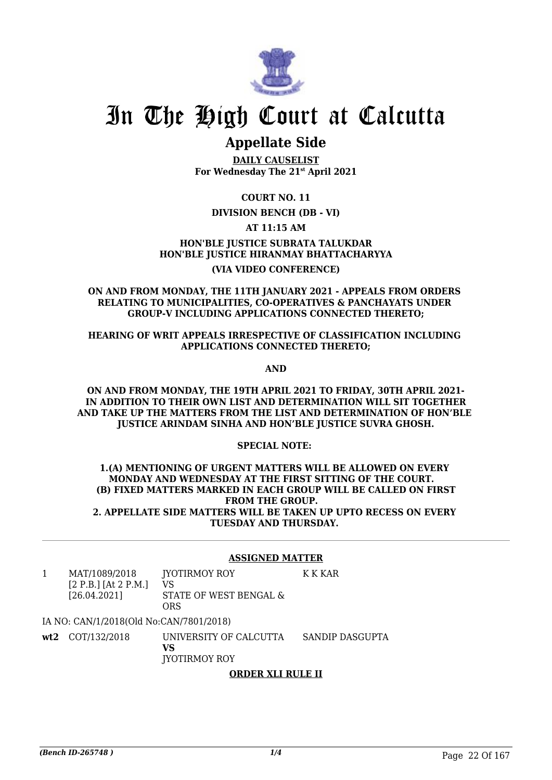

# **Appellate Side**

**DAILY CAUSELIST For Wednesday The 21st April 2021**

**COURT NO. 11**

### **DIVISION BENCH (DB - VI)**

**AT 11:15 AM**

**HON'BLE JUSTICE SUBRATA TALUKDAR HON'BLE JUSTICE HIRANMAY BHATTACHARYYA (VIA VIDEO CONFERENCE)**

#### **ON AND FROM MONDAY, THE 11TH JANUARY 2021 - APPEALS FROM ORDERS RELATING TO MUNICIPALITIES, CO-OPERATIVES & PANCHAYATS UNDER GROUP-V INCLUDING APPLICATIONS CONNECTED THERETO;**

#### **HEARING OF WRIT APPEALS IRRESPECTIVE OF CLASSIFICATION INCLUDING APPLICATIONS CONNECTED THERETO;**

**AND**

**ON AND FROM MONDAY, THE 19TH APRIL 2021 TO FRIDAY, 30TH APRIL 2021- IN ADDITION TO THEIR OWN LIST AND DETERMINATION WILL SIT TOGETHER AND TAKE UP THE MATTERS FROM THE LIST AND DETERMINATION OF HON'BLE JUSTICE ARINDAM SINHA AND HON'BLE JUSTICE SUVRA GHOSH.**

#### **SPECIAL NOTE:**

#### **1.(A) MENTIONING OF URGENT MATTERS WILL BE ALLOWED ON EVERY MONDAY AND WEDNESDAY AT THE FIRST SITTING OF THE COURT. (B) FIXED MATTERS MARKED IN EACH GROUP WILL BE CALLED ON FIRST FROM THE GROUP. 2. APPELLATE SIDE MATTERS WILL BE TAKEN UP UPTO RECESS ON EVERY TUESDAY AND THURSDAY.**

#### **ASSIGNED MATTER**

K K KAR

1 MAT/1089/2018 [2 P.B.] [At 2 P.M.] [26.04.2021] JYOTIRMOY ROY VS STATE OF WEST BENGAL & **ORS** 

IA NO: CAN/1/2018(Old No:CAN/7801/2018)

**wt2** COT/132/2018 UNIVERSITY OF CALCUTTA **VS** JYOTIRMOY ROY SANDIP DASGUPTA

### **ORDER XLI RULE II**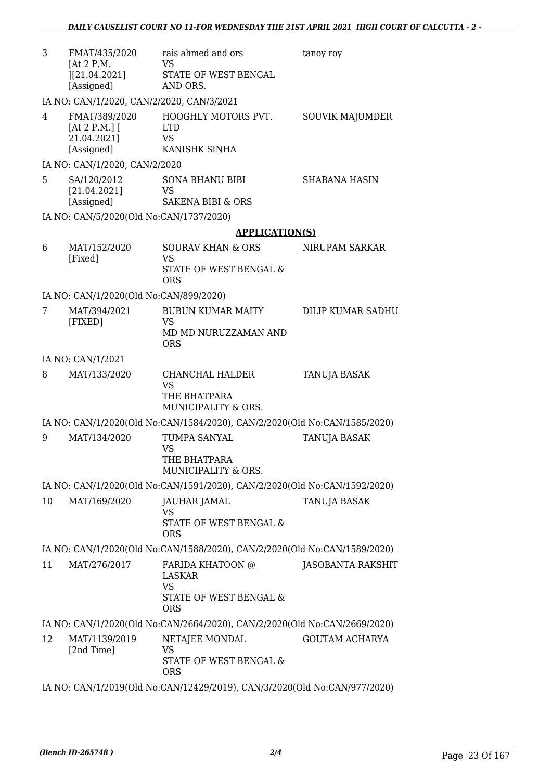| 3  | FMAT/435/2020<br>[At 2 P.M.]                              | rais ahmed and ors<br><b>VS</b>                                           | tanoy roy              |
|----|-----------------------------------------------------------|---------------------------------------------------------------------------|------------------------|
|    | [(21.04.2021]<br>[Assigned]                               | STATE OF WEST BENGAL<br>AND ORS.                                          |                        |
|    | IA NO: CAN/1/2020, CAN/2/2020, CAN/3/2021                 |                                                                           |                        |
| 4  | FMAT/389/2020<br>[At 2 P.M.]<br>21.04.2021]<br>[Assigned] | HOOGHLY MOTORS PVT.<br><b>LTD</b><br><b>VS</b><br>KANISHK SINHA           | <b>SOUVIK MAJUMDER</b> |
|    | IA NO: CAN/1/2020, CAN/2/2020                             |                                                                           |                        |
| 5. | SA/120/2012<br>[21.04.2021]                               | <b>SONA BHANU BIBI</b><br>VS<br>SAKENA BIBI & ORS                         | <b>SHABANA HASIN</b>   |
|    | [Assigned]<br>IA NO: CAN/5/2020(Old No:CAN/1737/2020)     |                                                                           |                        |
|    |                                                           | <b>APPLICATION(S)</b>                                                     |                        |
| 6  | MAT/152/2020                                              | <b>SOURAV KHAN &amp; ORS</b>                                              | NIRUPAM SARKAR         |
|    | [Fixed]                                                   | <b>VS</b><br>STATE OF WEST BENGAL &<br><b>ORS</b>                         |                        |
|    | IA NO: CAN/1/2020(Old No:CAN/899/2020)                    |                                                                           |                        |
| 7  | MAT/394/2021                                              | <b>BUBUN KUMAR MAITY</b>                                                  | DILIP KUMAR SADHU      |
|    | [FIXED]                                                   | <b>VS</b><br>MD MD NURUZZAMAN AND<br><b>ORS</b>                           |                        |
|    | IA NO: CAN/1/2021                                         |                                                                           |                        |
| 8  | MAT/133/2020                                              | CHANCHAL HALDER<br><b>VS</b>                                              | <b>TANUJA BASAK</b>    |
|    |                                                           | THE BHATPARA<br>MUNICIPALITY & ORS.                                       |                        |
|    |                                                           | IA NO: CAN/1/2020(Old No:CAN/1584/2020), CAN/2/2020(Old No:CAN/1585/2020) |                        |
| 9  | MAT/134/2020                                              | TUMPA SANYAL                                                              | <b>TANUJA BASAK</b>    |
|    |                                                           | <b>VS</b><br>THE BHATPARA<br>MUNICIPALITY & ORS.                          |                        |
|    |                                                           | IA NO: CAN/1/2020(Old No:CAN/1591/2020), CAN/2/2020(Old No:CAN/1592/2020) |                        |
| 10 | MAT/169/2020                                              | JAUHAR JAMAL<br>VS                                                        | TANUJA BASAK           |
|    |                                                           | STATE OF WEST BENGAL &<br><b>ORS</b>                                      |                        |
|    |                                                           | IA NO: CAN/1/2020(Old No:CAN/1588/2020), CAN/2/2020(Old No:CAN/1589/2020) |                        |
| 11 | MAT/276/2017                                              | FARIDA KHATOON @<br><b>LASKAR</b><br><b>VS</b>                            | JASOBANTA RAKSHIT      |
|    |                                                           | STATE OF WEST BENGAL &<br><b>ORS</b>                                      |                        |
|    |                                                           | IA NO: CAN/1/2020(Old No:CAN/2664/2020), CAN/2/2020(Old No:CAN/2669/2020) |                        |
| 12 | MAT/1139/2019<br>[2nd Time]                               | NETAJEE MONDAL<br><b>VS</b><br>STATE OF WEST BENGAL &                     | <b>GOUTAM ACHARYA</b>  |
|    |                                                           | <b>ORS</b>                                                                |                        |

IA NO: CAN/1/2019(Old No:CAN/12429/2019), CAN/3/2020(Old No:CAN/977/2020)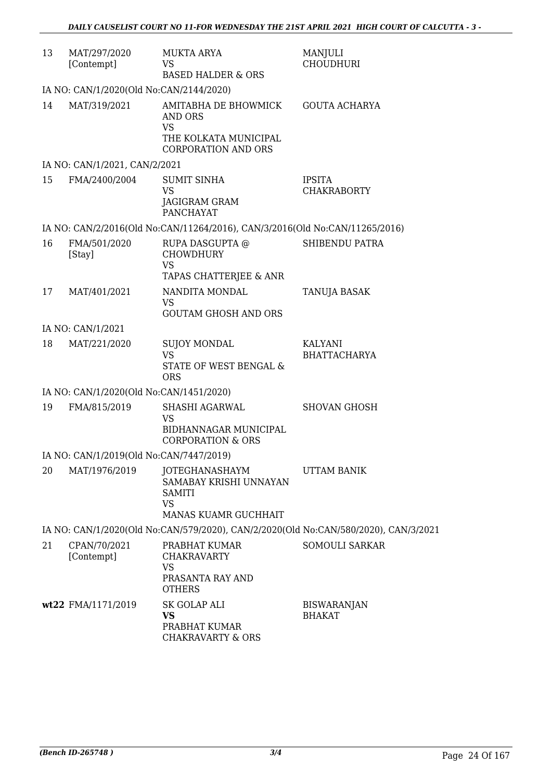| 13 | MAT/297/2020<br>[Contempt]              | <b>MUKTA ARYA</b><br><b>VS</b>                                                      | MANJULI<br><b>CHOUDHURI</b>         |
|----|-----------------------------------------|-------------------------------------------------------------------------------------|-------------------------------------|
|    |                                         | <b>BASED HALDER &amp; ORS</b>                                                       |                                     |
|    | IA NO: CAN/1/2020(Old No:CAN/2144/2020) |                                                                                     |                                     |
| 14 | MAT/319/2021                            | AMITABHA DE BHOWMICK<br>AND ORS<br><b>VS</b>                                        | <b>GOUTA ACHARYA</b>                |
|    |                                         | THE KOLKATA MUNICIPAL<br><b>CORPORATION AND ORS</b>                                 |                                     |
|    | IA NO: CAN/1/2021, CAN/2/2021           |                                                                                     |                                     |
| 15 | FMA/2400/2004                           | <b>SUMIT SINHA</b><br><b>VS</b>                                                     | <b>IPSITA</b><br><b>CHAKRABORTY</b> |
|    |                                         | JAGIGRAM GRAM<br><b>PANCHAYAT</b>                                                   |                                     |
|    |                                         | IA NO: CAN/2/2016(Old No:CAN/11264/2016), CAN/3/2016(Old No:CAN/11265/2016)         |                                     |
| 16 | FMA/501/2020<br>[Stay]                  | RUPA DASGUPTA @<br><b>CHOWDHURY</b><br><b>VS</b>                                    | SHIBENDU PATRA                      |
|    |                                         | TAPAS CHATTERJEE & ANR                                                              |                                     |
| 17 | MAT/401/2021                            | NANDITA MONDAL<br><b>VS</b>                                                         | <b>TANUJA BASAK</b>                 |
|    |                                         | <b>GOUTAM GHOSH AND ORS</b>                                                         |                                     |
|    | IA NO: CAN/1/2021                       |                                                                                     |                                     |
| 18 | MAT/221/2020                            | <b>SUJOY MONDAL</b><br><b>VS</b>                                                    | KALYANI<br><b>BHATTACHARYA</b>      |
|    |                                         | STATE OF WEST BENGAL &<br><b>ORS</b>                                                |                                     |
|    | IA NO: CAN/1/2020(Old No:CAN/1451/2020) |                                                                                     |                                     |
| 19 | FMA/815/2019                            | SHASHI AGARWAL<br><b>VS</b>                                                         | <b>SHOVAN GHOSH</b>                 |
|    |                                         | BIDHANNAGAR MUNICIPAL<br><b>CORPORATION &amp; ORS</b>                               |                                     |
|    | IA NO: CAN/1/2019(Old No:CAN/7447/2019) |                                                                                     |                                     |
| 20 | MAT/1976/2019                           | JOTEGHANASHAYM<br>SAMABAY KRISHI UNNAYAN<br><b>SAMITI</b><br>VS                     | UTTAM BANIK                         |
|    |                                         | <b>MANAS KUAMR GUCHHAIT</b>                                                         |                                     |
|    |                                         | IA NO: CAN/1/2020(Old No:CAN/579/2020), CAN/2/2020(Old No:CAN/580/2020), CAN/3/2021 |                                     |
| 21 | CPAN/70/2021<br>[Contempt]              | PRABHAT KUMAR<br><b>CHAKRAVARTY</b><br><b>VS</b>                                    | <b>SOMOULI SARKAR</b>               |
|    |                                         | PRASANTA RAY AND<br><b>OTHERS</b>                                                   |                                     |
|    | wt22 FMA/1171/2019                      | SK GOLAP ALI<br><b>VS</b><br>PRABHAT KUMAR                                          | <b>BISWARANJAN</b><br><b>BHAKAT</b> |
|    |                                         | <b>CHAKRAVARTY &amp; ORS</b>                                                        |                                     |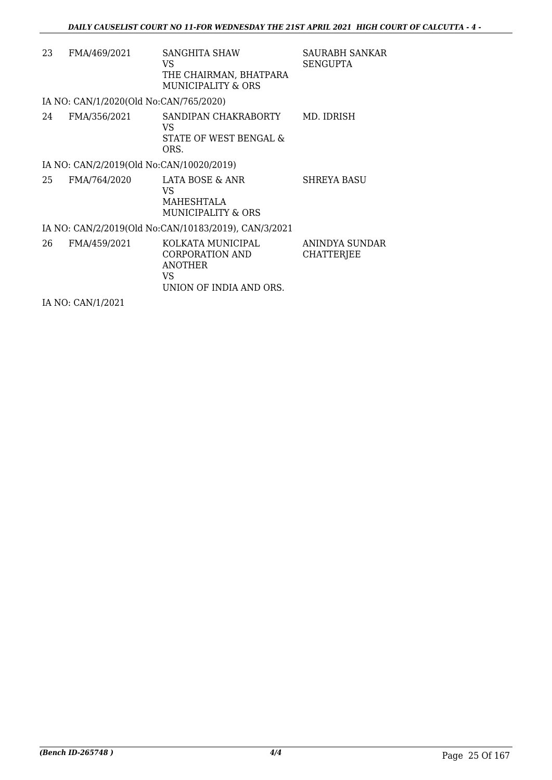| 23 | FMA/469/2021                             | <b>SANGHITA SHAW</b><br>VS<br>THE CHAIRMAN, BHATPARA<br>MUNICIPALITY & ORS               | SAURABH SANKAR<br><b>SENGUPTA</b>   |
|----|------------------------------------------|------------------------------------------------------------------------------------------|-------------------------------------|
|    | IA NO: CAN/1/2020(Old No:CAN/765/2020)   |                                                                                          |                                     |
| 24 | FMA/356/2021                             | SANDIPAN CHAKRABORTY<br>VS<br>STATE OF WEST BENGAL &<br>ORS.                             | MD. IDRISH                          |
|    | IA NO: CAN/2/2019(Old No:CAN/10020/2019) |                                                                                          |                                     |
| 25 | FMA/764/2020                             | LATA BOSE & ANR<br>VS.<br>MAHESHTALA<br>MUNICIPALITY & ORS                               | <b>SHREYA BASU</b>                  |
|    |                                          | IA NO: CAN/2/2019(Old No:CAN/10183/2019), CAN/3/2021                                     |                                     |
| 26 | FMA/459/2021                             | KOLKATA MUNICIPAL<br>CORPORATION AND<br><b>ANOTHER</b><br>VS.<br>UNION OF INDIA AND ORS. | ANINDYA SUNDAR<br><b>CHATTERJEE</b> |
|    | IA NO: CAN/1/2021                        |                                                                                          |                                     |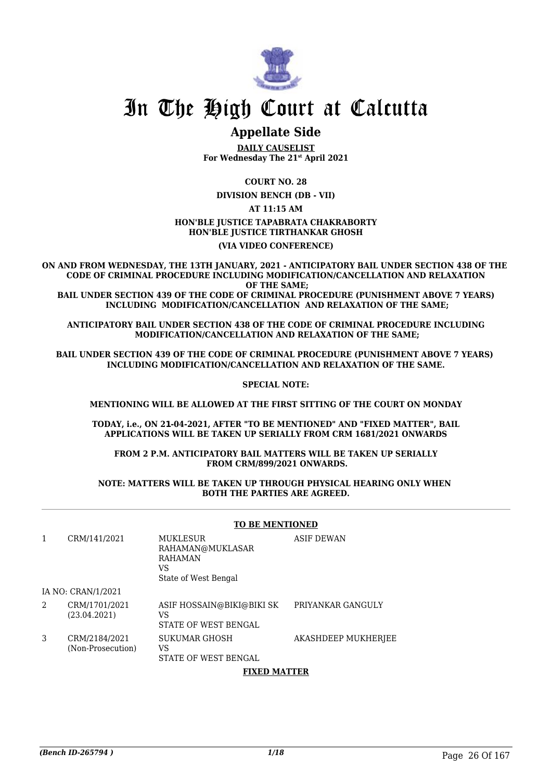

# **Appellate Side**

**DAILY CAUSELIST For Wednesday The 21st April 2021**

**COURT NO. 28**

**DIVISION BENCH (DB - VII)**

#### **AT 11:15 AM**

#### **HON'BLE JUSTICE TAPABRATA CHAKRABORTY HON'BLE JUSTICE TIRTHANKAR GHOSH (VIA VIDEO CONFERENCE)**

**ON AND FROM WEDNESDAY, THE 13TH JANUARY, 2021 - ANTICIPATORY BAIL UNDER SECTION 438 OF THE CODE OF CRIMINAL PROCEDURE INCLUDING MODIFICATION/CANCELLATION AND RELAXATION OF THE SAME; BAIL UNDER SECTION 439 OF THE CODE OF CRIMINAL PROCEDURE (PUNISHMENT ABOVE 7 YEARS) INCLUDING MODIFICATION/CANCELLATION AND RELAXATION OF THE SAME;**

**ANTICIPATORY BAIL UNDER SECTION 438 OF THE CODE OF CRIMINAL PROCEDURE INCLUDING MODIFICATION/CANCELLATION AND RELAXATION OF THE SAME;**

**BAIL UNDER SECTION 439 OF THE CODE OF CRIMINAL PROCEDURE (PUNISHMENT ABOVE 7 YEARS) INCLUDING MODIFICATION/CANCELLATION AND RELAXATION OF THE SAME.**

**SPECIAL NOTE:**

**MENTIONING WILL BE ALLOWED AT THE FIRST SITTING OF THE COURT ON MONDAY**

**TODAY, i.e., ON 21-04-2021, AFTER "TO BE MENTIONED" AND "FIXED MATTER", BAIL APPLICATIONS WILL BE TAKEN UP SERIALLY FROM CRM 1681/2021 ONWARDS** 

**FROM 2 P.M. ANTICIPATORY BAIL MATTERS WILL BE TAKEN UP SERIALLY FROM CRM/899/2021 ONWARDS.**

#### **NOTE: MATTERS WILL BE TAKEN UP THROUGH PHYSICAL HEARING ONLY WHEN BOTH THE PARTIES ARE AGREED.**

#### **TO BE MENTIONED**

| 1 | CRM/141/2021                       | MUKLESUR<br>RAHAMAN@MUKLASAR<br><b>RAHAMAN</b><br>VS<br>State of West Bengal | <b>ASIF DEWAN</b>   |
|---|------------------------------------|------------------------------------------------------------------------------|---------------------|
|   | IA NO: CRAN/1/2021                 |                                                                              |                     |
| 2 | CRM/1701/2021<br>(23.04.2021)      | ASIF HOSSAIN@BIKI@BIKI SK<br>VS<br>STATE OF WEST BENGAL                      | PRIYANKAR GANGULY   |
| 3 | CRM/2184/2021<br>(Non-Prosecution) | SUKUMAR GHOSH<br>VS<br>STATE OF WEST BENGAL                                  | AKASHDEEP MUKHERJEE |

#### **FIXED MATTER**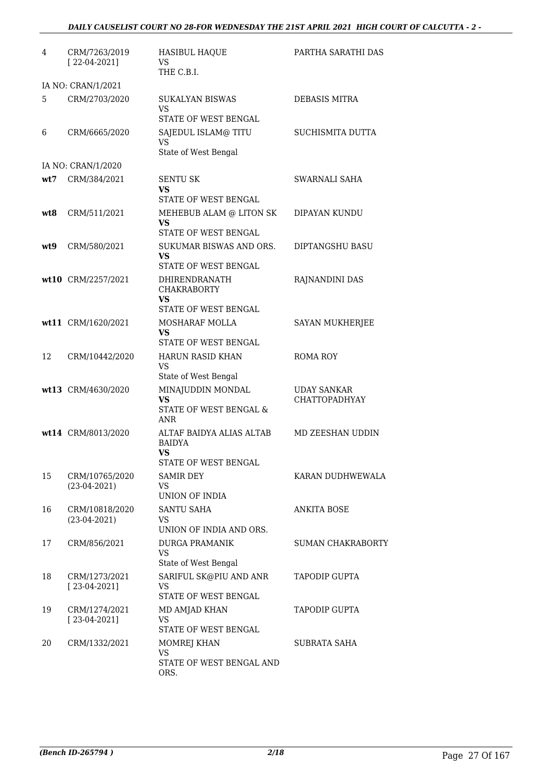## *DAILY CAUSELIST COURT NO 28-FOR WEDNESDAY THE 21ST APRIL 2021 HIGH COURT OF CALCUTTA - 2 -*

| 4   | CRM/7263/2019<br>$[22-04-2021]$  | <b>HASIBUL HAQUE</b><br>VS<br>THE C.B.I.                                              | PARTHA SARATHI DAS                         |
|-----|----------------------------------|---------------------------------------------------------------------------------------|--------------------------------------------|
|     | IA NO: CRAN/1/2021               |                                                                                       |                                            |
| 5   | CRM/2703/2020                    | <b>SUKALYAN BISWAS</b><br>VS<br>STATE OF WEST BENGAL                                  | <b>DEBASIS MITRA</b>                       |
| 6   | CRM/6665/2020                    | SAJEDUL ISLAM@ TITU<br><b>VS</b><br>State of West Bengal                              | <b>SUCHISMITA DUTTA</b>                    |
|     | IA NO: CRAN/1/2020               |                                                                                       |                                            |
| wt7 | CRM/384/2021                     | <b>SENTU SK</b><br>VS<br>STATE OF WEST BENGAL                                         | SWARNALI SAHA                              |
| wt8 | CRM/511/2021                     | MEHEBUB ALAM @ LITON SK<br>VS<br>STATE OF WEST BENGAL                                 | DIPAYAN KUNDU                              |
| wt9 | CRM/580/2021                     | SUKUMAR BISWAS AND ORS.<br>VS<br>STATE OF WEST BENGAL                                 | DIPTANGSHU BASU                            |
|     | wt10 CRM/2257/2021               | DHIRENDRANATH<br><b>CHAKRABORTY</b><br>VS<br><b>STATE OF WEST BENGAL</b>              | RAJNANDINI DAS                             |
|     | wt11 CRM/1620/2021               | MOSHARAF MOLLA<br>VS<br>STATE OF WEST BENGAL                                          | SAYAN MUKHERJEE                            |
| 12  | CRM/10442/2020                   | <b>HARUN RASID KHAN</b><br>VS                                                         | <b>ROMA ROY</b>                            |
|     | wt13 CRM/4630/2020               | State of West Bengal<br>MINAJUDDIN MONDAL<br>VS<br>STATE OF WEST BENGAL &<br>ANR      | <b>UDAY SANKAR</b><br><b>CHATTOPADHYAY</b> |
|     | wt14 CRM/8013/2020               | ALTAF BAIDYA ALIAS ALTAB<br><b>BAIDYA</b><br><b>VS</b><br><b>STATE OF WEST BENGAL</b> | MD ZEESHAN UDDIN                           |
| 15  | CRM/10765/2020<br>$(23-04-2021)$ | <b>SAMIR DEY</b><br>VS.<br>UNION OF INDIA                                             | KARAN DUDHWEWALA                           |
| 16  | CRM/10818/2020<br>$(23-04-2021)$ | <b>SANTU SAHA</b><br>VS.<br>UNION OF INDIA AND ORS.                                   | <b>ANKITA BOSE</b>                         |
| 17  | CRM/856/2021                     | <b>DURGA PRAMANIK</b><br><b>VS</b><br>State of West Bengal                            | SUMAN CHAKRABORTY                          |
| 18  | CRM/1273/2021<br>$[23-04-2021]$  | SARIFUL SK@PIU AND ANR<br><b>VS</b><br>STATE OF WEST BENGAL                           | <b>TAPODIP GUPTA</b>                       |
| 19  | CRM/1274/2021<br>$[23-04-2021]$  | MD AMJAD KHAN<br><b>VS</b><br>STATE OF WEST BENGAL                                    | <b>TAPODIP GUPTA</b>                       |
| 20  | CRM/1332/2021                    | MOMREJ KHAN<br><b>VS</b><br>STATE OF WEST BENGAL AND<br>ORS.                          | <b>SUBRATA SAHA</b>                        |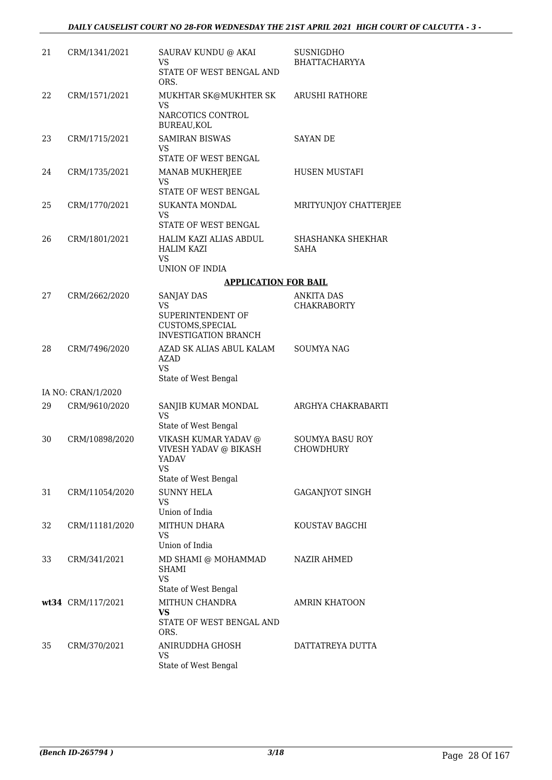| 21 | CRM/1341/2021                       | SAURAV KUNDU @ AKAI<br>VS<br>STATE OF WEST BENGAL AND<br>ORS.                                      | SUSNIGDHO<br>BHATTACHARYYA          |
|----|-------------------------------------|----------------------------------------------------------------------------------------------------|-------------------------------------|
| 22 | CRM/1571/2021                       | MUKHTAR SK@MUKHTER SK<br>VS<br>NARCOTICS CONTROL<br>BUREAU, KOL                                    | <b>ARUSHI RATHORE</b>               |
| 23 | CRM/1715/2021                       | <b>SAMIRAN BISWAS</b><br>VS<br>STATE OF WEST BENGAL                                                | <b>SAYAN DE</b>                     |
| 24 | CRM/1735/2021                       | MANAB MUKHERJEE<br><b>VS</b><br>STATE OF WEST BENGAL                                               | <b>HUSEN MUSTAFI</b>                |
| 25 | CRM/1770/2021                       | <b>SUKANTA MONDAL</b><br>VS<br>STATE OF WEST BENGAL                                                | MRITYUNJOY CHATTERJEE               |
| 26 | CRM/1801/2021                       | HALIM KAZI ALIAS ABDUL<br><b>HALIM KAZI</b><br>VS<br>UNION OF INDIA                                | SHASHANKA SHEKHAR<br><b>SAHA</b>    |
|    |                                     | <b>APPLICATION FOR BAIL</b>                                                                        |                                     |
| 27 | CRM/2662/2020                       | <b>SANJAY DAS</b>                                                                                  | <b>ANKITA DAS</b>                   |
|    |                                     | VS<br>SUPERINTENDENT OF<br>CUSTOMS, SPECIAL<br><b>INVESTIGATION BRANCH</b>                         | <b>CHAKRABORTY</b>                  |
| 28 | CRM/7496/2020                       | AZAD SK ALIAS ABUL KALAM<br><b>AZAD</b><br><b>VS</b>                                               | <b>SOUMYA NAG</b>                   |
|    |                                     | State of West Bengal                                                                               |                                     |
| 29 | IA NO: CRAN/1/2020<br>CRM/9610/2020 | SANJIB KUMAR MONDAL                                                                                | ARGHYA CHAKRABARTI                  |
|    |                                     | <b>VS</b><br>State of West Bengal                                                                  |                                     |
| 30 | CRM/10898/2020                      | VIKASH KUMAR YADAV @<br><b>VIVESH YADAV @ BIKASH</b><br>YADAV<br><b>VS</b><br>State of West Bengal | <b>SOUMYA BASU ROY</b><br>CHOWDHURY |
| 31 | CRM/11054/2020                      | <b>SUNNY HELA</b><br><b>VS</b><br>Union of India                                                   | <b>GAGANJYOT SINGH</b>              |
| 32 | CRM/11181/2020                      | MITHUN DHARA<br>VS<br>Union of India                                                               | KOUSTAV BAGCHI                      |
| 33 | CRM/341/2021                        | MD SHAMI @ MOHAMMAD<br><b>SHAMI</b><br><b>VS</b>                                                   | NAZIR AHMED                         |
|    |                                     | State of West Bengal                                                                               |                                     |
|    | wt34 CRM/117/2021                   | MITHUN CHANDRA<br>VS<br>STATE OF WEST BENGAL AND<br>ORS.                                           | <b>AMRIN KHATOON</b>                |
| 35 | CRM/370/2021                        | ANIRUDDHA GHOSH<br><b>VS</b><br>State of West Bengal                                               | DATTATREYA DUTTA                    |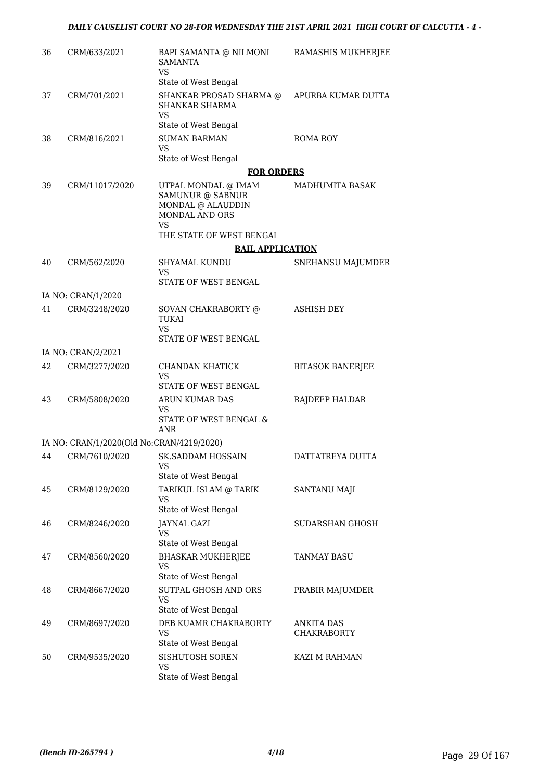| 36 | CRM/633/2021                              | BAPI SAMANTA @ NILMONI<br><b>SAMANTA</b><br><b>VS</b>                                       | RAMASHIS MUKHERJEE      |
|----|-------------------------------------------|---------------------------------------------------------------------------------------------|-------------------------|
|    |                                           | State of West Bengal                                                                        |                         |
| 37 | CRM/701/2021                              | SHANKAR PROSAD SHARMA @<br>SHANKAR SHARMA<br>VS                                             | APURBA KUMAR DUTTA      |
|    |                                           | State of West Bengal                                                                        |                         |
| 38 | CRM/816/2021                              | <b>SUMAN BARMAN</b><br><b>VS</b>                                                            | ROMA ROY                |
|    |                                           | State of West Bengal                                                                        |                         |
|    |                                           | <b>FOR ORDERS</b>                                                                           |                         |
| 39 | CRM/11017/2020                            | UTPAL MONDAL @ IMAM<br>SAMUNUR @ SABNUR<br>MONDAL @ ALAUDDIN<br>MONDAL AND ORS<br><b>VS</b> | MADHUMITA BASAK         |
|    |                                           | THE STATE OF WEST BENGAL                                                                    |                         |
|    |                                           | <b>BAIL APPLICATION</b>                                                                     |                         |
| 40 | CRM/562/2020                              | <b>SHYAMAL KUNDU</b><br><b>VS</b>                                                           | SNEHANSU MAJUMDER       |
|    |                                           | STATE OF WEST BENGAL                                                                        |                         |
|    | IA NO: CRAN/1/2020                        |                                                                                             |                         |
| 41 | CRM/3248/2020                             | SOVAN CHAKRABORTY @<br><b>TUKAI</b><br><b>VS</b><br>STATE OF WEST BENGAL                    | <b>ASHISH DEY</b>       |
|    | IA NO: CRAN/2/2021                        |                                                                                             |                         |
| 42 | CRM/3277/2020                             | CHANDAN KHATICK                                                                             | <b>BITASOK BANERJEE</b> |
|    |                                           | VS<br>STATE OF WEST BENGAL                                                                  |                         |
| 43 | CRM/5808/2020                             | ARUN KUMAR DAS<br>VS.                                                                       | RAJDEEP HALDAR          |
|    |                                           | STATE OF WEST BENGAL &<br>ANR                                                               |                         |
|    | IA NO: CRAN/1/2020(Old No:CRAN/4219/2020) |                                                                                             |                         |
| 44 | CRM/7610/2020                             | <b>SK.SADDAM HOSSAIN</b><br><b>VS</b><br>State of West Bengal                               | DATTATREYA DUTTA        |
| 45 | CRM/8129/2020                             | TARIKUL ISLAM @ TARIK                                                                       | <b>SANTANU MAJI</b>     |
|    |                                           | <b>VS</b><br>State of West Bengal                                                           |                         |
| 46 | CRM/8246/2020                             | <b>JAYNAL GAZI</b><br><b>VS</b>                                                             | <b>SUDARSHAN GHOSH</b>  |
|    |                                           | State of West Bengal                                                                        |                         |
| 47 | CRM/8560/2020                             | <b>BHASKAR MUKHERJEE</b><br><b>VS</b><br>State of West Bengal                               | TANMAY BASU             |
| 48 | CRM/8667/2020                             | SUTPAL GHOSH AND ORS                                                                        | PRABIR MAJUMDER         |
|    |                                           | <b>VS</b><br>State of West Bengal                                                           |                         |
| 49 | CRM/8697/2020                             | DEB KUAMR CHAKRABORTY                                                                       | ANKITA DAS              |
|    |                                           | <b>VS</b>                                                                                   | <b>CHAKRABORTY</b>      |
|    |                                           | State of West Bengal                                                                        |                         |
| 50 | CRM/9535/2020                             | SISHUTOSH SOREN<br><b>VS</b><br>State of West Bengal                                        | KAZI M RAHMAN           |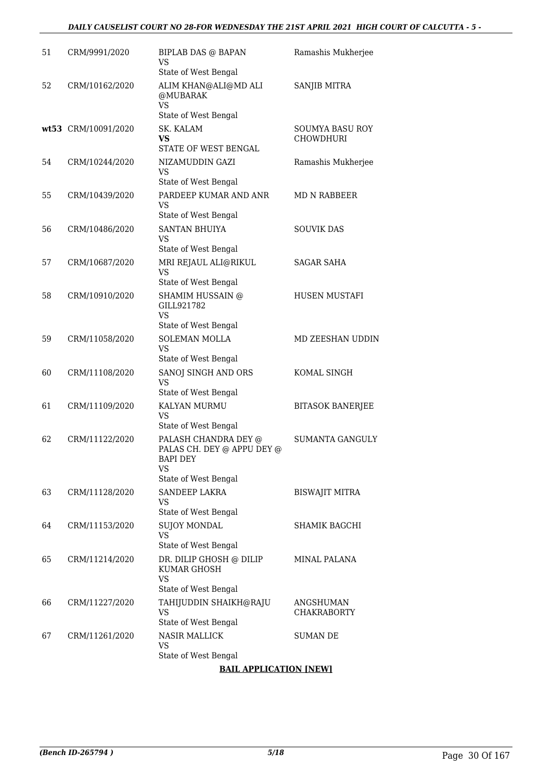#### *DAILY CAUSELIST COURT NO 28-FOR WEDNESDAY THE 21ST APRIL 2021 HIGH COURT OF CALCUTTA - 5 -*

| 51 | CRM/9991/2020       | BIPLAB DAS @ BAPAN<br>VS<br>State of West Bengal                                   | Ramashis Mukherjee                  |
|----|---------------------|------------------------------------------------------------------------------------|-------------------------------------|
| 52 | CRM/10162/2020      | ALIM KHAN@ALI@MD ALI<br>@MUBARAK<br><b>VS</b>                                      | SANJIB MITRA                        |
|    |                     | State of West Bengal                                                               |                                     |
|    | wt53 CRM/10091/2020 | SK. KALAM<br>VS<br>STATE OF WEST BENGAL                                            | SOUMYA BASU ROY<br><b>CHOWDHURI</b> |
| 54 | CRM/10244/2020      | NIZAMUDDIN GAZI<br><b>VS</b>                                                       | Ramashis Mukherjee                  |
| 55 | CRM/10439/2020      | State of West Bengal<br>PARDEEP KUMAR AND ANR<br><b>VS</b><br>State of West Bengal | <b>MD N RABBEER</b>                 |
| 56 | CRM/10486/2020      | <b>SANTAN BHUIYA</b><br>VS<br>State of West Bengal                                 | <b>SOUVIK DAS</b>                   |
| 57 | CRM/10687/2020      | MRI REJAUL ALI@RIKUL<br><b>VS</b>                                                  | <b>SAGAR SAHA</b>                   |
| 58 | CRM/10910/2020      | State of West Bengal<br>SHAMIM HUSSAIN @<br>GILL921782<br><b>VS</b>                | HUSEN MUSTAFI                       |
| 59 | CRM/11058/2020      | State of West Bengal<br><b>SOLEMAN MOLLA</b><br><b>VS</b><br>State of West Bengal  | MD ZEESHAN UDDIN                    |
| 60 | CRM/11108/2020      | SANOJ SINGH AND ORS<br>VS<br>State of West Bengal                                  | KOMAL SINGH                         |
| 61 | CRM/11109/2020      | KALYAN MURMU<br>VS<br>State of West Bengal                                         | <b>BITASOK BANERJEE</b>             |
| 62 | CRM/11122/2020      | PALASH CHANDRA DEY @<br>PALAS CH. DEY @ APPU DEY @<br>BAPI DEY<br>VS               | <b>SUMANTA GANGULY</b>              |
| 63 | CRM/11128/2020      | State of West Bengal<br>SANDEEP LAKRA<br>VS<br>State of West Bengal                | <b>BISWAJIT MITRA</b>               |
| 64 | CRM/11153/2020      | <b>SUJOY MONDAL</b><br>VS<br>State of West Bengal                                  | SHAMIK BAGCHI                       |
| 65 | CRM/11214/2020      | DR. DILIP GHOSH @ DILIP<br>KUMAR GHOSH<br><b>VS</b><br>State of West Bengal        | MINAL PALANA                        |
| 66 | CRM/11227/2020      | TAHIJUDDIN SHAIKH@RAJU<br><b>VS</b><br>State of West Bengal                        | ANGSHUMAN<br><b>CHAKRABORTY</b>     |
| 67 | CRM/11261/2020      | <b>NASIR MALLICK</b><br><b>VS</b><br>State of West Bengal                          | <b>SUMAN DE</b>                     |

#### **BAIL APPLICATION [NEW]**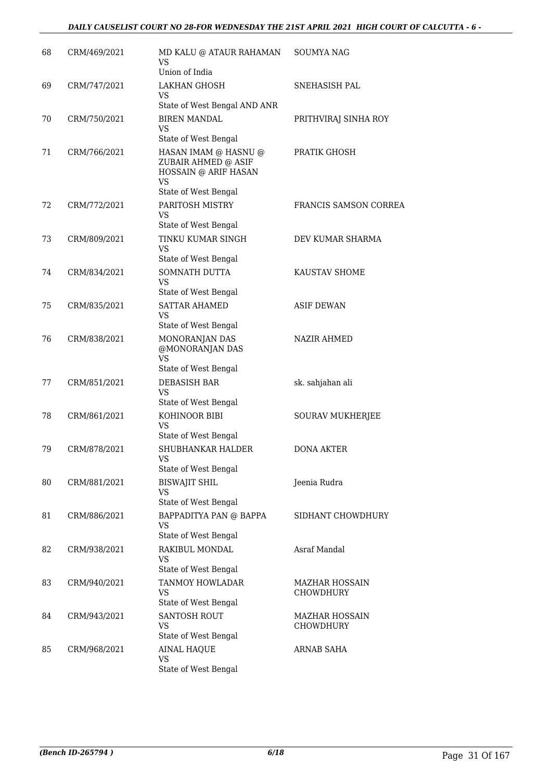### *DAILY CAUSELIST COURT NO 28-FOR WEDNESDAY THE 21ST APRIL 2021 HIGH COURT OF CALCUTTA - 6 -*

| 68 | CRM/469/2021 | MD KALU @ ATAUR RAHAMAN<br>VS<br>Union of India                                                          | <b>SOUMYA NAG</b>                  |
|----|--------------|----------------------------------------------------------------------------------------------------------|------------------------------------|
| 69 | CRM/747/2021 | <b>LAKHAN GHOSH</b><br>VS.<br>State of West Bengal AND ANR                                               | SNEHASISH PAL                      |
| 70 | CRM/750/2021 | <b>BIREN MANDAL</b><br>VS.<br>State of West Bengal                                                       | PRITHVIRAJ SINHA ROY               |
| 71 | CRM/766/2021 | HASAN IMAM @ HASNU @<br>ZUBAIR AHMED @ ASIF<br>HOSSAIN @ ARIF HASAN<br><b>VS</b><br>State of West Bengal | PRATIK GHOSH                       |
| 72 | CRM/772/2021 | PARITOSH MISTRY<br>VS<br>State of West Bengal                                                            | FRANCIS SAMSON CORREA              |
| 73 | CRM/809/2021 | TINKU KUMAR SINGH<br>VS<br>State of West Bengal                                                          | DEV KUMAR SHARMA                   |
| 74 | CRM/834/2021 | SOMNATH DUTTA<br>VS.<br>State of West Bengal                                                             | KAUSTAV SHOME                      |
| 75 | CRM/835/2021 | <b>SATTAR AHAMED</b><br>VS<br>State of West Bengal                                                       | <b>ASIF DEWAN</b>                  |
| 76 | CRM/838/2021 | MONORANJAN DAS<br>@MONORANJAN DAS<br><b>VS</b>                                                           | <b>NAZIR AHMED</b>                 |
| 77 | CRM/851/2021 | State of West Bengal<br><b>DEBASISH BAR</b><br>VS.<br>State of West Bengal                               | sk. sahjahan ali                   |
| 78 | CRM/861/2021 | KOHINOOR BIBI<br>VS.<br>State of West Bengal                                                             | SOURAV MUKHERJEE                   |
| 79 | CRM/878/2021 | SHUBHANKAR HALDER<br><b>VS</b><br>State of West Bengal                                                   | <b>DONA AKTER</b>                  |
| 80 | CRM/881/2021 | <b>BISWAJIT SHIL</b><br><b>VS</b><br>State of West Bengal                                                | Jeenia Rudra                       |
| 81 | CRM/886/2021 | BAPPADITYA PAN @ BAPPA<br><b>VS</b><br>State of West Bengal                                              | SIDHANT CHOWDHURY                  |
| 82 | CRM/938/2021 | RAKIBUL MONDAL<br><b>VS</b><br>State of West Bengal                                                      | Asraf Mandal                       |
| 83 | CRM/940/2021 | TANMOY HOWLADAR<br><b>VS</b><br>State of West Bengal                                                     | <b>MAZHAR HOSSAIN</b><br>CHOWDHURY |
| 84 | CRM/943/2021 | <b>SANTOSH ROUT</b><br><b>VS</b><br>State of West Bengal                                                 | <b>MAZHAR HOSSAIN</b><br>CHOWDHURY |
| 85 | CRM/968/2021 | <b>AINAL HAQUE</b><br><b>VS</b><br>State of West Bengal                                                  | <b>ARNAB SAHA</b>                  |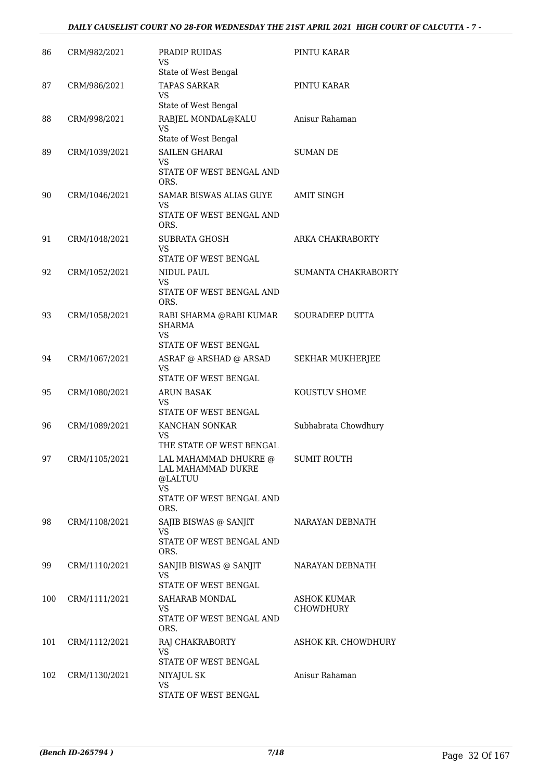### *DAILY CAUSELIST COURT NO 28-FOR WEDNESDAY THE 21ST APRIL 2021 HIGH COURT OF CALCUTTA - 7 -*

| 86  | CRM/982/2021  | PRADIP RUIDAS<br><b>VS</b><br>State of West Bengal                                                      | PINTU KARAR                     |
|-----|---------------|---------------------------------------------------------------------------------------------------------|---------------------------------|
| 87  | CRM/986/2021  | <b>TAPAS SARKAR</b><br><b>VS</b><br>State of West Bengal                                                | PINTU KARAR                     |
| 88  | CRM/998/2021  | RABJEL MONDAL@KALU<br><b>VS</b><br>State of West Bengal                                                 | Anisur Rahaman                  |
| 89  | CRM/1039/2021 | <b>SAILEN GHARAI</b><br>VS<br>STATE OF WEST BENGAL AND<br>ORS.                                          | <b>SUMAN DE</b>                 |
| 90  | CRM/1046/2021 | SAMAR BISWAS ALIAS GUYE<br>VS<br>STATE OF WEST BENGAL AND<br>ORS.                                       | <b>AMIT SINGH</b>               |
| 91  | CRM/1048/2021 | <b>SUBRATA GHOSH</b><br><b>VS</b><br><b>STATE OF WEST BENGAL</b>                                        | ARKA CHAKRABORTY                |
| 92  | CRM/1052/2021 | NIDUL PAUL<br><b>VS</b><br>STATE OF WEST BENGAL AND<br>ORS.                                             | SUMANTA CHAKRABORTY             |
| 93  | CRM/1058/2021 | RABI SHARMA @RABI KUMAR<br><b>SHARMA</b><br><b>VS</b><br>STATE OF WEST BENGAL                           | SOURADEEP DUTTA                 |
| 94  | CRM/1067/2021 | ASRAF @ ARSHAD @ ARSAD<br><b>VS</b><br>STATE OF WEST BENGAL                                             | SEKHAR MUKHERJEE                |
| 95  | CRM/1080/2021 | <b>ARUN BASAK</b><br><b>VS</b><br>STATE OF WEST BENGAL                                                  | KOUSTUV SHOME                   |
| 96  | CRM/1089/2021 | KANCHAN SONKAR<br><b>VS</b><br>THE STATE OF WEST BENGAL                                                 | Subhabrata Chowdhury            |
| 97  | CRM/1105/2021 | LAL MAHAMMAD DHUKRE @<br>LAL MAHAMMAD DUKRE<br>@LALTUU<br><b>VS</b><br>STATE OF WEST BENGAL AND<br>ORS. | <b>SUMIT ROUTH</b>              |
| 98  | CRM/1108/2021 | SAJIB BISWAS @ SANJIT<br>VS.<br>STATE OF WEST BENGAL AND<br>ORS.                                        | NARAYAN DEBNATH                 |
| 99  | CRM/1110/2021 | SANJIB BISWAS @ SANJIT<br><b>VS</b><br>STATE OF WEST BENGAL                                             | NARAYAN DEBNATH                 |
| 100 | CRM/1111/2021 | SAHARAB MONDAL<br>VS.<br>STATE OF WEST BENGAL AND<br>ORS.                                               | ASHOK KUMAR<br><b>CHOWDHURY</b> |
| 101 | CRM/1112/2021 | RAJ CHAKRABORTY<br><b>VS</b><br>STATE OF WEST BENGAL                                                    | ASHOK KR. CHOWDHURY             |
| 102 | CRM/1130/2021 | NIYAJUL SK<br><b>VS</b><br>STATE OF WEST BENGAL                                                         | Anisur Rahaman                  |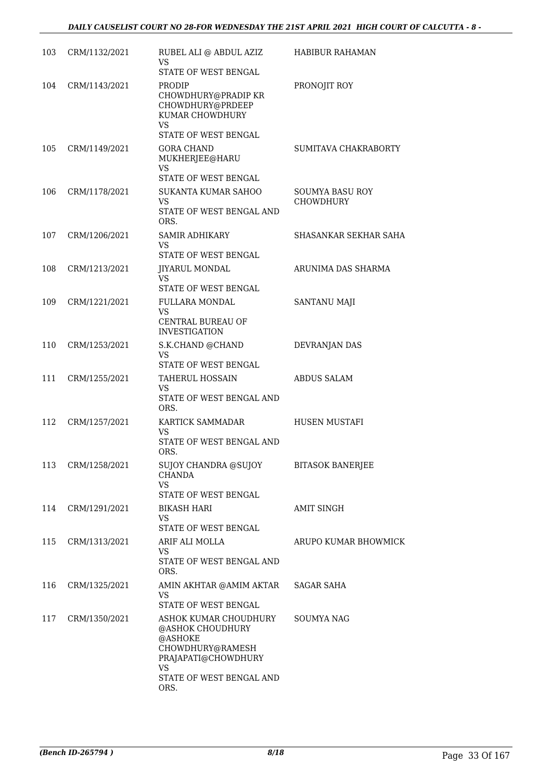| 103 | CRM/1132/2021 | RUBEL ALI @ ABDUL AZIZ<br><b>VS</b><br>STATE OF WEST BENGAL                                                                                      | <b>HABIBUR RAHAMAN</b>              |
|-----|---------------|--------------------------------------------------------------------------------------------------------------------------------------------------|-------------------------------------|
| 104 | CRM/1143/2021 | PRODIP<br>CHOWDHURY@PRADIP KR<br>CHOWDHURY@PRDEEP<br>KUMAR CHOWDHURY<br><b>VS</b>                                                                | PRONOJIT ROY                        |
| 105 | CRM/1149/2021 | STATE OF WEST BENGAL<br><b>GORA CHAND</b><br>MUKHERJEE@HARU                                                                                      | SUMITAVA CHAKRABORTY                |
|     |               | VS.<br>STATE OF WEST BENGAL                                                                                                                      |                                     |
| 106 | CRM/1178/2021 | SUKANTA KUMAR SAHOO<br>VS.<br>STATE OF WEST BENGAL AND<br>ORS.                                                                                   | SOUMYA BASU ROY<br><b>CHOWDHURY</b> |
| 107 | CRM/1206/2021 | <b>SAMIR ADHIKARY</b><br>VS.<br>STATE OF WEST BENGAL                                                                                             | SHASANKAR SEKHAR SAHA               |
| 108 | CRM/1213/2021 | <b>JIYARUL MONDAL</b><br>VS.<br>STATE OF WEST BENGAL                                                                                             | ARUNIMA DAS SHARMA                  |
| 109 | CRM/1221/2021 | <b>FULLARA MONDAL</b><br><b>VS</b><br>CENTRAL BUREAU OF                                                                                          | SANTANU MAJI                        |
| 110 | CRM/1253/2021 | <b>INVESTIGATION</b><br>S.K.CHAND @CHAND<br><b>VS</b>                                                                                            | DEVRANJAN DAS                       |
| 111 | CRM/1255/2021 | STATE OF WEST BENGAL<br><b>TAHERUL HOSSAIN</b><br><b>VS</b><br>STATE OF WEST BENGAL AND<br>ORS.                                                  | <b>ABDUS SALAM</b>                  |
| 112 | CRM/1257/2021 | KARTICK SAMMADAR<br><b>VS</b><br>STATE OF WEST BENGAL AND<br>ORS.                                                                                | HUSEN MUSTAFI                       |
| 113 | CRM/1258/2021 | SUJOY CHANDRA @SUJOY<br><b>CHANDA</b><br>VS<br>STATE OF WEST BENGAL                                                                              | <b>BITASOK BANERJEE</b>             |
| 114 | CRM/1291/2021 | <b>BIKASH HARI</b><br>VS.<br>STATE OF WEST BENGAL                                                                                                | <b>AMIT SINGH</b>                   |
| 115 | CRM/1313/2021 | ARIF ALI MOLLA<br>VS.<br>STATE OF WEST BENGAL AND<br>ORS.                                                                                        | ARUPO KUMAR BHOWMICK                |
| 116 | CRM/1325/2021 | AMIN AKHTAR @AMIM AKTAR<br><b>VS</b><br>STATE OF WEST BENGAL                                                                                     | <b>SAGAR SAHA</b>                   |
| 117 | CRM/1350/2021 | ASHOK KUMAR CHOUDHURY<br>@ASHOK CHOUDHURY<br>@ASHOKE<br>CHOWDHURY@RAMESH<br>PRAJAPATI@CHOWDHURY<br><b>VS</b><br>STATE OF WEST BENGAL AND<br>ORS. | SOUMYA NAG                          |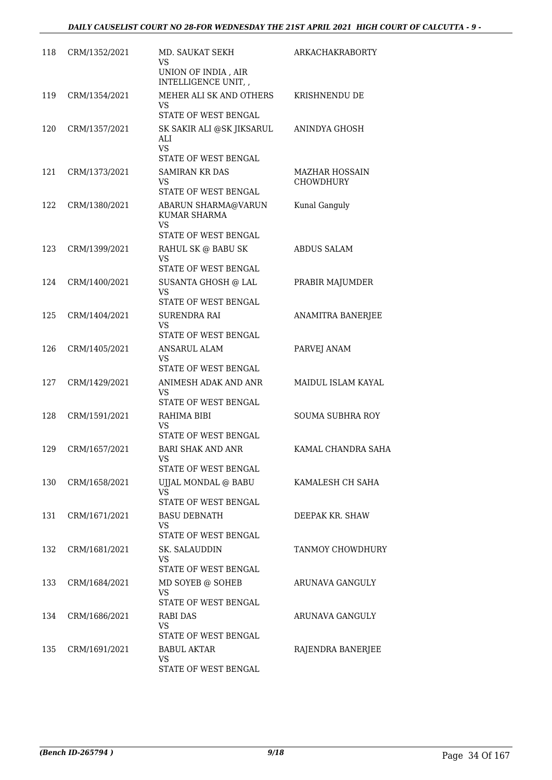| 118 | CRM/1352/2021 | MD. SAUKAT SEKH<br>VS                                                           | <b>ARKACHAKRABORTY</b>                    |
|-----|---------------|---------------------------------------------------------------------------------|-------------------------------------------|
|     |               | UNION OF INDIA, AIR<br>INTELLIGENCE UNIT,                                       |                                           |
| 119 | CRM/1354/2021 | MEHER ALI SK AND OTHERS<br>VS<br>STATE OF WEST BENGAL                           | KRISHNENDU DE                             |
| 120 | CRM/1357/2021 | SK SAKIR ALI @SK JIKSARUL<br>ALI<br><b>VS</b><br>STATE OF WEST BENGAL           | ANINDYA GHOSH                             |
| 121 | CRM/1373/2021 | <b>SAMIRAN KR DAS</b><br>VS.<br>STATE OF WEST BENGAL                            | <b>MAZHAR HOSSAIN</b><br><b>CHOWDHURY</b> |
| 122 | CRM/1380/2021 | ABARUN SHARMA@VARUN<br>KUMAR SHARMA<br><b>VS</b>                                | Kunal Ganguly                             |
| 123 | CRM/1399/2021 | STATE OF WEST BENGAL<br>RAHUL SK @ BABU SK<br><b>VS</b><br>STATE OF WEST BENGAL | <b>ABDUS SALAM</b>                        |
| 124 | CRM/1400/2021 | SUSANTA GHOSH @ LAL<br><b>VS</b><br>STATE OF WEST BENGAL                        | PRABIR MAJUMDER                           |
| 125 | CRM/1404/2021 | <b>SURENDRA RAI</b><br><b>VS</b><br>STATE OF WEST BENGAL                        | ANAMITRA BANERJEE                         |
| 126 | CRM/1405/2021 | <b>ANSARUL ALAM</b><br><b>VS</b><br>STATE OF WEST BENGAL                        | PARVEJ ANAM                               |
| 127 | CRM/1429/2021 | ANIMESH ADAK AND ANR<br><b>VS</b><br>STATE OF WEST BENGAL                       | <b>MAIDUL ISLAM KAYAL</b>                 |
| 128 | CRM/1591/2021 | RAHIMA BIBI<br><b>VS</b><br>STATE OF WEST BENGAL                                | <b>SOUMA SUBHRA ROY</b>                   |
| 129 | CRM/1657/2021 | <b>BARI SHAK AND ANR</b><br>VS —<br>STATE OF WEST BENGAL                        | KAMAL CHANDRA SAHA                        |
| 130 | CRM/1658/2021 | UJJAL MONDAL @ BABU<br>VS<br><b>STATE OF WEST BENGAL</b>                        | KAMALESH CH SAHA                          |
| 131 | CRM/1671/2021 | <b>BASU DEBNATH</b><br>VS<br>STATE OF WEST BENGAL                               | DEEPAK KR. SHAW                           |
| 132 | CRM/1681/2021 | SK. SALAUDDIN<br>VS<br>STATE OF WEST BENGAL                                     | TANMOY CHOWDHURY                          |
| 133 | CRM/1684/2021 | MD SOYEB @ SOHEB<br>VS<br>STATE OF WEST BENGAL                                  | ARUNAVA GANGULY                           |
| 134 | CRM/1686/2021 | RABI DAS<br>VS<br>STATE OF WEST BENGAL                                          | ARUNAVA GANGULY                           |
| 135 | CRM/1691/2021 | <b>BABUL AKTAR</b><br>VS<br>STATE OF WEST BENGAL                                | RAJENDRA BANERJEE                         |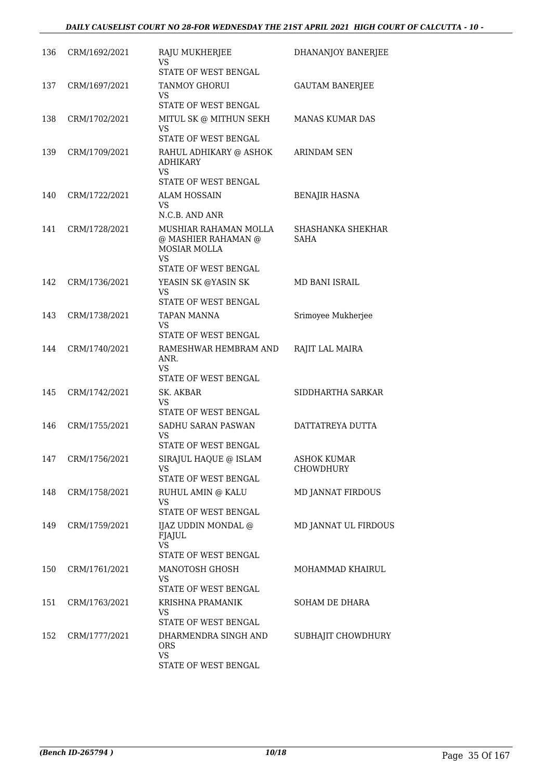| 136 | CRM/1692/2021     | RAJU MUKHERJEE<br>VS                                                                                            | DHANANJOY BANERJEE                     |
|-----|-------------------|-----------------------------------------------------------------------------------------------------------------|----------------------------------------|
|     |                   | STATE OF WEST BENGAL                                                                                            |                                        |
| 137 | CRM/1697/2021     | TANMOY GHORUI<br>VS<br>STATE OF WEST BENGAL                                                                     | <b>GAUTAM BANERJEE</b>                 |
|     |                   |                                                                                                                 |                                        |
| 138 | CRM/1702/2021     | MITUL SK @ MITHUN SEKH<br>VS<br>STATE OF WEST BENGAL                                                            | MANAS KUMAR DAS                        |
| 139 | CRM/1709/2021     | RAHUL ADHIKARY @ ASHOK<br><b>ADHIKARY</b><br><b>VS</b>                                                          | ARINDAM SEN                            |
|     |                   | STATE OF WEST BENGAL                                                                                            |                                        |
| 140 | CRM/1722/2021     | <b>ALAM HOSSAIN</b><br>VS<br>N.C.B. AND ANR                                                                     | <b>BENAJIR HASNA</b>                   |
| 141 | CRM/1728/2021     | MUSHIAR RAHAMAN MOLLA<br>@ MASHIER RAHAMAN @<br><b>MOSIAR MOLLA</b><br><b>VS</b><br><b>STATE OF WEST BENGAL</b> | SHASHANKA SHEKHAR<br><b>SAHA</b>       |
| 142 | CRM/1736/2021     | YEASIN SK @YASIN SK                                                                                             | MD BANI ISRAIL                         |
|     |                   | <b>VS</b><br><b>STATE OF WEST BENGAL</b>                                                                        |                                        |
| 143 | CRM/1738/2021     | TAPAN MANNA<br>VS<br>STATE OF WEST BENGAL                                                                       | Srimoyee Mukherjee                     |
| 144 | CRM/1740/2021     | RAMESHWAR HEMBRAM AND<br>ANR.<br><b>VS</b><br>STATE OF WEST BENGAL                                              | RAJIT LAL MAIRA                        |
| 145 | CRM/1742/2021     | SK. AKBAR<br>VS<br>STATE OF WEST BENGAL                                                                         | SIDDHARTHA SARKAR                      |
| 146 | CRM/1755/2021     | SADHU SARAN PASWAN<br>VS<br>STATE OF WEST BENGAL                                                                | DATTATREYA DUTTA                       |
|     | 147 CRM/1756/2021 | SIRAJUL HAQUE @ ISLAM<br>VS<br>STATE OF WEST BENGAL                                                             | <b>ASHOK KUMAR</b><br><b>CHOWDHURY</b> |
| 148 | CRM/1758/2021     | RUHUL AMIN @ KALU<br>VS<br>STATE OF WEST BENGAL                                                                 | <b>MD JANNAT FIRDOUS</b>               |
| 149 | CRM/1759/2021     | IJAZ UDDIN MONDAL @<br>FJAJUL<br><b>VS</b><br>STATE OF WEST BENGAL                                              | MD JANNAT UL FIRDOUS                   |
| 150 | CRM/1761/2021     | MANOTOSH GHOSH<br><b>VS</b>                                                                                     | MOHAMMAD KHAIRUL                       |
|     |                   | STATE OF WEST BENGAL                                                                                            |                                        |
| 151 | CRM/1763/2021     | KRISHNA PRAMANIK<br>VS<br>STATE OF WEST BENGAL                                                                  | SOHAM DE DHARA                         |
| 152 | CRM/1777/2021     | DHARMENDRA SINGH AND<br>ORS.<br><b>VS</b>                                                                       | SUBHAJIT CHOWDHURY                     |
|     |                   | STATE OF WEST BENGAL                                                                                            |                                        |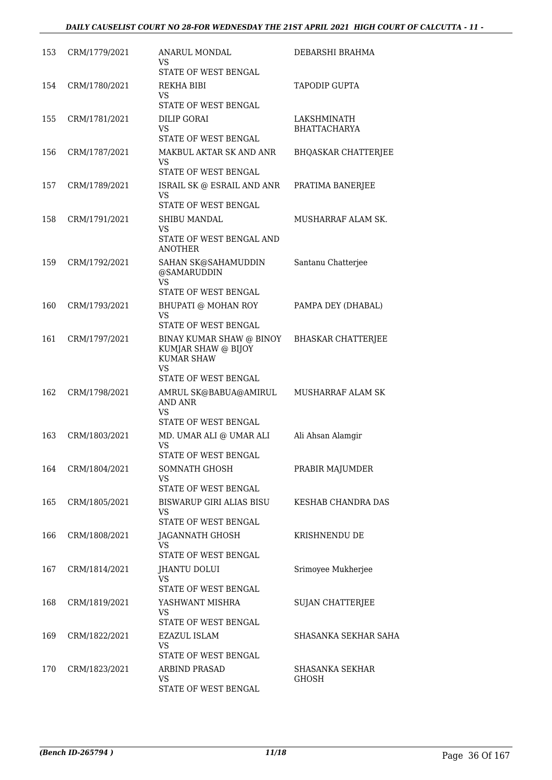| 153 | CRM/1779/2021 | ANARUL MONDAL<br>VS<br>STATE OF WEST BENGAL                                                               | DEBARSHI BRAHMA                    |
|-----|---------------|-----------------------------------------------------------------------------------------------------------|------------------------------------|
| 154 | CRM/1780/2021 | REKHA BIBI<br>VS<br><b>STATE OF WEST BENGAL</b>                                                           | TAPODIP GUPTA                      |
| 155 | CRM/1781/2021 | DILIP GORAI<br>VS<br>STATE OF WEST BENGAL                                                                 | LAKSHMINATH<br><b>BHATTACHARYA</b> |
| 156 | CRM/1787/2021 | MAKBUL AKTAR SK AND ANR<br>VS<br>STATE OF WEST BENGAL                                                     | <b>BHQASKAR CHATTERJEE</b>         |
| 157 | CRM/1789/2021 | ISRAIL SK @ ESRAIL AND ANR<br>VS<br>STATE OF WEST BENGAL                                                  | PRATIMA BANERJEE                   |
| 158 | CRM/1791/2021 | SHIBU MANDAL<br>VS<br>STATE OF WEST BENGAL AND<br><b>ANOTHER</b>                                          | MUSHARRAF ALAM SK.                 |
| 159 | CRM/1792/2021 | SAHAN SK@SAHAMUDDIN<br>@SAMARUDDIN<br><b>VS</b><br>STATE OF WEST BENGAL                                   | Santanu Chatterjee                 |
| 160 | CRM/1793/2021 | <b>BHUPATI @ MOHAN ROY</b><br><b>VS</b><br>STATE OF WEST BENGAL                                           | PAMPA DEY (DHABAL)                 |
| 161 | CRM/1797/2021 | BINAY KUMAR SHAW @ BINOY<br>KUMJAR SHAW @ BIJOY<br><b>KUMAR SHAW</b><br><b>VS</b><br>STATE OF WEST BENGAL | <b>BHASKAR CHATTERJEE</b>          |
| 162 | CRM/1798/2021 | AMRUL SK@BABUA@AMIRUL<br><b>AND ANR</b><br>VS<br><b>STATE OF WEST BENGAL</b>                              | <b>MUSHARRAF ALAM SK</b>           |
| 163 | CRM/1803/2021 | MD. UMAR ALI @ UMAR ALI<br><b>VS</b><br>STATE OF WEST BENGAL                                              | Ali Ahsan Alamgir                  |
| 164 | CRM/1804/2021 | SOMNATH GHOSH<br><b>VS</b><br><b>STATE OF WEST BENGAL</b>                                                 | PRABIR MAJUMDER                    |
| 165 | CRM/1805/2021 | BISWARUP GIRI ALIAS BISU<br>VS<br>STATE OF WEST BENGAL                                                    | KESHAB CHANDRA DAS                 |
| 166 | CRM/1808/2021 | JAGANNATH GHOSH<br>VS<br><b>STATE OF WEST BENGAL</b>                                                      | KRISHNENDU DE                      |
| 167 | CRM/1814/2021 | JHANTU DOLUI<br><b>VS</b><br>STATE OF WEST BENGAL                                                         | Srimoyee Mukherjee                 |
| 168 | CRM/1819/2021 | YASHWANT MISHRA<br>VS<br>STATE OF WEST BENGAL                                                             | <b>SUJAN CHATTERJEE</b>            |
| 169 | CRM/1822/2021 | <b>EZAZUL ISLAM</b><br>VS<br>STATE OF WEST BENGAL                                                         | SHASANKA SEKHAR SAHA               |
| 170 | CRM/1823/2021 | ARBIND PRASAD<br><b>VS</b><br>STATE OF WEST BENGAL                                                        | SHASANKA SEKHAR<br><b>GHOSH</b>    |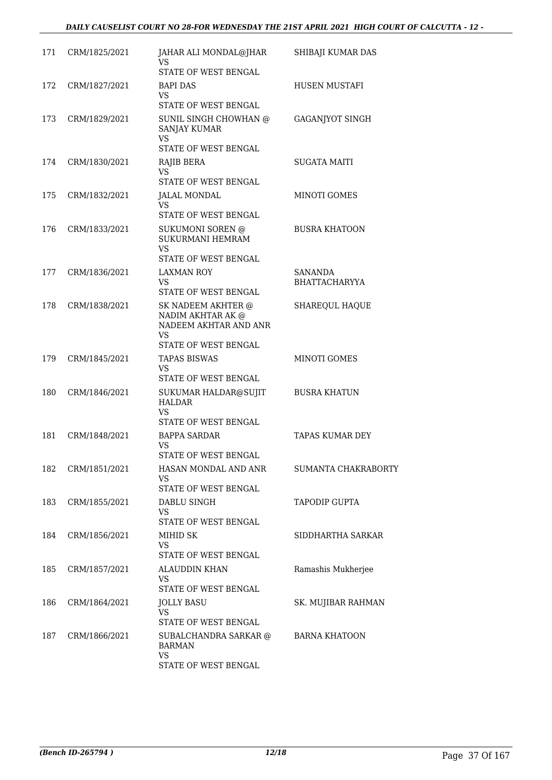| 171 | CRM/1825/2021 | JAHAR ALI MONDAL@JHAR<br>VS<br>STATE OF WEST BENGAL                                            | SHIBAJI KUMAR DAS               |
|-----|---------------|------------------------------------------------------------------------------------------------|---------------------------------|
| 172 | CRM/1827/2021 | BAPI DAS<br>VS<br>STATE OF WEST BENGAL                                                         | <b>HUSEN MUSTAFI</b>            |
| 173 | CRM/1829/2021 | SUNIL SINGH CHOWHAN @<br><b>SANJAY KUMAR</b><br>VS<br>STATE OF WEST BENGAL                     | <b>GAGANJYOT SINGH</b>          |
| 174 | CRM/1830/2021 | RAJIB BERA<br>VS<br>STATE OF WEST BENGAL                                                       | SUGATA MAITI                    |
| 175 | CRM/1832/2021 | JALAL MONDAL<br>VS<br>STATE OF WEST BENGAL                                                     | <b>MINOTI GOMES</b>             |
| 176 | CRM/1833/2021 | SUKUMONI SOREN @<br>SUKURMANI HEMRAM<br><b>VS</b><br>STATE OF WEST BENGAL                      | <b>BUSRA KHATOON</b>            |
| 177 | CRM/1836/2021 | LAXMAN ROY<br>VS.<br>STATE OF WEST BENGAL                                                      | SANANDA<br><b>BHATTACHARYYA</b> |
| 178 | CRM/1838/2021 | SK NADEEM AKHTER @<br>NADIM AKHTAR AK @<br>NADEEM AKHTAR AND ANR<br>VS<br>STATE OF WEST BENGAL | SHAREQUL HAQUE                  |
| 179 | CRM/1845/2021 | <b>TAPAS BISWAS</b><br><b>VS</b><br>STATE OF WEST BENGAL                                       | MINOTI GOMES                    |
| 180 | CRM/1846/2021 | SUKUMAR HALDAR@SUJIT<br><b>HALDAR</b><br>VS<br>STATE OF WEST BENGAL                            | <b>BUSRA KHATUN</b>             |
| 181 | CRM/1848/2021 | <b>BAPPA SARDAR</b><br>VS<br>STATE OF WEST BENGAL                                              | <b>TAPAS KUMAR DEY</b>          |
| 182 | CRM/1851/2021 | HASAN MONDAL AND ANR<br>VS<br>STATE OF WEST BENGAL                                             | SUMANTA CHAKRABORTY             |
| 183 | CRM/1855/2021 | DABLU SINGH<br>VS<br>STATE OF WEST BENGAL                                                      | TAPODIP GUPTA                   |
| 184 | CRM/1856/2021 | MIHID SK<br>VS<br>STATE OF WEST BENGAL                                                         | SIDDHARTHA SARKAR               |
| 185 | CRM/1857/2021 | <b>ALAUDDIN KHAN</b><br>VS<br>STATE OF WEST BENGAL                                             | Ramashis Mukherjee              |
| 186 | CRM/1864/2021 | <b>JOLLY BASU</b><br>VS<br>STATE OF WEST BENGAL                                                | SK. MUJIBAR RAHMAN              |
| 187 | CRM/1866/2021 | SUBALCHANDRA SARKAR @<br><b>BARMAN</b><br><b>VS</b><br>STATE OF WEST BENGAL                    | <b>BARNA KHATOON</b>            |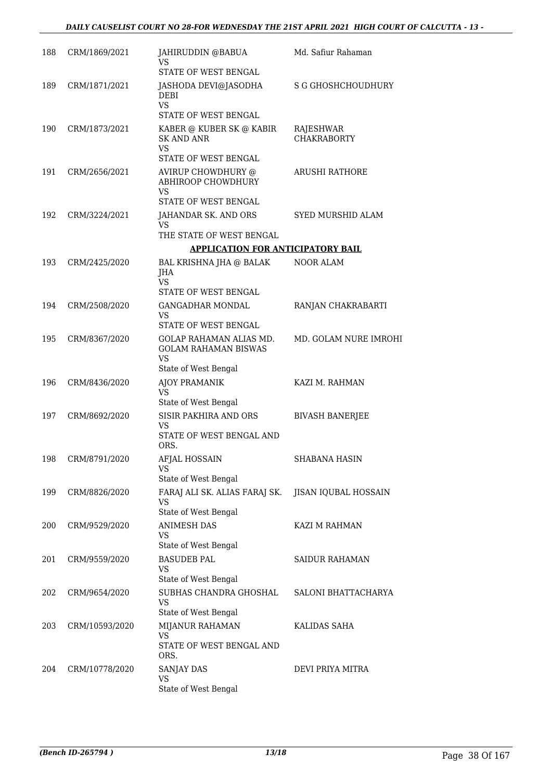| 188 | CRM/1869/2021     | JAHIRUDDIN @BABUA<br>VS                                                                     | Md. Safiur Rahaman              |
|-----|-------------------|---------------------------------------------------------------------------------------------|---------------------------------|
|     |                   | STATE OF WEST BENGAL                                                                        |                                 |
| 189 | CRM/1871/2021     | JASHODA DEVI@JASODHA<br><b>DEBI</b><br><b>VS</b><br>STATE OF WEST BENGAL                    | <b>S G GHOSHCHOUDHURY</b>       |
|     |                   |                                                                                             |                                 |
| 190 | CRM/1873/2021     | KABER @ KUBER SK @ KABIR<br><b>SK AND ANR</b><br><b>VS</b>                                  | RAJESHWAR<br><b>CHAKRABORTY</b> |
|     |                   | <b>STATE OF WEST BENGAL</b>                                                                 |                                 |
| 191 | CRM/2656/2021     | AVIRUP CHOWDHURY @<br>ABHIROOP CHOWDHURY<br><b>VS</b>                                       | <b>ARUSHI RATHORE</b>           |
|     |                   | STATE OF WEST BENGAL                                                                        |                                 |
| 192 | CRM/3224/2021     | JAHANDAR SK. AND ORS<br><b>VS</b>                                                           | SYED MURSHID ALAM               |
|     |                   | THE STATE OF WEST BENGAL                                                                    |                                 |
|     |                   | APPLICATION FOR ANTICIPATORY BAIL                                                           |                                 |
| 193 | CRM/2425/2020     | BAL KRISHNA JHA @ BALAK<br>JHA<br><b>VS</b>                                                 | <b>NOOR ALAM</b>                |
|     |                   | STATE OF WEST BENGAL                                                                        |                                 |
| 194 | CRM/2508/2020     | <b>GANGADHAR MONDAL</b><br>VS<br>STATE OF WEST BENGAL                                       | RANJAN CHAKRABARTI              |
| 195 | CRM/8367/2020     | GOLAP RAHAMAN ALIAS MD.<br><b>GOLAM RAHAMAN BISWAS</b><br><b>VS</b><br>State of West Bengal | MD. GOLAM NURE IMROHI           |
| 196 | CRM/8436/2020     | <b>AJOY PRAMANIK</b><br>VS                                                                  | KAZI M. RAHMAN                  |
|     |                   | State of West Bengal                                                                        |                                 |
| 197 | CRM/8692/2020     | SISIR PAKHIRA AND ORS<br>VS<br>STATE OF WEST BENGAL AND<br>ORS.                             | <b>BIVASH BANERJEE</b>          |
|     | 198 CRM/8791/2020 | AFJAL HOSSAIN<br>VS                                                                         | SHABANA HASIN                   |
|     |                   | State of West Bengal                                                                        |                                 |
| 199 | CRM/8826/2020     | FARAJ ALI SK. ALIAS FARAJ SK.<br>VS<br>State of West Bengal                                 | JISAN IQUBAL HOSSAIN            |
| 200 | CRM/9529/2020     | <b>ANIMESH DAS</b><br>VS                                                                    | KAZI M RAHMAN                   |
| 201 | CRM/9559/2020     | State of West Bengal<br><b>BASUDEB PAL</b><br>VS                                            | <b>SAIDUR RAHAMAN</b>           |
|     |                   | State of West Bengal                                                                        |                                 |
| 202 | CRM/9654/2020     | SUBHAS CHANDRA GHOSHAL<br>VS<br>State of West Bengal                                        | SALONI BHATTACHARYA             |
| 203 | CRM/10593/2020    | MIJANUR RAHAMAN                                                                             | KALIDAS SAHA                    |
|     |                   | <b>VS</b><br>STATE OF WEST BENGAL AND<br>ORS.                                               |                                 |
| 204 | CRM/10778/2020    | SANJAY DAS<br><b>VS</b><br>State of West Bengal                                             | DEVI PRIYA MITRA                |
|     |                   |                                                                                             |                                 |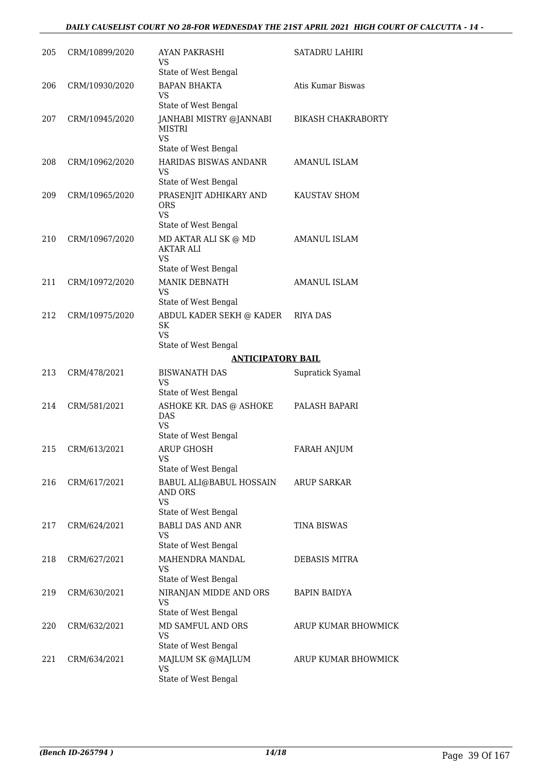### *DAILY CAUSELIST COURT NO 28-FOR WEDNESDAY THE 21ST APRIL 2021 HIGH COURT OF CALCUTTA - 14 -*

| 205 | CRM/10899/2020 | AYAN PAKRASHI<br>VS<br>State of West Bengal                                                           | SATADRU LAHIRI            |
|-----|----------------|-------------------------------------------------------------------------------------------------------|---------------------------|
| 206 | CRM/10930/2020 | <b>BAPAN BHAKTA</b><br>VS                                                                             | Atis Kumar Biswas         |
| 207 | CRM/10945/2020 | State of West Bengal<br>JANHABI MISTRY @JANNABI<br><b>MISTRI</b><br><b>VS</b><br>State of West Bengal | <b>BIKASH CHAKRABORTY</b> |
| 208 | CRM/10962/2020 | HARIDAS BISWAS ANDANR<br>VS                                                                           | <b>AMANUL ISLAM</b>       |
| 209 | CRM/10965/2020 | State of West Bengal<br>PRASENJIT ADHIKARY AND<br><b>ORS</b><br><b>VS</b>                             | KAUSTAV SHOM              |
|     |                | State of West Bengal                                                                                  |                           |
| 210 | CRM/10967/2020 | MD AKTAR ALI SK $@$ MD<br>AKTAR ALI<br><b>VS</b>                                                      | <b>AMANUL ISLAM</b>       |
|     |                | State of West Bengal                                                                                  |                           |
| 211 | CRM/10972/2020 | <b>MANIK DEBNATH</b><br><b>VS</b><br>State of West Bengal                                             | <b>AMANUL ISLAM</b>       |
| 212 | CRM/10975/2020 | ABDUL KADER SEKH @ KADER<br><b>SK</b><br><b>VS</b>                                                    | RIYA DAS                  |
|     |                | State of West Bengal                                                                                  |                           |
|     |                | <b>ANTICIPATORY BAIL</b>                                                                              |                           |
| 213 | CRM/478/2021   | <b>BISWANATH DAS</b><br><b>VS</b><br>State of West Bengal                                             | Supratick Syamal          |
| 214 | CRM/581/2021   | ASHOKE KR. DAS @ ASHOKE<br>DAS<br><b>VS</b><br>State of West Bengal                                   | PALASH BAPARI             |
| 215 | CRM/613/2021   | <b>ARUP GHOSH</b>                                                                                     | <b>FARAH ANJUM</b>        |
|     |                | <b>VS</b><br>State of West Bengal                                                                     |                           |
| 216 | CRM/617/2021   | BABUL ALI@BABUL HOSSAIN<br>AND ORS<br><b>VS</b><br>State of West Bengal                               | <b>ARUP SARKAR</b>        |
| 217 | CRM/624/2021   | <b>BABLI DAS AND ANR</b><br><b>VS</b>                                                                 | <b>TINA BISWAS</b>        |
| 218 | CRM/627/2021   | State of West Bengal<br>MAHENDRA MANDAL<br><b>VS</b><br>State of West Bengal                          | DEBASIS MITRA             |
| 219 | CRM/630/2021   | NIRANJAN MIDDE AND ORS<br><b>VS</b>                                                                   | BAPIN BAIDYA              |
| 220 | CRM/632/2021   | State of West Bengal<br>MD SAMFUL AND ORS<br><b>VS</b>                                                | ARUP KUMAR BHOWMICK       |
|     |                | State of West Bengal                                                                                  |                           |
| 221 | CRM/634/2021   | MAJLUM SK @MAJLUM<br>VS<br>State of West Bengal                                                       | ARUP KUMAR BHOWMICK       |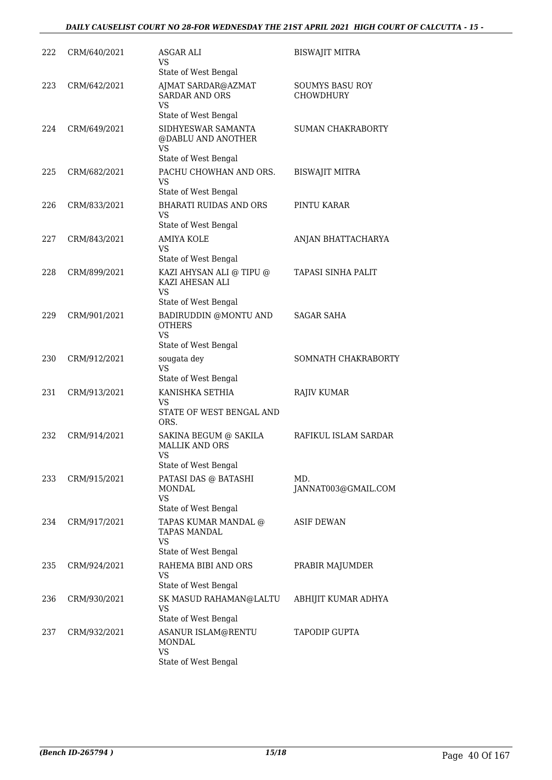| 222 | CRM/640/2021 | ASGAR ALI<br>VS<br>State of West Bengal                                             | <b>BISWAJIT MITRA</b>                      |
|-----|--------------|-------------------------------------------------------------------------------------|--------------------------------------------|
| 223 | CRM/642/2021 | AJMAT SARDAR@AZMAT<br><b>SARDAR AND ORS</b><br><b>VS</b><br>State of West Bengal    | <b>SOUMYS BASU ROY</b><br><b>CHOWDHURY</b> |
| 224 | CRM/649/2021 | SIDHYESWAR SAMANTA<br>@DABLU AND ANOTHER<br><b>VS</b><br>State of West Bengal       | <b>SUMAN CHAKRABORTY</b>                   |
| 225 | CRM/682/2021 | PACHU CHOWHAN AND ORS.<br><b>VS</b><br>State of West Bengal                         | <b>BISWAJIT MITRA</b>                      |
| 226 | CRM/833/2021 | <b>BHARATI RUIDAS AND ORS</b><br><b>VS</b><br>State of West Bengal                  | PINTU KARAR                                |
| 227 | CRM/843/2021 | <b>AMIYA KOLE</b><br>VS<br>State of West Bengal                                     | ANJAN BHATTACHARYA                         |
| 228 | CRM/899/2021 | KAZI AHYSAN ALI @ TIPU @<br>KAZI AHESAN ALI<br><b>VS</b><br>State of West Bengal    | TAPASI SINHA PALIT                         |
| 229 | CRM/901/2021 | BADIRUDDIN @MONTU AND<br><b>OTHERS</b><br><b>VS</b><br>State of West Bengal         | <b>SAGAR SAHA</b>                          |
| 230 | CRM/912/2021 | sougata dey<br><b>VS</b><br>State of West Bengal                                    | SOMNATH CHAKRABORTY                        |
| 231 | CRM/913/2021 | KANISHKA SETHIA<br>VS<br>STATE OF WEST BENGAL AND<br>ORS.                           | <b>RAJIV KUMAR</b>                         |
| 232 | CRM/914/2021 | SAKINA BEGUM @ SAKILA<br><b>MALLIK AND ORS</b><br><b>VS</b><br>State of West Bengal | RAFIKUL ISLAM SARDAR                       |
| 233 | CRM/915/2021 | PATASI DAS @ BATASHI<br>MONDAL<br><b>VS</b><br>State of West Bengal                 | MD.<br>JANNAT003@GMAIL.COM                 |
| 234 | CRM/917/2021 | TAPAS KUMAR MANDAL @<br><b>TAPAS MANDAL</b><br><b>VS</b><br>State of West Bengal    | <b>ASIF DEWAN</b>                          |
| 235 | CRM/924/2021 | RAHEMA BIBI AND ORS<br><b>VS</b><br>State of West Bengal                            | PRABIR MAJUMDER                            |
| 236 | CRM/930/2021 | SK MASUD RAHAMAN@LALTU<br><b>VS</b><br>State of West Bengal                         | ABHIJIT KUMAR ADHYA                        |
| 237 | CRM/932/2021 | ASANUR ISLAM@RENTU<br>MONDAL<br><b>VS</b><br>State of West Bengal                   | TAPODIP GUPTA                              |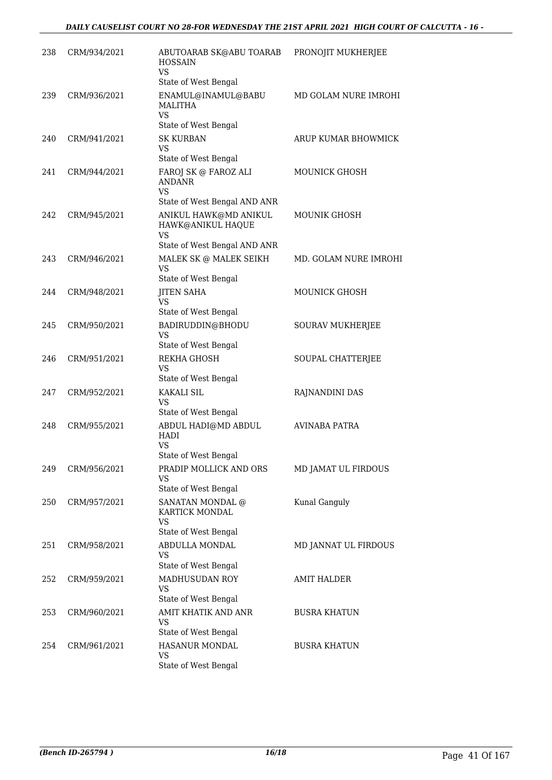| 238 | CRM/934/2021 | ABUTOARAB SK@ABU TOARAB<br><b>HOSSAIN</b><br>VS                                                            | PRONOJIT MUKHERJEE    |
|-----|--------------|------------------------------------------------------------------------------------------------------------|-----------------------|
| 239 | CRM/936/2021 | State of West Bengal<br>ENAMUL@INAMUL@BABU<br><b>MALITHA</b><br><b>VS</b><br>State of West Bengal          | MD GOLAM NURE IMROHI  |
| 240 | CRM/941/2021 | <b>SK KURBAN</b><br><b>VS</b>                                                                              | ARUP KUMAR BHOWMICK   |
| 241 | CRM/944/2021 | State of West Bengal<br>FAROJ SK @ FAROZ ALI<br><b>ANDANR</b><br><b>VS</b><br>State of West Bengal AND ANR | MOUNICK GHOSH         |
| 242 | CRM/945/2021 | ANIKUL HAWK@MD ANIKUL<br>HAWK@ANIKUL HAQUE<br>VS<br>State of West Bengal AND ANR                           | MOUNIK GHOSH          |
| 243 | CRM/946/2021 | MALEK SK @ MALEK SEIKH<br>VS<br>State of West Bengal                                                       | MD. GOLAM NURE IMROHI |
| 244 | CRM/948/2021 | <b>JITEN SAHA</b><br>VS<br>State of West Bengal                                                            | MOUNICK GHOSH         |
| 245 | CRM/950/2021 | BADIRUDDIN@BHODU<br>VS<br>State of West Bengal                                                             | SOURAV MUKHERJEE      |
| 246 | CRM/951/2021 | REKHA GHOSH<br>VS<br>State of West Bengal                                                                  | SOUPAL CHATTERJEE     |
| 247 | CRM/952/2021 | <b>KAKALI SIL</b><br>VS<br>State of West Bengal                                                            | RAJNANDINI DAS        |
| 248 | CRM/955/2021 | ABDUL HADI@MD ABDUL<br><b>HADI</b><br><b>VS</b><br>State of West Bengal                                    | <b>AVINABA PATRA</b>  |
| 249 | CRM/956/2021 | PRADIP MOLLICK AND ORS<br><b>VS</b><br>State of West Bengal                                                | MD JAMAT UL FIRDOUS   |
| 250 | CRM/957/2021 | SANATAN MONDAL @<br>KARTICK MONDAL<br><b>VS</b><br>State of West Bengal                                    | Kunal Ganguly         |
| 251 | CRM/958/2021 | ABDULLA MONDAL<br><b>VS</b><br>State of West Bengal                                                        | MD JANNAT UL FIRDOUS  |
| 252 | CRM/959/2021 | MADHUSUDAN ROY<br><b>VS</b><br>State of West Bengal                                                        | <b>AMIT HALDER</b>    |
| 253 | CRM/960/2021 | AMIT KHATIK AND ANR<br><b>VS</b><br>State of West Bengal                                                   | <b>BUSRA KHATUN</b>   |
| 254 | CRM/961/2021 | HASANUR MONDAL<br>VS<br>State of West Bengal                                                               | <b>BUSRA KHATUN</b>   |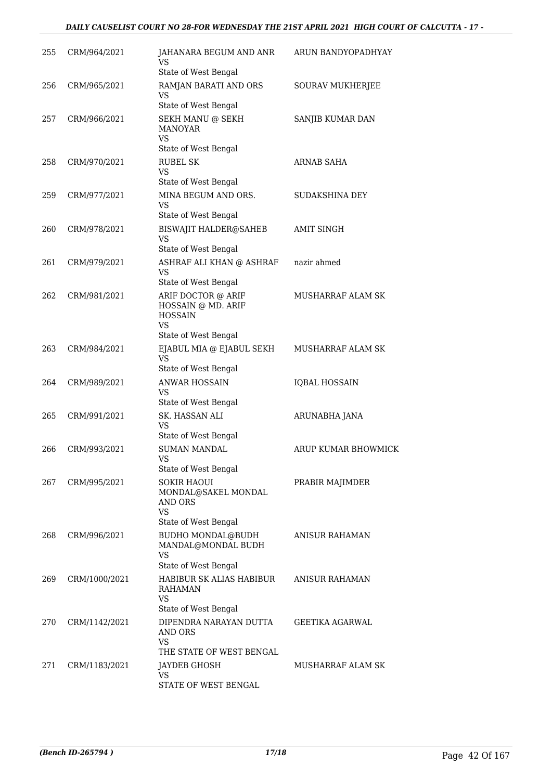### *DAILY CAUSELIST COURT NO 28-FOR WEDNESDAY THE 21ST APRIL 2021 HIGH COURT OF CALCUTTA - 17 -*

| 255 | CRM/964/2021  | JAHANARA BEGUM AND ANR<br>VS<br>State of West Bengal                    | ARUN BANDYOPADHYAY       |
|-----|---------------|-------------------------------------------------------------------------|--------------------------|
| 256 | CRM/965/2021  | RAMJAN BARATI AND ORS<br>VS                                             | SOURAV MUKHERJEE         |
| 257 | CRM/966/2021  | State of West Bengal<br>SEKH MANU @ SEKH<br><b>MANOYAR</b>              | SANJIB KUMAR DAN         |
|     |               | <b>VS</b><br>State of West Bengal                                       |                          |
| 258 | CRM/970/2021  | <b>RUBEL SK</b><br>VS                                                   | ARNAB SAHA               |
| 259 | CRM/977/2021  | State of West Bengal<br>MINA BEGUM AND ORS.                             | SUDAKSHINA DEY           |
|     |               | VS<br>State of West Bengal                                              |                          |
| 260 | CRM/978/2021  | <b>BISWAJIT HALDER@SAHEB</b><br>VS<br>State of West Bengal              | <b>AMIT SINGH</b>        |
| 261 | CRM/979/2021  | ASHRAF ALI KHAN @ ASHRAF                                                | nazir ahmed              |
|     |               | <b>VS</b><br>State of West Bengal                                       |                          |
| 262 | CRM/981/2021  | ARIF DOCTOR @ ARIF<br>HOSSAIN @ MD. ARIF<br><b>HOSSAIN</b><br><b>VS</b> | <b>MUSHARRAF ALAM SK</b> |
|     |               | State of West Bengal                                                    |                          |
| 263 | CRM/984/2021  | EJABUL MIA @ EJABUL SEKH<br><b>VS</b><br>State of West Bengal           | MUSHARRAF ALAM SK        |
| 264 | CRM/989/2021  | <b>ANWAR HOSSAIN</b>                                                    | <b>IQBAL HOSSAIN</b>     |
|     |               | VS<br>State of West Bengal                                              |                          |
| 265 | CRM/991/2021  | SK. HASSAN ALI<br>VS<br>State of West Bengal                            | ARUNABHA JANA            |
| 266 | CRM/993/2021  | <b>SUMAN MANDAL</b>                                                     | ARUP KUMAR BHOWMICK      |
|     |               | <b>VS</b><br>State of West Bengal                                       |                          |
| 267 | CRM/995/2021  | SOKIR HAOUI<br>MONDAL@SAKEL MONDAL<br>AND ORS<br><b>VS</b>              | PRABIR MAJIMDER          |
|     |               | State of West Bengal                                                    |                          |
| 268 | CRM/996/2021  | <b>BUDHO MONDAL@BUDH</b><br>MANDAL@MONDAL BUDH<br>VS                    | <b>ANISUR RAHAMAN</b>    |
| 269 |               | State of West Bengal<br>HABIBUR SK ALIAS HABIBUR                        | <b>ANISUR RAHAMAN</b>    |
|     | CRM/1000/2021 | RAHAMAN<br><b>VS</b><br>State of West Bengal                            |                          |
| 270 | CRM/1142/2021 | DIPENDRA NARAYAN DUTTA<br>AND ORS<br><b>VS</b>                          | <b>GEETIKA AGARWAL</b>   |
|     |               | THE STATE OF WEST BENGAL                                                |                          |
| 271 | CRM/1183/2021 | JAYDEB GHOSH<br><b>VS</b><br>STATE OF WEST BENGAL                       | MUSHARRAF ALAM SK        |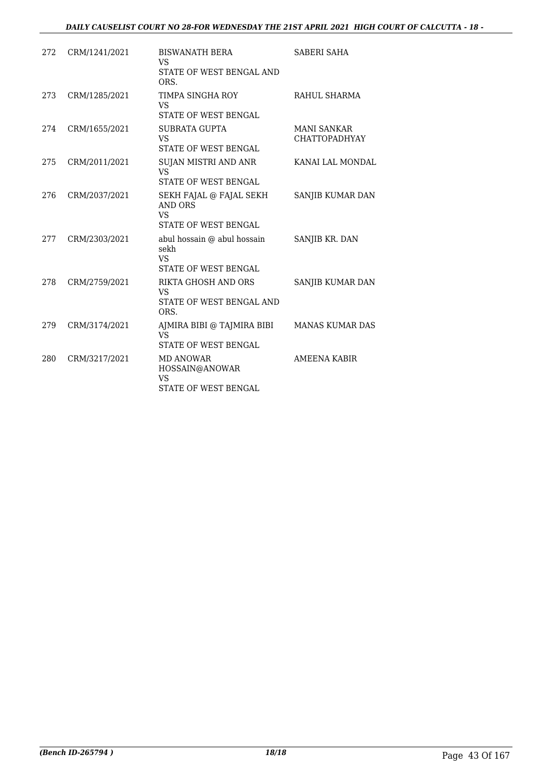### *DAILY CAUSELIST COURT NO 28-FOR WEDNESDAY THE 21ST APRIL 2021 HIGH COURT OF CALCUTTA - 18 -*

| 272 | CRM/1241/2021 | <b>BISWANATH BERA</b><br>VS                                                           | SABERI SAHA                                |
|-----|---------------|---------------------------------------------------------------------------------------|--------------------------------------------|
|     |               | STATE OF WEST BENGAL AND<br>ORS.                                                      |                                            |
| 273 | CRM/1285/2021 | TIMPA SINGHA ROY<br><b>VS</b>                                                         | RAHUL SHARMA                               |
|     |               | STATE OF WEST BENGAL                                                                  |                                            |
| 274 | CRM/1655/2021 | SUBRATA GUPTA<br><b>VS</b><br><b>STATE OF WEST BENGAL</b>                             | <b>MANI SANKAR</b><br><b>CHATTOPADHYAY</b> |
|     |               |                                                                                       |                                            |
| 275 | CRM/2011/2021 | SUJAN MISTRI AND ANR<br><b>VS</b><br>STATE OF WEST BENGAL                             | KANAI LAL MONDAL                           |
|     |               |                                                                                       |                                            |
| 276 | CRM/2037/2021 | SEKH FAJAL @ FAJAL SEKH<br><b>AND ORS</b><br><b>VS</b><br><b>STATE OF WEST BENGAL</b> | SANJIB KUMAR DAN                           |
| 277 | CRM/2303/2021 | abul hossain @ abul hossain<br>sekh<br><b>VS</b><br><b>STATE OF WEST BENGAL</b>       | SANJIB KR. DAN                             |
| 278 | CRM/2759/2021 | RIKTA GHOSH AND ORS<br><b>VS</b><br>STATE OF WEST BENGAL AND<br>ORS.                  | SANJIB KUMAR DAN                           |
| 279 | CRM/3174/2021 | AJMIRA BIBI @ TAJMIRA BIBI<br>VS <sub>1</sub><br>STATE OF WEST BENGAL                 | <b>MANAS KUMAR DAS</b>                     |
| 280 | CRM/3217/2021 | MD ANOWAR<br>HOSSAIN@ANOWAR<br>VS<br><b>STATE OF WEST BENGAL</b>                      | AMEENA KABIR                               |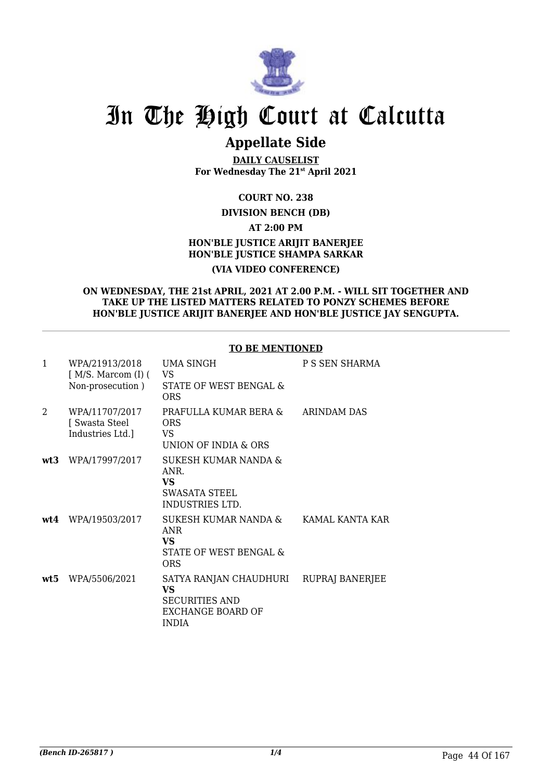

# In The High Court at Calcutta

### **Appellate Side**

**DAILY CAUSELIST For Wednesday The 21st April 2021**

### **COURT NO. 238**

### **DIVISION BENCH (DB)**

**AT 2:00 PM**

### **HON'BLE JUSTICE ARIJIT BANERJEE HON'BLE JUSTICE SHAMPA SARKAR (VIA VIDEO CONFERENCE)**

#### **ON WEDNESDAY, THE 21st APRIL, 2021 AT 2.00 P.M. - WILL SIT TOGETHER AND TAKE UP THE LISTED MATTERS RELATED TO PONZY SCHEMES BEFORE HON'BLE JUSTICE ARIJIT BANERJEE AND HON'BLE JUSTICE JAY SENGUPTA.**

### **TO BE MENTIONED**

| $\mathbf{1}$  | WPA/21913/2018<br>[ M/S. Marcom (I) (<br>Non-prosecution) | UMA SINGH<br>VS<br>STATE OF WEST BENGAL &<br>ORS                                                  | P S SEN SHARMA     |
|---------------|-----------------------------------------------------------|---------------------------------------------------------------------------------------------------|--------------------|
| $\mathcal{L}$ | WPA/11707/2017<br>[ Swasta Steel<br>Industries Ltd.]      | PRAFULLA KUMAR BERA &<br>ORS<br>VS.<br>UNION OF INDIA & ORS                                       | <b>ARINDAM DAS</b> |
| wt3           | WPA/17997/2017                                            | SUKESH KUMAR NANDA &<br>ANR.<br>VS<br>SWASATA STEEL<br><b>INDUSTRIES LTD.</b>                     |                    |
| wt4           | WPA/19503/2017                                            | SUKESH KUMAR NANDA &<br><b>ANR</b><br><b>VS</b><br>STATE OF WEST BENGAL &<br>ORS                  | KAMAL KANTA KAR    |
| wt5           | WPA/5506/2021                                             | SATYA RANJAN CHAUDHURI<br><b>VS</b><br><b>SECURITIES AND</b><br>EXCHANGE BOARD OF<br><b>INDIA</b> | RUPRAJ BANERJEE    |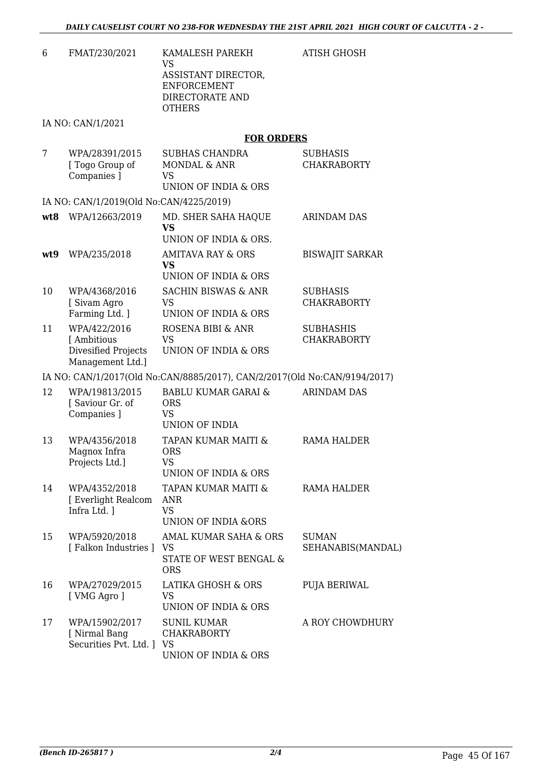ATISH GHOSH

6 FMAT/230/2021 KAMALESH PAREKH VS ASSISTANT DIRECTOR, ENFORCEMENT DIRECTORATE AND **OTHERS** 

IA NO: CAN/1/2021

### **FOR ORDERS**

| 7   | WPA/28391/2015<br>[ Togo Group of<br>Companies ]                       | <b>SUBHAS CHANDRA</b><br>MONDAL & ANR<br><b>VS</b><br><b>UNION OF INDIA &amp; ORS</b> | <b>SUBHASIS</b><br><b>CHAKRABORTY</b>  |
|-----|------------------------------------------------------------------------|---------------------------------------------------------------------------------------|----------------------------------------|
|     | IA NO: CAN/1/2019(Old No:CAN/4225/2019)                                |                                                                                       |                                        |
| wt8 | WPA/12663/2019                                                         | MD. SHER SAHA HAQUE<br><b>VS</b><br>UNION OF INDIA & ORS.                             | <b>ARINDAM DAS</b>                     |
| wt9 | WPA/235/2018                                                           | AMITAVA RAY & ORS<br>VS<br>UNION OF INDIA & ORS                                       | <b>BISWAJIT SARKAR</b>                 |
| 10  | WPA/4368/2016<br>[ Sivam Agro<br>Farming Ltd. ]                        | <b>SACHIN BISWAS &amp; ANR</b><br>VS<br>UNION OF INDIA & ORS                          | <b>SUBHASIS</b><br><b>CHAKRABORTY</b>  |
| 11  | WPA/422/2016<br>[ Ambitious<br>Divesified Projects<br>Management Ltd.] | ROSENA BIBI & ANR<br><b>VS</b><br>UNION OF INDIA & ORS                                | <b>SUBHASHIS</b><br><b>CHAKRABORTY</b> |
|     |                                                                        | IA NO: CAN/1/2017(Old No:CAN/8885/2017), CAN/2/2017(Old No:CAN/9194/2017)             |                                        |
| 12  | WPA/19813/2015<br>[Saviour Gr. of<br>Companies ]                       | <b>BABLU KUMAR GARAI &amp;</b><br><b>ORS</b><br><b>VS</b><br><b>UNION OF INDIA</b>    | <b>ARINDAM DAS</b>                     |
| 13  | WPA/4356/2018<br>Magnox Infra<br>Projects Ltd.]                        | TAPAN KUMAR MAITI &<br><b>ORS</b><br><b>VS</b><br>UNION OF INDIA & ORS                | <b>RAMA HALDER</b>                     |
| 14  | WPA/4352/2018<br>[ Everlight Realcom<br>Infra Ltd. 1                   | TAPAN KUMAR MAITI &<br><b>ANR</b><br><b>VS</b><br><b>UNION OF INDIA &amp;ORS</b>      | RAMA HALDER                            |
| 15  | WPA/5920/2018<br>[Falkon Industries ]                                  | AMAL KUMAR SAHA & ORS<br><b>VS</b><br>STATE OF WEST BENGAL &<br><b>ORS</b>            | <b>SUMAN</b><br>SEHANABIS(MANDAL)      |
| 16  | WPA/27029/2015<br>[ VMG Agro ]                                         | LATIKA GHOSH & ORS<br>VS<br>UNION OF INDIA & ORS                                      | PUJA BERIWAL                           |
| 17  | WPA/15902/2017<br>[ Nirmal Bang<br>Securities Pvt. Ltd.   VS           | <b>SUNIL KUMAR</b><br><b>CHAKRABORTY</b><br>UNION OF INDIA & ORS                      | A ROY CHOWDHURY                        |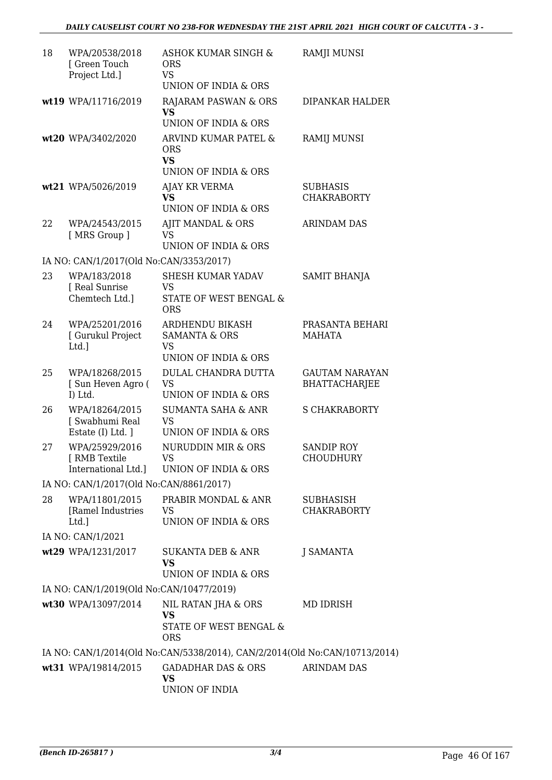| 18 | WPA/20538/2018<br>[ Green Touch<br>Project Ltd.]       | ASHOK KUMAR SINGH &<br><b>ORS</b><br><b>VS</b>                                              | <b>RAMJI MUNSI</b>                            |
|----|--------------------------------------------------------|---------------------------------------------------------------------------------------------|-----------------------------------------------|
|    |                                                        | UNION OF INDIA & ORS                                                                        |                                               |
|    | wt19 WPA/11716/2019                                    | RAJARAM PASWAN & ORS<br><b>VS</b><br>UNION OF INDIA & ORS                                   | <b>DIPANKAR HALDER</b>                        |
|    | wt20 WPA/3402/2020                                     | ARVIND KUMAR PATEL &<br><b>ORS</b><br><b>VS</b><br>UNION OF INDIA & ORS                     | <b>RAMIJ MUNSI</b>                            |
|    | wt21 WPA/5026/2019                                     | AJAY KR VERMA<br><b>VS</b><br>UNION OF INDIA & ORS                                          | <b>SUBHASIS</b><br><b>CHAKRABORTY</b>         |
| 22 | WPA/24543/2015<br>[MRS Group]                          | AJIT MANDAL & ORS<br><b>VS</b><br><b>UNION OF INDIA &amp; ORS</b>                           | <b>ARINDAM DAS</b>                            |
|    | IA NO: CAN/1/2017(Old No:CAN/3353/2017)                |                                                                                             |                                               |
| 23 | WPA/183/2018<br>[ Real Sunrise                         | SHESH KUMAR YADAV<br>VS                                                                     | <b>SAMIT BHANJA</b>                           |
|    | Chemtech Ltd.]                                         | STATE OF WEST BENGAL &<br><b>ORS</b>                                                        |                                               |
| 24 | WPA/25201/2016<br>[ Gurukul Project<br>Ltd.]           | ARDHENDU BIKASH<br><b>SAMANTA &amp; ORS</b><br><b>VS</b><br><b>UNION OF INDIA &amp; ORS</b> | PRASANTA BEHARI<br><b>MAHATA</b>              |
| 25 | WPA/18268/2015<br>[Sun Heven Agro (<br>I) Ltd.         | DULAL CHANDRA DUTTA<br><b>VS</b><br>UNION OF INDIA & ORS                                    | <b>GAUTAM NARAYAN</b><br><b>BHATTACHARJEE</b> |
| 26 | WPA/18264/2015<br>[ Swabhumi Real<br>Estate (I) Ltd. ] | <b>SUMANTA SAHA &amp; ANR</b><br><b>VS</b><br>UNION OF INDIA & ORS                          | <b>S CHAKRABORTY</b>                          |
| 27 | WPA/25929/2016<br>[ RMB Textile<br>International Ltd.] | <b>NURUDDIN MIR &amp; ORS</b><br>VS.<br>UNION OF INDIA & ORS                                | <b>SANDIP ROY</b><br><b>CHOUDHURY</b>         |
|    | IA NO: CAN/1/2017(Old No:CAN/8861/2017)                |                                                                                             |                                               |
| 28 | WPA/11801/2015<br>[Ramel Industries<br>Ltd.]           | PRABIR MONDAL & ANR<br><b>VS</b><br>UNION OF INDIA & ORS                                    | SUBHASISH<br><b>CHAKRABORTY</b>               |
|    | IA NO: CAN/1/2021                                      |                                                                                             |                                               |
|    | wt29 WPA/1231/2017                                     | <b>SUKANTA DEB &amp; ANR</b><br><b>VS</b><br>UNION OF INDIA & ORS                           | <b>J SAMANTA</b>                              |
|    | IA NO: CAN/1/2019(Old No:CAN/10477/2019)               |                                                                                             |                                               |
|    | wt30 WPA/13097/2014                                    | NIL RATAN JHA & ORS<br>VS<br>STATE OF WEST BENGAL &<br><b>ORS</b>                           | MD IDRISH                                     |
|    |                                                        | IA NO: CAN/1/2014(Old No:CAN/5338/2014), CAN/2/2014(Old No:CAN/10713/2014)                  |                                               |
|    | wt31 WPA/19814/2015                                    | <b>GADADHAR DAS &amp; ORS</b><br>VS<br>UNION OF INDIA                                       | <b>ARINDAM DAS</b>                            |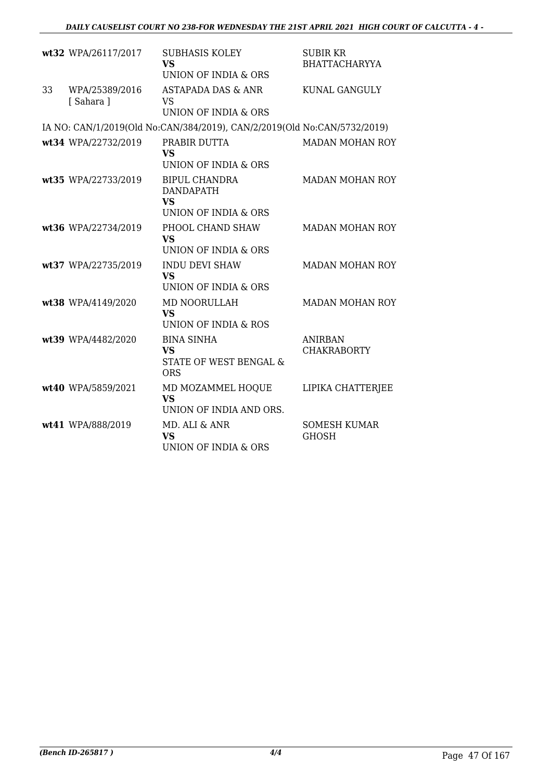|    | wt32 WPA/26117/2017        | <b>SUBHASIS KOLEY</b><br><b>VS</b><br>UNION OF INDIA & ORS                    | <b>SUBIR KR</b><br><b>BHATTACHARYYA</b> |
|----|----------------------------|-------------------------------------------------------------------------------|-----------------------------------------|
| 33 | WPA/25389/2016<br>[Sahara] | ASTAPADA DAS & ANR<br><b>VS</b><br>UNION OF INDIA & ORS                       | <b>KUNAL GANGULY</b>                    |
|    |                            | IA NO: CAN/1/2019(Old No:CAN/384/2019), CAN/2/2019(Old No:CAN/5732/2019)      |                                         |
|    | wt34 WPA/22732/2019        | PRABIR DUTTA<br><b>VS</b><br>UNION OF INDIA & ORS                             | <b>MADAN MOHAN ROY</b>                  |
|    | wt35 WPA/22733/2019        | <b>BIPUL CHANDRA</b><br><b>DANDAPATH</b><br><b>VS</b><br>UNION OF INDIA & ORS | <b>MADAN MOHAN ROY</b>                  |
|    | wt36 WPA/22734/2019        | PHOOL CHAND SHAW<br><b>VS</b><br>UNION OF INDIA & ORS                         | <b>MADAN MOHAN ROY</b>                  |
|    | wt37 WPA/22735/2019        | <b>INDU DEVI SHAW</b><br><b>VS</b><br>UNION OF INDIA & ORS                    | <b>MADAN MOHAN ROY</b>                  |
|    | wt38 WPA/4149/2020         | <b>MD NOORULLAH</b><br><b>VS</b><br>UNION OF INDIA & ROS                      | <b>MADAN MOHAN ROY</b>                  |
|    | wt39 WPA/4482/2020         | <b>BINA SINHA</b><br><b>VS</b><br>STATE OF WEST BENGAL &<br><b>ORS</b>        | <b>ANIRBAN</b><br><b>CHAKRABORTY</b>    |
|    | wt40 WPA/5859/2021         | MD MOZAMMEL HOQUE<br><b>VS</b><br>UNION OF INDIA AND ORS.                     | LIPIKA CHATTERJEE                       |
|    | wt41 WPA/888/2019          | MD. ALI & ANR<br><b>VS</b><br>UNION OF INDIA & ORS                            | <b>SOMESH KUMAR</b><br><b>GHOSH</b>     |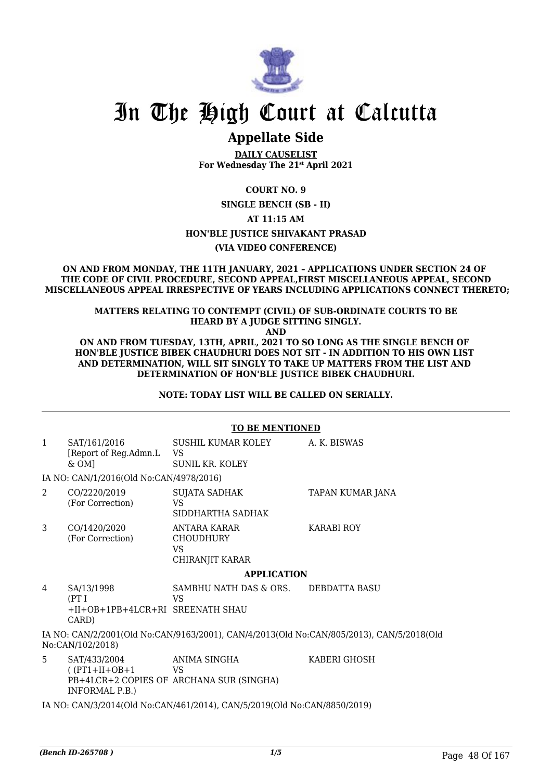

## In The High Court at Calcutta

### **Appellate Side**

**DAILY CAUSELIST For Wednesday The 21st April 2021**

**COURT NO. 9**

**SINGLE BENCH (SB - II)**

**AT 11:15 AM**

#### **HON'BLE JUSTICE SHIVAKANT PRASAD**

**(VIA VIDEO CONFERENCE)**

#### **ON AND FROM MONDAY, THE 11TH JANUARY, 2021 – APPLICATIONS UNDER SECTION 24 OF THE CODE OF CIVIL PROCEDURE, SECOND APPEAL,FIRST MISCELLANEOUS APPEAL, SECOND MISCELLANEOUS APPEAL IRRESPECTIVE OF YEARS INCLUDING APPLICATIONS CONNECT THERETO;**

### **MATTERS RELATING TO CONTEMPT (CIVIL) OF SUB-ORDINATE COURTS TO BE HEARD BY A JUDGE SITTING SINGLY.**

**AND**

**ON AND FROM TUESDAY, 13TH, APRIL, 2021 TO SO LONG AS THE SINGLE BENCH OF HON'BLE JUSTICE BIBEK CHAUDHURI DOES NOT SIT - IN ADDITION TO HIS OWN LIST AND DETERMINATION, WILL SIT SINGLY TO TAKE UP MATTERS FROM THE LIST AND DETERMINATION OF HON'BLE JUSTICE BIBEK CHAUDHURI.**

**NOTE: TODAY LIST WILL BE CALLED ON SERIALLY.**

|                                                                                                              | <b>TO BE MENTIONED</b>                                           |                                                                  |                  |  |
|--------------------------------------------------------------------------------------------------------------|------------------------------------------------------------------|------------------------------------------------------------------|------------------|--|
| $\mathbf{1}$                                                                                                 | SAT/161/2016<br>[Report of Reg.Admn.L<br>$&OM$ ]                 | SUSHIL KUMAR KOLEY<br>VS<br><b>SUNIL KR. KOLEY</b>               | A. K. BISWAS     |  |
|                                                                                                              | IA NO: CAN/1/2016(Old No:CAN/4978/2016)                          |                                                                  |                  |  |
| $\mathfrak{D}$                                                                                               | CO/2220/2019<br>(For Correction)                                 | <b>SUJATA SADHAK</b><br>VS<br>SIDDHARTHA SADHAK                  | TAPAN KUMAR JANA |  |
| 3                                                                                                            | CO/1420/2020<br>(For Correction)                                 | ANTARA KARAR<br><b>CHOUDHURY</b><br><b>VS</b><br>CHIRANJIT KARAR | KARABI ROY       |  |
|                                                                                                              | <b>APPLICATION</b>                                               |                                                                  |                  |  |
| 4                                                                                                            | SA/13/1998<br>(PTI)<br>+II+OB+1PB+4LCR+RI SREENATH SHAU<br>CARD) | SAMBHU NATH DAS & ORS.<br>VS                                     | DEBDATTA BASU    |  |
| IA NO: CAN/2/2001(Old No:CAN/9163/2001), CAN/4/2013(Old No:CAN/805/2013), CAN/5/2018(Old<br>No:CAN/102/2018) |                                                                  |                                                                  |                  |  |
| 5.                                                                                                           | SAT/433/2004<br>$( (PT1+II+OB+1$<br>INFORMAL P.B.)               | ANIMA SINGHA<br>VS<br>PB+4LCR+2 COPIES OF ARCHANA SUR (SINGHA)   | KABERI GHOSH     |  |
| IA NO: CAN/3/2014(Old No:CAN/461/2014), CAN/5/2019(Old No:CAN/8850/2019)                                     |                                                                  |                                                                  |                  |  |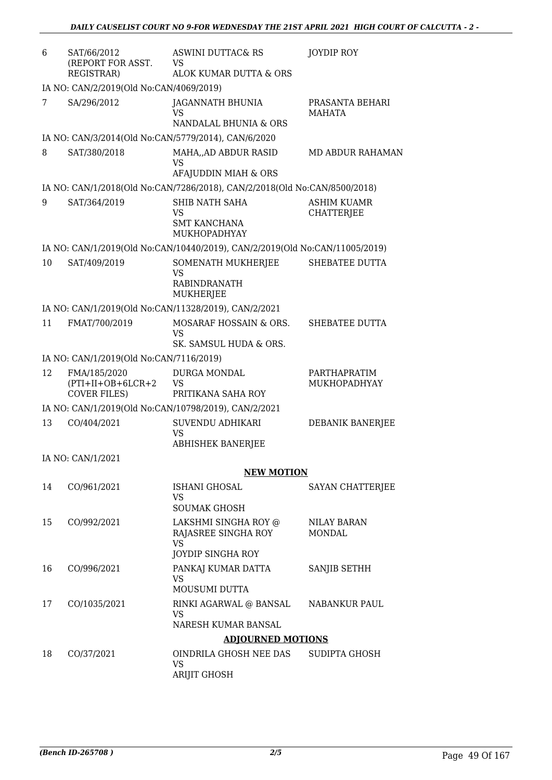| 6  | SAT/66/2012<br>(REPORT FOR ASST.<br>REGISTRAR)              | <b>ASWINI DUTTAC&amp; RS</b><br><b>VS</b><br>ALOK KUMAR DUTTA & ORS         | JOYDIP ROY                              |
|----|-------------------------------------------------------------|-----------------------------------------------------------------------------|-----------------------------------------|
|    | IA NO: CAN/2/2019(Old No:CAN/4069/2019)                     |                                                                             |                                         |
| 7  | SA/296/2012                                                 | <b>JAGANNATH BHUNIA</b><br><b>VS</b>                                        | PRASANTA BEHARI<br><b>MAHATA</b>        |
|    |                                                             | NANDALAL BHUNIA & ORS                                                       |                                         |
|    |                                                             | IA NO: CAN/3/2014(Old No:CAN/5779/2014), CAN/6/2020                         |                                         |
| 8  | SAT/380/2018                                                | MAHA, AD ABDUR RASID<br>VS<br>AFAJUDDIN MIAH & ORS                          | MD ABDUR RAHAMAN                        |
|    |                                                             | IA NO: CAN/1/2018(Old No:CAN/7286/2018), CAN/2/2018(Old No:CAN/8500/2018)   |                                         |
| 9  | SAT/364/2019                                                | SHIB NATH SAHA<br>VS<br><b>SMT KANCHANA</b><br>MUKHOPADHYAY                 | <b>ASHIM KUAMR</b><br><b>CHATTERJEE</b> |
|    |                                                             | IA NO: CAN/1/2019(Old No:CAN/10440/2019), CAN/2/2019(Old No:CAN/11005/2019) |                                         |
| 10 | SAT/409/2019                                                | SOMENATH MUKHERJEE<br><b>VS</b><br>RABINDRANATH<br>MUKHERJEE                | SHEBATEE DUTTA                          |
|    |                                                             | IA NO: CAN/1/2019(Old No:CAN/11328/2019), CAN/2/2021                        |                                         |
| 11 | FMAT/700/2019                                               | MOSARAF HOSSAIN & ORS.<br><b>VS</b>                                         | SHEBATEE DUTTA                          |
|    |                                                             | SK. SAMSUL HUDA & ORS.                                                      |                                         |
|    | IA NO: CAN/1/2019(Old No:CAN/7116/2019)                     |                                                                             |                                         |
| 12 | FMA/185/2020<br>$(PTI+II+OB+6LCR+2)$<br><b>COVER FILES)</b> | DURGA MONDAL<br><b>VS</b><br>PRITIKANA SAHA ROY                             | PARTHAPRATIM<br>MUKHOPADHYAY            |
|    |                                                             | IA NO: CAN/1/2019(Old No:CAN/10798/2019), CAN/2/2021                        |                                         |
| 13 | CO/404/2021                                                 | SUVENDU ADHIKARI<br><b>VS</b><br><b>ABHISHEK BANERJEE</b>                   | DEBANIK BANERJEE                        |
|    | IA NO: CAN/1/2021                                           |                                                                             |                                         |
|    |                                                             | <b>NEW MOTION</b>                                                           |                                         |
| 14 | CO/961/2021                                                 | ISHANI GHOSAL<br><b>VS</b><br><b>SOUMAK GHOSH</b>                           | SAYAN CHATTERJEE                        |
|    |                                                             |                                                                             |                                         |
| 15 | CO/992/2021                                                 | LAKSHMI SINGHA ROY @<br>RAJASREE SINGHA ROY<br><b>VS</b>                    | NILAY BARAN<br><b>MONDAL</b>            |
|    |                                                             | <b>JOYDIP SINGHA ROY</b>                                                    |                                         |
| 16 | CO/996/2021                                                 | PANKAJ KUMAR DATTA<br><b>VS</b><br>MOUSUMI DUTTA                            | SANJIB SETHH                            |
| 17 | CO/1035/2021                                                | RINKI AGARWAL @ BANSAL<br><b>VS</b>                                         | NABANKUR PAUL                           |
|    |                                                             | NARESH KUMAR BANSAL                                                         |                                         |
|    |                                                             | <b>ADJOURNED MOTIONS</b>                                                    |                                         |
| 18 | CO/37/2021                                                  | OINDRILA GHOSH NEE DAS<br><b>VS</b><br><b>ARIJIT GHOSH</b>                  | SUDIPTA GHOSH                           |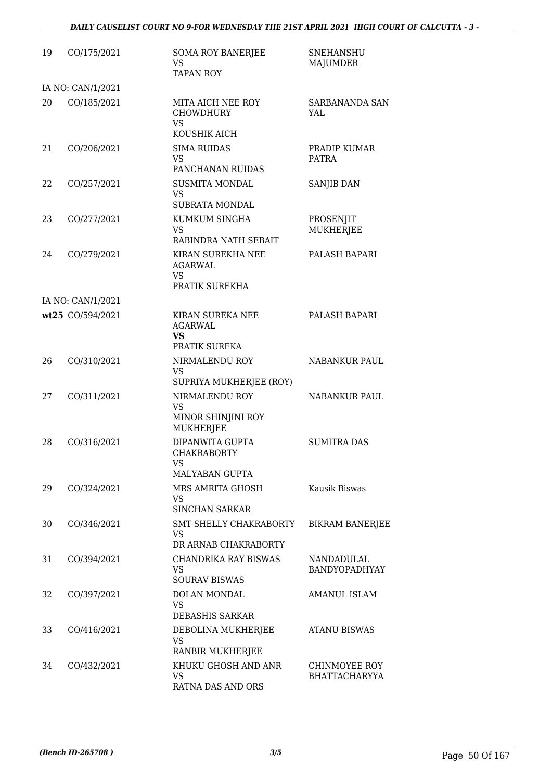| 19 | CO/175/2021       | <b>SOMA ROY BANERJEE</b><br><b>VS</b><br><b>TAPAN ROY</b>                         | <b>SNEHANSHU</b><br><b>MAJUMDER</b>          |
|----|-------------------|-----------------------------------------------------------------------------------|----------------------------------------------|
|    | IA NO: CAN/1/2021 |                                                                                   |                                              |
| 20 | CO/185/2021       | MITA AICH NEE ROY<br><b>CHOWDHURY</b><br><b>VS</b>                                | <b>SARBANANDA SAN</b><br>YAL                 |
| 21 | CO/206/2021       | KOUSHIK AICH<br><b>SIMA RUIDAS</b><br><b>VS</b><br>PANCHANAN RUIDAS               | PRADIP KUMAR<br><b>PATRA</b>                 |
| 22 | CO/257/2021       | <b>SUSMITA MONDAL</b><br><b>VS</b><br><b>SUBRATA MONDAL</b>                       | SANJIB DAN                                   |
| 23 | CO/277/2021       | KUMKUM SINGHA<br><b>VS</b><br>RABINDRA NATH SEBAIT                                | PROSENJIT<br>MUKHERJEE                       |
| 24 | CO/279/2021       | KIRAN SUREKHA NEE<br><b>AGARWAL</b><br><b>VS</b><br>PRATIK SUREKHA                | PALASH BAPARI                                |
|    | IA NO: CAN/1/2021 |                                                                                   |                                              |
|    | wt25 CO/594/2021  | KIRAN SUREKA NEE<br><b>AGARWAL</b><br><b>VS</b><br>PRATIK SUREKA                  | PALASH BAPARI                                |
| 26 | CO/310/2021       | NIRMALENDU ROY<br><b>VS</b>                                                       | <b>NABANKUR PAUL</b>                         |
| 27 | CO/311/2021       | SUPRIYA MUKHERJEE (ROY)<br>NIRMALENDU ROY<br><b>VS</b><br>MINOR SHINJINI ROY      | <b>NABANKUR PAUL</b>                         |
| 28 | CO/316/2021       | <b>MUKHERJEE</b><br>DIPANWITA GUPTA<br><b>CHAKRABORTY</b><br>VS                   | <b>SUMITRA DAS</b>                           |
| 29 | CO/324/2021       | <b>MALYABAN GUPTA</b><br>MRS AMRITA GHOSH<br><b>VS</b><br><b>SINCHAN SARKAR</b>   | Kausik Biswas                                |
| 30 | CO/346/2021       | SMT SHELLY CHAKRABORTY<br><b>VS</b>                                               | <b>BIKRAM BANERJEE</b>                       |
| 31 | CO/394/2021       | DR ARNAB CHAKRABORTY<br>CHANDRIKA RAY BISWAS<br><b>VS</b><br><b>SOURAV BISWAS</b> | NANDADULAL<br><b>BANDYOPADHYAY</b>           |
| 32 | CO/397/2021       | DOLAN MONDAL<br><b>VS</b><br>DEBASHIS SARKAR                                      | AMANUL ISLAM                                 |
| 33 | CO/416/2021       | DEBOLINA MUKHERJEE<br><b>VS</b><br>RANBIR MUKHERJEE                               | <b>ATANU BISWAS</b>                          |
| 34 | CO/432/2021       | KHUKU GHOSH AND ANR<br><b>VS</b><br>RATNA DAS AND ORS                             | <b>CHINMOYEE ROY</b><br><b>BHATTACHARYYA</b> |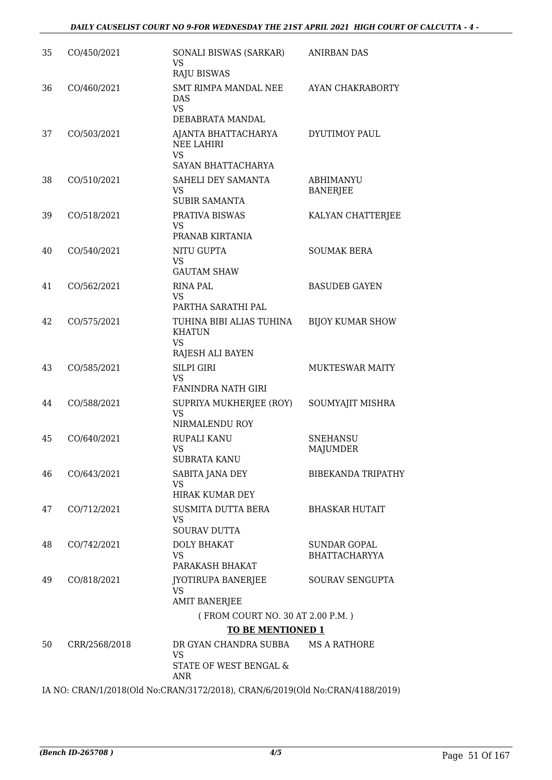| 35 | CO/450/2021   | SONALI BISWAS (SARKAR)<br><b>VS</b><br><b>RAJU BISWAS</b>                   | ANIRBAN DAS                                 |
|----|---------------|-----------------------------------------------------------------------------|---------------------------------------------|
| 36 | CO/460/2021   | SMT RIMPA MANDAL NEE<br><b>DAS</b><br><b>VS</b><br>DEBABRATA MANDAL         | AYAN CHAKRABORTY                            |
| 37 | CO/503/2021   | AJANTA BHATTACHARYA<br><b>NEE LAHIRI</b><br><b>VS</b><br>SAYAN BHATTACHARYA | DYUTIMOY PAUL                               |
| 38 | CO/510/2021   | SAHELI DEY SAMANTA<br><b>VS</b><br><b>SUBIR SAMANTA</b>                     | <b>ABHIMANYU</b><br><b>BANERJEE</b>         |
| 39 | CO/518/2021   | PRATIVA BISWAS<br><b>VS</b><br>PRANAB KIRTANIA                              | KALYAN CHATTERJEE                           |
| 40 | CO/540/2021   | NITU GUPTA<br><b>VS</b><br><b>GAUTAM SHAW</b>                               | <b>SOUMAK BERA</b>                          |
| 41 | CO/562/2021   | <b>RINA PAL</b><br><b>VS</b><br>PARTHA SARATHI PAL                          | <b>BASUDEB GAYEN</b>                        |
| 42 | CO/575/2021   | TUHINA BIBI ALIAS TUHINA<br><b>KHATUN</b><br><b>VS</b><br>RAJESH ALI BAYEN  | <b>BIJOY KUMAR SHOW</b>                     |
| 43 | CO/585/2021   | <b>SILPI GIRI</b><br>VS<br><b>FANINDRA NATH GIRI</b>                        | MUKTESWAR MAITY                             |
| 44 | CO/588/2021   | SUPRIYA MUKHERJEE (ROY)<br><b>VS</b><br>NIRMALENDU ROY                      | SOUMYAJIT MISHRA                            |
| 45 | CO/640/2021   | RUPALI KANU<br>VS<br><b>SUBRATA KANU</b>                                    | <b>SNEHANSU</b><br><b>MAJUMDER</b>          |
| 46 | CO/643/2021   | SABITA JANA DEY<br><b>VS</b><br><b>HIRAK KUMAR DEY</b>                      | <b>BIBEKANDA TRIPATHY</b>                   |
| 47 | CO/712/2021   | SUSMITA DUTTA BERA<br><b>VS</b><br><b>SOURAV DUTTA</b>                      | <b>BHASKAR HUTAIT</b>                       |
| 48 | CO/742/2021   | <b>DOLY BHAKAT</b><br><b>VS</b><br>PARAKASH BHAKAT                          | <b>SUNDAR GOPAL</b><br><b>BHATTACHARYYA</b> |
| 49 | CO/818/2021   | <b>JYOTIRUPA BANERJEE</b><br><b>VS</b><br><b>AMIT BANERJEE</b>              | SOURAV SENGUPTA                             |
|    |               | (FROM COURT NO. 30 AT 2.00 P.M.)<br><b>TO BE MENTIONED 1</b>                |                                             |
| 50 | CRR/2568/2018 | DR GYAN CHANDRA SUBBA<br><b>VS</b><br>STATE OF WEST BENGAL &                | <b>MS A RATHORE</b>                         |
|    |               | <b>ANR</b>                                                                  |                                             |

IA NO: CRAN/1/2018(Old No:CRAN/3172/2018), CRAN/6/2019(Old No:CRAN/4188/2019)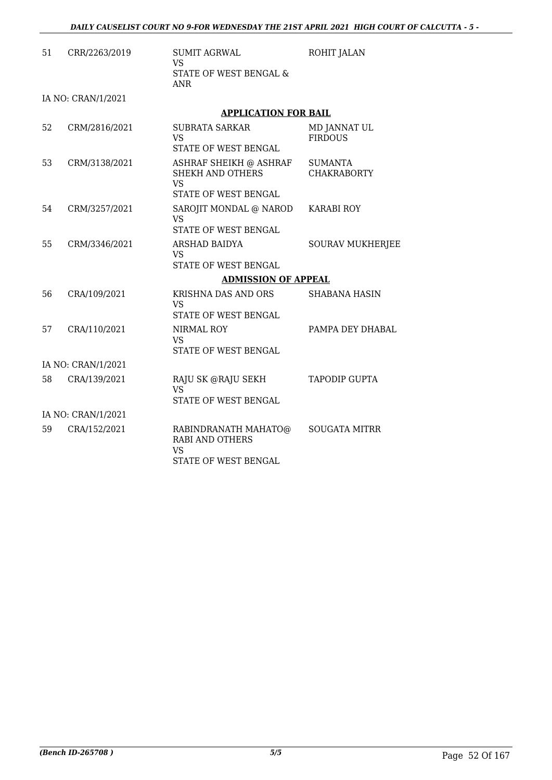| 51 | CRR/2263/2019      | <b>SUMIT AGRWAL</b><br>VS                                                                  | ROHIT JALAN                          |
|----|--------------------|--------------------------------------------------------------------------------------------|--------------------------------------|
|    |                    | STATE OF WEST BENGAL &<br><b>ANR</b>                                                       |                                      |
|    | IA NO: CRAN/1/2021 |                                                                                            |                                      |
|    |                    | <b>APPLICATION FOR BAIL</b>                                                                |                                      |
| 52 | CRM/2816/2021      | <b>SUBRATA SARKAR</b><br>VS<br>STATE OF WEST BENGAL                                        | MD JANNAT UL<br><b>FIRDOUS</b>       |
| 53 | CRM/3138/2021      | ASHRAF SHEIKH @ ASHRAF<br><b>SHEKH AND OTHERS</b><br><b>VS</b><br>STATE OF WEST BENGAL     | <b>SUMANTA</b><br><b>CHAKRABORTY</b> |
| 54 | CRM/3257/2021      | SAROJIT MONDAL @ NAROD<br>VS<br>STATE OF WEST BENGAL                                       | <b>KARABI ROY</b>                    |
| 55 | CRM/3346/2021      | ARSHAD BAIDYA<br><b>VS</b><br>STATE OF WEST BENGAL                                         | <b>SOURAV MUKHERJEE</b>              |
|    |                    | <b>ADMISSION OF APPEAL</b>                                                                 |                                      |
| 56 | CRA/109/2021       | KRISHNA DAS AND ORS<br>VS<br>STATE OF WEST BENGAL                                          | <b>SHABANA HASIN</b>                 |
| 57 | CRA/110/2021       | NIRMAL ROY<br><b>VS</b><br>STATE OF WEST BENGAL                                            | PAMPA DEY DHABAL                     |
|    | IA NO: CRAN/1/2021 |                                                                                            |                                      |
| 58 | CRA/139/2021       | RAJU SK @RAJU SEKH<br>VS.<br>STATE OF WEST BENGAL                                          | <b>TAPODIP GUPTA</b>                 |
|    | IA NO: CRAN/1/2021 |                                                                                            |                                      |
| 59 | CRA/152/2021       | RABINDRANATH MAHATO@<br><b>RABI AND OTHERS</b><br><b>VS</b><br><b>STATE OF WEST BENGAL</b> | <b>SOUGATA MITRR</b>                 |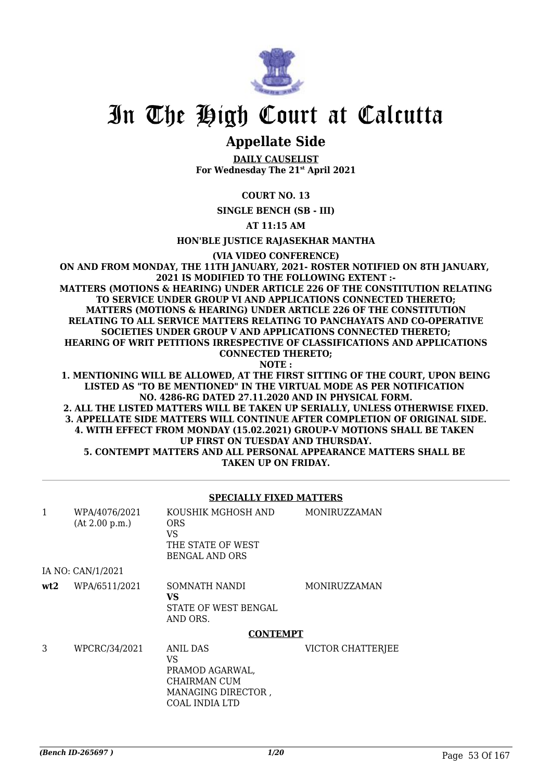

## In The High Court at Calcutta

### **Appellate Side**

**DAILY CAUSELIST For Wednesday The 21st April 2021**

### **COURT NO. 13**

**SINGLE BENCH (SB - III)**

**AT 11:15 AM**

**HON'BLE JUSTICE RAJASEKHAR MANTHA**

**(VIA VIDEO CONFERENCE)**

**ON AND FROM MONDAY, THE 11TH JANUARY, 2021- ROSTER NOTIFIED ON 8TH JANUARY, 2021 IS MODIFIED TO THE FOLLOWING EXTENT :- MATTERS (MOTIONS & HEARING) UNDER ARTICLE 226 OF THE CONSTITUTION RELATING TO SERVICE UNDER GROUP VI AND APPLICATIONS CONNECTED THERETO; MATTERS (MOTIONS & HEARING) UNDER ARTICLE 226 OF THE CONSTITUTION RELATING TO ALL SERVICE MATTERS RELATING TO PANCHAYATS AND CO-OPERATIVE SOCIETIES UNDER GROUP V AND APPLICATIONS CONNECTED THERETO; HEARING OF WRIT PETITIONS IRRESPECTIVE OF CLASSIFICATIONS AND APPLICATIONS CONNECTED THERETO; NOTE :**

**1. MENTIONING WILL BE ALLOWED, AT THE FIRST SITTING OF THE COURT, UPON BEING LISTED AS "TO BE MENTIONED" IN THE VIRTUAL MODE AS PER NOTIFICATION NO. 4286-RG DATED 27.11.2020 AND IN PHYSICAL FORM.**

**2. ALL THE LISTED MATTERS WILL BE TAKEN UP SERIALLY, UNLESS OTHERWISE FIXED. 3. APPELLATE SIDE MATTERS WILL CONTINUE AFTER COMPLETION OF ORIGINAL SIDE. 4. WITH EFFECT FROM MONDAY (15.02.2021) GROUP-V MOTIONS SHALL BE TAKEN UP FIRST ON TUESDAY AND THURSDAY. 5. CONTEMPT MATTERS AND ALL PERSONAL APPEARANCE MATTERS SHALL BE TAKEN UP ON FRIDAY.**

### **SPECIALLY FIXED MATTERS**

| 1   | WPA/4076/2021<br>(At 2.00 p.m.) | KOUSHIK MGHOSH AND<br><b>ORS</b><br>VS<br>THE STATE OF WEST<br>BENGAL AND ORS                    | <b>MONIRUZZAMAN</b> |
|-----|---------------------------------|--------------------------------------------------------------------------------------------------|---------------------|
|     | IA NO: CAN/1/2021               |                                                                                                  |                     |
| wt2 | WPA/6511/2021                   | SOMNATH NANDI<br>VS.<br>STATE OF WEST BENGAL<br>AND ORS.                                         | MONIRUZZAMAN        |
|     |                                 | <b>CONTEMPT</b>                                                                                  |                     |
| 3   | WPCRC/34/2021                   | <b>ANIL DAS</b><br>VS<br>PRAMOD AGARWAL,<br>CHAIRMAN CUM<br>MANAGING DIRECTOR,<br>COAL INDIA LTD | VICTOR CHATTERJEE   |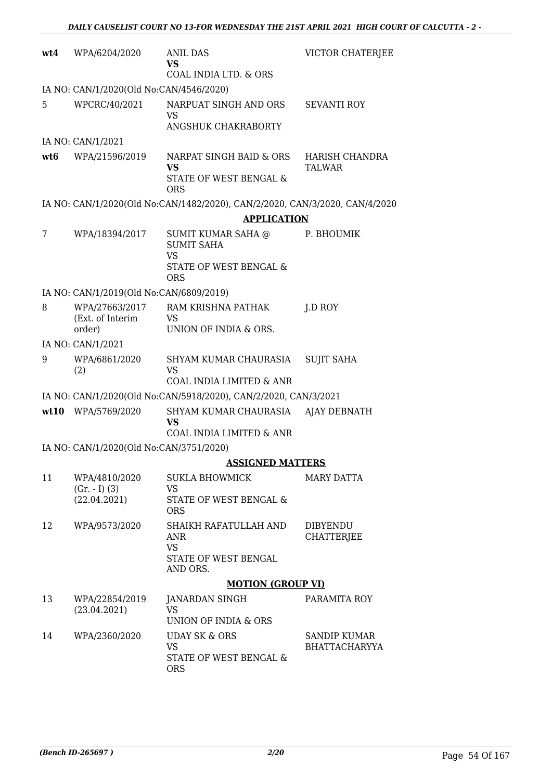| wt4  | WPA/6204/2020                                    | <b>ANIL DAS</b><br><b>VS</b><br>COAL INDIA LTD. & ORS                                        | VICTOR CHATERJEE                     |
|------|--------------------------------------------------|----------------------------------------------------------------------------------------------|--------------------------------------|
|      | IA NO: CAN/1/2020(Old No:CAN/4546/2020)          |                                                                                              |                                      |
| 5    | WPCRC/40/2021                                    | NARPUAT SINGH AND ORS<br><b>VS</b><br>ANGSHUK CHAKRABORTY                                    | <b>SEVANTI ROY</b>                   |
|      | IA NO: CAN/1/2021                                |                                                                                              |                                      |
| wt6  | WPA/21596/2019                                   | NARPAT SINGH BAID & ORS<br>VS<br>STATE OF WEST BENGAL &<br><b>ORS</b>                        | HARISH CHANDRA<br>TALWAR             |
|      |                                                  | IA NO: CAN/1/2020(Old No:CAN/1482/2020), CAN/2/2020, CAN/3/2020, CAN/4/2020                  |                                      |
|      |                                                  | <b>APPLICATION</b>                                                                           |                                      |
| 7    | WPA/18394/2017                                   | SUMIT KUMAR SAHA @<br><b>SUMIT SAHA</b><br><b>VS</b><br>STATE OF WEST BENGAL &<br><b>ORS</b> | P. BHOUMIK                           |
|      | IA NO: CAN/1/2019(Old No:CAN/6809/2019)          |                                                                                              |                                      |
| 8    | WPA/27663/2017<br>(Ext. of Interim<br>order)     | RAM KRISHNA PATHAK<br><b>VS</b><br>UNION OF INDIA & ORS.                                     | J.D ROY                              |
|      | IA NO: CAN/1/2021                                |                                                                                              |                                      |
| 9    | WPA/6861/2020<br>(2)                             | SHYAM KUMAR CHAURASIA<br>VS<br>COAL INDIA LIMITED & ANR                                      | <b>SUJIT SAHA</b>                    |
|      |                                                  | IA NO: CAN/1/2020(Old No:CAN/5918/2020), CAN/2/2020, CAN/3/2021                              |                                      |
| wt10 | WPA/5769/2020                                    | SHYAM KUMAR CHAURASIA<br><b>VS</b><br>COAL INDIA LIMITED & ANR                               | <b>AJAY DEBNATH</b>                  |
|      | IA NO: CAN/1/2020(Old No:CAN/3751/2020)          |                                                                                              |                                      |
|      |                                                  | <b>ASSIGNED MATTERS</b>                                                                      |                                      |
| 11   | WPA/4810/2020<br>$(Gr. - I) (3)$<br>(22.04.2021) | <b>SUKLA BHOWMICK</b><br><b>VS</b><br>STATE OF WEST BENGAL &<br><b>ORS</b>                   | <b>MARY DATTA</b>                    |
| 12   | WPA/9573/2020                                    | SHAIKH RAFATULLAH AND<br>ANR<br><b>VS</b><br>STATE OF WEST BENGAL<br>AND ORS.                | <b>DIBYENDU</b><br><b>CHATTERJEE</b> |
|      |                                                  | <b>MOTION (GROUP VI)</b>                                                                     |                                      |
| 13   | WPA/22854/2019<br>(23.04.2021)                   | <b>JANARDAN SINGH</b><br><b>VS</b><br>UNION OF INDIA & ORS                                   | PARAMITA ROY                         |
| 14   | WPA/2360/2020                                    | <b>UDAY SK &amp; ORS</b><br><b>VS</b><br>STATE OF WEST BENGAL &<br><b>ORS</b>                | SANDIP KUMAR<br><b>BHATTACHARYYA</b> |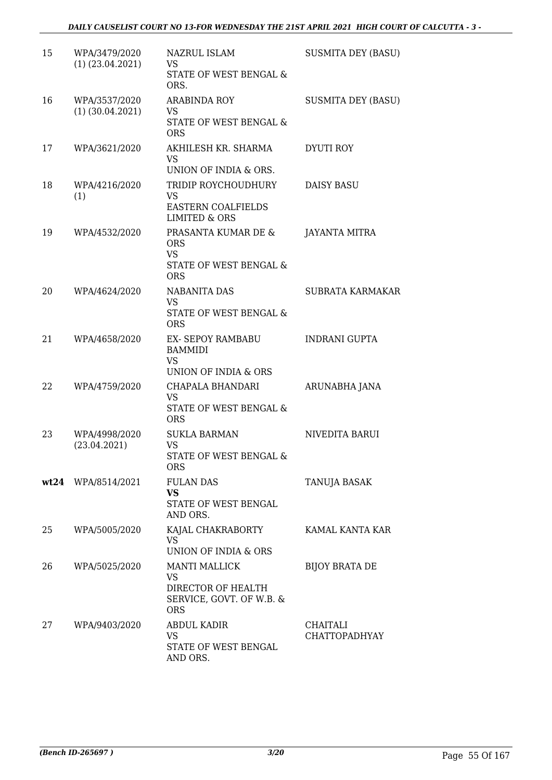| 15 | WPA/3479/2020<br>$(1)$ $(23.04.2021)$ | NAZRUL ISLAM<br>VS<br>STATE OF WEST BENGAL &<br>ORS.                                       | <b>SUSMITA DEY (BASU)</b> |
|----|---------------------------------------|--------------------------------------------------------------------------------------------|---------------------------|
| 16 | WPA/3537/2020<br>$(1)$ $(30.04.2021)$ | <b>ARABINDA ROY</b><br>VS<br>STATE OF WEST BENGAL &<br><b>ORS</b>                          | <b>SUSMITA DEY (BASU)</b> |
| 17 | WPA/3621/2020                         | AKHILESH KR. SHARMA<br><b>VS</b><br>UNION OF INDIA & ORS.                                  | DYUTI ROY                 |
| 18 | WPA/4216/2020<br>(1)                  | TRIDIP ROYCHOUDHURY<br>VS<br><b>EASTERN COALFIELDS</b><br><b>LIMITED &amp; ORS</b>         | <b>DAISY BASU</b>         |
| 19 | WPA/4532/2020                         | PRASANTA KUMAR DE &<br><b>ORS</b><br><b>VS</b><br>STATE OF WEST BENGAL &<br><b>ORS</b>     | <b>JAYANTA MITRA</b>      |
| 20 | WPA/4624/2020                         | <b>NABANITA DAS</b><br><b>VS</b><br>STATE OF WEST BENGAL &<br><b>ORS</b>                   | SUBRATA KARMAKAR          |
| 21 | WPA/4658/2020                         | EX- SEPOY RAMBABU<br><b>BAMMIDI</b><br><b>VS</b><br>UNION OF INDIA & ORS                   | <b>INDRANI GUPTA</b>      |
| 22 | WPA/4759/2020                         | CHAPALA BHANDARI<br>VS<br>STATE OF WEST BENGAL &<br><b>ORS</b>                             | ARUNABHA JANA             |
| 23 | WPA/4998/2020<br>(23.04.2021)         | <b>SUKLA BARMAN</b><br><b>VS</b><br>STATE OF WEST BENGAL &<br><b>ORS</b>                   | NIVEDITA BARUI            |
|    | wt24 WPA/8514/2021                    | <b>FULAN DAS</b><br><b>VS</b><br>STATE OF WEST BENGAL<br>AND ORS.                          | TANUJA BASAK              |
| 25 | WPA/5005/2020                         | KAJAL CHAKRABORTY<br>VS<br>UNION OF INDIA & ORS                                            | KAMAL KANTA KAR           |
| 26 | WPA/5025/2020                         | <b>MANTI MALLICK</b><br>VS<br>DIRECTOR OF HEALTH<br>SERVICE, GOVT. OF W.B. &<br><b>ORS</b> | <b>BIJOY BRATA DE</b>     |
| 27 | WPA/9403/2020                         | <b>ABDUL KADIR</b><br>VS<br>STATE OF WEST BENGAL<br>AND ORS.                               | CHAITALI<br>CHATTOPADHYAY |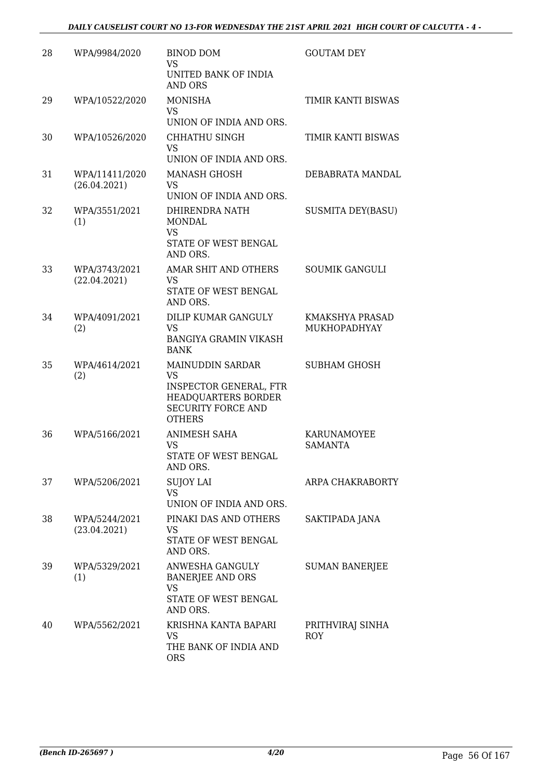### *DAILY CAUSELIST COURT NO 13-FOR WEDNESDAY THE 21ST APRIL 2021 HIGH COURT OF CALCUTTA - 4 -*

| 28 | WPA/9984/2020                  | <b>BINOD DOM</b><br><b>VS</b><br>UNITED BANK OF INDIA<br><b>AND ORS</b>                                                             | <b>GOUTAM DEY</b>                      |
|----|--------------------------------|-------------------------------------------------------------------------------------------------------------------------------------|----------------------------------------|
| 29 | WPA/10522/2020                 | <b>MONISHA</b><br>VS<br>UNION OF INDIA AND ORS.                                                                                     | TIMIR KANTI BISWAS                     |
| 30 | WPA/10526/2020                 | CHHATHU SINGH<br><b>VS</b><br>UNION OF INDIA AND ORS.                                                                               | TIMIR KANTI BISWAS                     |
| 31 | WPA/11411/2020<br>(26.04.2021) | <b>MANASH GHOSH</b><br>VS<br>UNION OF INDIA AND ORS.                                                                                | DEBABRATA MANDAL                       |
| 32 | WPA/3551/2021<br>(1)           | DHIRENDRA NATH<br><b>MONDAL</b><br><b>VS</b><br>STATE OF WEST BENGAL<br>AND ORS.                                                    | <b>SUSMITA DEY(BASU)</b>               |
| 33 | WPA/3743/2021<br>(22.04.2021)  | AMAR SHIT AND OTHERS<br><b>VS</b><br>STATE OF WEST BENGAL<br>AND ORS.                                                               | <b>SOUMIK GANGULI</b>                  |
| 34 | WPA/4091/2021<br>(2)           | DILIP KUMAR GANGULY<br>VS<br><b>BANGIYA GRAMIN VIKASH</b><br><b>BANK</b>                                                            | KMAKSHYA PRASAD<br><b>MUKHOPADHYAY</b> |
| 35 | WPA/4614/2021<br>(2)           | MAINUDDIN SARDAR<br><b>VS</b><br><b>INSPECTOR GENERAL, FTR</b><br>HEADQUARTERS BORDER<br><b>SECURITY FORCE AND</b><br><b>OTHERS</b> | <b>SUBHAM GHOSH</b>                    |
| 36 | WPA/5166/2021                  | ANIMESH SAHA<br><b>VS</b><br>STATE OF WEST BENGAL<br>AND ORS.                                                                       | KARUNAMOYEE<br><b>SAMANTA</b>          |
| 37 | WPA/5206/2021                  | <b>SUJOY LAI</b><br><b>VS</b><br>UNION OF INDIA AND ORS.                                                                            | ARPA CHAKRABORTY                       |
| 38 | WPA/5244/2021<br>(23.04.2021)  | PINAKI DAS AND OTHERS<br>VS<br>STATE OF WEST BENGAL<br>AND ORS.                                                                     | SAKTIPADA JANA                         |
| 39 | WPA/5329/2021<br>(1)           | ANWESHA GANGULY<br><b>BANERJEE AND ORS</b><br><b>VS</b><br>STATE OF WEST BENGAL<br>AND ORS.                                         | <b>SUMAN BANERJEE</b>                  |
| 40 | WPA/5562/2021                  | KRISHNA KANTA BAPARI<br>VS<br>THE BANK OF INDIA AND<br><b>ORS</b>                                                                   | PRITHVIRAJ SINHA<br><b>ROY</b>         |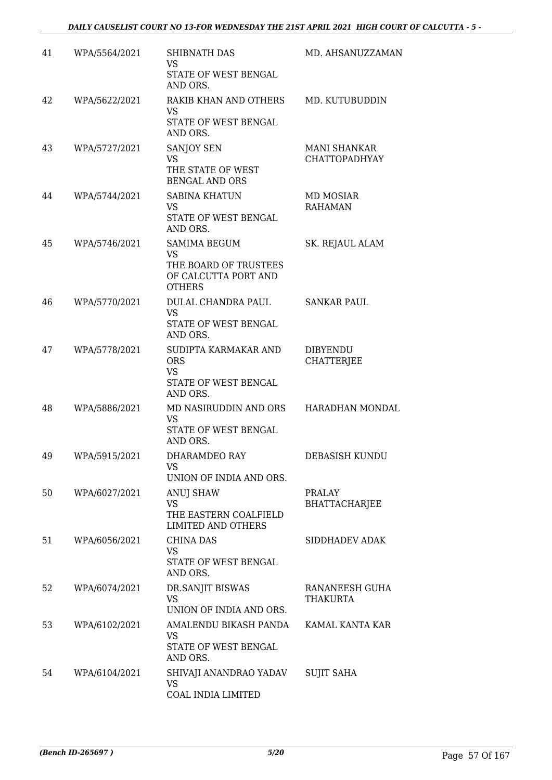| 41 | WPA/5564/2021 | SHIBNATH DAS<br>VS.<br>STATE OF WEST BENGAL<br>AND ORS.                                     | MD. AHSANUZZAMAN                     |
|----|---------------|---------------------------------------------------------------------------------------------|--------------------------------------|
| 42 | WPA/5622/2021 | RAKIB KHAN AND OTHERS<br>VS<br>STATE OF WEST BENGAL<br>AND ORS.                             | MD. KUTUBUDDIN                       |
| 43 | WPA/5727/2021 | SANJOY SEN<br><b>VS</b><br>THE STATE OF WEST<br><b>BENGAL AND ORS</b>                       | <b>MANI SHANKAR</b><br>CHATTOPADHYAY |
| 44 | WPA/5744/2021 | <b>SABINA KHATUN</b><br><b>VS</b><br>STATE OF WEST BENGAL<br>AND ORS.                       | MD MOSIAR<br><b>RAHAMAN</b>          |
| 45 | WPA/5746/2021 | <b>SAMIMA BEGUM</b><br>VS<br>THE BOARD OF TRUSTEES<br>OF CALCUTTA PORT AND<br><b>OTHERS</b> | SK. REJAUL ALAM                      |
| 46 | WPA/5770/2021 | DULAL CHANDRA PAUL<br><b>VS</b><br>STATE OF WEST BENGAL<br>AND ORS.                         | <b>SANKAR PAUL</b>                   |
| 47 | WPA/5778/2021 | SUDIPTA KARMAKAR AND<br><b>ORS</b><br><b>VS</b><br>STATE OF WEST BENGAL<br>AND ORS.         | <b>DIBYENDU</b><br><b>CHATTERJEE</b> |
| 48 | WPA/5886/2021 | MD NASIRUDDIN AND ORS HARADHAN MONDAL<br>VS<br>STATE OF WEST BENGAL<br>AND ORS.             |                                      |
| 49 | WPA/5915/2021 | DHARAMDEO RAY<br>VS.<br>UNION OF INDIA AND ORS.                                             | DEBASISH KUNDU                       |
| 50 | WPA/6027/2021 | ANUJ SHAW<br><b>VS</b><br>THE EASTERN COALFIELD<br><b>LIMITED AND OTHERS</b>                | <b>PRALAY</b><br>BHATTACHARJEE       |
| 51 | WPA/6056/2021 | <b>CHINA DAS</b><br>VS<br>STATE OF WEST BENGAL<br>AND ORS.                                  | SIDDHADEV ADAK                       |
| 52 | WPA/6074/2021 | DR.SANJIT BISWAS<br><b>VS</b><br>UNION OF INDIA AND ORS.                                    | RANANEESH GUHA<br><b>THAKURTA</b>    |
| 53 | WPA/6102/2021 | AMALENDU BIKASH PANDA KAMAL KANTA KAR<br>VS<br>STATE OF WEST BENGAL<br>AND ORS.             |                                      |
| 54 | WPA/6104/2021 | SHIVAJI ANANDRAO YADAV SUJIT SAHA<br>VS<br>COAL INDIA LIMITED                               |                                      |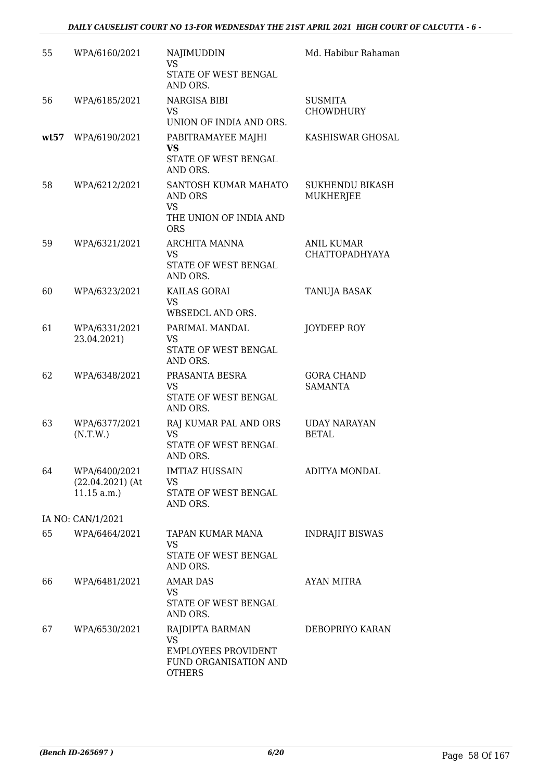| 55   | WPA/6160/2021                                        | NAJIMUDDIN<br><b>VS</b><br>STATE OF WEST BENGAL                                                      | Md. Habibur Rahaman                        |
|------|------------------------------------------------------|------------------------------------------------------------------------------------------------------|--------------------------------------------|
|      |                                                      | AND ORS.                                                                                             |                                            |
| 56   | WPA/6185/2021                                        | NARGISA BIBI<br>VS<br>UNION OF INDIA AND ORS.                                                        | <b>SUSMITA</b><br>CHOWDHURY                |
| wt57 | WPA/6190/2021                                        | PABITRAMAYEE MAJHI<br><b>VS</b><br>STATE OF WEST BENGAL                                              | KASHISWAR GHOSAL                           |
| 58   | WPA/6212/2021                                        | AND ORS.<br>SANTOSH KUMAR MAHATO<br>AND ORS<br><b>VS</b><br>THE UNION OF INDIA AND<br><b>ORS</b>     | <b>SUKHENDU BIKASH</b><br><b>MUKHERJEE</b> |
| 59   | WPA/6321/2021                                        | ARCHITA MANNA<br>VS<br>STATE OF WEST BENGAL<br>AND ORS.                                              | <b>ANIL KUMAR</b><br><b>CHATTOPADHYAYA</b> |
| 60   | WPA/6323/2021                                        | KAILAS GORAI<br><b>VS</b><br>WBSEDCL AND ORS.                                                        | <b>TANUJA BASAK</b>                        |
| 61   | WPA/6331/2021<br>23.04.2021)                         | PARIMAL MANDAL<br>VS<br>STATE OF WEST BENGAL<br>AND ORS.                                             | JOYDEEP ROY                                |
| 62   | WPA/6348/2021                                        | PRASANTA BESRA<br>VS<br>STATE OF WEST BENGAL<br>AND ORS.                                             | <b>GORA CHAND</b><br><b>SAMANTA</b>        |
| 63   | WPA/6377/2021<br>(N.T.W.)                            | RAJ KUMAR PAL AND ORS<br>VS.<br>STATE OF WEST BENGAL<br>AND ORS.                                     | <b>UDAY NARAYAN</b><br><b>BETAL</b>        |
| 64   | WPA/6400/2021<br>$(22.04.2021)$ (At<br>$11.15$ a.m.) | <b>IMTIAZ HUSSAIN</b><br><b>VS</b><br>STATE OF WEST BENGAL<br>AND ORS.                               | ADITYA MONDAL                              |
|      | IA NO: CAN/1/2021                                    |                                                                                                      |                                            |
| 65   | WPA/6464/2021                                        | TAPAN KUMAR MANA<br>VS<br>STATE OF WEST BENGAL<br>AND ORS.                                           | <b>INDRAJIT BISWAS</b>                     |
| 66   | WPA/6481/2021                                        | <b>AMAR DAS</b><br>VS<br>STATE OF WEST BENGAL<br>AND ORS.                                            | AYAN MITRA                                 |
| 67   | WPA/6530/2021                                        | RAJDIPTA BARMAN<br><b>VS</b><br><b>EMPLOYEES PROVIDENT</b><br>FUND ORGANISATION AND<br><b>OTHERS</b> | DEBOPRIYO KARAN                            |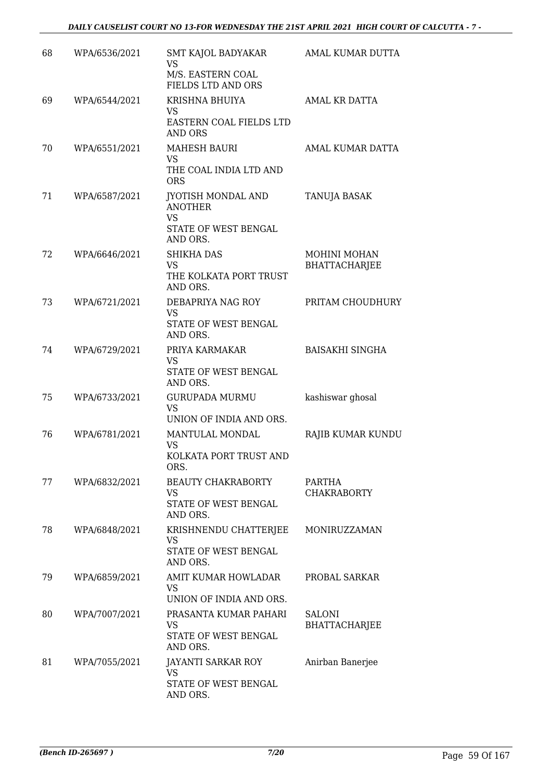| 68 | WPA/6536/2021 | SMT KAJOL BADYAKAR<br>VS<br>M/S. EASTERN COAL<br>FIELDS LTD AND ORS              | AMAL KUMAR DUTTA                      |
|----|---------------|----------------------------------------------------------------------------------|---------------------------------------|
| 69 | WPA/6544/2021 | KRISHNA BHUIYA                                                                   | <b>AMAL KR DATTA</b>                  |
|    |               | <b>VS</b><br>EASTERN COAL FIELDS LTD<br><b>AND ORS</b>                           |                                       |
| 70 | WPA/6551/2021 | <b>MAHESH BAURI</b><br><b>VS</b><br>THE COAL INDIA LTD AND<br><b>ORS</b>         | AMAL KUMAR DATTA                      |
| 71 | WPA/6587/2021 | <b>JYOTISH MONDAL AND</b><br><b>ANOTHER</b><br><b>VS</b><br>STATE OF WEST BENGAL | TANUJA BASAK                          |
|    |               | AND ORS.                                                                         |                                       |
| 72 | WPA/6646/2021 | <b>SHIKHA DAS</b><br><b>VS</b><br>THE KOLKATA PORT TRUST<br>AND ORS.             | MOHINI MOHAN<br><b>BHATTACHARJEE</b>  |
| 73 | WPA/6721/2021 | DEBAPRIYA NAG ROY                                                                | PRITAM CHOUDHURY                      |
|    |               | <b>VS</b><br>STATE OF WEST BENGAL<br>AND ORS.                                    |                                       |
| 74 | WPA/6729/2021 | PRIYA KARMAKAR<br>VS<br>STATE OF WEST BENGAL<br>AND ORS.                         | <b>BAISAKHI SINGHA</b>                |
| 75 | WPA/6733/2021 | <b>GURUPADA MURMU</b><br><b>VS</b><br>UNION OF INDIA AND ORS.                    | kashiswar ghosal                      |
| 76 | WPA/6781/2021 | MANTULAL MONDAL<br><b>VS</b><br>KOLKATA PORT TRUST AND<br>ORS.                   | RAJIB KUMAR KUNDU                     |
| 77 | WPA/6832/2021 | <b>BEAUTY CHAKRABORTY</b><br>VS<br>STATE OF WEST BENGAL<br>AND ORS.              | PARTHA<br><b>CHAKRABORTY</b>          |
| 78 | WPA/6848/2021 | KRISHNENDU CHATTERJEE<br><b>VS</b><br>STATE OF WEST BENGAL<br>AND ORS.           | MONIRUZZAMAN                          |
| 79 | WPA/6859/2021 | AMIT KUMAR HOWLADAR<br>VS<br>UNION OF INDIA AND ORS.                             | PROBAL SARKAR                         |
| 80 | WPA/7007/2021 | PRASANTA KUMAR PAHARI<br>VS<br>STATE OF WEST BENGAL<br>AND ORS.                  | <b>SALONI</b><br><b>BHATTACHARJEE</b> |
| 81 | WPA/7055/2021 | JAYANTI SARKAR ROY<br><b>VS</b><br>STATE OF WEST BENGAL<br>AND ORS.              | Anirban Banerjee                      |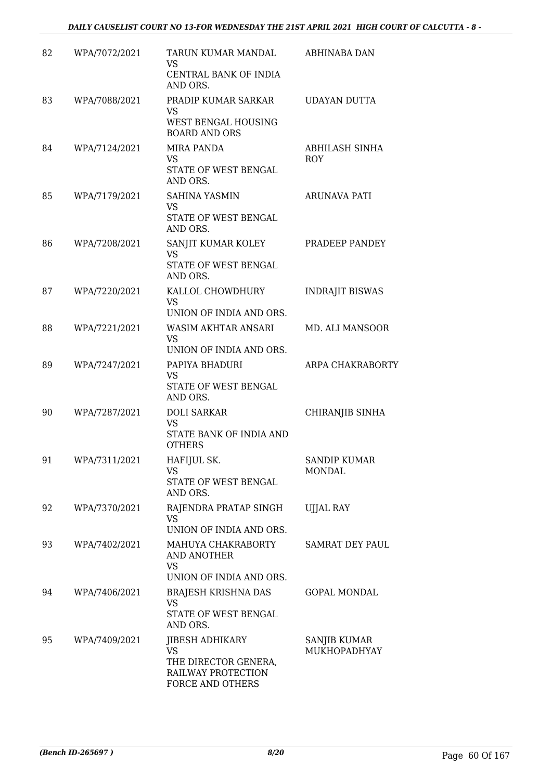| 82 | WPA/7072/2021 | TARUN KUMAR MANDAL<br>VS.<br>CENTRAL BANK OF INDIA<br>AND ORS.                                        | ABHINABA DAN                 |
|----|---------------|-------------------------------------------------------------------------------------------------------|------------------------------|
| 83 | WPA/7088/2021 | PRADIP KUMAR SARKAR<br>VS<br>WEST BENGAL HOUSING<br><b>BOARD AND ORS</b>                              | UDAYAN DUTTA                 |
| 84 | WPA/7124/2021 | MIRA PANDA<br><b>VS</b><br>STATE OF WEST BENGAL<br>AND ORS.                                           | ABHILASH SINHA<br>ROY        |
| 85 | WPA/7179/2021 | SAHINA YASMIN<br>VS<br>STATE OF WEST BENGAL<br>AND ORS.                                               | ARUNAVA PATI                 |
| 86 | WPA/7208/2021 | SANJIT KUMAR KOLEY<br>VS<br>STATE OF WEST BENGAL<br>AND ORS.                                          | PRADEEP PANDEY               |
| 87 | WPA/7220/2021 | KALLOL CHOWDHURY<br><b>VS</b><br>UNION OF INDIA AND ORS.                                              | <b>INDRAJIT BISWAS</b>       |
| 88 | WPA/7221/2021 | WASIM AKHTAR ANSARI<br>VS<br>UNION OF INDIA AND ORS.                                                  | MD. ALI MANSOOR              |
| 89 | WPA/7247/2021 | PAPIYA BHADURI<br>VS<br>STATE OF WEST BENGAL<br>AND ORS.                                              | ARPA CHAKRABORTY             |
| 90 | WPA/7287/2021 | <b>DOLI SARKAR</b><br><b>VS</b><br>STATE BANK OF INDIA AND<br><b>OTHERS</b>                           | CHIRANJIB SINHA              |
| 91 | WPA/7311/2021 | HAFIJUL SK.<br>VS<br>STATE OF WEST BENGAL<br>AND ORS.                                                 | SANDIP KUMAR<br>MONDAL       |
| 92 | WPA/7370/2021 | RAJENDRA PRATAP SINGH<br>VS<br>UNION OF INDIA AND ORS.                                                | UJJAL RAY                    |
| 93 | WPA/7402/2021 | MAHUYA CHAKRABORTY<br>AND ANOTHER<br>VS.<br>UNION OF INDIA AND ORS.                                   | SAMRAT DEY PAUL              |
| 94 | WPA/7406/2021 | <b>BRAJESH KRISHNA DAS</b><br>VS<br>STATE OF WEST BENGAL<br>AND ORS.                                  | <b>GOPAL MONDAL</b>          |
| 95 | WPA/7409/2021 | <b>JIBESH ADHIKARY</b><br><b>VS</b><br>THE DIRECTOR GENERA,<br>RAILWAY PROTECTION<br>FORCE AND OTHERS | SANJIB KUMAR<br>MUKHOPADHYAY |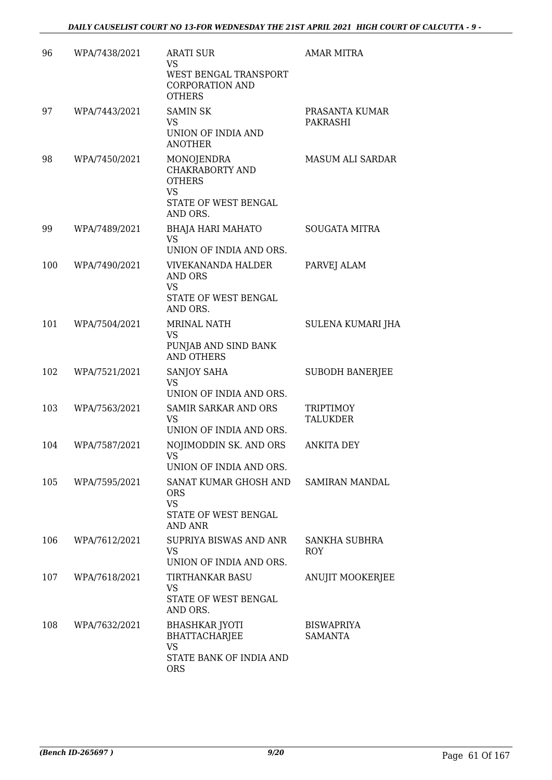| 96  | WPA/7438/2021 | <b>ARATI SUR</b><br>VS<br>WEST BENGAL TRANSPORT<br><b>CORPORATION AND</b><br><b>OTHERS</b>                    | <b>AMAR MITRA</b>                   |
|-----|---------------|---------------------------------------------------------------------------------------------------------------|-------------------------------------|
| 97  | WPA/7443/2021 | <b>SAMIN SK</b><br>VS<br>UNION OF INDIA AND<br><b>ANOTHER</b>                                                 | PRASANTA KUMAR<br>PAKRASHI          |
| 98  | WPA/7450/2021 | <b>MONOJENDRA</b><br><b>CHAKRABORTY AND</b><br><b>OTHERS</b><br><b>VS</b><br>STATE OF WEST BENGAL<br>AND ORS. | <b>MASUM ALI SARDAR</b>             |
| 99  | WPA/7489/2021 | <b>BHAJA HARI MAHATO</b><br><b>VS</b><br>UNION OF INDIA AND ORS.                                              | <b>SOUGATA MITRA</b>                |
| 100 | WPA/7490/2021 | <b>VIVEKANANDA HALDER</b><br>AND ORS<br><b>VS</b><br>STATE OF WEST BENGAL<br>AND ORS.                         | PARVEJ ALAM                         |
| 101 | WPA/7504/2021 | MRINAL NATH<br><b>VS</b><br>PUNJAB AND SIND BANK<br><b>AND OTHERS</b>                                         | SULENA KUMARI JHA                   |
| 102 | WPA/7521/2021 | SANJOY SAHA<br><b>VS</b><br>UNION OF INDIA AND ORS.                                                           | <b>SUBODH BANERJEE</b>              |
| 103 | WPA/7563/2021 | <b>SAMIR SARKAR AND ORS</b><br>VS<br>UNION OF INDIA AND ORS.                                                  | <b>TRIPTIMOY</b><br>TALUKDER        |
| 104 | WPA/7587/2021 | NOJIMODDIN SK. AND ORS<br><b>VS</b><br>UNION OF INDIA AND ORS.                                                | <b>ANKITA DEY</b>                   |
| 105 | WPA/7595/2021 | SANAT KUMAR GHOSH AND<br><b>ORS</b><br><b>VS</b><br>STATE OF WEST BENGAL<br><b>AND ANR</b>                    | SAMIRAN MANDAL                      |
| 106 | WPA/7612/2021 | SUPRIYA BISWAS AND ANR<br>VS<br>UNION OF INDIA AND ORS.                                                       | SANKHA SUBHRA<br>ROY                |
| 107 | WPA/7618/2021 | TIRTHANKAR BASU<br>VS<br>STATE OF WEST BENGAL<br>AND ORS.                                                     | ANUJIT MOOKERJEE                    |
| 108 | WPA/7632/2021 | <b>BHASHKAR JYOTI</b><br><b>BHATTACHARJEE</b><br><b>VS</b><br>STATE BANK OF INDIA AND<br><b>ORS</b>           | <b>BISWAPRIYA</b><br><b>SAMANTA</b> |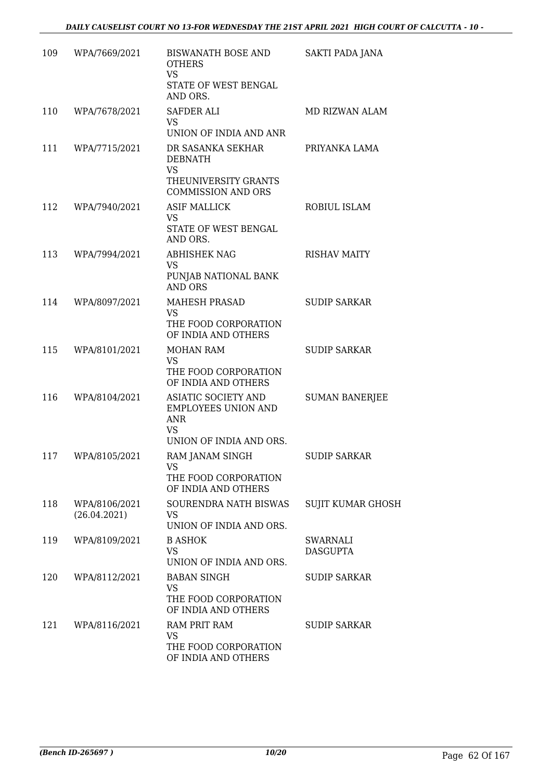| 109 | WPA/7669/2021                 | BISWANATH BOSE AND<br><b>OTHERS</b><br><b>VS</b><br>STATE OF WEST BENGAL<br>AND ORS.                    | SAKTI PADA JANA             |
|-----|-------------------------------|---------------------------------------------------------------------------------------------------------|-----------------------------|
| 110 | WPA/7678/2021                 | SAFDER ALI<br><b>VS</b><br>UNION OF INDIA AND ANR                                                       | MD RIZWAN ALAM              |
| 111 | WPA/7715/2021                 | DR SASANKA SEKHAR<br><b>DEBNATH</b><br><b>VS</b><br>THEUNIVERSITY GRANTS<br><b>COMMISSION AND ORS</b>   | PRIYANKA LAMA               |
| 112 | WPA/7940/2021                 | <b>ASIF MALLICK</b><br>VS<br>STATE OF WEST BENGAL<br>AND ORS.                                           | ROBIUL ISLAM                |
| 113 | WPA/7994/2021                 | <b>ABHISHEK NAG</b><br><b>VS</b><br>PUNJAB NATIONAL BANK<br><b>AND ORS</b>                              | <b>RISHAV MAITY</b>         |
| 114 | WPA/8097/2021                 | <b>MAHESH PRASAD</b><br><b>VS</b><br>THE FOOD CORPORATION<br>OF INDIA AND OTHERS                        | <b>SUDIP SARKAR</b>         |
| 115 | WPA/8101/2021                 | MOHAN RAM<br>VS<br>THE FOOD CORPORATION<br>OF INDIA AND OTHERS                                          | <b>SUDIP SARKAR</b>         |
| 116 | WPA/8104/2021                 | ASIATIC SOCIETY AND<br><b>EMPLOYEES UNION AND</b><br><b>ANR</b><br><b>VS</b><br>UNION OF INDIA AND ORS. | <b>SUMAN BANERJEE</b>       |
| 117 | WPA/8105/2021                 | RAM JANAM SINGH<br>VS<br>THE FOOD CORPORATION<br>OF INDIA AND OTHERS                                    | <b>SUDIP SARKAR</b>         |
| 118 | WPA/8106/2021<br>(26.04.2021) | SOURENDRA NATH BISWAS<br>VS<br>UNION OF INDIA AND ORS.                                                  | <b>SUJIT KUMAR GHOSH</b>    |
| 119 | WPA/8109/2021                 | <b>B ASHOK</b><br><b>VS</b><br>UNION OF INDIA AND ORS.                                                  | SWARNALI<br><b>DASGUPTA</b> |
| 120 | WPA/8112/2021                 | <b>BABAN SINGH</b><br><b>VS</b><br>THE FOOD CORPORATION<br>OF INDIA AND OTHERS                          | <b>SUDIP SARKAR</b>         |
| 121 | WPA/8116/2021                 | RAM PRIT RAM<br>VS<br>THE FOOD CORPORATION<br>OF INDIA AND OTHERS                                       | <b>SUDIP SARKAR</b>         |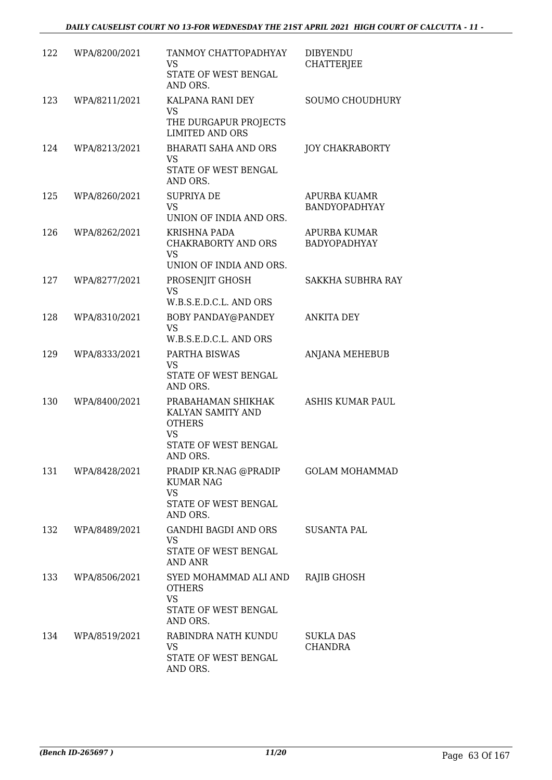| 122 | WPA/8200/2021 | TANMOY CHATTOPADHYAY<br>VS<br>STATE OF WEST BENGAL<br>AND ORS.                                            | <b>DIBYENDU</b><br><b>CHATTERJEE</b>       |
|-----|---------------|-----------------------------------------------------------------------------------------------------------|--------------------------------------------|
| 123 | WPA/8211/2021 | KALPANA RANI DEY<br><b>VS</b><br>THE DURGAPUR PROJECTS<br><b>LIMITED AND ORS</b>                          | SOUMO CHOUDHURY                            |
| 124 | WPA/8213/2021 | <b>BHARATI SAHA AND ORS</b><br><b>VS</b><br>STATE OF WEST BENGAL<br>AND ORS.                              | <b>JOY CHAKRABORTY</b>                     |
| 125 | WPA/8260/2021 | <b>SUPRIYA DE</b><br><b>VS</b><br>UNION OF INDIA AND ORS.                                                 | APURBA KUAMR<br>BANDYOPADHYAY              |
| 126 | WPA/8262/2021 | <b>KRISHNA PADA</b><br>CHAKRABORTY AND ORS<br><b>VS</b><br>UNION OF INDIA AND ORS.                        | <b>APURBA KUMAR</b><br><b>BADYOPADHYAY</b> |
| 127 | WPA/8277/2021 | PROSENJIT GHOSH<br><b>VS</b><br>W.B.S.E.D.C.L. AND ORS                                                    | <b>SAKKHA SUBHRA RAY</b>                   |
| 128 | WPA/8310/2021 | BOBY PANDAY@PANDEY<br><b>VS</b><br>W.B.S.E.D.C.L. AND ORS                                                 | <b>ANKITA DEY</b>                          |
| 129 | WPA/8333/2021 | PARTHA BISWAS<br>VS<br>STATE OF WEST BENGAL<br>AND ORS.                                                   | ANJANA MEHEBUB                             |
| 130 | WPA/8400/2021 | PRABAHAMAN SHIKHAK<br>KALYAN SAMITY AND<br><b>OTHERS</b><br><b>VS</b><br>STATE OF WEST BENGAL<br>AND ORS. | <b>ASHIS KUMAR PAUL</b>                    |
| 131 | WPA/8428/2021 | PRADIP KR.NAG @PRADIP<br><b>KUMAR NAG</b><br><b>VS</b><br>STATE OF WEST BENGAL<br>AND ORS.                | <b>GOLAM MOHAMMAD</b>                      |
| 132 | WPA/8489/2021 | GANDHI BAGDI AND ORS<br><b>VS</b><br>STATE OF WEST BENGAL<br>AND ANR                                      | <b>SUSANTA PAL</b>                         |
| 133 | WPA/8506/2021 | SYED MOHAMMAD ALI AND<br><b>OTHERS</b><br><b>VS</b><br>STATE OF WEST BENGAL<br>AND ORS.                   | RAJIB GHOSH                                |
| 134 | WPA/8519/2021 | RABINDRA NATH KUNDU<br>VS<br>STATE OF WEST BENGAL<br>AND ORS.                                             | SUKLA DAS<br>CHANDRA                       |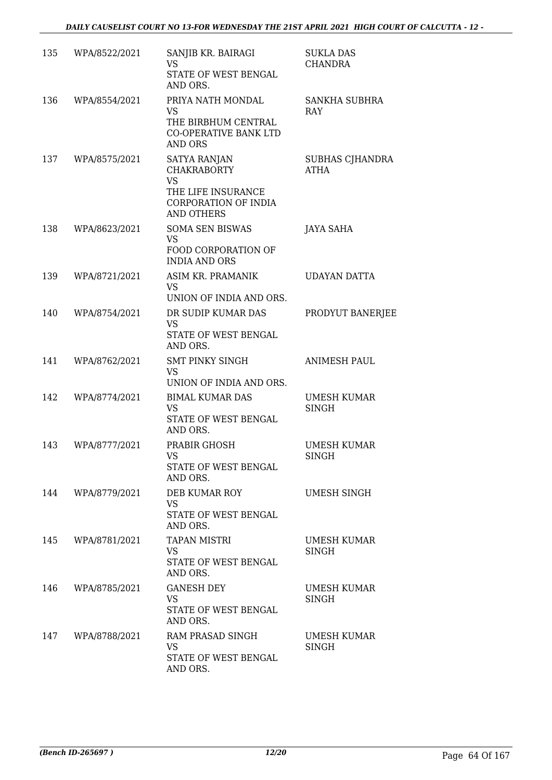| 135 | WPA/8522/2021 | SANJIB KR. BAIRAGI<br><b>VS</b><br>STATE OF WEST BENGAL<br>AND ORS.                                                       | <b>SUKLA DAS</b><br><b>CHANDRA</b> |
|-----|---------------|---------------------------------------------------------------------------------------------------------------------------|------------------------------------|
| 136 | WPA/8554/2021 | PRIYA NATH MONDAL<br>VS<br>THE BIRBHUM CENTRAL<br>CO-OPERATIVE BANK LTD<br><b>AND ORS</b>                                 | SANKHA SUBHRA<br>RAY               |
| 137 | WPA/8575/2021 | <b>SATYA RANJAN</b><br><b>CHAKRABORTY</b><br><b>VS</b><br>THE LIFE INSURANCE<br>CORPORATION OF INDIA<br><b>AND OTHERS</b> | SUBHAS CJHANDRA<br><b>ATHA</b>     |
| 138 | WPA/8623/2021 | <b>SOMA SEN BISWAS</b><br><b>VS</b><br>FOOD CORPORATION OF<br><b>INDIA AND ORS</b>                                        | <b>JAYA SAHA</b>                   |
| 139 | WPA/8721/2021 | ASIM KR. PRAMANIK<br><b>VS</b><br>UNION OF INDIA AND ORS.                                                                 | UDAYAN DATTA                       |
| 140 | WPA/8754/2021 | DR SUDIP KUMAR DAS<br><b>VS</b><br>STATE OF WEST BENGAL<br>AND ORS.                                                       | PRODYUT BANERJEE                   |
| 141 | WPA/8762/2021 | <b>SMT PINKY SINGH</b><br><b>VS</b><br>UNION OF INDIA AND ORS.                                                            | <b>ANIMESH PAUL</b>                |
| 142 | WPA/8774/2021 | <b>BIMAL KUMAR DAS</b><br>VS<br>STATE OF WEST BENGAL<br>AND ORS.                                                          | UMESH KUMAR<br>SINGH               |
| 143 | WPA/8777/2021 | PRABIR GHOSH<br>VS<br>STATE OF WEST BENGAL<br>AND ORS.                                                                    | <b>UMESH KUMAR</b><br><b>SINGH</b> |
| 144 | WPA/8779/2021 | DEB KUMAR ROY<br>VS<br>STATE OF WEST BENGAL<br>AND ORS.                                                                   | <b>UMESH SINGH</b>                 |
| 145 | WPA/8781/2021 | <b>TAPAN MISTRI</b><br>VS.<br>STATE OF WEST BENGAL<br>AND ORS.                                                            | <b>UMESH KUMAR</b><br>SINGH        |
| 146 | WPA/8785/2021 | <b>GANESH DEY</b><br>VS.<br>STATE OF WEST BENGAL<br>AND ORS.                                                              | <b>UMESH KUMAR</b><br>SINGH        |
| 147 | WPA/8788/2021 | RAM PRASAD SINGH<br>VS<br>STATE OF WEST BENGAL<br>AND ORS.                                                                | UMESH KUMAR<br>SINGH               |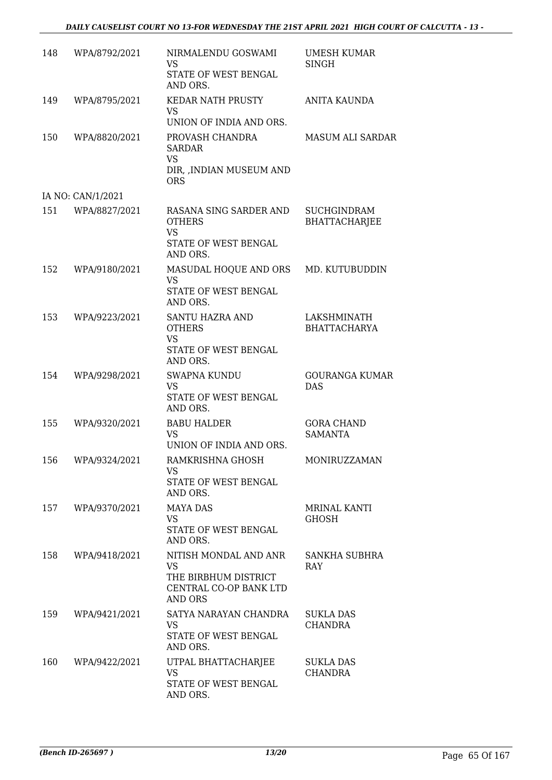| 148 | WPA/8792/2021     | NIRMALENDU GOSWAMI<br><b>VS</b><br>STATE OF WEST BENGAL<br>AND ORS.                             | <b>UMESH KUMAR</b><br>SINGH                |
|-----|-------------------|-------------------------------------------------------------------------------------------------|--------------------------------------------|
| 149 | WPA/8795/2021     | <b>KEDAR NATH PRUSTY</b><br>VS<br>UNION OF INDIA AND ORS.                                       | ANITA KAUNDA                               |
| 150 | WPA/8820/2021     | PROVASH CHANDRA<br><b>SARDAR</b><br><b>VS</b><br>DIR, , INDIAN MUSEUM AND<br><b>ORS</b>         | <b>MASUM ALI SARDAR</b>                    |
|     | IA NO: CAN/1/2021 |                                                                                                 |                                            |
| 151 | WPA/8827/2021     | RASANA SING SARDER AND<br><b>OTHERS</b><br><b>VS</b><br>STATE OF WEST BENGAL<br>AND ORS.        | <b>SUCHGINDRAM</b><br><b>BHATTACHARJEE</b> |
| 152 | WPA/9180/2021     | MASUDAL HOQUE AND ORS<br><b>VS</b><br>STATE OF WEST BENGAL<br>AND ORS.                          | MD. KUTUBUDDIN                             |
| 153 | WPA/9223/2021     | <b>SANTU HAZRA AND</b><br><b>OTHERS</b><br><b>VS</b><br>STATE OF WEST BENGAL<br>AND ORS.        | LAKSHMINATH<br><b>BHATTACHARYA</b>         |
| 154 | WPA/9298/2021     | <b>SWAPNA KUNDU</b><br><b>VS</b><br>STATE OF WEST BENGAL<br>AND ORS.                            | <b>GOURANGA KUMAR</b><br><b>DAS</b>        |
| 155 | WPA/9320/2021     | <b>BABU HALDER</b><br><b>VS</b><br>UNION OF INDIA AND ORS.                                      | <b>GORA CHAND</b><br><b>SAMANTA</b>        |
| 156 | WPA/9324/2021     | RAMKRISHNA GHOSH<br>VS.<br>STATE OF WEST BENGAL<br>AND ORS.                                     | MONIRUZZAMAN                               |
| 157 | WPA/9370/2021     | <b>MAYA DAS</b><br>VS.<br>STATE OF WEST BENGAL<br>AND ORS.                                      | MRINAL KANTI<br><b>GHOSH</b>               |
| 158 | WPA/9418/2021     | NITISH MONDAL AND ANR<br><b>VS</b><br>THE BIRBHUM DISTRICT<br>CENTRAL CO-OP BANK LTD<br>AND ORS | <b>SANKHA SUBHRA</b><br><b>RAY</b>         |
| 159 | WPA/9421/2021     | SATYA NARAYAN CHANDRA<br><b>VS</b><br>STATE OF WEST BENGAL<br>AND ORS.                          | SUKLA DAS<br><b>CHANDRA</b>                |
| 160 | WPA/9422/2021     | UTPAL BHATTACHARJEE<br><b>VS</b><br>STATE OF WEST BENGAL<br>AND ORS.                            | SUKLA DAS<br><b>CHANDRA</b>                |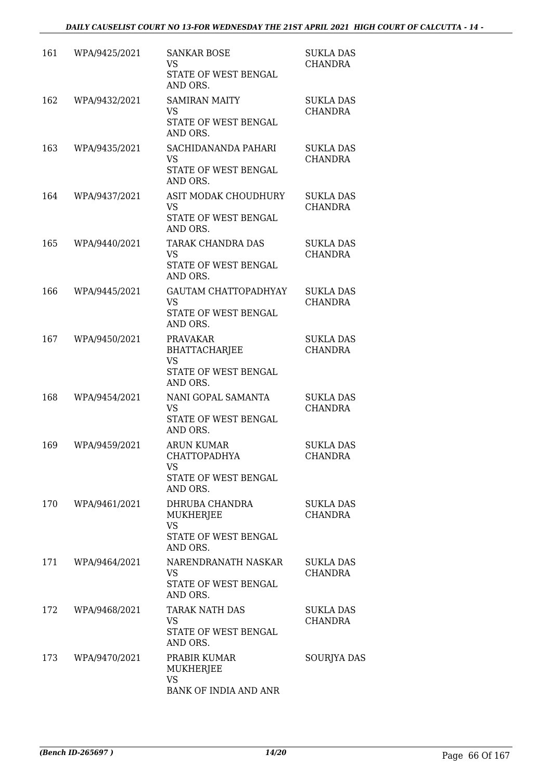| 161 | WPA/9425/2021 | <b>SANKAR BOSE</b><br><b>VS</b><br>STATE OF WEST BENGAL<br>AND ORS.                 | <b>SUKLA DAS</b><br><b>CHANDRA</b> |
|-----|---------------|-------------------------------------------------------------------------------------|------------------------------------|
| 162 | WPA/9432/2021 | <b>SAMIRAN MAITY</b><br><b>VS</b><br>STATE OF WEST BENGAL<br>AND ORS.               | <b>SUKLA DAS</b><br><b>CHANDRA</b> |
| 163 | WPA/9435/2021 | SACHIDANANDA PAHARI<br><b>VS</b><br>STATE OF WEST BENGAL<br>AND ORS.                | <b>SUKLA DAS</b><br><b>CHANDRA</b> |
| 164 | WPA/9437/2021 | ASIT MODAK CHOUDHURY<br><b>VS</b><br>STATE OF WEST BENGAL<br>AND ORS.               | <b>SUKLA DAS</b><br><b>CHANDRA</b> |
| 165 | WPA/9440/2021 | TARAK CHANDRA DAS<br><b>VS</b><br>STATE OF WEST BENGAL<br>AND ORS.                  | <b>SUKLA DAS</b><br><b>CHANDRA</b> |
| 166 | WPA/9445/2021 | <b>GAUTAM CHATTOPADHYAY</b><br>VS.<br>STATE OF WEST BENGAL<br>AND ORS.              | <b>SUKLA DAS</b><br><b>CHANDRA</b> |
| 167 | WPA/9450/2021 | <b>PRAVAKAR</b><br><b>BHATTACHARJEE</b><br>VS<br>STATE OF WEST BENGAL<br>AND ORS.   | <b>SUKLA DAS</b><br><b>CHANDRA</b> |
| 168 | WPA/9454/2021 | NANI GOPAL SAMANTA<br><b>VS</b><br>STATE OF WEST BENGAL<br>AND ORS.                 | <b>SUKLA DAS</b><br><b>CHANDRA</b> |
| 169 | WPA/9459/2021 | <b>ARUN KUMAR</b><br><b>CHATTOPADHYA</b><br>VS<br>STATE OF WEST BENGAL<br>AND ORS.  | <b>SUKLA DAS</b><br><b>CHANDRA</b> |
| 170 | WPA/9461/2021 | DHRUBA CHANDRA<br><b>MUKHERJEE</b><br><b>VS</b><br>STATE OF WEST BENGAL<br>AND ORS. | <b>SUKLA DAS</b><br><b>CHANDRA</b> |
| 171 | WPA/9464/2021 | NARENDRANATH NASKAR<br>VS<br>STATE OF WEST BENGAL<br>AND ORS.                       | <b>SUKLA DAS</b><br><b>CHANDRA</b> |
| 172 | WPA/9468/2021 | TARAK NATH DAS<br><b>VS</b><br>STATE OF WEST BENGAL<br>AND ORS.                     | SUKLA DAS<br><b>CHANDRA</b>        |
| 173 | WPA/9470/2021 | PRABIR KUMAR<br>MUKHERJEE<br><b>VS</b><br>BANK OF INDIA AND ANR                     | <b>SOURJYA DAS</b>                 |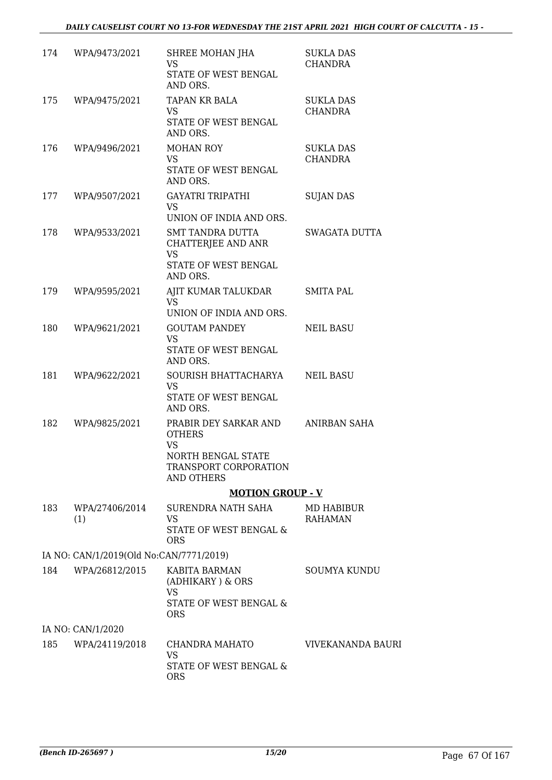| 174 | WPA/9473/2021                           | SHREE MOHAN JHA<br>VS<br>STATE OF WEST BENGAL<br>AND ORS.                                                        | <b>SUKLA DAS</b><br><b>CHANDRA</b> |
|-----|-----------------------------------------|------------------------------------------------------------------------------------------------------------------|------------------------------------|
| 175 | WPA/9475/2021                           | TAPAN KR BALA<br>VS<br>STATE OF WEST BENGAL<br>AND ORS.                                                          | <b>SUKLA DAS</b><br><b>CHANDRA</b> |
| 176 | WPA/9496/2021                           | <b>MOHAN ROY</b><br><b>VS</b><br>STATE OF WEST BENGAL<br>AND ORS.                                                | <b>SUKLA DAS</b><br>CHANDRA        |
| 177 | WPA/9507/2021                           | <b>GAYATRI TRIPATHI</b><br><b>VS</b><br>UNION OF INDIA AND ORS.                                                  | <b>SUJAN DAS</b>                   |
| 178 | WPA/9533/2021                           | SMT TANDRA DUTTA<br><b>CHATTERJEE AND ANR</b><br><b>VS</b><br>STATE OF WEST BENGAL<br>AND ORS.                   | SWAGATA DUTTA                      |
| 179 | WPA/9595/2021                           | AJIT KUMAR TALUKDAR<br><b>VS</b><br>UNION OF INDIA AND ORS.                                                      | <b>SMITA PAL</b>                   |
| 180 | WPA/9621/2021                           | <b>GOUTAM PANDEY</b><br><b>VS</b><br>STATE OF WEST BENGAL<br>AND ORS.                                            | <b>NEIL BASU</b>                   |
| 181 | WPA/9622/2021                           | SOURISH BHATTACHARYA<br>VS<br>STATE OF WEST BENGAL<br>AND ORS.                                                   | <b>NEIL BASU</b>                   |
| 182 | WPA/9825/2021                           | PRABIR DEY SARKAR AND<br><b>OTHERS</b><br><b>VS</b><br>NORTH BENGAL STATE<br>TRANSPORT CORPORATION<br>AND OTHERS | ANIRBAN SAHA                       |
|     |                                         | <b>MOTION GROUP - V</b>                                                                                          |                                    |
| 183 | WPA/27406/2014<br>(1)                   | SURENDRA NATH SAHA<br>VS<br><b>STATE OF WEST BENGAL &amp;</b><br><b>ORS</b>                                      | MD HABIBUR<br><b>RAHAMAN</b>       |
|     | IA NO: CAN/1/2019(Old No:CAN/7771/2019) |                                                                                                                  |                                    |
| 184 | WPA/26812/2015                          | KABITA BARMAN<br>(ADHIKARY) & ORS<br><b>VS</b><br>STATE OF WEST BENGAL &<br><b>ORS</b>                           | <b>SOUMYA KUNDU</b>                |
|     | IA NO: CAN/1/2020                       |                                                                                                                  |                                    |
| 185 | WPA/24119/2018                          | CHANDRA MAHATO<br><b>VS</b><br>STATE OF WEST BENGAL &                                                            | VIVEKANANDA BAURI                  |
|     |                                         | <b>ORS</b>                                                                                                       |                                    |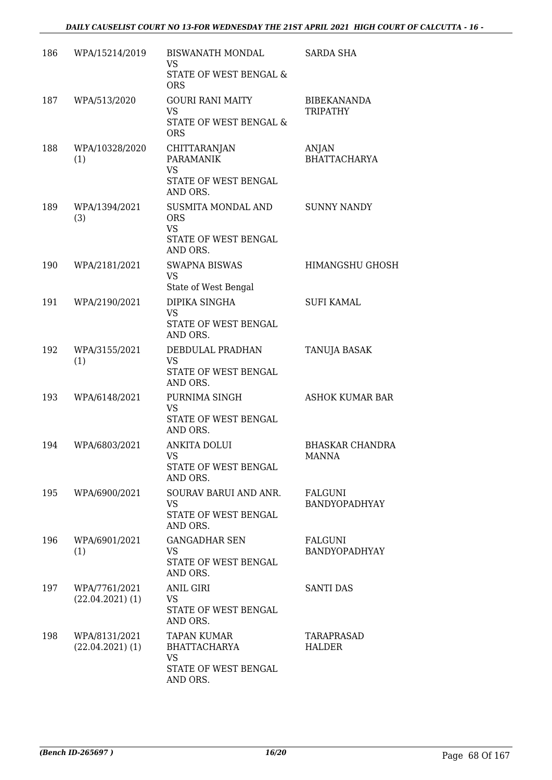| 186 | WPA/15214/2019                      | BISWANATH MONDAL<br>VS<br>STATE OF WEST BENGAL &                                                | <b>SARDA SHA</b>                      |
|-----|-------------------------------------|-------------------------------------------------------------------------------------------------|---------------------------------------|
| 187 | WPA/513/2020                        | <b>ORS</b><br><b>GOURI RANI MAITY</b><br>VS<br>STATE OF WEST BENGAL &                           | <b>BIBEKANANDA</b><br><b>TRIPATHY</b> |
| 188 | WPA/10328/2020<br>(1)               | <b>ORS</b><br>CHITTARANJAN<br><b>PARAMANIK</b><br><b>VS</b><br>STATE OF WEST BENGAL<br>AND ORS. | ANJAN<br><b>BHATTACHARYA</b>          |
| 189 | WPA/1394/2021<br>(3)                | SUSMITA MONDAL AND<br><b>ORS</b><br><b>VS</b><br>STATE OF WEST BENGAL<br>AND ORS.               | <b>SUNNY NANDY</b>                    |
| 190 | WPA/2181/2021                       | <b>SWAPNA BISWAS</b><br><b>VS</b><br>State of West Bengal                                       | <b>HIMANGSHU GHOSH</b>                |
| 191 | WPA/2190/2021                       | DIPIKA SINGHA<br><b>VS</b><br>STATE OF WEST BENGAL<br>AND ORS.                                  | <b>SUFI KAMAL</b>                     |
| 192 | WPA/3155/2021<br>(1)                | DEBDULAL PRADHAN<br><b>VS</b><br>STATE OF WEST BENGAL<br>AND ORS.                               | TANUJA BASAK                          |
| 193 | WPA/6148/2021                       | PURNIMA SINGH<br><b>VS</b><br>STATE OF WEST BENGAL<br>AND ORS.                                  | ASHOK KUMAR BAR                       |
| 194 | WPA/6803/2021                       | <b>ANKITA DOLUI</b><br>VS<br>STATE OF WEST BENGAL<br>AND ORS.                                   | <b>BHASKAR CHANDRA</b><br>MANNA       |
| 195 | WPA/6900/2021                       | SOURAV BARUI AND ANR.<br><b>VS</b><br>STATE OF WEST BENGAL<br>AND ORS.                          | FALGUNI<br>BANDYOPADHYAY              |
| 196 | WPA/6901/2021<br>(1)                | <b>GANGADHAR SEN</b><br>VS.<br>STATE OF WEST BENGAL<br>AND ORS.                                 | <b>FALGUNI</b><br>BANDYOPADHYAY       |
| 197 | WPA/7761/2021<br>$(22.04.2021)$ (1) | <b>ANIL GIRI</b><br>VS<br>STATE OF WEST BENGAL<br>AND ORS.                                      | <b>SANTI DAS</b>                      |
| 198 | WPA/8131/2021<br>$(22.04.2021)$ (1) | TAPAN KUMAR<br>BHATTACHARYA<br><b>VS</b><br>STATE OF WEST BENGAL<br>AND ORS.                    | TARAPRASAD<br>HALDER                  |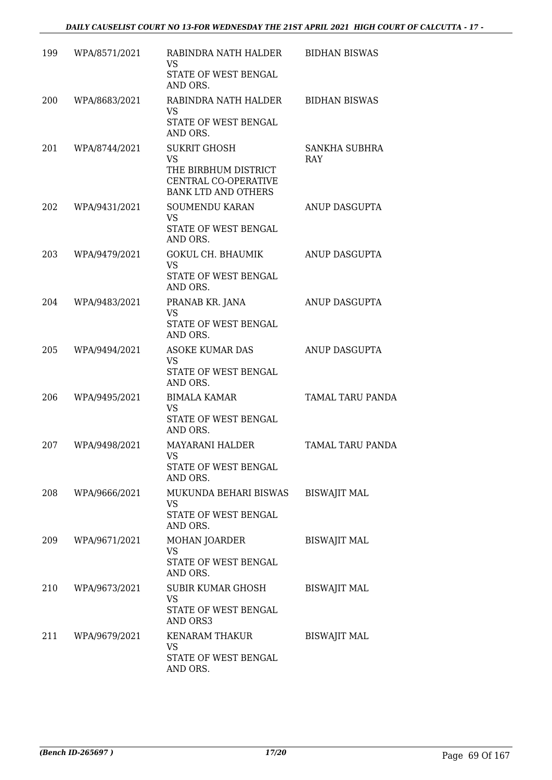| 199 | WPA/8571/2021 | RABINDRA NATH HALDER<br>VS                                                 | <b>BIDHAN BISWAS</b>        |
|-----|---------------|----------------------------------------------------------------------------|-----------------------------|
|     |               | STATE OF WEST BENGAL<br>AND ORS.                                           |                             |
| 200 | WPA/8683/2021 | RABINDRA NATH HALDER<br><b>VS</b><br>STATE OF WEST BENGAL                  | <b>BIDHAN BISWAS</b>        |
|     |               | AND ORS.                                                                   |                             |
| 201 | WPA/8744/2021 | <b>SUKRIT GHOSH</b><br><b>VS</b>                                           | SANKHA SUBHRA<br><b>RAY</b> |
|     |               | THE BIRBHUM DISTRICT<br>CENTRAL CO-OPERATIVE<br><b>BANK LTD AND OTHERS</b> |                             |
| 202 | WPA/9431/2021 | <b>SOUMENDU KARAN</b><br><b>VS</b>                                         | ANUP DASGUPTA               |
|     |               | STATE OF WEST BENGAL<br>AND ORS.                                           |                             |
| 203 | WPA/9479/2021 | <b>GOKUL CH. BHAUMIK</b><br><b>VS</b>                                      | <b>ANUP DASGUPTA</b>        |
|     |               | STATE OF WEST BENGAL<br>AND ORS.                                           |                             |
| 204 | WPA/9483/2021 | PRANAB KR. JANA<br>VS                                                      | ANUP DASGUPTA               |
|     |               | STATE OF WEST BENGAL<br>AND ORS.                                           |                             |
| 205 | WPA/9494/2021 | <b>ASOKE KUMAR DAS</b><br>VS                                               | ANUP DASGUPTA               |
|     |               | STATE OF WEST BENGAL<br>AND ORS.                                           |                             |
| 206 | WPA/9495/2021 | <b>BIMALA KAMAR</b><br><b>VS</b>                                           | <b>TAMAL TARU PANDA</b>     |
|     |               | STATE OF WEST BENGAL<br>AND ORS.                                           |                             |
| 207 | WPA/9498/2021 | <b>MAYARANI HALDER</b><br>VS.                                              | <b>TAMAL TARU PANDA</b>     |
|     |               | STATE OF WEST BENGAL<br>AND ORS.                                           |                             |
| 208 | WPA/9666/2021 | MUKUNDA BEHARI BISWAS<br>VS                                                | <b>BISWAJIT MAL</b>         |
|     |               | STATE OF WEST BENGAL<br>AND ORS.                                           |                             |
| 209 | WPA/9671/2021 | MOHAN JOARDER<br><b>VS</b>                                                 | <b>BISWAJIT MAL</b>         |
|     |               | STATE OF WEST BENGAL<br>AND ORS.                                           |                             |
| 210 | WPA/9673/2021 | SUBIR KUMAR GHOSH<br>VS                                                    | <b>BISWAJIT MAL</b>         |
|     |               | STATE OF WEST BENGAL<br>AND ORS3                                           |                             |
| 211 | WPA/9679/2021 | KENARAM THAKUR<br>VS                                                       | <b>BISWAJIT MAL</b>         |
|     |               | STATE OF WEST BENGAL<br>AND ORS.                                           |                             |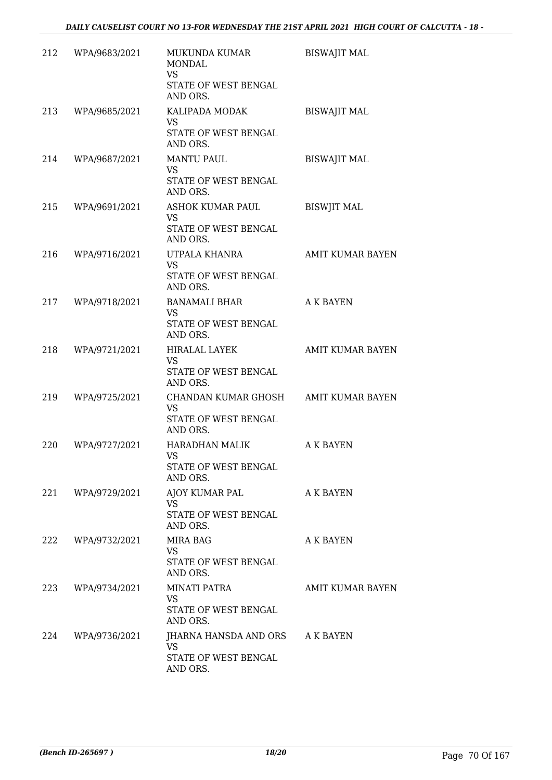| 212 | WPA/9683/2021 | MUKUNDA KUMAR<br><b>MONDAL</b><br><b>VS</b><br>STATE OF WEST BENGAL<br>AND ORS.       | <b>BISWAJIT MAL</b>     |
|-----|---------------|---------------------------------------------------------------------------------------|-------------------------|
| 213 | WPA/9685/2021 | KALIPADA MODAK<br>VS<br>STATE OF WEST BENGAL<br>AND ORS.                              | <b>BISWAJIT MAL</b>     |
| 214 | WPA/9687/2021 | <b>MANTU PAUL</b><br>VS.<br>STATE OF WEST BENGAL<br>AND ORS.                          | <b>BISWAJIT MAL</b>     |
| 215 | WPA/9691/2021 | ASHOK KUMAR PAUL<br><b>VS</b><br>STATE OF WEST BENGAL<br>AND ORS.                     | <b>BISWJIT MAL</b>      |
| 216 | WPA/9716/2021 | UTPALA KHANRA<br>VS.<br>STATE OF WEST BENGAL<br>AND ORS.                              | <b>AMIT KUMAR BAYEN</b> |
| 217 | WPA/9718/2021 | BANAMALI BHAR<br>VS.<br>STATE OF WEST BENGAL<br>AND ORS.                              | <b>A K BAYEN</b>        |
| 218 | WPA/9721/2021 | HIRALAL LAYEK<br>VS.<br>STATE OF WEST BENGAL<br>AND ORS.                              | <b>AMIT KUMAR BAYEN</b> |
| 219 | WPA/9725/2021 | CHANDAN KUMAR GHOSH AMIT KUMAR BAYEN<br><b>VS</b><br>STATE OF WEST BENGAL<br>AND ORS. |                         |
| 220 | WPA/9727/2021 | HARADHAN MALIK<br><b>VS</b><br>STATE OF WEST BENGAL<br>AND ORS.                       | A K BAYEN               |
| 221 | WPA/9729/2021 | AJOY KUMAR PAL<br><b>VS</b><br>STATE OF WEST BENGAL<br>AND ORS.                       | A K BAYEN               |
| 222 | WPA/9732/2021 | MIRA BAG<br>VS<br>STATE OF WEST BENGAL<br>AND ORS.                                    | A K BAYEN               |
| 223 | WPA/9734/2021 | MINATI PATRA<br><b>VS</b><br>STATE OF WEST BENGAL<br>AND ORS.                         | <b>AMIT KUMAR BAYEN</b> |
| 224 | WPA/9736/2021 | JHARNA HANSDA AND ORS<br>VS<br>STATE OF WEST BENGAL<br>AND ORS.                       | A K BAYEN               |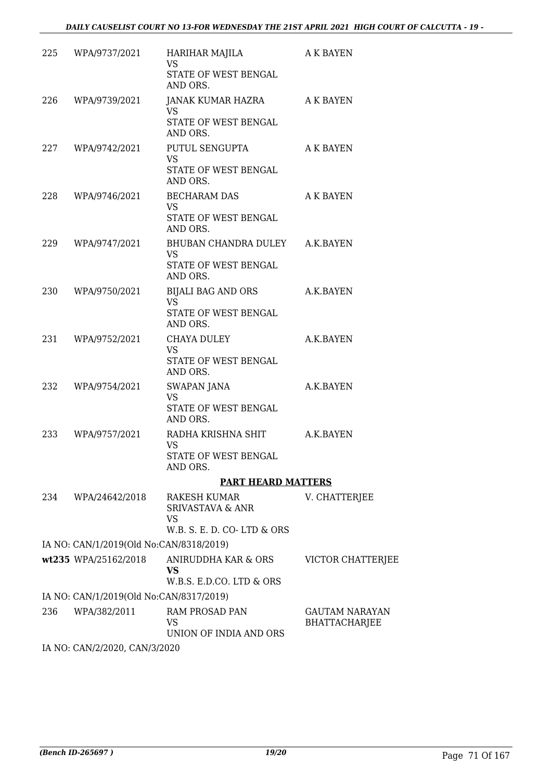|     | 225 WPA/9737/2021                       | HARIHAR MAJILA<br>VS                                                            | A K BAYEN                                     |
|-----|-----------------------------------------|---------------------------------------------------------------------------------|-----------------------------------------------|
|     |                                         | STATE OF WEST BENGAL<br>AND ORS.                                                |                                               |
| 226 | WPA/9739/2021                           | JANAK KUMAR HAZRA AK BAYEN<br><b>VS</b>                                         |                                               |
|     |                                         | STATE OF WEST BENGAL<br>AND ORS.                                                |                                               |
| 227 | WPA/9742/2021                           | PUTUL SENGUPTA<br><b>VS</b><br>STATE OF WEST BENGAL<br>AND ORS.                 | A K BAYEN                                     |
|     | 228 WPA/9746/2021                       | <b>BECHARAM DAS</b><br>VS<br>STATE OF WEST BENGAL<br>AND ORS.                   | A K BAYEN                                     |
| 229 | WPA/9747/2021                           | BHUBAN CHANDRA DULEY A.K.BAYEN<br><b>VS</b><br>STATE OF WEST BENGAL<br>AND ORS. |                                               |
| 230 | WPA/9750/2021                           | BIJALI BAG AND ORS<br><b>VS</b><br>STATE OF WEST BENGAL<br>AND ORS.             | A.K.BAYEN                                     |
| 231 | WPA/9752/2021                           | CHAYA DULEY<br><b>VS</b><br>STATE OF WEST BENGAL<br>AND ORS.                    | A.K.BAYEN                                     |
| 232 | WPA/9754/2021                           | SWAPAN JANA<br><b>VS</b><br>STATE OF WEST BENGAL<br>AND ORS.                    | A.K.BAYEN                                     |
| 233 | WPA/9757/2021                           | RADHA KRISHNA SHIT<br><b>VS</b><br>STATE OF WEST BENGAL<br>AND ORS.             | A.K.BAYEN                                     |
|     |                                         | <b>PART HEARD MATTERS</b>                                                       |                                               |
| 234 | WPA/24642/2018                          | RAKESH KUMAR<br><b>SRIVASTAVA &amp; ANR</b><br>VS<br>W.B. S. E. D. CO-LTD & ORS | V. CHATTERJEE                                 |
|     | IA NO: CAN/1/2019(Old No:CAN/8318/2019) |                                                                                 |                                               |
|     | wt235 WPA/25162/2018                    | ANIRUDDHA KAR & ORS<br>VS<br>W.B.S. E.D.CO. LTD & ORS                           | VICTOR CHATTERJEE                             |
|     | IA NO: CAN/1/2019(Old No:CAN/8317/2019) |                                                                                 |                                               |
| 236 | WPA/382/2011                            | RAM PROSAD PAN<br>VS<br>UNION OF INDIA AND ORS                                  | <b>GAUTAM NARAYAN</b><br><b>BHATTACHARJEE</b> |
|     | IA NO: CAN/2/2020, CAN/3/2020           |                                                                                 |                                               |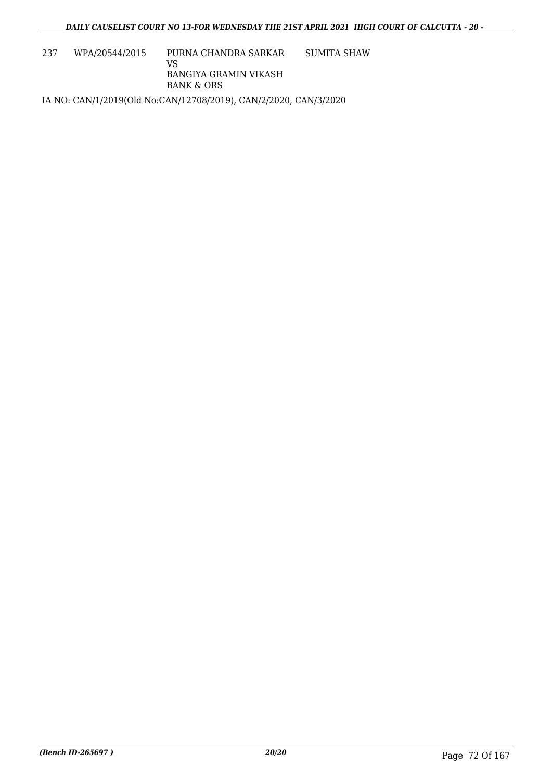237 WPA/20544/2015 PURNA CHANDRA SARKAR VS BANGIYA GRAMIN VIKASH BANK & ORS SUMITA SHAW IA NO: CAN/1/2019(Old No:CAN/12708/2019), CAN/2/2020, CAN/3/2020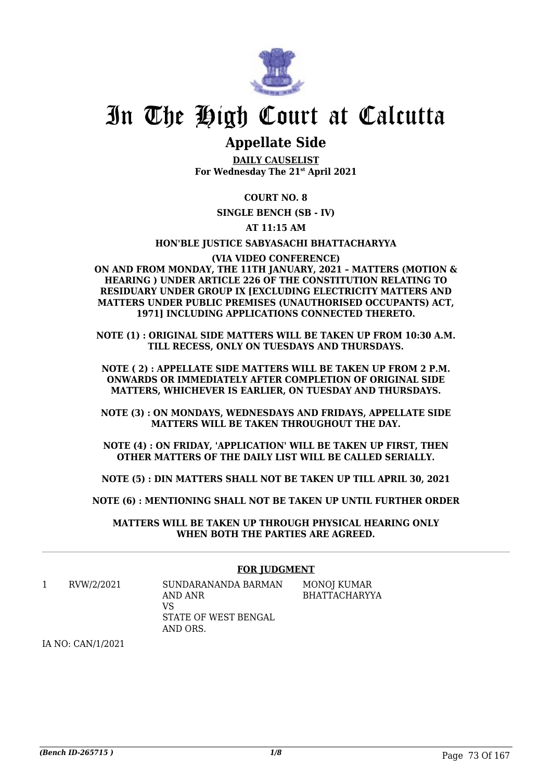

# In The High Court at Calcutta

## **Appellate Side**

**DAILY CAUSELIST For Wednesday The 21st April 2021**

## **COURT NO. 8**

**SINGLE BENCH (SB - IV)**

## **AT 11:15 AM**

#### **HON'BLE JUSTICE SABYASACHI BHATTACHARYYA**

**(VIA VIDEO CONFERENCE) ON AND FROM MONDAY, THE 11TH JANUARY, 2021 – MATTERS (MOTION & HEARING ) UNDER ARTICLE 226 OF THE CONSTITUTION RELATING TO RESIDUARY UNDER GROUP IX [EXCLUDING ELECTRICITY MATTERS AND MATTERS UNDER PUBLIC PREMISES (UNAUTHORISED OCCUPANTS) ACT, 1971] INCLUDING APPLICATIONS CONNECTED THERETO.**

**NOTE (1) : ORIGINAL SIDE MATTERS WILL BE TAKEN UP FROM 10:30 A.M. TILL RECESS, ONLY ON TUESDAYS AND THURSDAYS.**

**NOTE ( 2) : APPELLATE SIDE MATTERS WILL BE TAKEN UP FROM 2 P.M. ONWARDS OR IMMEDIATELY AFTER COMPLETION OF ORIGINAL SIDE MATTERS, WHICHEVER IS EARLIER, ON TUESDAY AND THURSDAYS.**

**NOTE (3) : ON MONDAYS, WEDNESDAYS AND FRIDAYS, APPELLATE SIDE MATTERS WILL BE TAKEN THROUGHOUT THE DAY.**

**NOTE (4) : ON FRIDAY, 'APPLICATION' WILL BE TAKEN UP FIRST, THEN OTHER MATTERS OF THE DAILY LIST WILL BE CALLED SERIALLY.**

**NOTE (5) : DIN MATTERS SHALL NOT BE TAKEN UP TILL APRIL 30, 2021**

**NOTE (6) : MENTIONING SHALL NOT BE TAKEN UP UNTIL FURTHER ORDER**

**MATTERS WILL BE TAKEN UP THROUGH PHYSICAL HEARING ONLY WHEN BOTH THE PARTIES ARE AGREED.**

#### **FOR JUDGMENT**

1 RVW/2/2021 SUNDARANANDA BARMAN AND ANR VS STATE OF WEST BENGAL AND ORS. MONOJ KUMAR BHATTACHARYYA

IA NO: CAN/1/2021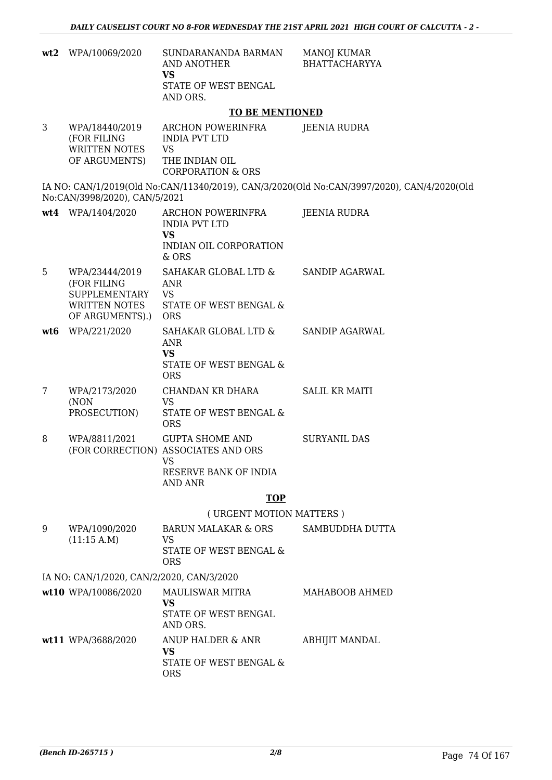| wt2 | WPA/10069/2020                                                                     | SUNDARANANDA BARMAN<br>AND ANOTHER<br><b>VS</b><br>STATE OF WEST BENGAL<br>AND ORS.                      | <b>MANOJ KUMAR</b><br><b>BHATTACHARYYA</b>                                                 |
|-----|------------------------------------------------------------------------------------|----------------------------------------------------------------------------------------------------------|--------------------------------------------------------------------------------------------|
|     |                                                                                    | <b>TO BE MENTIONED</b>                                                                                   |                                                                                            |
| 3   | WPA/18440/2019<br>(FOR FILING<br>WRITTEN NOTES<br>OF ARGUMENTS)                    | ARCHON POWERINFRA<br><b>INDIA PVT LTD</b><br><b>VS</b><br>THE INDIAN OIL<br><b>CORPORATION &amp; ORS</b> | JEENIA RUDRA                                                                               |
|     | No:CAN/3998/2020), CAN/5/2021                                                      |                                                                                                          | IA NO: CAN/1/2019(Old No:CAN/11340/2019), CAN/3/2020(Old No:CAN/3997/2020), CAN/4/2020(Old |
|     | wt4 WPA/1404/2020                                                                  | ARCHON POWERINFRA<br><b>INDIA PVT LTD</b><br><b>VS</b><br>INDIAN OIL CORPORATION<br>& ORS                | JEENIA RUDRA                                                                               |
| 5   | WPA/23444/2019<br>(FOR FILING<br>SUPPLEMENTARY<br>WRITTEN NOTES<br>OF ARGUMENTS).) | SAHAKAR GLOBAL LTD &<br><b>ANR</b><br><b>VS</b><br>STATE OF WEST BENGAL &<br><b>ORS</b>                  | <b>SANDIP AGARWAL</b>                                                                      |
| wt6 | WPA/221/2020                                                                       | SAHAKAR GLOBAL LTD &<br><b>ANR</b><br><b>VS</b><br>STATE OF WEST BENGAL &<br><b>ORS</b>                  | <b>SANDIP AGARWAL</b>                                                                      |
| 7   | WPA/2173/2020<br>(NON<br>PROSECUTION)                                              | CHANDAN KR DHARA<br><b>VS</b><br>STATE OF WEST BENGAL &<br><b>ORS</b>                                    | <b>SALIL KR MAITI</b>                                                                      |
| 8   | WPA/8811/2021                                                                      | <b>GUPTA SHOME AND</b><br>(FOR CORRECTION) ASSOCIATES AND ORS<br>VS.<br>RESERVE BANK OF INDIA<br>AND ANR | <b>SURYANIL DAS</b>                                                                        |
|     |                                                                                    | <b>TOP</b>                                                                                               |                                                                                            |
|     |                                                                                    | (URGENT MOTION MATTERS)                                                                                  |                                                                                            |
| 9   | WPA/1090/2020<br>(11:15 A.M)                                                       | <b>BARUN MALAKAR &amp; ORS</b><br><b>VS</b><br>STATE OF WEST BENGAL &<br><b>ORS</b>                      | SAMBUDDHA DUTTA                                                                            |
|     | IA NO: CAN/1/2020, CAN/2/2020, CAN/3/2020                                          |                                                                                                          |                                                                                            |
|     | wt10 WPA/10086/2020                                                                | MAULISWAR MITRA<br>VS<br>STATE OF WEST BENGAL<br>AND ORS.                                                | MAHABOOB AHMED                                                                             |
|     | wt11 WPA/3688/2020                                                                 | ANUP HALDER & ANR<br><b>VS</b><br>STATE OF WEST BENGAL &<br><b>ORS</b>                                   | <b>ABHIJIT MANDAL</b>                                                                      |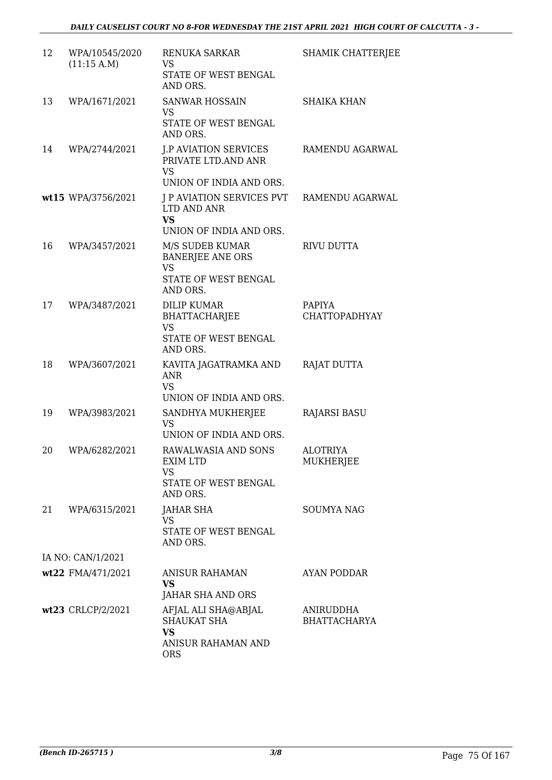| 12 | WPA/10545/2020<br>(11:15 A.M) | RENUKA SARKAR<br>VS<br>STATE OF WEST BENGAL<br>AND ORS.                                     | <b>SHAMIK CHATTERJEE</b>              |
|----|-------------------------------|---------------------------------------------------------------------------------------------|---------------------------------------|
| 13 | WPA/1671/2021                 | <b>SANWAR HOSSAIN</b><br><b>VS</b><br>STATE OF WEST BENGAL<br>AND ORS.                      | <b>SHAIKA KHAN</b>                    |
| 14 | WPA/2744/2021                 | <b>J.P AVIATION SERVICES</b><br>PRIVATE LTD.AND ANR<br><b>VS</b>                            | RAMENDU AGARWAL                       |
|    |                               | UNION OF INDIA AND ORS.                                                                     |                                       |
|    | wt15 WPA/3756/2021            | J P AVIATION SERVICES PVT RAMENDU AGARWAL<br>LTD AND ANR<br><b>VS</b>                       |                                       |
|    |                               | UNION OF INDIA AND ORS.                                                                     |                                       |
| 16 | WPA/3457/2021                 | M/S SUDEB KUMAR<br><b>BANERJEE ANE ORS</b><br><b>VS</b><br>STATE OF WEST BENGAL<br>AND ORS. | RIVU DUTTA                            |
| 17 | WPA/3487/2021                 | <b>DILIP KUMAR</b><br>BHATTACHARJEE<br><b>VS</b><br>STATE OF WEST BENGAL<br>AND ORS.        | <b>PAPIYA</b><br><b>CHATTOPADHYAY</b> |
| 18 | WPA/3607/2021                 | KAVITA JAGATRAMKA AND<br>ANR<br><b>VS</b>                                                   | RAJAT DUTTA                           |
| 19 | WPA/3983/2021                 | UNION OF INDIA AND ORS.<br>SANDHYA MUKHERJEE<br>VS.<br>UNION OF INDIA AND ORS.              | <b>RAJARSI BASU</b>                   |
| 20 | WPA/6282/2021                 | RAWALWASIA AND SONS<br>EXIM LTD<br><b>VS</b><br>STATE OF WEST BENGAL<br>AND ORS.            | <b>ALOTRIYA</b><br>MUKHERJEE          |
| 21 | WPA/6315/2021                 | JAHAR SHA<br><b>VS</b><br>STATE OF WEST BENGAL<br>AND ORS.                                  | <b>SOUMYA NAG</b>                     |
|    | IA NO: CAN/1/2021             |                                                                                             |                                       |
|    | wt22 FMA/471/2021             | ANISUR RAHAMAN<br>VS<br>JAHAR SHA AND ORS                                                   | AYAN PODDAR                           |
|    | wt23 CRLCP/2/2021             | AFJAL ALI SHA@ABJAL<br><b>SHAUKAT SHA</b><br><b>VS</b><br>ANISUR RAHAMAN AND<br><b>ORS</b>  | ANIRUDDHA<br><b>BHATTACHARYA</b>      |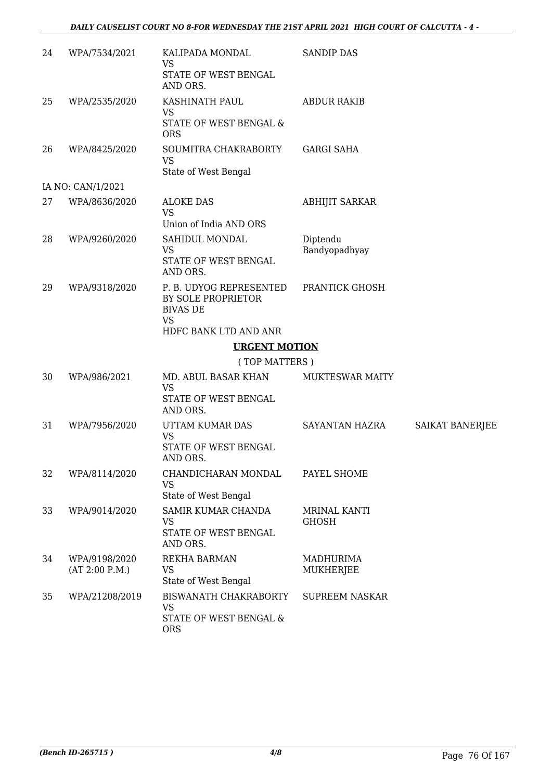| 24 | WPA/7534/2021                   | KALIPADA MONDAL<br><b>VS</b><br>STATE OF WEST BENGAL<br>AND ORS.                                       | <b>SANDIP DAS</b>                    |                 |
|----|---------------------------------|--------------------------------------------------------------------------------------------------------|--------------------------------------|-----------------|
| 25 | WPA/2535/2020                   | KASHINATH PAUL<br><b>VS</b><br>STATE OF WEST BENGAL &<br><b>ORS</b>                                    | <b>ABDUR RAKIB</b>                   |                 |
| 26 | WPA/8425/2020                   | SOUMITRA CHAKRABORTY<br><b>VS</b><br>State of West Bengal                                              | <b>GARGI SAHA</b>                    |                 |
|    | IA NO: CAN/1/2021               |                                                                                                        |                                      |                 |
| 27 | WPA/8636/2020                   | <b>ALOKE DAS</b><br><b>VS</b>                                                                          | <b>ABHIJIT SARKAR</b>                |                 |
| 28 | WPA/9260/2020                   | Union of India AND ORS<br>SAHIDUL MONDAL<br><b>VS</b><br>STATE OF WEST BENGAL<br>AND ORS.              | Diptendu<br>Bandyopadhyay            |                 |
| 29 | WPA/9318/2020                   | P. B. UDYOG REPRESENTED<br>BY SOLE PROPRIETOR<br><b>BIVAS DE</b><br><b>VS</b><br>HDFC BANK LTD AND ANR | PRANTICK GHOSH                       |                 |
|    |                                 | <b>URGENT MOTION</b>                                                                                   |                                      |                 |
|    |                                 | (TOP MATTERS)                                                                                          |                                      |                 |
| 30 | WPA/986/2021                    | MD. ABUL BASAR KHAN<br><b>VS</b><br>STATE OF WEST BENGAL                                               | MUKTESWAR MAITY                      |                 |
| 31 | WPA/7956/2020                   | AND ORS.<br>UTTAM KUMAR DAS<br><b>VS</b><br>STATE OF WEST BENGAL<br>AND ORS.                           | SAYANTAN HAZRA                       | SAIKAT BANERJEE |
| 32 | WPA/8114/2020                   | CHANDICHARAN MONDAL<br><b>VS</b><br>State of West Bengal                                               | PAYEL SHOME                          |                 |
| 33 | WPA/9014/2020                   | SAMIR KUMAR CHANDA<br><b>VS</b><br>STATE OF WEST BENGAL<br>AND ORS.                                    | MRINAL KANTI<br><b>GHOSH</b>         |                 |
| 34 | WPA/9198/2020<br>(AT 2:00 P.M.) | <b>REKHA BARMAN</b><br><b>VS</b><br>State of West Bengal                                               | <b>MADHURIMA</b><br><b>MUKHERJEE</b> |                 |
| 35 | WPA/21208/2019                  | BISWANATH CHAKRABORTY<br><b>VS</b><br>STATE OF WEST BENGAL &<br><b>ORS</b>                             | <b>SUPREEM NASKAR</b>                |                 |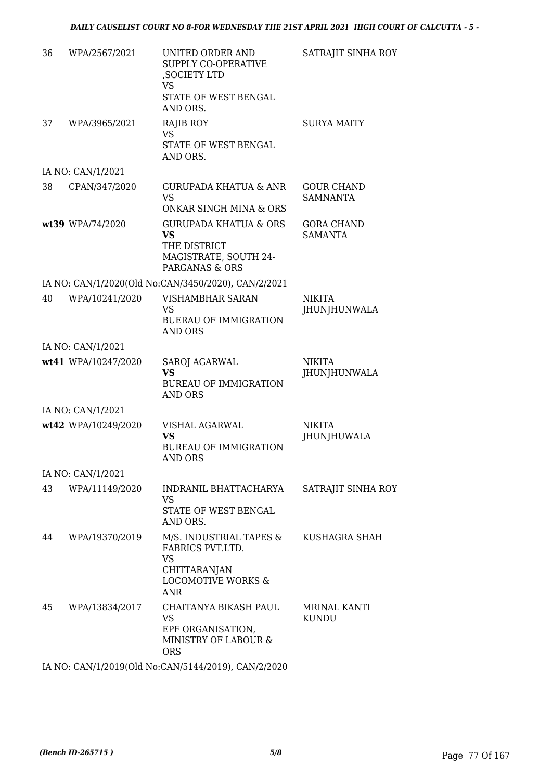| 36 | WPA/2567/2021       | UNITED ORDER AND<br>SUPPLY CO-OPERATIVE<br>, SOCIETY LTD<br>VS<br>STATE OF WEST BENGAL<br>AND ORS.                             | SATRAJIT SINHA ROY                   |
|----|---------------------|--------------------------------------------------------------------------------------------------------------------------------|--------------------------------------|
| 37 | WPA/3965/2021       | <b>RAJIB ROY</b><br><b>VS</b><br>STATE OF WEST BENGAL<br>AND ORS.                                                              | <b>SURYA MAITY</b>                   |
|    | IA NO: CAN/1/2021   |                                                                                                                                |                                      |
| 38 | CPAN/347/2020       | <b>GURUPADA KHATUA &amp; ANR</b><br><b>VS</b><br>ONKAR SINGH MINA & ORS                                                        | <b>GOUR CHAND</b><br><b>SAMNANTA</b> |
|    | wt39 WPA/74/2020    | <b>GURUPADA KHATUA &amp; ORS</b><br><b>VS</b><br>THE DISTRICT<br>MAGISTRATE, SOUTH 24-<br>PARGANAS & ORS                       | <b>GORA CHAND</b><br><b>SAMANTA</b>  |
|    |                     | IA NO: CAN/1/2020(Old No:CAN/3450/2020), CAN/2/2021                                                                            |                                      |
| 40 | WPA/10241/2020      | VISHAMBHAR SARAN<br>VS.<br><b>BUERAU OF IMMIGRATION</b><br>AND ORS                                                             | <b>NIKITA</b><br><b>JHUNJHUNWALA</b> |
|    | IA NO: CAN/1/2021   |                                                                                                                                |                                      |
|    | wt41 WPA/10247/2020 | <b>SAROJ AGARWAL</b><br><b>VS</b><br><b>BUREAU OF IMMIGRATION</b><br><b>AND ORS</b>                                            | <b>NIKITA</b><br>JHUNJHUNWALA        |
|    | IA NO: CAN/1/2021   |                                                                                                                                |                                      |
|    | wt42 WPA/10249/2020 | <b>VISHAL AGARWAL</b><br><b>VS</b><br><b>BUREAU OF IMMIGRATION</b><br>AND ORS                                                  | <b>NIKITA</b><br>JHUNJHUWALA         |
|    | IA NO: CAN/1/2021   |                                                                                                                                |                                      |
| 43 | WPA/11149/2020      | INDRANIL BHATTACHARYA<br><b>VS</b><br>STATE OF WEST BENGAL<br>AND ORS.                                                         | SATRAJIT SINHA ROY                   |
| 44 | WPA/19370/2019      | M/S. INDUSTRIAL TAPES &<br>FABRICS PVT.LTD.<br><b>VS</b><br><b>CHITTARANJAN</b><br><b>LOCOMOTIVE WORKS &amp;</b><br><b>ANR</b> | KUSHAGRA SHAH                        |
| 45 | WPA/13834/2017      | CHAITANYA BIKASH PAUL<br>VS<br>EPF ORGANISATION,<br>MINISTRY OF LABOUR &<br><b>ORS</b>                                         | <b>MRINAL KANTI</b><br>KUNDU         |
|    |                     |                                                                                                                                |                                      |

IA NO: CAN/1/2019(Old No:CAN/5144/2019), CAN/2/2020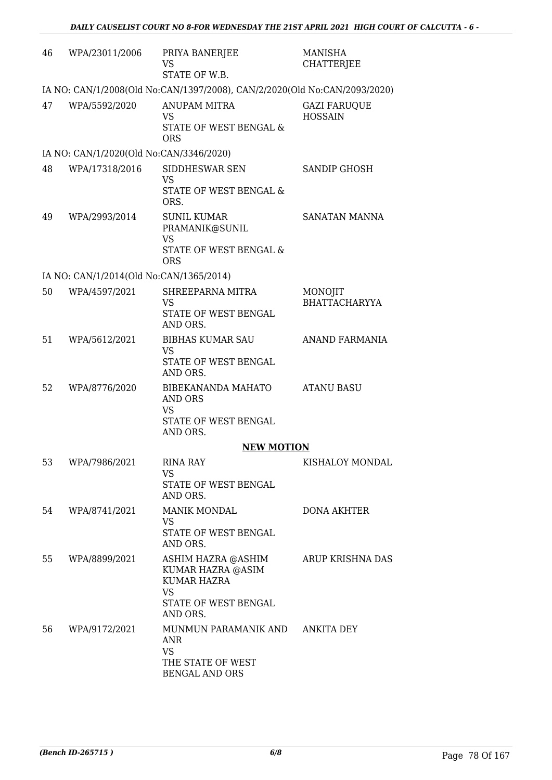| 46 | WPA/23011/2006                          | PRIYA BANERJEE<br>VS<br>STATE OF W.B.                                                                          | MANISHA<br><b>CHATTERJEE</b>          |
|----|-----------------------------------------|----------------------------------------------------------------------------------------------------------------|---------------------------------------|
|    |                                         | IA NO: CAN/1/2008(Old No:CAN/1397/2008), CAN/2/2020(Old No:CAN/2093/2020)                                      |                                       |
| 47 | WPA/5592/2020                           | <b>ANUPAM MITRA</b><br><b>VS</b><br>STATE OF WEST BENGAL &<br><b>ORS</b>                                       | <b>GAZI FARUQUE</b><br><b>HOSSAIN</b> |
|    | IA NO: CAN/1/2020(Old No:CAN/3346/2020) |                                                                                                                |                                       |
| 48 | WPA/17318/2016                          | SIDDHESWAR SEN<br><b>VS</b><br>STATE OF WEST BENGAL &<br>ORS.                                                  | <b>SANDIP GHOSH</b>                   |
| 49 | WPA/2993/2014                           | <b>SUNIL KUMAR</b><br>PRAMANIK@SUNIL<br><b>VS</b><br>STATE OF WEST BENGAL &<br><b>ORS</b>                      | SANATAN MANNA                         |
|    | IA NO: CAN/1/2014(Old No:CAN/1365/2014) |                                                                                                                |                                       |
| 50 | WPA/4597/2021                           | SHREEPARNA MITRA<br>VS<br>STATE OF WEST BENGAL<br>AND ORS.                                                     | MONOJIT<br><b>BHATTACHARYYA</b>       |
| 51 | WPA/5612/2021                           | <b>BIBHAS KUMAR SAU</b><br><b>VS</b><br>STATE OF WEST BENGAL<br>AND ORS.                                       | ANAND FARMANIA                        |
| 52 | WPA/8776/2020                           | BIBEKANANDA MAHATO<br>AND ORS<br><b>VS</b><br>STATE OF WEST BENGAL<br>AND ORS.                                 | <b>ATANU BASU</b>                     |
|    |                                         | <b>NEW MOTION</b>                                                                                              |                                       |
| 53 | WPA/7986/2021                           | <b>RINA RAY</b><br>VS<br>STATE OF WEST BENGAL<br>AND ORS.                                                      | KISHALOY MONDAL                       |
| 54 | WPA/8741/2021                           | <b>MANIK MONDAL</b><br>VS.<br>STATE OF WEST BENGAL<br>AND ORS.                                                 | <b>DONA AKHTER</b>                    |
| 55 | WPA/8899/2021                           | ASHIM HAZRA @ASHIM<br>KUMAR HAZRA @ASIM<br><b>KUMAR HAZRA</b><br><b>VS</b><br>STATE OF WEST BENGAL<br>AND ORS. | ARUP KRISHNA DAS                      |
| 56 | WPA/9172/2021                           | MUNMUN PARAMANIK AND ANKITA DEY<br><b>ANR</b><br><b>VS</b><br>THE STATE OF WEST<br><b>BENGAL AND ORS</b>       |                                       |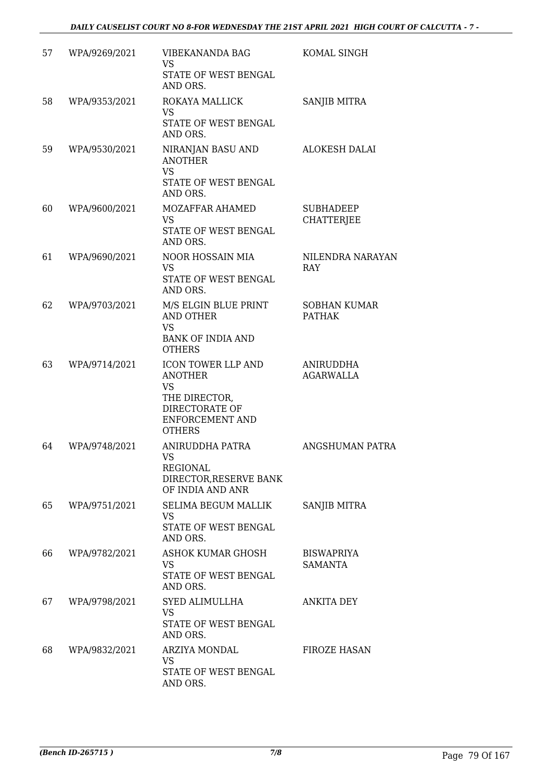| 57 | WPA/9269/2021 | VIBEKANANDA BAG<br><b>VS</b><br>STATE OF WEST BENGAL<br>AND ORS.                                                         | KOMAL SINGH                           |
|----|---------------|--------------------------------------------------------------------------------------------------------------------------|---------------------------------------|
| 58 | WPA/9353/2021 | ROKAYA MALLICK<br><b>VS</b><br>STATE OF WEST BENGAL<br>AND ORS.                                                          | SANJIB MITRA                          |
| 59 | WPA/9530/2021 | NIRANJAN BASU AND<br><b>ANOTHER</b><br><b>VS</b><br>STATE OF WEST BENGAL<br>AND ORS.                                     | ALOKESH DALAI                         |
| 60 | WPA/9600/2021 | MOZAFFAR AHAMED<br><b>VS</b><br>STATE OF WEST BENGAL<br>AND ORS.                                                         | <b>SUBHADEEP</b><br><b>CHATTERJEE</b> |
| 61 | WPA/9690/2021 | NOOR HOSSAIN MIA<br><b>VS</b><br>STATE OF WEST BENGAL<br>AND ORS.                                                        | NILENDRA NARAYAN<br>RAY               |
| 62 | WPA/9703/2021 | M/S ELGIN BLUE PRINT<br><b>AND OTHER</b><br><b>VS</b><br><b>BANK OF INDIA AND</b><br><b>OTHERS</b>                       | <b>SOBHAN KUMAR</b><br><b>PATHAK</b>  |
| 63 | WPA/9714/2021 | ICON TOWER LLP AND<br><b>ANOTHER</b><br><b>VS</b><br>THE DIRECTOR,<br>DIRECTORATE OF<br>ENFORCEMENT AND<br><b>OTHERS</b> | ANIRUDDHA<br><b>AGARWALLA</b>         |
| 64 | WPA/9748/2021 | ANIRUDDHA PATRA<br><b>VS</b><br><b>REGIONAL</b><br>DIRECTOR, RESERVE BANK<br>OF INDIA AND ANR                            | ANGSHUMAN PATRA                       |
| 65 | WPA/9751/2021 | SELIMA BEGUM MALLIK<br>VS<br>STATE OF WEST BENGAL<br>AND ORS.                                                            | <b>SANJIB MITRA</b>                   |
| 66 | WPA/9782/2021 | <b>ASHOK KUMAR GHOSH</b><br><b>VS</b><br>STATE OF WEST BENGAL<br>AND ORS.                                                | <b>BISWAPRIYA</b><br><b>SAMANTA</b>   |
| 67 | WPA/9798/2021 | SYED ALIMULLHA<br><b>VS</b><br>STATE OF WEST BENGAL<br>AND ORS.                                                          | ANKITA DEY                            |
| 68 | WPA/9832/2021 | ARZIYA MONDAL<br>VS<br>STATE OF WEST BENGAL<br>AND ORS.                                                                  | <b>FIROZE HASAN</b>                   |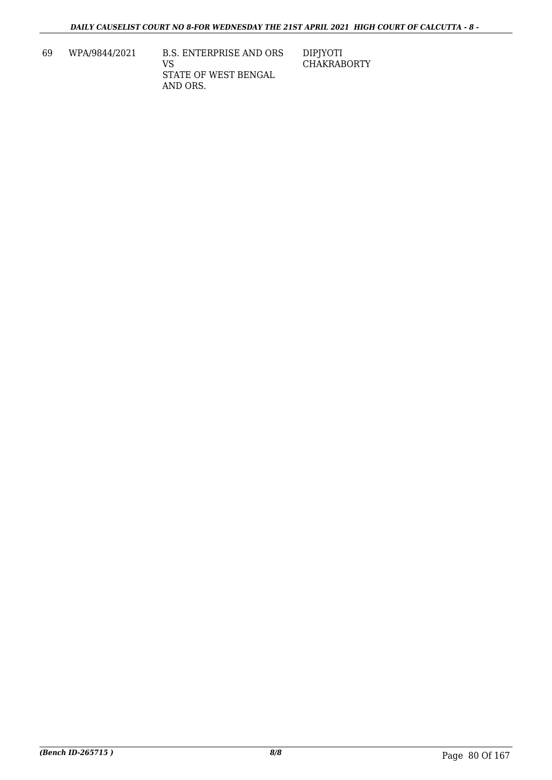69 WPA/9844/2021 B.S. ENTERPRISE AND ORS VS STATE OF WEST BENGAL AND ORS. DIPJYOTI CHAKRABORTY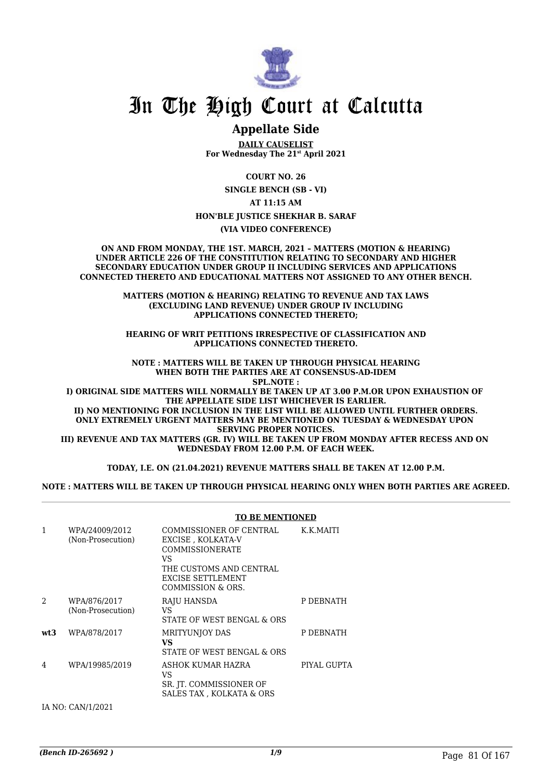

## In The High Court at Calcutta

## **Appellate Side**

**DAILY CAUSELIST For Wednesday The 21st April 2021**

**COURT NO. 26**

**SINGLE BENCH (SB - VI)**

**AT 11:15 AM**

**HON'BLE JUSTICE SHEKHAR B. SARAF**

**(VIA VIDEO CONFERENCE)**

**ON AND FROM MONDAY, THE 1ST. MARCH, 2021 – MATTERS (MOTION & HEARING) UNDER ARTICLE 226 OF THE CONSTITUTION RELATING TO SECONDARY AND HIGHER SECONDARY EDUCATION UNDER GROUP II INCLUDING SERVICES AND APPLICATIONS CONNECTED THERETO AND EDUCATIONAL MATTERS NOT ASSIGNED TO ANY OTHER BENCH.**

> **MATTERS (MOTION & HEARING) RELATING TO REVENUE AND TAX LAWS (EXCLUDING LAND REVENUE) UNDER GROUP IV INCLUDING APPLICATIONS CONNECTED THERETO;**

> **HEARING OF WRIT PETITIONS IRRESPECTIVE OF CLASSIFICATION AND APPLICATIONS CONNECTED THERETO.**

**NOTE : MATTERS WILL BE TAKEN UP THROUGH PHYSICAL HEARING WHEN BOTH THE PARTIES ARE AT CONSENSUS-AD-IDEM SPL.NOTE :**

**I) ORIGINAL SIDE MATTERS WILL NORMALLY BE TAKEN UP AT 3.00 P.M.OR UPON EXHAUSTION OF THE APPELLATE SIDE LIST WHICHEVER IS EARLIER. II) NO MENTIONING FOR INCLUSION IN THE LIST WILL BE ALLOWED UNTIL FURTHER ORDERS. ONLY EXTREMELY URGENT MATTERS MAY BE MENTIONED ON TUESDAY & WEDNESDAY UPON** 

**SERVING PROPER NOTICES. III) REVENUE AND TAX MATTERS (GR. IV) WILL BE TAKEN UP FROM MONDAY AFTER RECESS AND ON WEDNESDAY FROM 12.00 P.M. OF EACH WEEK.**

**TODAY, I.E. ON (21.04.2021) REVENUE MATTERS SHALL BE TAKEN AT 12.00 P.M.**

**NOTE : MATTERS WILL BE TAKEN UP THROUGH PHYSICAL HEARING ONLY WHEN BOTH PARTIES ARE AGREED.**

|                |                                     | <b>TO BE MENTIONED</b>                                                                                                                            |             |
|----------------|-------------------------------------|---------------------------------------------------------------------------------------------------------------------------------------------------|-------------|
| 1              | WPA/24009/2012<br>(Non-Prosecution) | COMMISSIONER OF CENTRAL<br>EXCISE, KOLKATA-V<br>COMMISSIONERATE<br>VS<br>THE CUSTOMS AND CENTRAL<br><b>EXCISE SETTLEMENT</b><br>COMMISSION & ORS. | K.K.MAITI   |
| $\mathfrak{D}$ | WPA/876/2017<br>(Non-Prosecution)   | RAJU HANSDA<br>VS<br>STATE OF WEST BENGAL & ORS                                                                                                   | P DEBNATH   |
| wt3            | WPA/878/2017                        | <b>MRITYUNIOY DAS</b><br>VS<br>STATE OF WEST BENGAL & ORS                                                                                         | P DEBNATH   |
| 4              | WPA/19985/2019                      | ASHOK KUMAR HAZRA<br>VS<br>SR. JT. COMMISSIONER OF<br>SALES TAX, KOLKATA & ORS                                                                    | PIYAL GUPTA |

IA NO: CAN/1/2021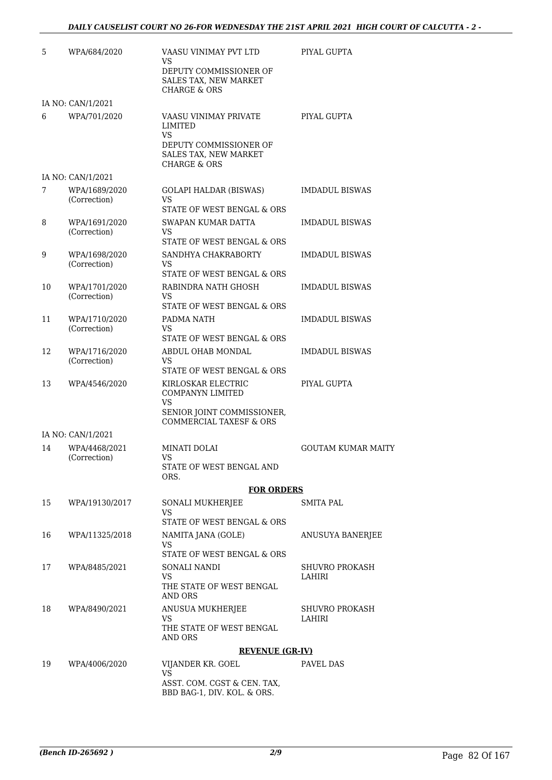| 5  | WPA/684/2020                  | VAASU VINIMAY PVT LTD<br>VS.<br>DEPUTY COMMISSIONER OF<br>SALES TAX, NEW MARKET<br><b>CHARGE &amp; ORS</b>           | PIYAL GUPTA                     |
|----|-------------------------------|----------------------------------------------------------------------------------------------------------------------|---------------------------------|
|    | IA NO: CAN/1/2021             |                                                                                                                      |                                 |
| 6  | WPA/701/2020                  | VAASU VINIMAY PRIVATE<br>LIMITED<br>VS<br>DEPUTY COMMISSIONER OF<br>SALES TAX, NEW MARKET<br><b>CHARGE &amp; ORS</b> | PIYAL GUPTA                     |
|    | IA NO: CAN/1/2021             |                                                                                                                      |                                 |
| 7  | WPA/1689/2020<br>(Correction) | <b>GOLAPI HALDAR (BISWAS)</b><br>VS.<br>STATE OF WEST BENGAL & ORS                                                   | <b>IMDADUL BISWAS</b>           |
| 8  | WPA/1691/2020<br>(Correction) | SWAPAN KUMAR DATTA<br><b>VS</b><br>STATE OF WEST BENGAL & ORS                                                        | <b>IMDADUL BISWAS</b>           |
| 9  | WPA/1698/2020<br>(Correction) | SANDHYA CHAKRABORTY<br>VS<br>STATE OF WEST BENGAL & ORS                                                              | <b>IMDADUL BISWAS</b>           |
| 10 | WPA/1701/2020<br>(Correction) | RABINDRA NATH GHOSH<br>VS<br>STATE OF WEST BENGAL & ORS                                                              | <b>IMDADUL BISWAS</b>           |
| 11 | WPA/1710/2020<br>(Correction) | PADMA NATH<br>VS<br>STATE OF WEST BENGAL & ORS                                                                       | <b>IMDADUL BISWAS</b>           |
| 12 | WPA/1716/2020<br>(Correction) | ABDUL OHAB MONDAL<br>VS<br>STATE OF WEST BENGAL & ORS                                                                | <b>IMDADUL BISWAS</b>           |
| 13 | WPA/4546/2020                 | KIRLOSKAR ELECTRIC<br>COMPANYN LIMITED<br>VS<br>SENIOR JOINT COMMISSIONER,<br>COMMERCIAL TAXESF & ORS                | PIYAL GUPTA                     |
|    | IA NO: CAN/1/2021             |                                                                                                                      |                                 |
| 14 | WPA/4468/2021<br>(Correction) | MINATI DOLAI<br>VS<br>STATE OF WEST BENGAL AND<br>ORS.                                                               | <b>GOUTAM KUMAR MAITY</b>       |
|    |                               | <b>FOR ORDERS</b>                                                                                                    |                                 |
| 15 | WPA/19130/2017                | SONALI MUKHERJEE<br>VS<br>STATE OF WEST BENGAL & ORS                                                                 | <b>SMITA PAL</b>                |
| 16 | WPA/11325/2018                | NAMITA JANA (GOLE)<br><b>VS</b><br>STATE OF WEST BENGAL & ORS                                                        | ANUSUYA BANERJEE                |
| 17 | WPA/8485/2021                 | SONALI NANDI<br>VS.<br>THE STATE OF WEST BENGAL<br>AND ORS                                                           | <b>SHUVRO PROKASH</b><br>LAHIRI |
| 18 | WPA/8490/2021                 | ANUSUA MUKHERJEE<br>VS<br>THE STATE OF WEST BENGAL<br>AND ORS                                                        | <b>SHUVRO PROKASH</b><br>LAHIRI |
|    |                               | <b>REVENUE (GR-IV)</b>                                                                                               |                                 |
| 19 | WPA/4006/2020                 | VIJANDER KR. GOEL<br><b>VS</b><br>ASST. COM. CGST & CEN. TAX,<br>BBD BAG-1, DIV. KOL. & ORS.                         | PAVEL DAS                       |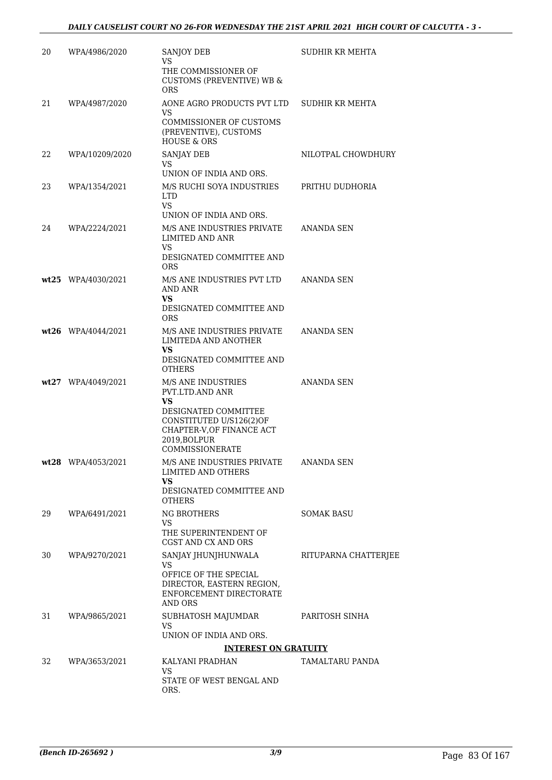| 20 | WPA/4986/2020        | <b>SANJOY DEB</b><br>VS                                                                                                                                               | <b>SUDHIR KR MEHTA</b> |
|----|----------------------|-----------------------------------------------------------------------------------------------------------------------------------------------------------------------|------------------------|
|    |                      | THE COMMISSIONER OF<br><b>CUSTOMS (PREVENTIVE) WB &amp;</b><br><b>ORS</b>                                                                                             |                        |
| 21 | WPA/4987/2020        | AONE AGRO PRODUCTS PVT LTD                                                                                                                                            | SUDHIR KR MEHTA        |
|    |                      | VS<br>COMMISSIONER OF CUSTOMS<br>(PREVENTIVE), CUSTOMS<br><b>HOUSE &amp; ORS</b>                                                                                      |                        |
| 22 | WPA/10209/2020       | <b>SANJAY DEB</b><br>VS                                                                                                                                               | NILOTPAL CHOWDHURY     |
| 23 | WPA/1354/2021        | UNION OF INDIA AND ORS.<br>M/S RUCHI SOYA INDUSTRIES<br><b>LTD</b>                                                                                                    | PRITHU DUDHORIA        |
|    |                      | VS<br>UNION OF INDIA AND ORS.                                                                                                                                         |                        |
| 24 | WPA/2224/2021        | M/S ANE INDUSTRIES PRIVATE<br>LIMITED AND ANR<br>VS.                                                                                                                  | <b>ANANDA SEN</b>      |
|    |                      | DESIGNATED COMMITTEE AND<br><b>ORS</b>                                                                                                                                |                        |
|    | wt25 WPA/4030/2021   | M/S ANE INDUSTRIES PVT LTD<br>AND ANR<br>VS                                                                                                                           | ANANDA SEN             |
|    |                      | DESIGNATED COMMITTEE AND<br><b>ORS</b>                                                                                                                                |                        |
|    | $wt26$ WPA/4044/2021 | M/S ANE INDUSTRIES PRIVATE<br>LIMITEDA AND ANOTHER<br>VS<br>DESIGNATED COMMITTEE AND                                                                                  | ANANDA SEN             |
|    |                      | <b>OTHERS</b>                                                                                                                                                         |                        |
|    | wt27 WPA/4049/2021   | <b>M/S ANE INDUSTRIES</b><br>PVT.LTD.AND ANR<br>VS<br>DESIGNATED COMMITTEE<br>CONSTITUTED U/S126(2)OF<br>CHAPTER-V, OF FINANCE ACT<br>2019, BOLPUR<br>COMMISSIONERATE | ANANDA SEN             |
|    | $wt28$ WPA/4053/2021 | M/S ANE INDUSTRIES PRIVATE<br>LIMITED AND OTHERS<br><b>VS</b><br>DESIGNATED COMMITTEE AND                                                                             | ANANDA SEN             |
| 29 | WPA/6491/2021        | <b>OTHERS</b><br><b>NG BROTHERS</b>                                                                                                                                   | <b>SOMAK BASU</b>      |
|    |                      | VS<br>THE SUPERINTENDENT OF<br>CGST AND CX AND ORS                                                                                                                    |                        |
| 30 | WPA/9270/2021        | SANJAY JHUNJHUNWALA<br><b>VS</b><br>OFFICE OF THE SPECIAL<br>DIRECTOR, EASTERN REGION,<br>ENFORCEMENT DIRECTORATE<br>AND ORS                                          | RITUPARNA CHATTERJEE   |
| 31 | WPA/9865/2021        | SUBHATOSH MAJUMDAR<br>VS.                                                                                                                                             | PARITOSH SINHA         |
|    |                      | UNION OF INDIA AND ORS.<br><b>INTEREST ON GRATUITY</b>                                                                                                                |                        |
| 32 | WPA/3653/2021        | KALYANI PRADHAN                                                                                                                                                       | TAMALTARU PANDA        |
|    |                      | VS.<br>STATE OF WEST BENGAL AND<br>ORS.                                                                                                                               |                        |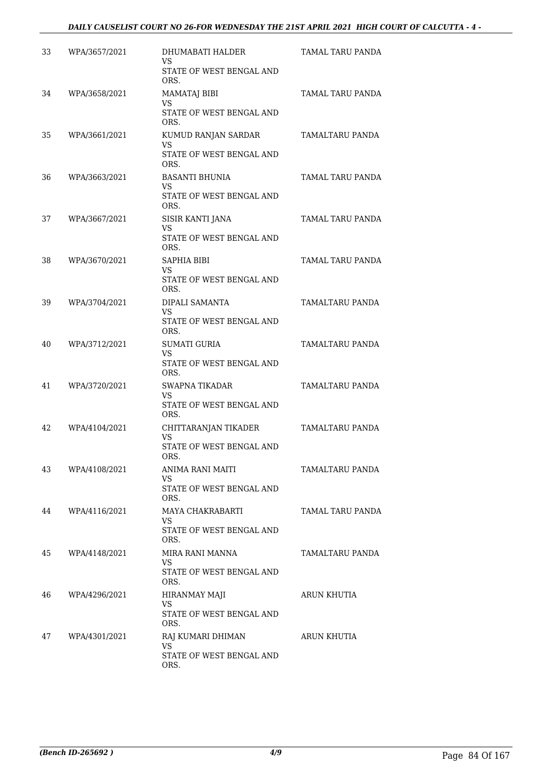| 33 | WPA/3657/2021 | DHUMABATI HALDER<br>VS.                 | TAMAL TARU PANDA |
|----|---------------|-----------------------------------------|------------------|
|    |               | STATE OF WEST BENGAL AND<br>ORS.        |                  |
| 34 | WPA/3658/2021 | <b>MAMATAJ BIBI</b><br><b>VS</b>        | TAMAL TARU PANDA |
|    |               | STATE OF WEST BENGAL AND<br>ORS.        |                  |
| 35 | WPA/3661/2021 | KUMUD RANJAN SARDAR<br>VS               | TAMALTARU PANDA  |
|    |               | STATE OF WEST BENGAL AND<br>ORS.        |                  |
| 36 | WPA/3663/2021 | <b>BASANTI BHUNIA</b><br>VS.            | TAMAL TARU PANDA |
|    |               | STATE OF WEST BENGAL AND<br>ORS.        |                  |
| 37 | WPA/3667/2021 | SISIR KANTI JANA<br>VS                  | TAMAL TARU PANDA |
|    |               | STATE OF WEST BENGAL AND<br>ORS.        |                  |
| 38 | WPA/3670/2021 | <b>SAPHIA BIBI</b><br>VS.               | TAMAL TARU PANDA |
|    |               | STATE OF WEST BENGAL AND<br>ORS.        |                  |
| 39 | WPA/3704/2021 | DIPALI SAMANTA<br>VS.                   | TAMALTARU PANDA  |
|    |               | STATE OF WEST BENGAL AND<br>ORS.        |                  |
| 40 | WPA/3712/2021 | <b>SUMATI GURIA</b><br>VS.              | TAMALTARU PANDA  |
|    |               | STATE OF WEST BENGAL AND<br>ORS.        |                  |
| 41 | WPA/3720/2021 | <b>SWAPNA TIKADAR</b><br>VS.            | TAMALTARU PANDA  |
|    |               | STATE OF WEST BENGAL AND<br>ORS.        |                  |
| 42 | WPA/4104/2021 | CHITTARANJAN TIKADER<br>VS.             | TAMALTARU PANDA  |
|    |               | <b>STATE OF WEST BENGAL AND</b><br>ORS. |                  |
| 43 | WPA/4108/2021 | ANIMA RANI MAITI<br>VS.                 | TAMALTARU PANDA  |
|    |               | STATE OF WEST BENGAL AND<br>ORS.        |                  |
| 44 | WPA/4116/2021 | MAYA CHAKRABARTI<br>VS.                 | TAMAL TARU PANDA |
|    |               | STATE OF WEST BENGAL AND<br>ORS.        |                  |
| 45 | WPA/4148/2021 | MIRA RANI MANNA<br><b>VS</b>            | TAMALTARU PANDA  |
|    |               | STATE OF WEST BENGAL AND<br>ORS.        |                  |
| 46 | WPA/4296/2021 | HIRANMAY MAJI<br>VS.                    | ARUN KHUTIA      |
|    |               | STATE OF WEST BENGAL AND<br>ORS.        |                  |
| 47 | WPA/4301/2021 | RAJ KUMARI DHIMAN<br>VS                 | ARUN KHUTIA      |
|    |               | STATE OF WEST BENGAL AND<br>ORS.        |                  |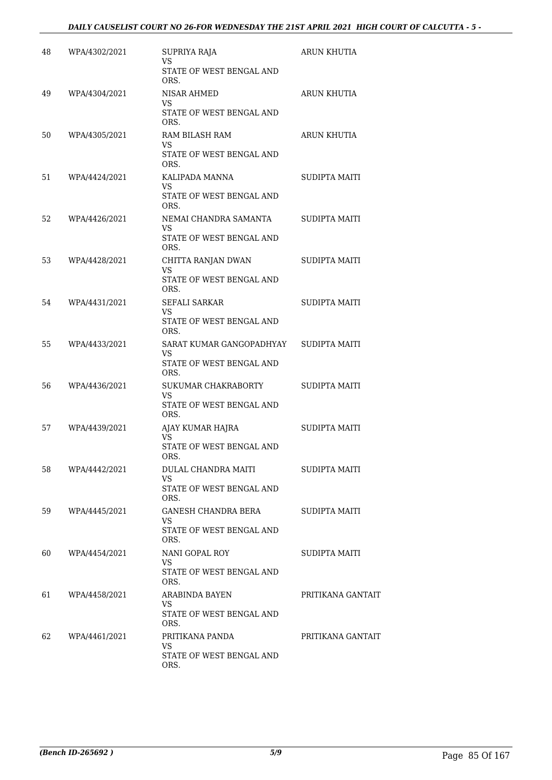| 48  | WPA/4302/2021 | SUPRIYA RAJA<br>VS                    | <b>ARUN KHUTIA</b>   |
|-----|---------------|---------------------------------------|----------------------|
|     |               | STATE OF WEST BENGAL AND<br>ORS.      |                      |
| 49  | WPA/4304/2021 | NISAR AHMED<br>VS.                    | ARUN KHUTIA          |
|     |               | STATE OF WEST BENGAL AND<br>ORS.      |                      |
| 50  | WPA/4305/2021 | RAM BILASH RAM<br>VS.                 | ARUN KHUTIA          |
|     |               | STATE OF WEST BENGAL AND<br>ORS.      |                      |
| 51  | WPA/4424/2021 | KALIPADA MANNA<br>VS.                 | <b>SUDIPTA MAITI</b> |
|     |               | STATE OF WEST BENGAL AND<br>ORS.      |                      |
| 52. | WPA/4426/2021 | NEMAI CHANDRA SAMANTA<br>VS           | SUDIPTA MAITI        |
|     |               | STATE OF WEST BENGAL AND<br>ORS.      |                      |
| 53  | WPA/4428/2021 | CHITTA RANJAN DWAN<br>VS              | <b>SUDIPTA MAITI</b> |
|     |               | STATE OF WEST BENGAL AND<br>ORS.      |                      |
| 54  | WPA/4431/2021 | SEFALI SARKAR<br>VS                   | <b>SUDIPTA MAITI</b> |
|     |               | STATE OF WEST BENGAL AND<br>ORS.      |                      |
| 55  | WPA/4433/2021 | SARAT KUMAR GANGOPADHYAY<br><b>VS</b> | SUDIPTA MAITI        |
|     |               | STATE OF WEST BENGAL AND<br>ORS.      |                      |
| 56  | WPA/4436/2021 | SUKUMAR CHAKRABORTY<br>VS             | SUDIPTA MAITI        |
|     |               | STATE OF WEST BENGAL AND<br>ORS.      |                      |
| 57  | WPA/4439/2021 | AJAY KUMAR HAJRA<br>VS.               | <b>SUDIPTA MAITI</b> |
|     |               | STATE OF WEST BENGAL AND<br>ORS.      |                      |
| 58  | WPA/4442/2021 | DULAL CHANDRA MAITI<br>VS.            | <b>SUDIPTA MAITI</b> |
|     |               | STATE OF WEST BENGAL AND<br>ORS.      |                      |
| 59  | WPA/4445/2021 | GANESH CHANDRA BERA<br>VS.            | SUDIPTA MAITI        |
|     |               | STATE OF WEST BENGAL AND<br>ORS.      |                      |
| 60  | WPA/4454/2021 | NANI GOPAL ROY<br>VS                  | SUDIPTA MAITI        |
|     |               | STATE OF WEST BENGAL AND<br>ORS.      |                      |
| 61  | WPA/4458/2021 | ARABINDA BAYEN<br>VS.                 | PRITIKANA GANTAIT    |
|     |               | STATE OF WEST BENGAL AND<br>ORS.      |                      |
| 62  | WPA/4461/2021 | PRITIKANA PANDA<br>VS                 | PRITIKANA GANTAIT    |
|     |               | STATE OF WEST BENGAL AND<br>ORS.      |                      |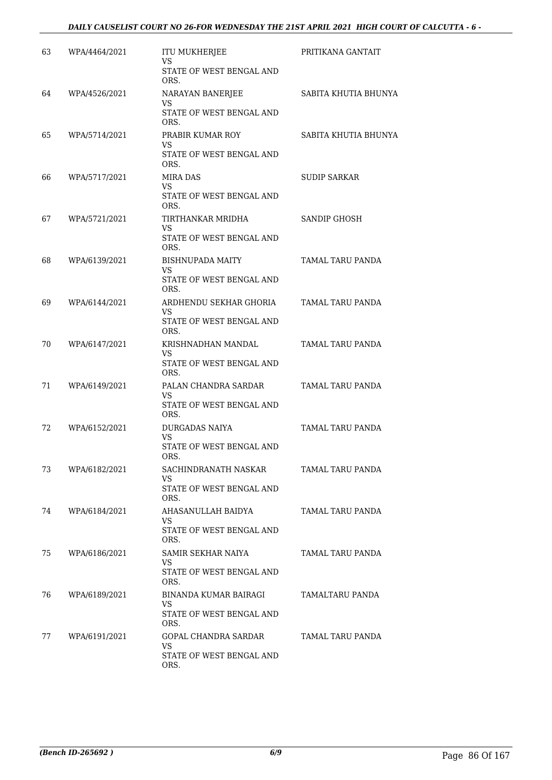| 63 | WPA/4464/2021 | <b>ITU MUKHERJEE</b><br>VS              | PRITIKANA GANTAIT       |
|----|---------------|-----------------------------------------|-------------------------|
|    |               | STATE OF WEST BENGAL AND<br>ORS.        |                         |
| 64 | WPA/4526/2021 | NARAYAN BANERJEE<br>VS.                 | SABITA KHUTIA BHUNYA    |
|    |               | <b>STATE OF WEST BENGAL AND</b><br>ORS. |                         |
| 65 | WPA/5714/2021 | PRABIR KUMAR ROY<br>VS                  | SABITA KHUTIA BHUNYA    |
|    |               | STATE OF WEST BENGAL AND<br>ORS.        |                         |
| 66 | WPA/5717/2021 | MIRA DAS<br>VS.                         | <b>SUDIP SARKAR</b>     |
|    |               | STATE OF WEST BENGAL AND<br>ORS.        |                         |
| 67 | WPA/5721/2021 | TIRTHANKAR MRIDHA<br>VS.                | <b>SANDIP GHOSH</b>     |
|    |               | STATE OF WEST BENGAL AND<br>ORS.        |                         |
| 68 | WPA/6139/2021 | <b>BISHNUPADA MAITY</b><br>VS.          | TAMAL TARU PANDA        |
|    |               | STATE OF WEST BENGAL AND<br>ORS.        |                         |
| 69 | WPA/6144/2021 | ARDHENDU SEKHAR GHORIA<br>VS.           | TAMAL TARU PANDA        |
|    |               | STATE OF WEST BENGAL AND<br>ORS.        |                         |
| 70 | WPA/6147/2021 | KRISHNADHAN MANDAL<br>VS                | TAMAL TARU PANDA        |
|    |               | STATE OF WEST BENGAL AND<br>ORS.        |                         |
| 71 | WPA/6149/2021 | PALAN CHANDRA SARDAR<br>VS.             | TAMAL TARU PANDA        |
|    |               | STATE OF WEST BENGAL AND<br>ORS.        |                         |
| 72 | WPA/6152/2021 | <b>DURGADAS NAIYA</b><br>VS.            | <b>TAMAL TARU PANDA</b> |
|    |               | STATE OF WEST BENGAL AND<br>ORS.        |                         |
| 73 | WPA/6182/2021 | SACHINDRANATH NASKAR<br>VS.             | TAMAL TARU PANDA        |
|    |               | STATE OF WEST BENGAL AND<br>ORS.        |                         |
| 74 | WPA/6184/2021 | AHASANULLAH BAIDYA<br>VS.               | TAMAL TARU PANDA        |
|    |               | STATE OF WEST BENGAL AND<br>ORS.        |                         |
| 75 | WPA/6186/2021 | SAMIR SEKHAR NAIYA<br>VS                | TAMAL TARU PANDA        |
|    |               | STATE OF WEST BENGAL AND<br>ORS.        |                         |
| 76 | WPA/6189/2021 | BINANDA KUMAR BAIRAGI<br>VS.            | TAMALTARU PANDA         |
|    |               | STATE OF WEST BENGAL AND<br>ORS.        |                         |
| 77 | WPA/6191/2021 | GOPAL CHANDRA SARDAR<br>VS.             | TAMAL TARU PANDA        |
|    |               | STATE OF WEST BENGAL AND<br>ORS.        |                         |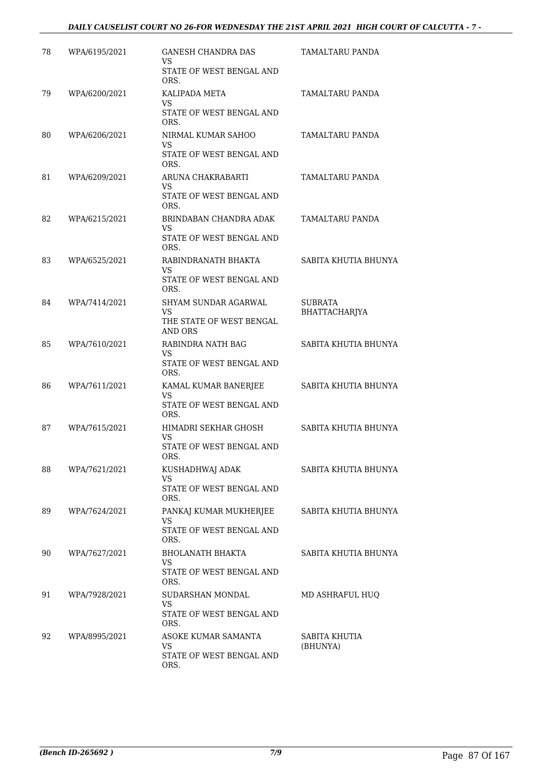## *DAILY CAUSELIST COURT NO 26-FOR WEDNESDAY THE 21ST APRIL 2021 HIGH COURT OF CALCUTTA - 7 -*

| 78 | WPA/6195/2021 | <b>GANESH CHANDRA DAS</b><br>VS     | TAMALTARU PANDA                        |
|----|---------------|-------------------------------------|----------------------------------------|
|    |               | STATE OF WEST BENGAL AND<br>ORS.    |                                        |
| 79 | WPA/6200/2021 | KALIPADA META<br><b>VS</b>          | TAMALTARU PANDA                        |
|    |               | STATE OF WEST BENGAL AND<br>ORS.    |                                        |
| 80 | WPA/6206/2021 | NIRMAL KUMAR SAHOO<br>VS            | TAMALTARU PANDA                        |
|    |               | STATE OF WEST BENGAL AND<br>ORS.    |                                        |
| 81 | WPA/6209/2021 | ARUNA CHAKRABARTI<br>VS             | TAMALTARU PANDA                        |
|    |               | STATE OF WEST BENGAL AND<br>ORS.    |                                        |
| 82 | WPA/6215/2021 | BRINDABAN CHANDRA ADAK<br>VS        | TAMALTARU PANDA                        |
|    |               | STATE OF WEST BENGAL AND<br>ORS.    |                                        |
| 83 | WPA/6525/2021 | RABINDRANATH BHAKTA<br>VS.          | SABITA KHUTIA BHUNYA                   |
|    |               | STATE OF WEST BENGAL AND<br>ORS.    |                                        |
| 84 | WPA/7414/2021 | SHYAM SUNDAR AGARWAL<br>VS          | <b>SUBRATA</b><br><b>BHATTACHARJYA</b> |
|    |               | THE STATE OF WEST BENGAL<br>AND ORS |                                        |
| 85 | WPA/7610/2021 | RABINDRA NATH BAG<br>VS             | SABITA KHUTIA BHUNYA                   |
|    |               | STATE OF WEST BENGAL AND<br>ORS.    |                                        |
| 86 | WPA/7611/2021 | KAMAL KUMAR BANERJEE<br>VS          | SABITA KHUTIA BHUNYA                   |
|    |               | STATE OF WEST BENGAL AND<br>ORS.    |                                        |
| 87 | WPA/7615/2021 | HIMADRI SEKHAR GHOSH<br>VS.         | SABITA KHUTIA BHUNYA                   |
|    |               | STATE OF WEST BENGAL AND<br>ORS.    |                                        |
| 88 | WPA/7621/2021 | KUSHADHWAJ ADAK<br>VS.              | SABITA KHUTIA BHUNYA                   |
|    |               | STATE OF WEST BENGAL AND<br>ORS.    |                                        |
| 89 | WPA/7624/2021 | PANKAJ KUMAR MUKHERJEE<br>VS.       | SABITA KHUTIA BHUNYA                   |
|    |               | STATE OF WEST BENGAL AND<br>ORS.    |                                        |
| 90 | WPA/7627/2021 | <b>BHOLANATH BHAKTA</b><br>VS       | SABITA KHUTIA BHUNYA                   |
|    |               | STATE OF WEST BENGAL AND<br>ORS.    |                                        |
| 91 | WPA/7928/2021 | SUDARSHAN MONDAL<br>VS.             | MD ASHRAFUL HUQ                        |
|    |               | STATE OF WEST BENGAL AND<br>ORS.    |                                        |
| 92 | WPA/8995/2021 | ASOKE KUMAR SAMANTA<br>VS.          | SABITA KHUTIA<br>(BHUNYA)              |
|    |               | STATE OF WEST BENGAL AND<br>ORS.    |                                        |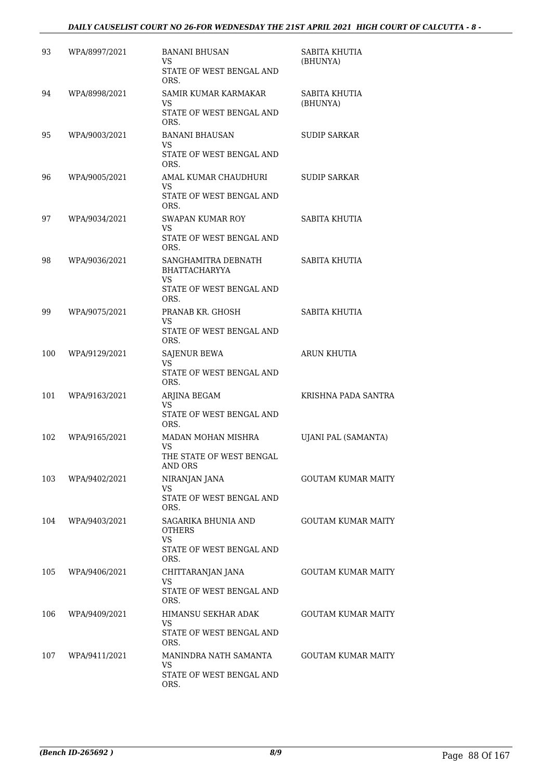| 93  | WPA/8997/2021 | <b>BANANI BHUSAN</b><br>VS.<br>STATE OF WEST BENGAL AND<br>ORS.                        | SABITA KHUTIA<br>(BHUNYA)  |
|-----|---------------|----------------------------------------------------------------------------------------|----------------------------|
| 94  | WPA/8998/2021 | SAMIR KUMAR KARMAKAR<br>VS<br>STATE OF WEST BENGAL AND<br>ORS.                         | SABITA KHUTIA<br>(BHUNYA)  |
| 95  | WPA/9003/2021 | <b>BANANI BHAUSAN</b><br><b>VS</b><br>STATE OF WEST BENGAL AND<br>ORS.                 | <b>SUDIP SARKAR</b>        |
| 96  | WPA/9005/2021 | AMAL KUMAR CHAUDHURI<br>VS<br>STATE OF WEST BENGAL AND<br>ORS.                         | <b>SUDIP SARKAR</b>        |
| 97  | WPA/9034/2021 | <b>SWAPAN KUMAR ROY</b><br>VS<br>STATE OF WEST BENGAL AND<br>ORS.                      | SABITA KHUTIA              |
| 98  | WPA/9036/2021 | SANGHAMITRA DEBNATH<br><b>BHATTACHARYYA</b><br>VS.<br>STATE OF WEST BENGAL AND<br>ORS. | SABITA KHUTIA              |
| 99  | WPA/9075/2021 | PRANAB KR. GHOSH<br>VS.<br>STATE OF WEST BENGAL AND<br>ORS.                            | SABITA KHUTIA              |
| 100 | WPA/9129/2021 | <b>SAJENUR BEWA</b><br>VS.<br>STATE OF WEST BENGAL AND<br>ORS.                         | ARUN KHUTIA                |
| 101 | WPA/9163/2021 | ARJINA BEGAM<br>VS.<br>STATE OF WEST BENGAL AND<br>ORS.                                | KRISHNA PADA SANTRA        |
| 102 | WPA/9165/2021 | MADAN MOHAN MISHRA<br>VS<br>THE STATE OF WEST BENGAL<br><b>AND ORS</b>                 | <b>UJANI PAL (SAMANTA)</b> |
| 103 | WPA/9402/2021 | NIRANJAN JANA<br><b>VS</b><br>STATE OF WEST BENGAL AND<br>ORS.                         | <b>GOUTAM KUMAR MAITY</b>  |
| 104 | WPA/9403/2021 | SAGARIKA BHUNIA AND<br><b>OTHERS</b><br><b>VS</b><br>STATE OF WEST BENGAL AND<br>ORS.  | <b>GOUTAM KUMAR MAITY</b>  |
| 105 | WPA/9406/2021 | CHITTARANJAN JANA<br>VS<br>STATE OF WEST BENGAL AND<br>ORS.                            | <b>GOUTAM KUMAR MAITY</b>  |
| 106 | WPA/9409/2021 | HIMANSU SEKHAR ADAK<br>VS<br>STATE OF WEST BENGAL AND<br>ORS.                          | <b>GOUTAM KUMAR MAITY</b>  |
| 107 | WPA/9411/2021 | MANINDRA NATH SAMANTA<br><b>VS</b><br>STATE OF WEST BENGAL AND<br>ORS.                 | <b>GOUTAM KUMAR MAITY</b>  |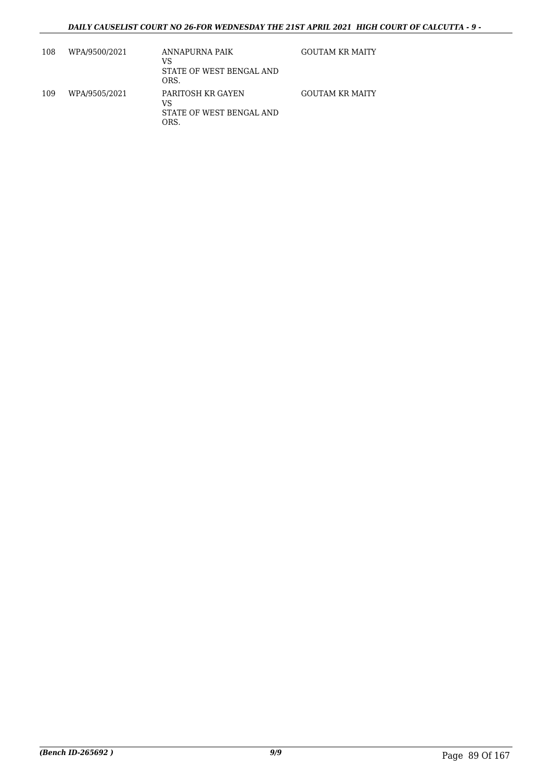| 108 | WPA/9500/2021 | ANNAPURNA PAIK<br>VS<br>STATE OF WEST BENGAL AND<br>ORS.    | <b>GOUTAM KR MAITY</b> |
|-----|---------------|-------------------------------------------------------------|------------------------|
| 109 | WPA/9505/2021 | PARITOSH KR GAYEN<br>VS<br>STATE OF WEST BENGAL AND<br>ORS. | GOUTAM KR MAITY        |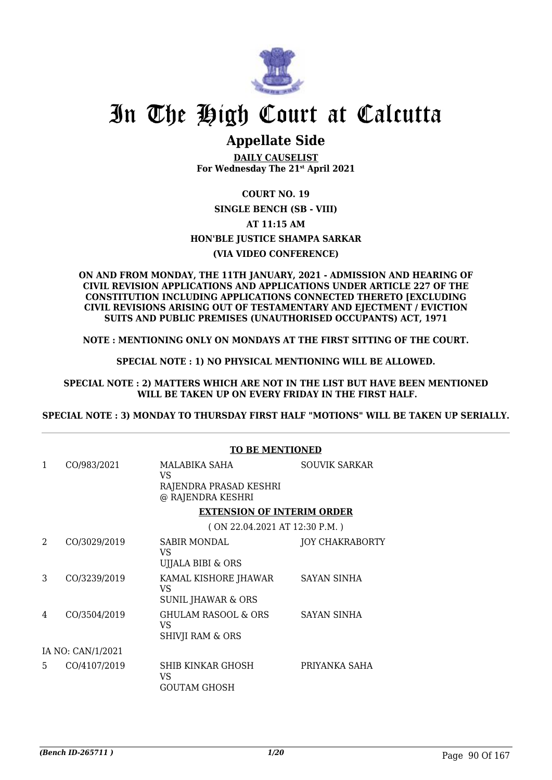

## In The High Court at Calcutta

## **Appellate Side**

**DAILY CAUSELIST For Wednesday The 21st April 2021**

## **COURT NO. 19**

**SINGLE BENCH (SB - VIII) AT 11:15 AM HON'BLE JUSTICE SHAMPA SARKAR (VIA VIDEO CONFERENCE)**

#### **ON AND FROM MONDAY, THE 11TH JANUARY, 2021 - ADMISSION AND HEARING OF CIVIL REVISION APPLICATIONS AND APPLICATIONS UNDER ARTICLE 227 OF THE CONSTITUTION INCLUDING APPLICATIONS CONNECTED THERETO [EXCLUDING CIVIL REVISIONS ARISING OUT OF TESTAMENTARY AND EJECTMENT / EVICTION SUITS AND PUBLIC PREMISES (UNAUTHORISED OCCUPANTS) ACT, 1971**

**NOTE : MENTIONING ONLY ON MONDAYS AT THE FIRST SITTING OF THE COURT.**

**SPECIAL NOTE : 1) NO PHYSICAL MENTIONING WILL BE ALLOWED.**

**SPECIAL NOTE : 2) MATTERS WHICH ARE NOT IN THE LIST BUT HAVE BEEN MENTIONED WILL BE TAKEN UP ON EVERY FRIDAY IN THE FIRST HALF.**

**SPECIAL NOTE : 3) MONDAY TO THURSDAY FIRST HALF "MOTIONS" WILL BE TAKEN UP SERIALLY.**

|                |                   | <b>TO BE MENTIONED</b>                                             |                        |
|----------------|-------------------|--------------------------------------------------------------------|------------------------|
| 1              | CO/983/2021       | MALABIKA SAHA<br>VS<br>RAJENDRA PRASAD KESHRI<br>@ RAJENDRA KESHRI | <b>SOUVIK SARKAR</b>   |
|                |                   | <b>EXTENSION OF INTERIM ORDER</b>                                  |                        |
|                |                   | (ON 22.04.2021 AT 12:30 P.M.)                                      |                        |
| $\mathfrak{D}$ | CO/3029/2019      | <b>SABIR MONDAL</b><br>VS<br>UJJALA BIBI & ORS                     | <b>JOY CHAKRABORTY</b> |
| 3              | CO/3239/2019      | KAMAL KISHORE JHAWAR<br>VS<br>SUNIL JHAWAR & ORS                   | SAYAN SINHA            |
| 4              | CO/3504/2019      | GHULAM RASOOL & ORS<br>VS<br>SHIVJI RAM & ORS                      | <b>SAYAN SINHA</b>     |
|                | IA NO: CAN/1/2021 |                                                                    |                        |
| 5              | CO/4107/2019      | SHIB KINKAR GHOSH<br>VS.<br>GOUTAM GHOSH                           | PRIYANKA SAHA          |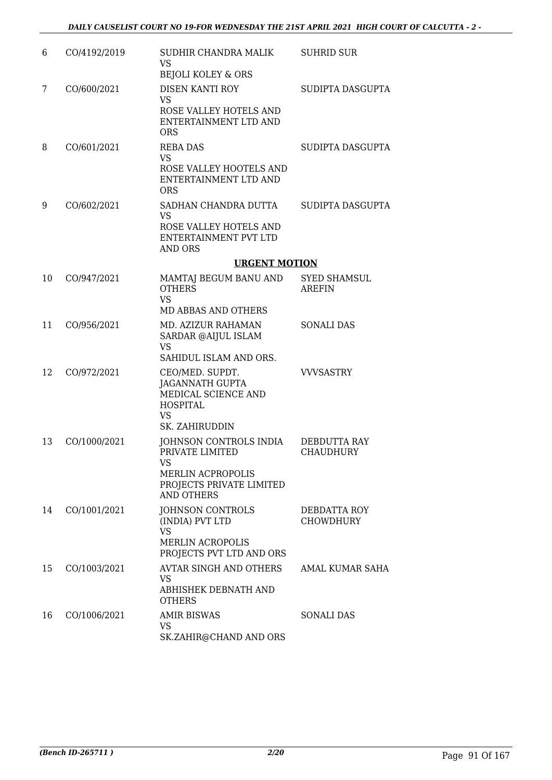| 6  | CO/4192/2019 | SUDHIR CHANDRA MALIK<br><b>VS</b><br><b>BEJOLI KOLEY &amp; ORS</b>                                                           | <b>SUHRID SUR</b>                    |
|----|--------------|------------------------------------------------------------------------------------------------------------------------------|--------------------------------------|
| 7  | CO/600/2021  | <b>DISEN KANTI ROY</b><br><b>VS</b><br>ROSE VALLEY HOTELS AND<br>ENTERTAINMENT LTD AND<br><b>ORS</b>                         | SUDIPTA DASGUPTA                     |
| 8  | CO/601/2021  | <b>REBA DAS</b><br><b>VS</b><br>ROSE VALLEY HOOTELS AND<br>ENTERTAINMENT LTD AND<br><b>ORS</b>                               | SUDIPTA DASGUPTA                     |
| 9  | CO/602/2021  | SADHAN CHANDRA DUTTA<br><b>VS</b><br>ROSE VALLEY HOTELS AND<br>ENTERTAINMENT PVT LTD<br>AND ORS                              | SUDIPTA DASGUPTA                     |
|    |              | <b>URGENT MOTION</b>                                                                                                         |                                      |
| 10 | CO/947/2021  | MAMTAJ BEGUM BANU AND<br><b>OTHERS</b><br><b>VS</b><br><b>MD ABBAS AND OTHERS</b>                                            | <b>SYED SHAMSUL</b><br><b>AREFIN</b> |
| 11 | CO/956/2021  | MD. AZIZUR RAHAMAN<br>SARDAR @AIJUL ISLAM<br><b>VS</b><br>SAHIDUL ISLAM AND ORS.                                             | <b>SONALI DAS</b>                    |
| 12 | CO/972/2021  | CEO/MED. SUPDT.<br><b>JAGANNATH GUPTA</b><br>MEDICAL SCIENCE AND<br><b>HOSPITAL</b><br><b>VS</b><br>SK. ZAHIRUDDIN           | <b>VVVSASTRY</b>                     |
| 13 | CO/1000/2021 | JOHNSON CONTROLS INDIA<br>PRIVATE LIMITED<br>VS<br><b>MERLIN ACPROPOLIS</b><br>PROJECTS PRIVATE LIMITED<br><b>AND OTHERS</b> | DEBDUTTA RAY<br><b>CHAUDHURY</b>     |
| 14 | CO/1001/2021 | JOHNSON CONTROLS<br>(INDIA) PVT LTD<br><b>VS</b><br><b>MERLIN ACROPOLIS</b><br>PROJECTS PVT LTD AND ORS                      | DEBDATTA ROY<br><b>CHOWDHURY</b>     |
| 15 | CO/1003/2021 | <b>AVTAR SINGH AND OTHERS</b><br>VS<br>ABHISHEK DEBNATH AND<br><b>OTHERS</b>                                                 | AMAL KUMAR SAHA                      |
| 16 | CO/1006/2021 | <b>AMIR BISWAS</b><br>VS<br>SK.ZAHIR@CHAND AND ORS                                                                           | SONALI DAS                           |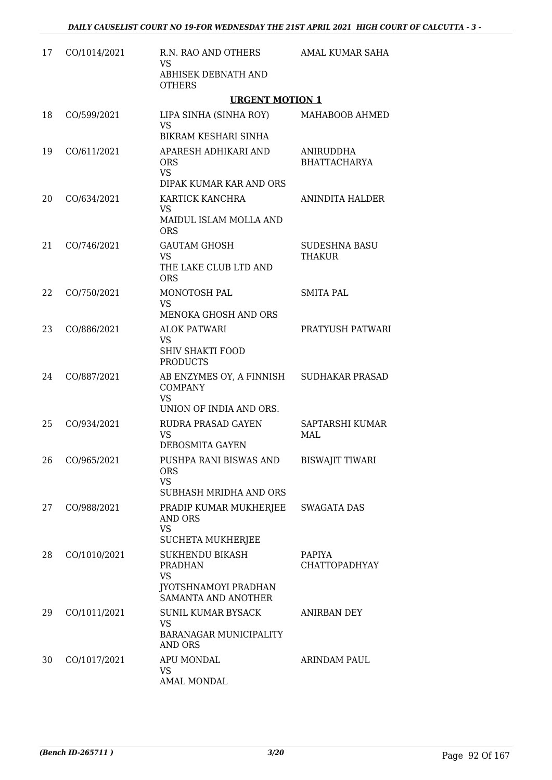| 17 | CO/1014/2021   | R.N. RAO AND OTHERS<br><b>VS</b><br>ABHISEK DEBNATH AND<br><b>OTHERS</b>                      | AMAL KUMAR SAHA                  |
|----|----------------|-----------------------------------------------------------------------------------------------|----------------------------------|
|    |                | <b>URGENT MOTION 1</b>                                                                        |                                  |
| 18 | CO/599/2021    | LIPA SINHA (SINHA ROY)<br><b>VS</b><br>BIKRAM KESHARI SINHA                                   | MAHABOOB AHMED                   |
| 19 | CO/611/2021    | APARESH ADHIKARI AND<br><b>ORS</b><br><b>VS</b><br>DIPAK KUMAR KAR AND ORS                    | ANIRUDDHA<br><b>BHATTACHARYA</b> |
| 20 | CO/634/2021    | KARTICK KANCHRA<br><b>VS</b><br>MAIDUL ISLAM MOLLA AND<br><b>ORS</b>                          | ANINDITA HALDER                  |
| 21 | CO/746/2021    | <b>GAUTAM GHOSH</b><br><b>VS</b><br>THE LAKE CLUB LTD AND<br><b>ORS</b>                       | <b>SUDESHNA BASU</b><br>THAKUR   |
| 22 | CO/750/2021    | MONOTOSH PAL<br><b>VS</b><br>MENOKA GHOSH AND ORS                                             | <b>SMITA PAL</b>                 |
| 23 | CO/886/2021    | <b>ALOK PATWARI</b><br><b>VS</b><br><b>SHIV SHAKTI FOOD</b><br><b>PRODUCTS</b>                | PRATYUSH PATWARI                 |
| 24 | CO/887/2021    | AB ENZYMES OY, A FINNISH<br><b>COMPANY</b><br><b>VS</b><br>UNION OF INDIA AND ORS.            | <b>SUDHAKAR PRASAD</b>           |
| 25 | CO/934/2021    | RUDRA PRASAD GAYEN<br><b>VS</b><br>DEBOSMITA GAYEN                                            | SAPTARSHI KUMAR<br>MAL           |
|    | 26 CO/965/2021 | PUSHPA RANI BISWAS AND<br><b>ORS</b><br><b>VS</b><br>SUBHASH MRIDHA AND ORS                   | BISWAJIT TIWARI                  |
| 27 | CO/988/2021    | PRADIP KUMAR MUKHERJEE<br><b>AND ORS</b><br><b>VS</b><br><b>SUCHETA MUKHERJEE</b>             | <b>SWAGATA DAS</b>               |
| 28 | CO/1010/2021   | SUKHENDU BIKASH<br><b>PRADHAN</b><br><b>VS</b><br>JYOTSHNAMOYI PRADHAN<br>SAMANTA AND ANOTHER | PAPIYA<br><b>CHATTOPADHYAY</b>   |
| 29 | CO/1011/2021   | <b>SUNIL KUMAR BYSACK</b><br><b>VS</b><br>BARANAGAR MUNICIPALITY<br>AND ORS                   | ANIRBAN DEY                      |
| 30 | CO/1017/2021   | APU MONDAL<br>VS<br>AMAL MONDAL                                                               | ARINDAM PAUL                     |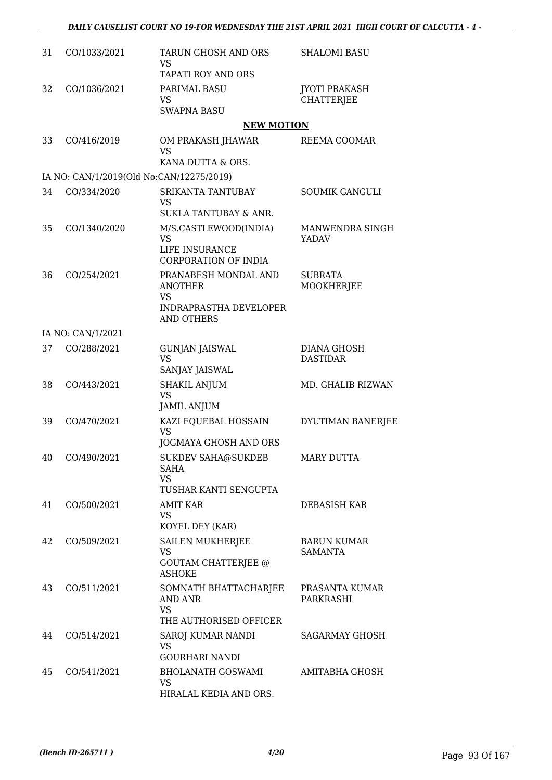| 31 | CO/1033/2021      | <b>TARUN GHOSH AND ORS</b><br><b>VS</b>                                                            | <b>SHALOMI BASU</b>                       |
|----|-------------------|----------------------------------------------------------------------------------------------------|-------------------------------------------|
| 32 | CO/1036/2021      | <b>TAPATI ROY AND ORS</b><br>PARIMAL BASU<br><b>VS</b>                                             | <b>JYOTI PRAKASH</b><br><b>CHATTERJEE</b> |
|    |                   | <b>SWAPNA BASU</b>                                                                                 |                                           |
|    |                   | <b>NEW MOTION</b>                                                                                  |                                           |
| 33 | CO/416/2019       | OM PRAKASH JHAWAR<br><b>VS</b><br>KANA DUTTA & ORS.                                                | REEMA COOMAR                              |
|    |                   | IA NO: CAN/1/2019(Old No:CAN/12275/2019)                                                           |                                           |
| 34 | CO/334/2020       | SRIKANTA TANTUBAY<br>VS<br>SUKLA TANTUBAY & ANR.                                                   | <b>SOUMIK GANGULI</b>                     |
| 35 | CO/1340/2020      | M/S.CASTLEWOOD(INDIA)<br><b>VS</b><br>LIFE INSURANCE<br><b>CORPORATION OF INDIA</b>                | MANWENDRA SINGH<br>YADAV                  |
| 36 | CO/254/2021       | PRANABESH MONDAL AND<br><b>ANOTHER</b><br><b>VS</b><br>INDRAPRASTHA DEVELOPER<br><b>AND OTHERS</b> | <b>SUBRATA</b><br>MOOKHERJEE              |
|    | IA NO: CAN/1/2021 |                                                                                                    |                                           |
| 37 | CO/288/2021       | <b>GUNJAN JAISWAL</b><br><b>VS</b><br>SANJAY JAISWAL                                               | <b>DIANA GHOSH</b><br><b>DASTIDAR</b>     |
| 38 | CO/443/2021       | <b>SHAKIL ANJUM</b><br><b>VS</b><br><b>JAMIL ANJUM</b>                                             | MD. GHALIB RIZWAN                         |
| 39 | CO/470/2021       | KAZI EQUEBAL HOSSAIN<br><b>VS</b><br>JOGMAYA GHOSH AND ORS                                         | DYUTIMAN BANERJEE                         |
| 40 | CO/490/2021       | <b>SUKDEV SAHA@SUKDEB</b><br><b>SAHA</b><br><b>VS</b><br>TUSHAR KANTI SENGUPTA                     | <b>MARY DUTTA</b>                         |
| 41 | CO/500/2021       | <b>AMIT KAR</b><br>VS.<br>KOYEL DEY (KAR)                                                          | DEBASISH KAR                              |
| 42 | CO/509/2021       | <b>SAILEN MUKHERJEE</b><br>VS<br><b>GOUTAM CHATTERJEE @</b><br><b>ASHOKE</b>                       | <b>BARUN KUMAR</b><br><b>SAMANTA</b>      |
| 43 | CO/511/2021       | SOMNATH BHATTACHARJEE<br>AND ANR<br><b>VS</b><br>THE AUTHORISED OFFICER                            | PRASANTA KUMAR<br>PARKRASHI               |
| 44 | CO/514/2021       | SAROJ KUMAR NANDI<br><b>VS</b><br><b>GOURHARI NANDI</b>                                            | SAGARMAY GHOSH                            |
| 45 | CO/541/2021       | <b>BHOLANATH GOSWAMI</b><br>VS<br>HIRALAL KEDIA AND ORS.                                           | AMITABHA GHOSH                            |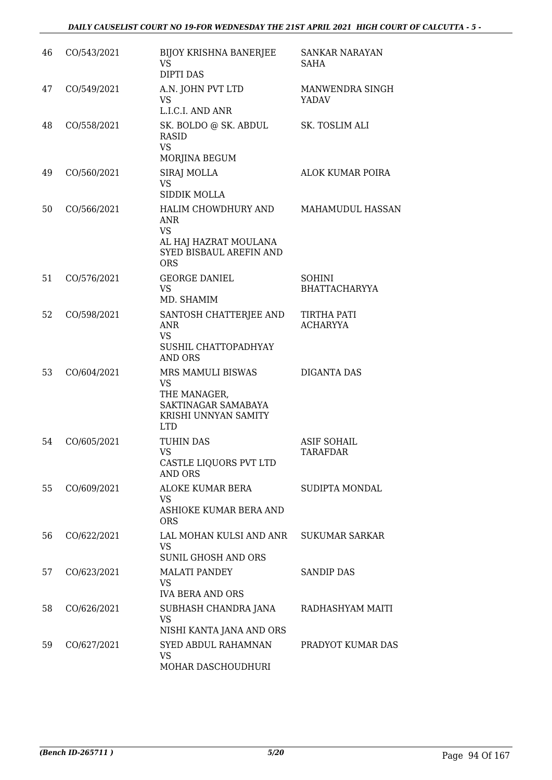| 46 | CO/543/2021 | <b>BIJOY KRISHNA BANERJEE</b><br><b>VS</b><br><b>DIPTI DAS</b>                                            | SANKAR NARAYAN<br>SAHA                |
|----|-------------|-----------------------------------------------------------------------------------------------------------|---------------------------------------|
| 47 | CO/549/2021 | A.N. JOHN PVT LTD<br>VS<br>L.I.C.I. AND ANR                                                               | MANWENDRA SINGH<br>YADAV              |
| 48 | CO/558/2021 | SK. BOLDO @ SK. ABDUL<br>RASID<br><b>VS</b><br>MORJINA BEGUM                                              | SK. TOSLIM ALI                        |
| 49 | CO/560/2021 | SIRAJ MOLLA<br>VS<br><b>SIDDIK MOLLA</b>                                                                  | ALOK KUMAR POIRA                      |
| 50 | CO/566/2021 | HALIM CHOWDHURY AND<br>ANR<br><b>VS</b><br>AL HAJ HAZRAT MOULANA<br>SYED BISBAUL AREFIN AND<br><b>ORS</b> | MAHAMUDUL HASSAN                      |
| 51 | CO/576/2021 | <b>GEORGE DANIEL</b><br>VS<br>MD. SHAMIM                                                                  | <b>SOHINI</b><br><b>BHATTACHARYYA</b> |
| 52 | CO/598/2021 | SANTOSH CHATTERJEE AND<br>ANR<br>VS<br>SUSHIL CHATTOPADHYAY<br><b>AND ORS</b>                             | TIRTHA PATI<br><b>ACHARYYA</b>        |
| 53 | CO/604/2021 | MRS MAMULI BISWAS<br>VS<br>THE MANAGER,<br>SAKTINAGAR SAMABAYA<br>KRISHI UNNYAN SAMITY<br><b>LTD</b>      | <b>DIGANTA DAS</b>                    |
| 54 | CO/605/2021 | <b>TUHIN DAS</b><br>VS<br>CASTLE LIQUORS PVT LTD<br><b>AND ORS</b>                                        | <b>ASIF SOHAIL</b><br>TARAFDAR        |
| 55 | CO/609/2021 | ALOKE KUMAR BERA<br>VS.<br>ASHIOKE KUMAR BERA AND<br><b>ORS</b>                                           | SUDIPTA MONDAL                        |
| 56 | CO/622/2021 | LAL MOHAN KULSI AND ANR<br>VS<br><b>SUNIL GHOSH AND ORS</b>                                               | <b>SUKUMAR SARKAR</b>                 |
| 57 | CO/623/2021 | <b>MALATI PANDEY</b><br><b>VS</b><br><b>IVA BERA AND ORS</b>                                              | <b>SANDIP DAS</b>                     |
| 58 | CO/626/2021 | SUBHASH CHANDRA JANA<br><b>VS</b><br>NISHI KANTA JANA AND ORS                                             | RADHASHYAM MAITI                      |
| 59 | CO/627/2021 | SYED ABDUL RAHAMNAN<br>VS<br>MOHAR DASCHOUDHURI                                                           | PRADYOT KUMAR DAS                     |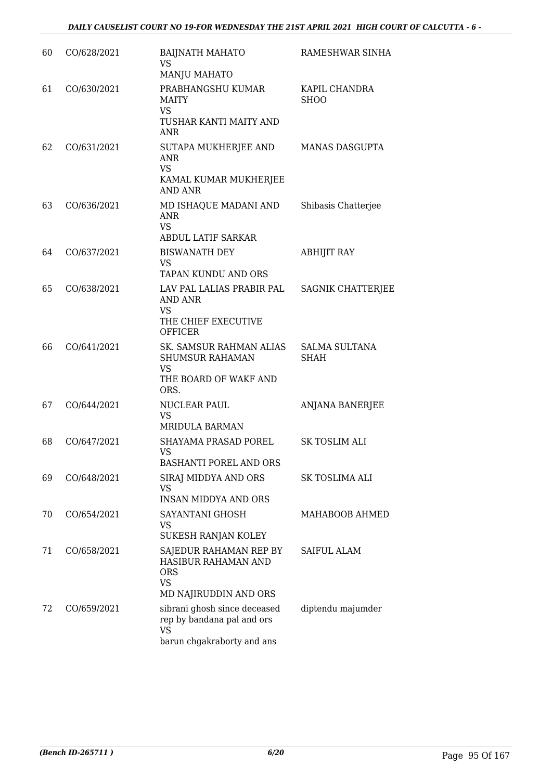| 60 | CO/628/2021 | <b>BAIJNATH MAHATO</b><br><b>VS</b><br><b>MANJU MAHATO</b>                                            | RAMESHWAR SINHA                     |
|----|-------------|-------------------------------------------------------------------------------------------------------|-------------------------------------|
| 61 | CO/630/2021 | PRABHANGSHU KUMAR<br><b>MAITY</b><br><b>VS</b><br>TUSHAR KANTI MAITY AND<br>ANR                       | KAPIL CHANDRA<br><b>SHOO</b>        |
| 62 | CO/631/2021 | SUTAPA MUKHERJEE AND<br><b>ANR</b><br><b>VS</b><br>KAMAL KUMAR MUKHERJEE<br><b>AND ANR</b>            | <b>MANAS DASGUPTA</b>               |
| 63 | CO/636/2021 | MD ISHAQUE MADANI AND<br>ANR<br><b>VS</b><br><b>ABDUL LATIF SARKAR</b>                                | Shibasis Chatterjee                 |
| 64 | CO/637/2021 | <b>BISWANATH DEY</b><br>VS<br>TAPAN KUNDU AND ORS                                                     | <b>ABHIJIT RAY</b>                  |
| 65 | CO/638/2021 | LAV PAL LALIAS PRABIR PAL<br>AND ANR<br>VS<br>THE CHIEF EXECUTIVE<br><b>OFFICER</b>                   | <b>SAGNIK CHATTERJEE</b>            |
| 66 | CO/641/2021 | SK. SAMSUR RAHMAN ALIAS<br><b>SHUMSUR RAHAMAN</b><br>VS<br>THE BOARD OF WAKF AND<br>ORS.              | <b>SALMA SULTANA</b><br><b>SHAH</b> |
| 67 | CO/644/2021 | NUCLEAR PAUL<br>VS<br>MRIDULA BARMAN                                                                  | <b>ANJANA BANERJEE</b>              |
| 68 | CO/647/2021 | SHAYAMA PRASAD POREL<br>VS<br>BASHANTI POREL AND ORS                                                  | <b>SK TOSLIM ALI</b>                |
| 69 | CO/648/2021 | SIRAJ MIDDYA AND ORS<br>VS<br><b>INSAN MIDDYA AND ORS</b>                                             | SK TOSLIMA ALI                      |
| 70 | CO/654/2021 | SAYANTANI GHOSH<br>VS<br>SUKESH RANJAN KOLEY                                                          | MAHABOOB AHMED                      |
| 71 | CO/658/2021 | SAJEDUR RAHAMAN REP BY<br>HASIBUR RAHAMAN AND<br><b>ORS</b><br><b>VS</b><br>MD NAJIRUDDIN AND ORS     | SAIFUL ALAM                         |
| 72 | CO/659/2021 | sibrani ghosh since deceased<br>rep by bandana pal and ors<br><b>VS</b><br>barun chgakraborty and ans | diptendu majumder                   |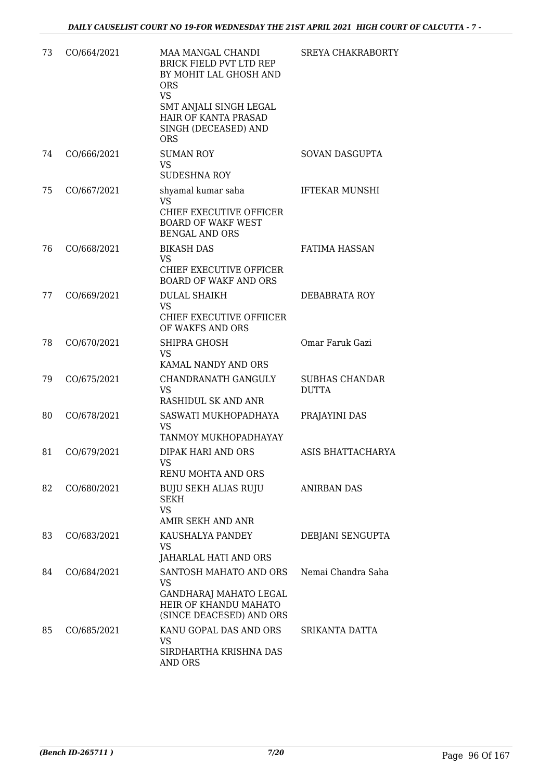| 73 | CO/664/2021 | MAA MANGAL CHANDI<br><b>BRICK FIELD PVT LTD REP</b><br>BY MOHIT LAL GHOSH AND<br><b>ORS</b><br><b>VS</b><br>SMT ANJALI SINGH LEGAL | <b>SREYA CHAKRABORTY</b>              |
|----|-------------|------------------------------------------------------------------------------------------------------------------------------------|---------------------------------------|
|    |             | HAIR OF KANTA PRASAD<br>SINGH (DECEASED) AND<br><b>ORS</b>                                                                         |                                       |
| 74 | CO/666/2021 | <b>SUMAN ROY</b><br><b>VS</b><br><b>SUDESHNA ROY</b>                                                                               | SOVAN DASGUPTA                        |
| 75 | CO/667/2021 | shyamal kumar saha<br>VS.<br>CHIEF EXECUTIVE OFFICER<br><b>BOARD OF WAKF WEST</b><br><b>BENGAL AND ORS</b>                         | <b>IFTEKAR MUNSHI</b>                 |
| 76 | CO/668/2021 | <b>BIKASH DAS</b><br><b>VS</b><br>CHIEF EXECUTIVE OFFICER<br><b>BOARD OF WAKF AND ORS</b>                                          | <b>FATIMA HASSAN</b>                  |
| 77 | CO/669/2021 | <b>DULAL SHAIKH</b><br><b>VS</b><br>CHIEF EXECUTIVE OFFIICER<br>OF WAKFS AND ORS                                                   | DEBABRATA ROY                         |
| 78 | CO/670/2021 | SHIPRA GHOSH<br><b>VS</b><br>KAMAL NANDY AND ORS                                                                                   | Omar Faruk Gazi                       |
| 79 | CO/675/2021 | CHANDRANATH GANGULY<br><b>VS</b><br>RASHIDUL SK AND ANR                                                                            | <b>SUBHAS CHANDAR</b><br><b>DUTTA</b> |
| 80 | CO/678/2021 | SASWATI MUKHOPADHAYA<br><b>VS</b><br>TANMOY MUKHOPADHAYAY                                                                          | PRAJAYINI DAS                         |
| 81 | CO/679/2021 | <b>DIPAK HARI AND ORS</b><br>VS<br>RENU MOHTA AND ORS                                                                              | ASIS BHATTACHARYA                     |
| 82 | CO/680/2021 | BUJU SEKH ALIAS RUJU<br>SEKH<br><b>VS</b><br>AMIR SEKH AND ANR                                                                     | ANIRBAN DAS                           |
| 83 | CO/683/2021 | KAUSHALYA PANDEY<br>VS<br>JAHARLAL HATI AND ORS                                                                                    | DEBJANI SENGUPTA                      |
| 84 | CO/684/2021 | SANTOSH MAHATO AND ORS<br>VS<br>GANDHARAJ MAHATO LEGAL<br>HEIR OF KHANDU MAHATO<br>(SINCE DEACESED) AND ORS                        | Nemai Chandra Saha                    |
| 85 | CO/685/2021 | KANU GOPAL DAS AND ORS<br>VS<br>SIRDHARTHA KRISHNA DAS<br>AND ORS                                                                  | SRIKANTA DATTA                        |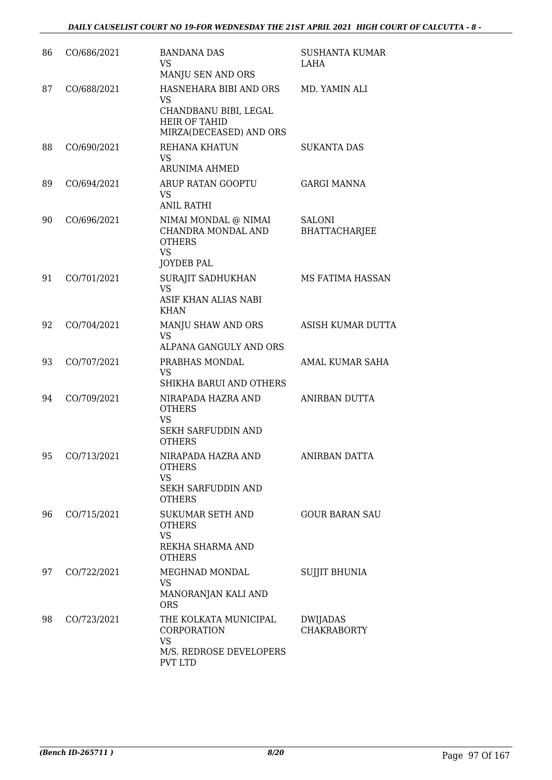| 86 | CO/686/2021 | <b>BANDANA DAS</b><br><b>VS</b><br>MANJU SEN AND ORS                                                     | SUSHANTA KUMAR<br>LAHA                |
|----|-------------|----------------------------------------------------------------------------------------------------------|---------------------------------------|
| 87 | CO/688/2021 | HASNEHARA BIBI AND ORS<br>VS<br>CHANDBANU BIBI, LEGAL<br><b>HEIR OF TAHID</b><br>MIRZA(DECEASED) AND ORS | MD. YAMIN ALI                         |
| 88 | CO/690/2021 | REHANA KHATUN<br>VS.<br><b>ARUNIMA AHMED</b>                                                             | SUKANTA DAS                           |
| 89 | CO/694/2021 | ARUP RATAN GOOPTU<br>VS<br><b>ANIL RATHI</b>                                                             | <b>GARGI MANNA</b>                    |
| 90 | CO/696/2021 | NIMAI MONDAL @ NIMAI<br>CHANDRA MONDAL AND<br><b>OTHERS</b><br><b>VS</b><br>JOYDEB PAL                   | <b>SALONI</b><br><b>BHATTACHARJEE</b> |
| 91 | CO/701/2021 | <b>SURAJIT SADHUKHAN</b><br><b>VS</b><br>ASIF KHAN ALIAS NABI<br><b>KHAN</b>                             | MS FATIMA HASSAN                      |
| 92 | CO/704/2021 | MANJU SHAW AND ORS<br><b>VS</b><br>ALPANA GANGULY AND ORS                                                | ASISH KUMAR DUTTA                     |
| 93 | CO/707/2021 | PRABHAS MONDAL<br>VS<br>SHIKHA BARUI AND OTHERS                                                          | AMAL KUMAR SAHA                       |
| 94 | CO/709/2021 | NIRAPADA HAZRA AND<br><b>OTHERS</b><br>VS<br>SEKH SARFUDDIN AND<br><b>OTHERS</b>                         | ANIRBAN DUTTA                         |
| 95 | CO/713/2021 | NIRAPADA HAZRA AND<br><b>OTHERS</b><br><b>VS</b><br>SEKH SARFUDDIN AND<br><b>OTHERS</b>                  | <b>ANIRBAN DATTA</b>                  |
| 96 | CO/715/2021 | <b>SUKUMAR SETH AND</b><br><b>OTHERS</b><br><b>VS</b><br>REKHA SHARMA AND<br><b>OTHERS</b>               | <b>GOUR BARAN SAU</b>                 |
| 97 | CO/722/2021 | MEGHNAD MONDAL<br><b>VS</b><br>MANORANJAN KALI AND<br><b>ORS</b>                                         | <b>SUJJIT BHUNIA</b>                  |
| 98 | CO/723/2021 | THE KOLKATA MUNICIPAL<br>CORPORATION<br><b>VS</b><br>M/S. REDROSE DEVELOPERS<br>PVT LTD                  | DWIJADAS<br><b>CHAKRABORTY</b>        |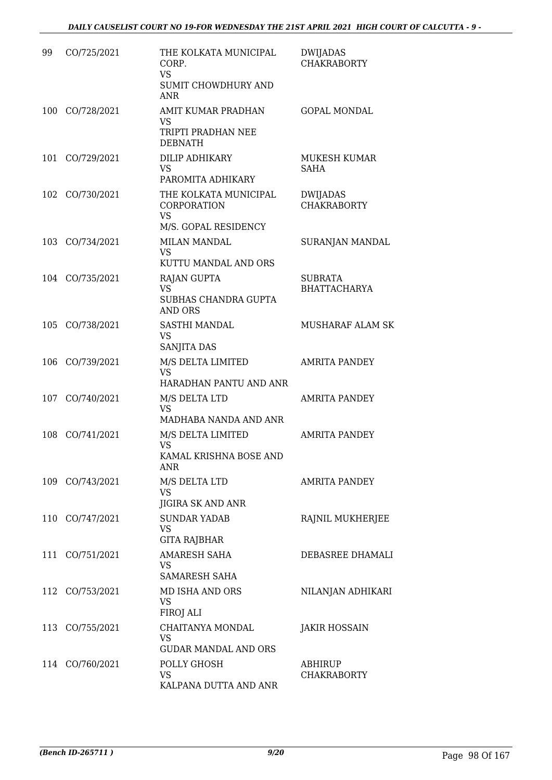| 99  | CO/725/2021     | THE KOLKATA MUNICIPAL<br>CORP.<br><b>VS</b><br>SUMIT CHOWDHURY AND<br><b>ANR</b> | <b>DWIJADAS</b><br><b>CHAKRABORTY</b> |
|-----|-----------------|----------------------------------------------------------------------------------|---------------------------------------|
|     | 100 CO/728/2021 | AMIT KUMAR PRADHAN<br>VS<br>TRIPTI PRADHAN NEE<br><b>DEBNATH</b>                 | <b>GOPAL MONDAL</b>                   |
| 101 | CO/729/2021     | DILIP ADHIKARY<br><b>VS</b><br>PAROMITA ADHIKARY                                 | <b>MUKESH KUMAR</b><br><b>SAHA</b>    |
|     | 102 CO/730/2021 | THE KOLKATA MUNICIPAL<br><b>CORPORATION</b><br><b>VS</b><br>M/S. GOPAL RESIDENCY | DWIJADAS<br><b>CHAKRABORTY</b>        |
|     | 103 CO/734/2021 | <b>MILAN MANDAL</b><br>VS<br>KUTTU MANDAL AND ORS                                | SURANJAN MANDAL                       |
|     | 104 CO/735/2021 | RAJAN GUPTA<br>VS<br>SUBHAS CHANDRA GUPTA<br><b>AND ORS</b>                      | <b>SUBRATA</b><br><b>BHATTACHARYA</b> |
| 105 | CO/738/2021     | SASTHI MANDAL<br>VS<br>SANJITA DAS                                               | MUSHARAF ALAM SK                      |
|     | 106 CO/739/2021 | M/S DELTA LIMITED<br><b>VS</b><br>HARADHAN PANTU AND ANR                         | <b>AMRITA PANDEY</b>                  |
|     | 107 CO/740/2021 | M/S DELTA LTD<br><b>VS</b><br>MADHABA NANDA AND ANR                              | <b>AMRITA PANDEY</b>                  |
| 108 | CO/741/2021     | M/S DELTA LIMITED<br><b>VS</b><br>KAMAL KRISHNA BOSE AND<br><b>ANR</b>           | AMRITA PANDEY                         |
|     | 109 CO/743/2021 | M/S DELTA LTD<br><b>VS</b><br>JIGIRA SK AND ANR                                  | AMRITA PANDEY                         |
|     | 110 CO/747/2021 | <b>SUNDAR YADAB</b><br>VS<br><b>GITA RAJBHAR</b>                                 | RAJNIL MUKHERJEE                      |
| 111 | CO/751/2021     | <b>AMARESH SAHA</b><br>VS<br><b>SAMARESH SAHA</b>                                | DEBASREE DHAMALI                      |
|     | 112 CO/753/2021 | MD ISHA AND ORS<br>VS<br>FIROJ ALI                                               | NILANJAN ADHIKARI                     |
|     | 113 CO/755/2021 | CHAITANYA MONDAL<br>VS<br><b>GUDAR MANDAL AND ORS</b>                            | <b>JAKIR HOSSAIN</b>                  |
| 114 | CO/760/2021     | POLLY GHOSH<br>VS<br>KALPANA DUTTA AND ANR                                       | ABHIRUP<br><b>CHAKRABORTY</b>         |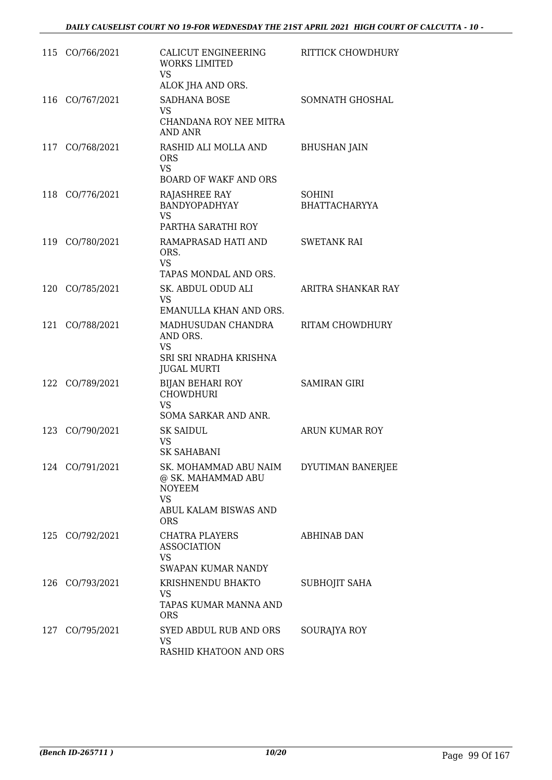|     | 115 CO/766/2021 | CALICUT ENGINEERING<br><b>WORKS LIMITED</b><br><b>VS</b><br>ALOK JHA AND ORS.                                    | RITTICK CHOWDHURY                     |
|-----|-----------------|------------------------------------------------------------------------------------------------------------------|---------------------------------------|
| 116 | CO/767/2021     | <b>SADHANA BOSE</b><br>VS<br>CHANDANA ROY NEE MITRA<br>AND ANR                                                   | SOMNATH GHOSHAL                       |
| 117 | CO/768/2021     | RASHID ALI MOLLA AND<br><b>ORS</b><br><b>VS</b><br><b>BOARD OF WAKF AND ORS</b>                                  | <b>BHUSHAN JAIN</b>                   |
|     | 118 CO/776/2021 | RAJASHREE RAY<br>BANDYOPADHYAY<br><b>VS</b><br>PARTHA SARATHI ROY                                                | <b>SOHINI</b><br><b>BHATTACHARYYA</b> |
|     | 119 CO/780/2021 | RAMAPRASAD HATI AND<br>ORS.<br><b>VS</b><br>TAPAS MONDAL AND ORS.                                                | <b>SWETANK RAI</b>                    |
| 120 | CO/785/2021     | SK. ABDUL ODUD ALI<br><b>VS</b><br>EMANULLA KHAN AND ORS.                                                        | ARITRA SHANKAR RAY                    |
|     | 121 CO/788/2021 | MADHUSUDAN CHANDRA<br>AND ORS.<br><b>VS</b><br>SRI SRI NRADHA KRISHNA<br><b>JUGAL MURTI</b>                      | RITAM CHOWDHURY                       |
| 122 | CO/789/2021     | <b>BIJAN BEHARI ROY</b><br><b>CHOWDHURI</b><br><b>VS</b><br>SOMA SARKAR AND ANR.                                 | <b>SAMIRAN GIRI</b>                   |
| 123 | CO/790/2021     | <b>SK SAIDUL</b><br>VS<br><b>SK SAHABANI</b>                                                                     | <b>ARUN KUMAR ROY</b>                 |
|     | 124 CO/791/2021 | SK. MOHAMMAD ABU NAIM<br>@ SK. MAHAMMAD ABU<br><b>NOYEEM</b><br><b>VS</b><br>ABUL KALAM BISWAS AND<br><b>ORS</b> | DYUTIMAN BANERJEE                     |
|     | 125 CO/792/2021 | <b>CHATRA PLAYERS</b><br><b>ASSOCIATION</b><br><b>VS</b><br>SWAPAN KUMAR NANDY                                   | ABHINAB DAN                           |
|     | 126 CO/793/2021 | KRISHNENDU BHAKTO<br>VS<br>TAPAS KUMAR MANNA AND<br><b>ORS</b>                                                   | SUBHOJIT SAHA                         |
| 127 | CO/795/2021     | SYED ABDUL RUB AND ORS<br><b>VS</b><br>RASHID KHATOON AND ORS                                                    | SOURAJYA ROY                          |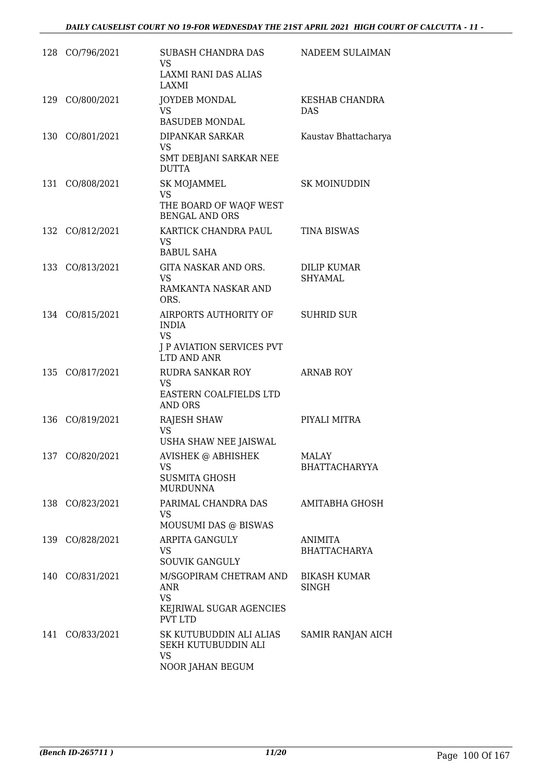| 128 CO/796/2021 | SUBASH CHANDRA DAS<br>VS.<br>LAXMI RANI DAS ALIAS<br>LAXMI                                                       | NADEEM SULAIMAN                       |
|-----------------|------------------------------------------------------------------------------------------------------------------|---------------------------------------|
| 129 CO/800/2021 | JOYDEB MONDAL<br><b>VS</b><br><b>BASUDEB MONDAL</b>                                                              | <b>KESHAB CHANDRA</b><br><b>DAS</b>   |
| 130 CO/801/2021 | DIPANKAR SARKAR<br><b>VS</b><br>SMT DEBJANI SARKAR NEE<br><b>DUTTA</b>                                           | Kaustav Bhattacharya                  |
| 131 CO/808/2021 | SK MOJAMMEL<br><b>VS</b><br>THE BOARD OF WAQF WEST<br><b>BENGAL AND ORS</b>                                      | <b>SK MOINUDDIN</b>                   |
| 132 CO/812/2021 | KARTICK CHANDRA PAUL<br>VS.<br><b>BABUL SAHA</b>                                                                 | <b>TINA BISWAS</b>                    |
| 133 CO/813/2021 | GITA NASKAR AND ORS.<br><b>VS</b><br>RAMKANTA NASKAR AND<br>ORS.                                                 | <b>DILIP KUMAR</b><br><b>SHYAMAL</b>  |
| 134 CO/815/2021 | AIRPORTS AUTHORITY OF SUHRID SUR<br><b>INDIA</b><br><b>VS</b><br><b>J P AVIATION SERVICES PVT</b><br>LTD AND ANR |                                       |
| 135 CO/817/2021 | RUDRA SANKAR ROY<br>VS.<br>EASTERN COALFIELDS LTD<br>AND ORS                                                     | <b>ARNAB ROY</b>                      |
| 136 CO/819/2021 | <b>RAJESH SHAW</b><br>VS.<br>USHA SHAW NEE JAISWAL                                                               | PIYALI MITRA                          |
| 137 CO/820/2021 | AVISHEK @ ABHISHEK<br>VS<br>SUSMITA GHOSH<br><b>MURDUNNA</b>                                                     | MALAY<br><b>BHATTACHARYYA</b>         |
| 138 CO/823/2021 | PARIMAL CHANDRA DAS<br>VS<br>MOUSUMI DAS @ BISWAS                                                                | AMITABHA GHOSH                        |
| 139 CO/828/2021 | <b>ARPITA GANGULY</b><br>VS.<br><b>SOUVIK GANGULY</b>                                                            | <b>ANIMITA</b><br><b>BHATTACHARYA</b> |
| 140 CO/831/2021 | M/SGOPIRAM CHETRAM AND<br>ANR<br><b>VS</b><br>KEJRIWAL SUGAR AGENCIES<br><b>PVT LTD</b>                          | <b>BIKASH KUMAR</b><br><b>SINGH</b>   |
| 141 CO/833/2021 | SK KUTUBUDDIN ALI ALIAS<br>SEKH KUTUBUDDIN ALI<br><b>VS</b><br>NOOR JAHAN BEGUM                                  | SAMIR RANJAN AICH                     |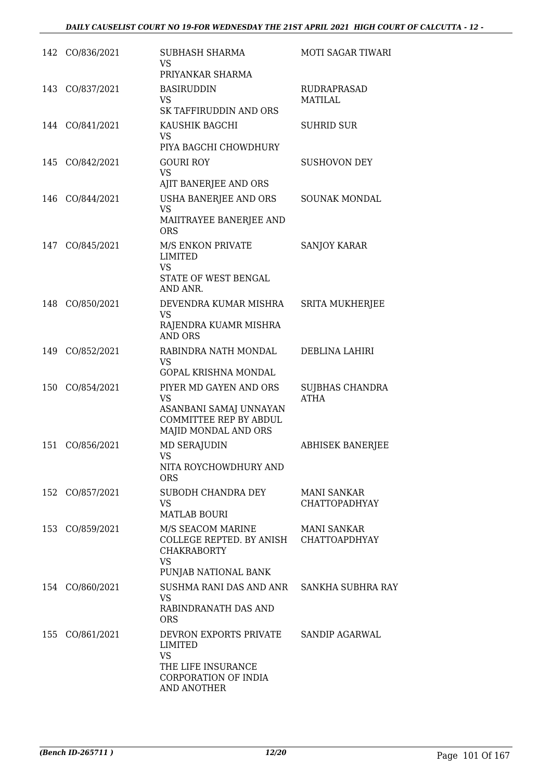|     | 142 CO/836/2021 | SUBHASH SHARMA<br>VS<br>PRIYANKAR SHARMA                                                                               | MOTI SAGAR TIWARI                          |
|-----|-----------------|------------------------------------------------------------------------------------------------------------------------|--------------------------------------------|
| 143 | CO/837/2021     | <b>BASIRUDDIN</b><br><b>VS</b><br>SK TAFFIRUDDIN AND ORS                                                               | RUDRAPRASAD<br>MATILAL                     |
|     | 144 CO/841/2021 | KAUSHIK BAGCHI<br>VS.<br>PIYA BAGCHI CHOWDHURY                                                                         | <b>SUHRID SUR</b>                          |
| 145 | CO/842/2021     | <b>GOURI ROY</b><br><b>VS</b><br>AJIT BANERJEE AND ORS                                                                 | <b>SUSHOVON DEY</b>                        |
| 146 | CO/844/2021     | USHA BANERJEE AND ORS<br><b>VS</b><br>MAIITRAYEE BANERJEE AND<br><b>ORS</b>                                            | SOUNAK MONDAL                              |
| 147 | CO/845/2021     | M/S ENKON PRIVATE<br>LIMITED<br><b>VS</b><br>STATE OF WEST BENGAL<br>AND ANR.                                          | <b>SANJOY KARAR</b>                        |
| 148 | CO/850/2021     | DEVENDRA KUMAR MISHRA<br><b>VS</b><br>RAJENDRA KUAMR MISHRA<br><b>AND ORS</b>                                          | <b>SRITA MUKHERJEE</b>                     |
| 149 | CO/852/2021     | RABINDRA NATH MONDAL<br>VS<br><b>GOPAL KRISHNA MONDAL</b>                                                              | DEBLINA LAHIRI                             |
| 150 | CO/854/2021     | PIYER MD GAYEN AND ORS<br>VS<br>ASANBANI SAMAJ UNNAYAN<br><b>COMMITTEE REP BY ABDUL</b><br>MAJID MONDAL AND ORS        | SUJBHAS CHANDRA<br><b>ATHA</b>             |
| 151 | CO/856/2021     | <b>MD SERAJUDIN</b><br>VS<br>NITA ROYCHOWDHURY AND<br><b>ORS</b>                                                       | <b>ABHISEK BANERJEE</b>                    |
|     | 152 CO/857/2021 | SUBODH CHANDRA DEY<br>VS.<br><b>MATLAB BOURI</b>                                                                       | <b>MANI SANKAR</b><br><b>CHATTOPADHYAY</b> |
|     | 153 CO/859/2021 | M/S SEACOM MARINE<br>COLLEGE REPTED. BY ANISH CHATTOAPDHYAY<br><b>CHAKRABORTY</b><br><b>VS</b><br>PUNJAB NATIONAL BANK | MANI SANKAR                                |
|     | 154 CO/860/2021 | SUSHMA RANI DAS AND ANR SANKHA SUBHRA RAY<br>VS.<br>RABINDRANATH DAS AND<br><b>ORS</b>                                 |                                            |
|     | 155 CO/861/2021 | DEVRON EXPORTS PRIVATE<br>LIMITED<br><b>VS</b><br>THE LIFE INSURANCE<br>CORPORATION OF INDIA<br>AND ANOTHER            | SANDIP AGARWAL                             |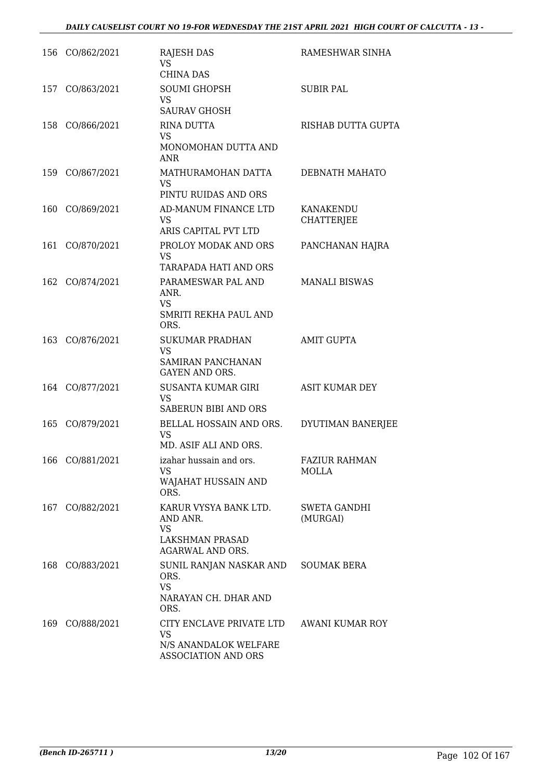|     | 156 CO/862/2021 | <b>RAJESH DAS</b><br><b>VS</b><br><b>CHINA DAS</b>                                           | RAMESHWAR SINHA                      |
|-----|-----------------|----------------------------------------------------------------------------------------------|--------------------------------------|
| 157 | CO/863/2021     | <b>SOUMI GHOPSH</b><br><b>VS</b><br><b>SAURAV GHOSH</b>                                      | <b>SUBIR PAL</b>                     |
| 158 | CO/866/2021     | RINA DUTTA<br><b>VS</b><br>MONOMOHAN DUTTA AND<br><b>ANR</b>                                 | RISHAB DUTTA GUPTA                   |
|     | 159 CO/867/2021 | MATHURAMOHAN DATTA<br><b>VS</b><br>PINTU RUIDAS AND ORS                                      | DEBNATH MAHATO                       |
| 160 | CO/869/2021     | AD-MANUM FINANCE LTD<br>VS<br>ARIS CAPITAL PVT LTD                                           | KANAKENDU<br><b>CHATTERJEE</b>       |
| 161 | CO/870/2021     | PROLOY MODAK AND ORS<br><b>VS</b><br><b>TARAPADA HATI AND ORS</b>                            | PANCHANAN HAJRA                      |
|     | 162 CO/874/2021 | PARAMESWAR PAL AND<br>ANR.<br><b>VS</b><br>SMRITI REKHA PAUL AND<br>ORS.                     | <b>MANALI BISWAS</b>                 |
|     | 163 CO/876/2021 | <b>SUKUMAR PRADHAN</b><br><b>VS</b><br><b>SAMIRAN PANCHANAN</b><br>GAYEN AND ORS.            | <b>AMIT GUPTA</b>                    |
|     | 164 CO/877/2021 | SUSANTA KUMAR GIRI<br><b>VS</b><br>SABERUN BIBI AND ORS                                      | <b>ASIT KUMAR DEY</b>                |
|     | 165 CO/879/2021 | BELLAL HOSSAIN AND ORS.<br><b>VS</b><br>MD. ASIF ALI AND ORS.                                | DYUTIMAN BANERJEE                    |
|     | 166 CO/881/2021 | izahar hussain and ors.<br>VS<br>WAJAHAT HUSSAIN AND<br>ORS.                                 | <b>FAZIUR RAHMAN</b><br><b>MOLLA</b> |
| 167 | CO/882/2021     | KARUR VYSYA BANK LTD.<br>AND ANR.<br><b>VS</b><br>LAKSHMAN PRASAD<br><b>AGARWAL AND ORS.</b> | <b>SWETA GANDHI</b><br>(MURGAI)      |
|     | 168 CO/883/2021 | SUNIL RANJAN NASKAR AND<br>ORS.<br><b>VS</b><br>NARAYAN CH. DHAR AND<br>ORS.                 | <b>SOUMAK BERA</b>                   |
| 169 | CO/888/2021     | CITY ENCLAVE PRIVATE LTD<br>VS<br>N/S ANANDALOK WELFARE<br>ASSOCIATION AND ORS               | AWANI KUMAR ROY                      |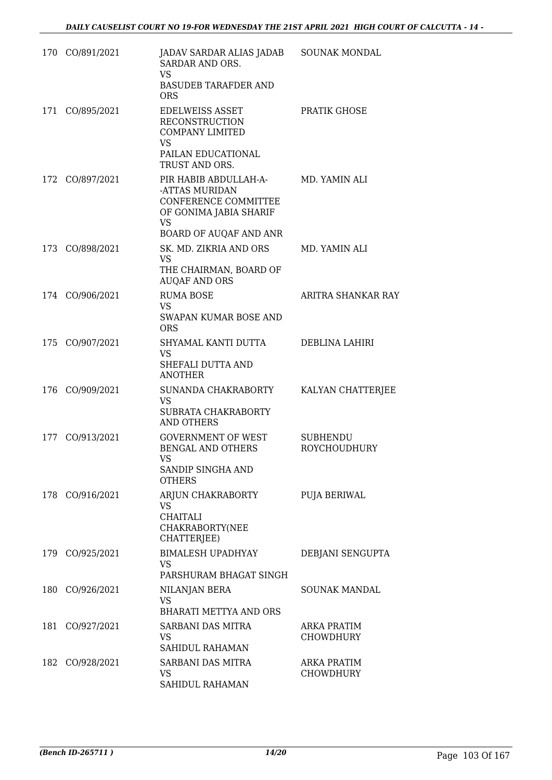|     | 170 CO/891/2021 | JADAV SARDAR ALIAS JADAB<br>SARDAR AND ORS.<br><b>VS</b><br><b>BASUDEB TARAFDER AND</b><br><b>ORS</b>                            | <b>SOUNAK MONDAL</b>                   |
|-----|-----------------|----------------------------------------------------------------------------------------------------------------------------------|----------------------------------------|
|     | 171 CO/895/2021 | <b>EDELWEISS ASSET</b><br><b>RECONSTRUCTION</b><br><b>COMPANY LIMITED</b><br><b>VS</b><br>PAILAN EDUCATIONAL<br>TRUST AND ORS.   | PRATIK GHOSE                           |
|     | 172 CO/897/2021 | PIR HABIB ABDULLAH-A-<br>-ATTAS MURIDAN<br>CONFERENCE COMMITTEE<br>OF GONIMA JABIA SHARIF<br><b>VS</b><br>BOARD OF AUQAF AND ANR | MD. YAMIN ALI                          |
|     | 173 CO/898/2021 | SK. MD. ZIKRIA AND ORS<br><b>VS</b><br>THE CHAIRMAN, BOARD OF<br><b>AUQAF AND ORS</b>                                            | MD. YAMIN ALI                          |
|     | 174 CO/906/2021 | <b>RUMA BOSE</b><br><b>VS</b><br>SWAPAN KUMAR BOSE AND<br><b>ORS</b>                                                             | ARITRA SHANKAR RAY                     |
|     | 175 CO/907/2021 | SHYAMAL KANTI DUTTA<br>VS<br>SHEFALI DUTTA AND<br><b>ANOTHER</b>                                                                 | DEBLINA LAHIRI                         |
|     | 176 CO/909/2021 | SUNANDA CHAKRABORTY<br><b>VS</b><br>SUBRATA CHAKRABORTY<br><b>AND OTHERS</b>                                                     | KALYAN CHATTERJEE                      |
|     | 177 CO/913/2021 | <b>GOVERNMENT OF WEST</b><br>BENGAL AND OTHERS<br>VS<br>SANDIP SINGHA AND<br><b>OTHERS</b>                                       | <b>SUBHENDU</b><br><b>ROYCHOUDHURY</b> |
|     | 178 CO/916/2021 | ARJUN CHAKRABORTY<br>VS<br><b>CHAITALI</b><br>CHAKRABORTY(NEE<br>CHATTERJEE)                                                     | PUJA BERIWAL                           |
|     | 179 CO/925/2021 | <b>BIMALESH UPADHYAY</b><br><b>VS</b><br>PARSHURAM BHAGAT SINGH                                                                  | DEBJANI SENGUPTA                       |
|     | 180 CO/926/2021 | NILANJAN BERA<br><b>VS</b><br><b>BHARATI METTYA AND ORS</b>                                                                      | <b>SOUNAK MANDAL</b>                   |
| 181 | CO/927/2021     | SARBANI DAS MITRA<br>VS<br>SAHIDUL RAHAMAN                                                                                       | <b>ARKA PRATIM</b><br><b>CHOWDHURY</b> |
|     | 182 CO/928/2021 | SARBANI DAS MITRA<br>VS<br>SAHIDUL RAHAMAN                                                                                       | ARKA PRATIM<br><b>CHOWDHURY</b>        |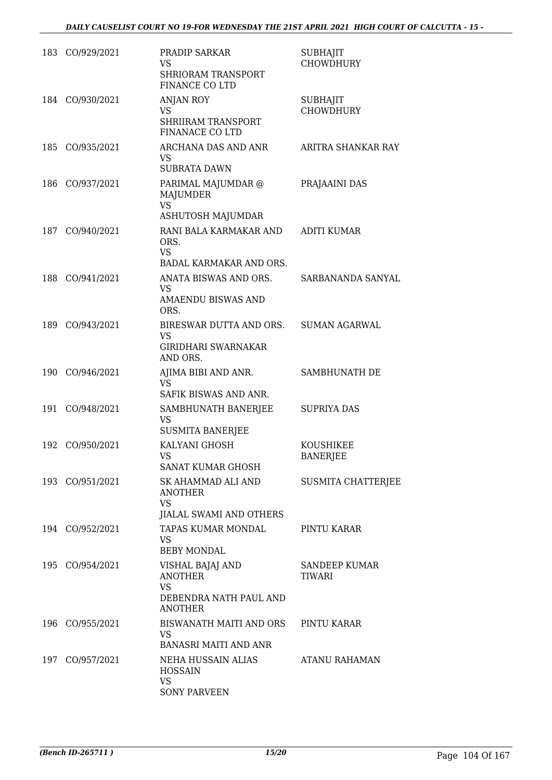| 183 | CO/929/2021     | PRADIP SARKAR<br><b>VS</b><br><b>SHRIORAM TRANSPORT</b><br>FINANCE CO LTD                   | <b>SUBHAJIT</b><br><b>CHOWDHURY</b> |
|-----|-----------------|---------------------------------------------------------------------------------------------|-------------------------------------|
|     | 184 CO/930/2021 | <b>ANJAN ROY</b><br><b>VS</b><br>SHRIIRAM TRANSPORT<br>FINANACE CO LTD                      | <b>SUBHAJIT</b><br><b>CHOWDHURY</b> |
| 185 | CO/935/2021     | ARCHANA DAS AND ANR<br>VS.<br><b>SUBRATA DAWN</b>                                           | ARITRA SHANKAR RAY                  |
| 186 | CO/937/2021     | PARIMAL MAJUMDAR @<br>MAJUMDER<br><b>VS</b>                                                 | PRAJAAINI DAS                       |
|     |                 | ASHUTOSH MAJUMDAR                                                                           |                                     |
| 187 | CO/940/2021     | RANI BALA KARMAKAR AND<br>ORS.<br><b>VS</b><br>BADAL KARMAKAR AND ORS.                      | <b>ADITI KUMAR</b>                  |
| 188 | CO/941/2021     | ANATA BISWAS AND ORS.<br>VS                                                                 | SARBANANDA SANYAL                   |
|     |                 | <b>AMAENDU BISWAS AND</b><br>ORS.                                                           |                                     |
| 189 | CO/943/2021     | BIRESWAR DUTTA AND ORS.<br><b>VS</b><br><b>GIRIDHARI SWARNAKAR</b><br>AND ORS.              | <b>SUMAN AGARWAL</b>                |
| 190 | CO/946/2021     | AJIMA BIBI AND ANR.<br>VS<br>SAFIK BISWAS AND ANR.                                          | SAMBHUNATH DE                       |
| 191 | CO/948/2021     | SAMBHUNATH BANERJEE<br>VS<br><b>SUSMITA BANERJEE</b>                                        | <b>SUPRIYA DAS</b>                  |
| 192 | CO/950/2021     | KALYANI GHOSH<br>VS<br><b>SANAT KUMAR GHOSH</b>                                             | <b>KOUSHIKEE</b><br><b>BANERJEE</b> |
|     | 193 CO/951/2021 | SK AHAMMAD ALI AND<br><b>ANOTHER</b><br><b>VS</b><br>JIALAL SWAMI AND OTHERS                | <b>SUSMITA CHATTERJEE</b>           |
|     | 194 CO/952/2021 | TAPAS KUMAR MONDAL<br><b>VS</b><br><b>BEBY MONDAL</b>                                       | PINTU KARAR                         |
|     | 195 CO/954/2021 | VISHAL BAJAJ AND<br><b>ANOTHER</b><br><b>VS</b><br>DEBENDRA NATH PAUL AND<br><b>ANOTHER</b> | SANDEEP KUMAR<br>TIWARI             |
|     | 196 CO/955/2021 | BISWANATH MAITI AND ORS<br>VS<br><b>BANASRI MAITI AND ANR</b>                               | PINTU KARAR                         |
|     | 197 CO/957/2021 | NEHA HUSSAIN ALIAS<br><b>HOSSAIN</b><br><b>VS</b><br><b>SONY PARVEEN</b>                    | ATANU RAHAMAN                       |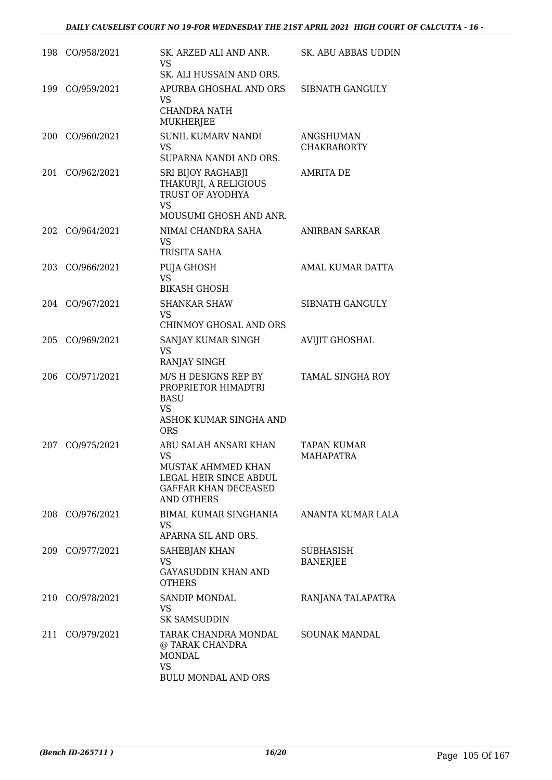|     | 198 CO/958/2021 | SK. ARZED ALI AND ANR.<br><b>VS</b><br>SK. ALI HUSSAIN AND ORS.                                                                        | SK. ABU ABBAS UDDIN                    |
|-----|-----------------|----------------------------------------------------------------------------------------------------------------------------------------|----------------------------------------|
| 199 | CO/959/2021     | APURBA GHOSHAL AND ORS<br>VS.<br><b>CHANDRA NATH</b><br>MUKHERJEE                                                                      | SIBNATH GANGULY                        |
| 200 | CO/960/2021     | <b>SUNIL KUMARV NANDI</b><br><b>VS</b><br>SUPARNA NANDI AND ORS.                                                                       | ANGSHUMAN<br><b>CHAKRABORTY</b>        |
| 201 | CO/962/2021     | SRI BIJOY RAGHABJI<br>THAKURJI, A RELIGIOUS<br>TRUST OF AYODHYA<br><b>VS</b>                                                           | <b>AMRITA DE</b>                       |
|     | 202 CO/964/2021 | MOUSUMI GHOSH AND ANR.<br>NIMAI CHANDRA SAHA<br><b>VS</b>                                                                              | ANIRBAN SARKAR                         |
| 203 | CO/966/2021     | TRISITA SAHA<br><b>PUJA GHOSH</b><br><b>VS</b><br><b>BIKASH GHOSH</b>                                                                  | AMAL KUMAR DATTA                       |
|     | 204 CO/967/2021 | <b>SHANKAR SHAW</b><br><b>VS</b><br>CHINMOY GHOSAL AND ORS                                                                             | SIBNATH GANGULY                        |
| 205 | CO/969/2021     | SANJAY KUMAR SINGH<br><b>VS</b><br>RANJAY SINGH                                                                                        | <b>AVIJIT GHOSHAL</b>                  |
| 206 | CO/971/2021     | M/S H DESIGNS REP BY<br>PROPRIETOR HIMADTRI<br>BASU<br>VS<br>ASHOK KUMAR SINGHA AND<br><b>ORS</b>                                      | <b>TAMAL SINGHA ROY</b>                |
| 207 | CO/975/2021     | ABU SALAH ANSARI KHAN<br><b>VS</b><br>MUSTAK AHMMED KHAN<br>LEGAL HEIR SINCE ABDUL<br><b>GAFFAR KHAN DECEASED</b><br><b>AND OTHERS</b> | <b>TAPAN KUMAR</b><br><b>MAHAPATRA</b> |
| 208 | CO/976/2021     | <b>BIMAL KUMAR SINGHANIA</b><br>VS<br>APARNA SIL AND ORS.                                                                              | ANANTA KUMAR LALA                      |
| 209 | CO/977/2021     | SAHEBJAN KHAN<br>VS<br><b>GAYASUDDIN KHAN AND</b><br><b>OTHERS</b>                                                                     | SUBHASISH<br><b>BANERJEE</b>           |
| 210 | CO/978/2021     | <b>SANDIP MONDAL</b><br>VS<br><b>SK SAMSUDDIN</b>                                                                                      | RANJANA TALAPATRA                      |
| 211 | CO/979/2021     | TARAK CHANDRA MONDAL<br>@ TARAK CHANDRA<br><b>MONDAL</b><br><b>VS</b><br><b>BULU MONDAL AND ORS</b>                                    | <b>SOUNAK MANDAL</b>                   |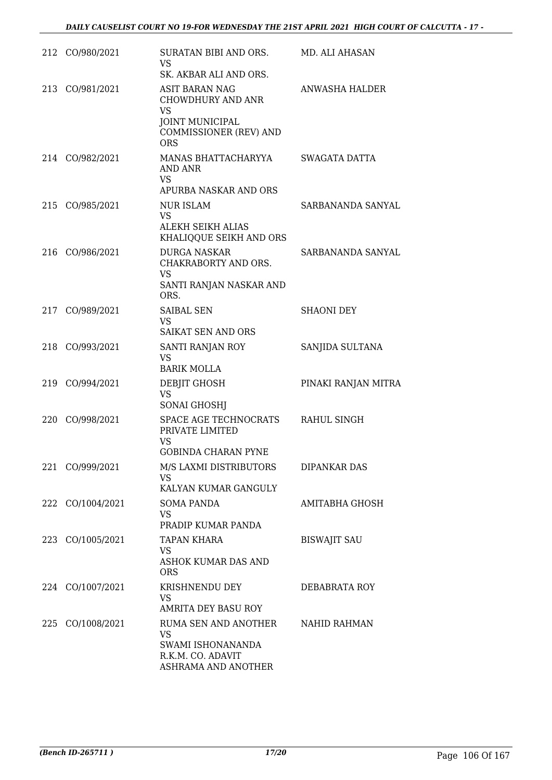|     | 212 CO/980/2021  | SURATAN BIBI AND ORS.<br><b>VS</b><br>SK. AKBAR ALI AND ORS.                                                              | MD. ALI AHASAN      |
|-----|------------------|---------------------------------------------------------------------------------------------------------------------------|---------------------|
|     | 213 CO/981/2021  | <b>ASIT BARAN NAG</b><br>CHOWDHURY AND ANR<br><b>VS</b><br><b>JOINT MUNICIPAL</b><br>COMMISSIONER (REV) AND<br><b>ORS</b> | ANWASHA HALDER      |
|     | 214 CO/982/2021  | MANAS BHATTACHARYYA<br>AND ANR<br><b>VS</b><br>APURBA NASKAR AND ORS                                                      | SWAGATA DATTA       |
|     | 215 CO/985/2021  | NUR ISLAM<br>VS<br>ALEKH SEIKH ALIAS<br>KHALIQQUE SEIKH AND ORS                                                           | SARBANANDA SANYAL   |
|     | 216 CO/986/2021  | <b>DURGA NASKAR</b><br>CHAKRABORTY AND ORS.<br>VS<br>SANTI RANJAN NASKAR AND<br>ORS.                                      | SARBANANDA SANYAL   |
| 217 | CO/989/2021      | <b>SAIBAL SEN</b><br><b>VS</b><br><b>SAIKAT SEN AND ORS</b>                                                               | <b>SHAONI DEY</b>   |
|     | 218 CO/993/2021  | SANTI RANJAN ROY<br><b>VS</b><br><b>BARIK MOLLA</b>                                                                       | SANJIDA SULTANA     |
|     | 219 CO/994/2021  | DEBJIT GHOSH<br>VS<br><b>SONAI GHOSHJ</b>                                                                                 | PINAKI RANJAN MITRA |
|     | 220 CO/998/2021  | SPACE AGE TECHNOCRATS<br>PRIVATE LIMITED<br>VS<br><b>GOBINDA CHARAN PYNE</b>                                              | RAHUL SINGH         |
|     | 221 CO/999/2021  | M/S LAXMI DISTRIBUTORS<br><b>VS</b><br>KALYAN KUMAR GANGULY                                                               | <b>DIPANKAR DAS</b> |
|     | 222 CO/1004/2021 | <b>SOMA PANDA</b><br>VS.<br>PRADIP KUMAR PANDA                                                                            | AMITABHA GHOSH      |
|     | 223 CO/1005/2021 | TAPAN KHARA<br><b>VS</b><br>ASHOK KUMAR DAS AND<br><b>ORS</b>                                                             | <b>BISWAJIT SAU</b> |
|     | 224 CO/1007/2021 | KRISHNENDU DEY<br><b>VS</b><br>AMRITA DEY BASU ROY                                                                        | DEBABRATA ROY       |
|     | 225 CO/1008/2021 | RUMA SEN AND ANOTHER<br><b>VS</b><br>SWAMI ISHONANANDA<br>R.K.M. CO. ADAVIT<br>ASHRAMA AND ANOTHER                        | NAHID RAHMAN        |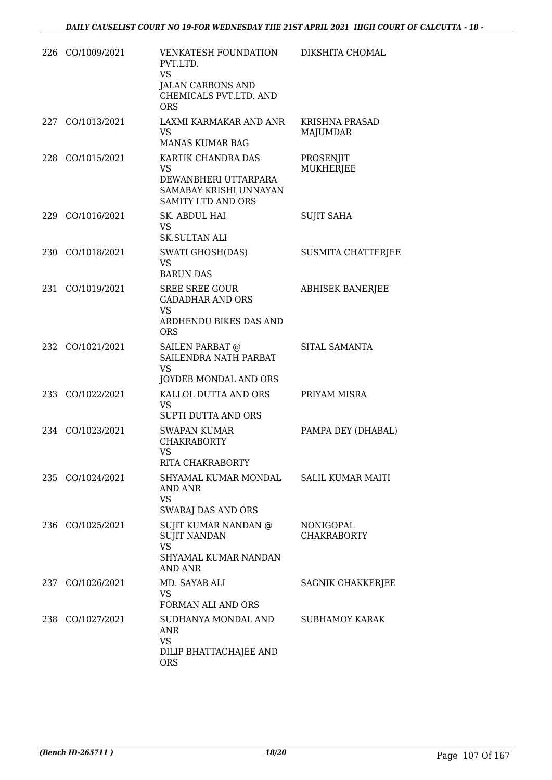|       | 226 CO/1009/2021 | <b>VENKATESH FOUNDATION</b><br>PVT.LTD.<br><b>VS</b><br>JALAN CARBONS AND<br>CHEMICALS PVT.LTD. AND<br><b>ORS</b> | DIKSHITA CHOMAL                          |
|-------|------------------|-------------------------------------------------------------------------------------------------------------------|------------------------------------------|
|       | 227 CO/1013/2021 | LAXMI KARMAKAR AND ANR<br>VS.<br>MANAS KUMAR BAG                                                                  | <b>KRISHNA PRASAD</b><br><b>MAJUMDAR</b> |
|       | 228 CO/1015/2021 | KARTIK CHANDRA DAS<br>VS<br>DEWANBHERI UTTARPARA<br>SAMABAY KRISHI UNNAYAN<br><b>SAMITY LTD AND ORS</b>           | PROSENJIT<br>MUKHERJEE                   |
| 229   | CO/1016/2021     | SK. ABDUL HAI<br><b>VS</b><br><b>SK.SULTAN ALI</b>                                                                | <b>SUJIT SAHA</b>                        |
|       | 230 CO/1018/2021 | SWATI GHOSH(DAS)<br><b>VS</b><br><b>BARUN DAS</b>                                                                 | <b>SUSMITA CHATTERJEE</b>                |
| 231   | CO/1019/2021     | <b>SREE SREE GOUR</b><br><b>GADADHAR AND ORS</b><br><b>VS</b><br>ARDHENDU BIKES DAS AND<br><b>ORS</b>             | <b>ABHISEK BANERJEE</b>                  |
|       | 232 CO/1021/2021 | SAILEN PARBAT @<br>SAILENDRA NATH PARBAT<br>VS.<br>JOYDEB MONDAL AND ORS                                          | SITAL SAMANTA                            |
| 233   | CO/1022/2021     | KALLOL DUTTA AND ORS<br><b>VS</b><br>SUPTI DUTTA AND ORS                                                          | PRIYAM MISRA                             |
|       | 234 CO/1023/2021 | <b>SWAPAN KUMAR</b><br><b>CHAKRABORTY</b><br>VS<br>RITA CHAKRABORTY                                               | PAMPA DEY (DHABAL)                       |
|       | 235 CO/1024/2021 | SHYAMAL KUMAR MONDAL<br>AND ANR<br>VS<br><b>SWARAJ DAS AND ORS</b>                                                | <b>SALIL KUMAR MAITI</b>                 |
| 236   | CO/1025/2021     | SUJIT KUMAR NANDAN @<br><b>SUJIT NANDAN</b><br><b>VS</b><br>SHYAMAL KUMAR NANDAN<br><b>AND ANR</b>                | NONIGOPAL<br><b>CHAKRABORTY</b>          |
| 237   | CO/1026/2021     | MD. SAYAB ALI<br>VS.<br>FORMAN ALI AND ORS                                                                        | SAGNIK CHAKKERJEE                        |
| 238 - | CO/1027/2021     | SUDHANYA MONDAL AND<br><b>ANR</b><br>VS<br>DILIP BHATTACHAJEE AND<br><b>ORS</b>                                   | <b>SUBHAMOY KARAK</b>                    |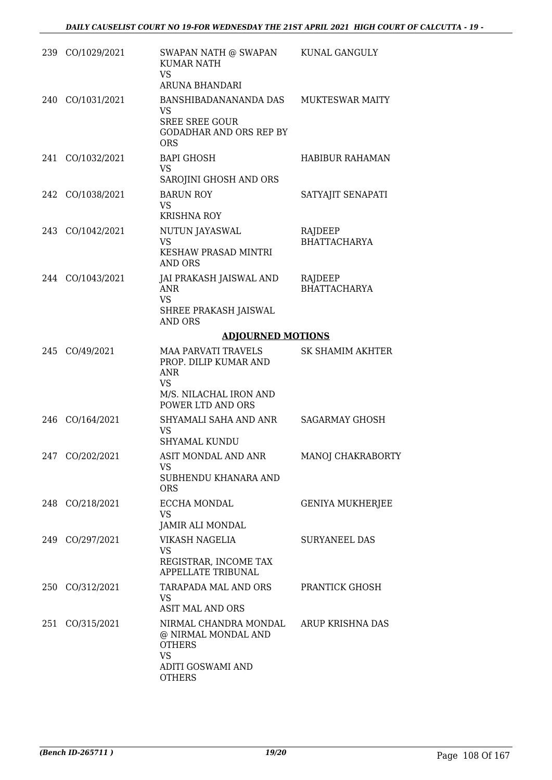|     | 239 CO/1029/2021 | SWAPAN NATH @ SWAPAN<br><b>KUMAR NATH</b><br><b>VS</b><br>ARUNA BHANDARI                                                      | KUNAL GANGULY                  |
|-----|------------------|-------------------------------------------------------------------------------------------------------------------------------|--------------------------------|
|     | 240 CO/1031/2021 | BANSHIBADANANANDA DAS<br>VS.<br><b>SREE SREE GOUR</b><br><b>GODADHAR AND ORS REP BY</b><br><b>ORS</b>                         | <b>MUKTESWAR MAITY</b>         |
|     | 241 CO/1032/2021 | <b>BAPI GHOSH</b><br><b>VS</b><br>SAROJINI GHOSH AND ORS                                                                      | <b>HABIBUR RAHAMAN</b>         |
|     | 242 CO/1038/2021 | <b>BARUN ROY</b><br><b>VS</b><br><b>KRISHNA ROY</b>                                                                           | SATYAJIT SENAPATI              |
|     | 243 CO/1042/2021 | NUTUN JAYASWAL<br><b>VS</b><br>KESHAW PRASAD MINTRI<br><b>AND ORS</b>                                                         | RAJDEEP<br><b>BHATTACHARYA</b> |
|     | 244 CO/1043/2021 | JAI PRAKASH JAISWAL AND<br><b>ANR</b><br><b>VS</b><br>SHREE PRAKASH JAISWAL<br><b>AND ORS</b>                                 | RAJDEEP<br><b>BHATTACHARYA</b> |
|     |                  | <b>ADJOURNED MOTIONS</b>                                                                                                      |                                |
|     | 245 CO/49/2021   | <b>MAA PARVATI TRAVELS</b><br>PROP. DILIP KUMAR AND<br><b>ANR</b><br><b>VS</b><br>M/S. NILACHAL IRON AND<br>POWER LTD AND ORS | SK SHAMIM AKHTER               |
|     | 246 CO/164/2021  | SHYAMALI SAHA AND ANR<br><b>VS</b><br><b>SHYAMAL KUNDU</b>                                                                    | <b>SAGARMAY GHOSH</b>          |
| 247 | CO/202/2021      | ASIT MONDAL AND ANR<br>VS<br>SUBHENDU KHANARA AND<br><b>ORS</b>                                                               | MANOJ CHAKRABORTY              |
|     | 248 CO/218/2021  | ECCHA MONDAL<br>VS.<br>JAMIR ALI MONDAL                                                                                       | <b>GENIYA MUKHERJEE</b>        |
|     | 249 CO/297/2021  | VIKASH NAGELIA<br>VS<br>REGISTRAR, INCOME TAX<br>APPELLATE TRIBUNAL                                                           | <b>SURYANEEL DAS</b>           |
|     | 250 CO/312/2021  | TARAPADA MAL AND ORS<br>VS.<br><b>ASIT MAL AND ORS</b>                                                                        | PRANTICK GHOSH                 |
|     | 251 CO/315/2021  | NIRMAL CHANDRA MONDAL<br>@ NIRMAL MONDAL AND<br><b>OTHERS</b><br><b>VS</b><br>ADITI GOSWAMI AND<br><b>OTHERS</b>              | ARUP KRISHNA DAS               |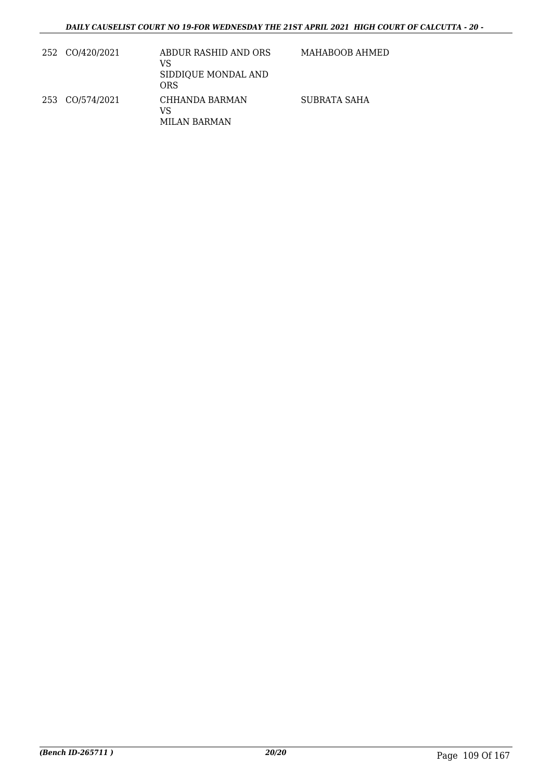| 252 CO/420/2021 | ABDUR RASHID AND ORS<br>VS<br>SIDDIQUE MONDAL AND<br>ORS | MAHABOOB AHMED |
|-----------------|----------------------------------------------------------|----------------|
| 253 CO/574/2021 | CHHANDA BARMAN<br>VS<br>MILAN BARMAN                     | SUBRATA SAHA   |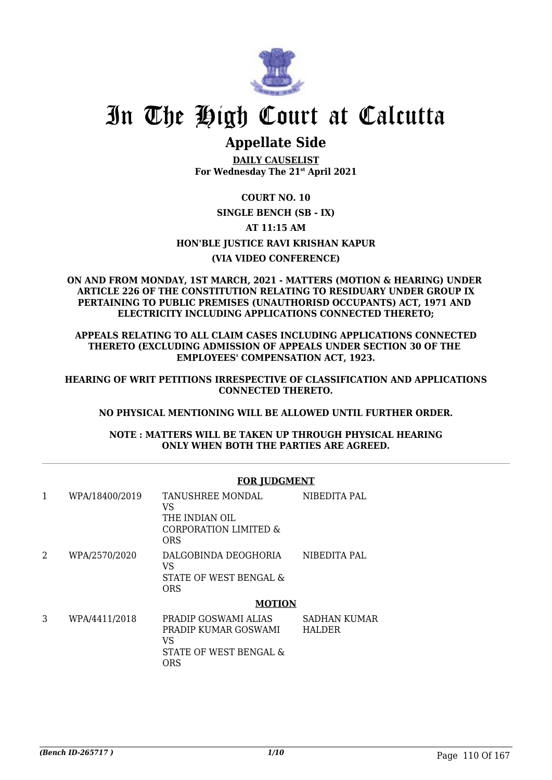

# **Appellate Side**

**DAILY CAUSELIST For Wednesday The 21st April 2021**

# **COURT NO. 10 SINGLE BENCH (SB - IX)**

# **AT 11:15 AM**

# **HON'BLE JUSTICE RAVI KRISHAN KAPUR**

# **(VIA VIDEO CONFERENCE)**

#### **ON AND FROM MONDAY, 1ST MARCH, 2021 - MATTERS (MOTION & HEARING) UNDER ARTICLE 226 OF THE CONSTITUTION RELATING TO RESIDUARY UNDER GROUP IX PERTAINING TO PUBLIC PREMISES (UNAUTHORISD OCCUPANTS) ACT, 1971 AND ELECTRICITY INCLUDING APPLICATIONS CONNECTED THERETO;**

**APPEALS RELATING TO ALL CLAIM CASES INCLUDING APPLICATIONS CONNECTED THERETO (EXCLUDING ADMISSION OF APPEALS UNDER SECTION 30 OF THE EMPLOYEES' COMPENSATION ACT, 1923.**

**HEARING OF WRIT PETITIONS IRRESPECTIVE OF CLASSIFICATION AND APPLICATIONS CONNECTED THERETO.**

# **NO PHYSICAL MENTIONING WILL BE ALLOWED UNTIL FURTHER ORDER.**

**NOTE : MATTERS WILL BE TAKEN UP THROUGH PHYSICAL HEARING ONLY WHEN BOTH THE PARTIES ARE AGREED.**

|   |                | FOR JUDGMENT                                                                        |                               |  |
|---|----------------|-------------------------------------------------------------------------------------|-------------------------------|--|
| 1 | WPA/18400/2019 | TANUSHREE MONDAL<br>VS<br>THE INDIAN OIL<br>CORPORATION LIMITED &<br>ORS            | NIBEDITA PAL                  |  |
| 2 | WPA/2570/2020  | DALGOBINDA DEOGHORIA<br>VS<br>STATE OF WEST BENGAL &<br><b>ORS</b>                  | NIBEDITA PAL                  |  |
|   |                | <b>MOTION</b>                                                                       |                               |  |
| 3 | WPA/4411/2018  | PRADIP GOSWAMI ALIAS<br>PRADIP KUMAR GOSWAMI<br>VS<br>STATE OF WEST BENGAL &<br>ORS | SADHAN KUMAR<br><b>HALDER</b> |  |

# **FOR JUDGMENT**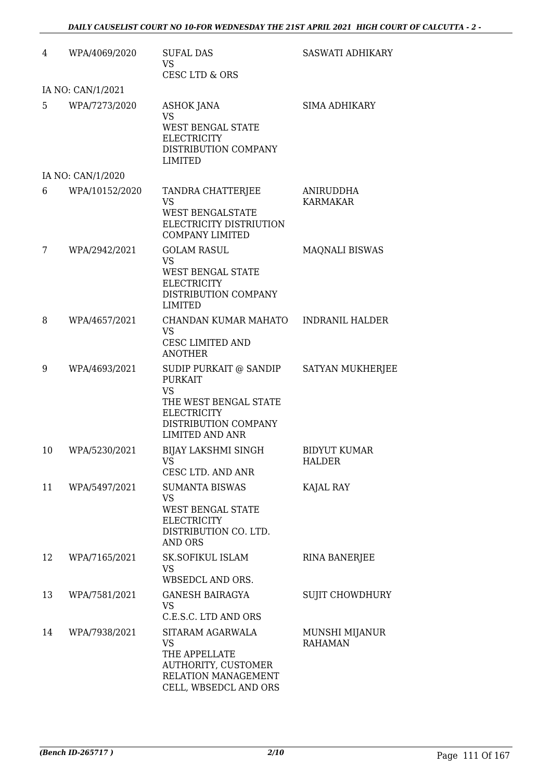| 4  | WPA/4069/2020     | <b>SUFAL DAS</b><br><b>VS</b><br>CESC LTD & ORS                                                                                                        | SASWATI ADHIKARY                 |
|----|-------------------|--------------------------------------------------------------------------------------------------------------------------------------------------------|----------------------------------|
|    | IA NO: CAN/1/2021 |                                                                                                                                                        |                                  |
| 5  | WPA/7273/2020     | ASHOK JANA<br><b>VS</b><br><b>WEST BENGAL STATE</b><br><b>ELECTRICITY</b><br>DISTRIBUTION COMPANY<br><b>LIMITED</b>                                    | <b>SIMA ADHIKARY</b>             |
|    | IA NO: CAN/1/2020 |                                                                                                                                                        |                                  |
| 6  | WPA/10152/2020    | TANDRA CHATTERJEE<br><b>VS</b><br><b>WEST BENGALSTATE</b><br>ELECTRICITY DISTRIUTION<br><b>COMPANY LIMITED</b>                                         | ANIRUDDHA<br><b>KARMAKAR</b>     |
| 7  | WPA/2942/2021     | <b>GOLAM RASUL</b><br><b>VS</b><br><b>WEST BENGAL STATE</b><br><b>ELECTRICITY</b><br>DISTRIBUTION COMPANY<br><b>LIMITED</b>                            | <b>MAQNALI BISWAS</b>            |
| 8  | WPA/4657/2021     | CHANDAN KUMAR MAHATO<br><b>VS</b><br><b>CESC LIMITED AND</b><br><b>ANOTHER</b>                                                                         | <b>INDRANIL HALDER</b>           |
| 9  | WPA/4693/2021     | SUDIP PURKAIT @ SANDIP<br><b>PURKAIT</b><br><b>VS</b><br>THE WEST BENGAL STATE<br><b>ELECTRICITY</b><br>DISTRIBUTION COMPANY<br><b>LIMITED AND ANR</b> | SATYAN MUKHERJEE                 |
| 10 | WPA/5230/2021     | <b>BIJAY LAKSHMI SINGH</b><br>VS<br>CESC LTD. AND ANR                                                                                                  | <b>BIDYUT KUMAR</b><br>HALDER    |
| 11 | WPA/5497/2021     | <b>SUMANTA BISWAS</b><br><b>VS</b><br>WEST BENGAL STATE<br><b>ELECTRICITY</b><br>DISTRIBUTION CO. LTD.<br><b>AND ORS</b>                               | KAJAL RAY                        |
| 12 | WPA/7165/2021     | <b>SK.SOFIKUL ISLAM</b><br><b>VS</b><br>WBSEDCL AND ORS.                                                                                               | <b>RINA BANERJEE</b>             |
| 13 | WPA/7581/2021     | <b>GANESH BAIRAGYA</b><br>VS<br>C.E.S.C. LTD AND ORS                                                                                                   | <b>SUJIT CHOWDHURY</b>           |
| 14 | WPA/7938/2021     | SITARAM AGARWALA<br><b>VS</b><br>THE APPELLATE<br>AUTHORITY, CUSTOMER<br>RELATION MANAGEMENT<br>CELL, WBSEDCL AND ORS                                  | MUNSHI MIJANUR<br><b>RAHAMAN</b> |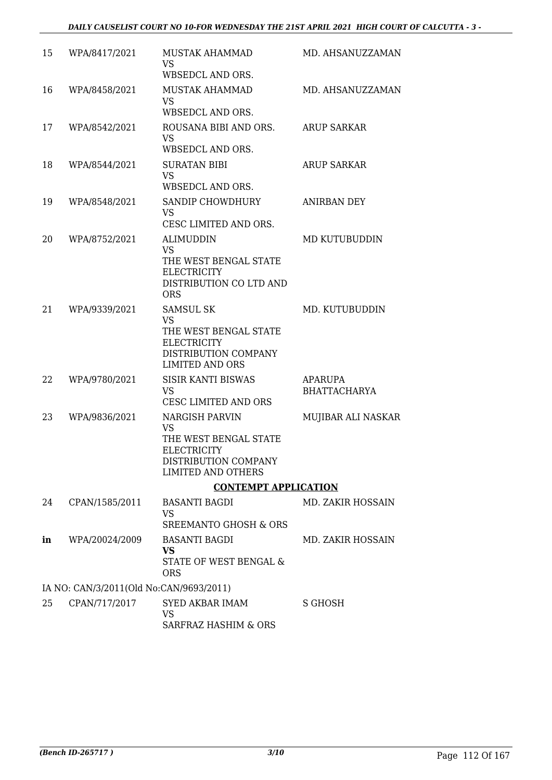| 15 | WPA/8417/2021                           | MUSTAK AHAMMAD<br><b>VS</b>                                                                   | MD. AHSANUZZAMAN         |
|----|-----------------------------------------|-----------------------------------------------------------------------------------------------|--------------------------|
|    |                                         | WBSEDCL AND ORS.                                                                              |                          |
| 16 | WPA/8458/2021                           | <b>MUSTAK AHAMMAD</b><br><b>VS</b>                                                            | MD. AHSANUZZAMAN         |
|    |                                         | WBSEDCL AND ORS.                                                                              |                          |
| 17 | WPA/8542/2021                           | ROUSANA BIBI AND ORS.<br>VS.                                                                  | <b>ARUP SARKAR</b>       |
|    |                                         | WBSEDCL AND ORS.                                                                              |                          |
| 18 | WPA/8544/2021                           | <b>SURATAN BIBI</b><br><b>VS</b>                                                              | <b>ARUP SARKAR</b>       |
|    |                                         | WBSEDCL AND ORS.                                                                              |                          |
| 19 | WPA/8548/2021                           | SANDIP CHOWDHURY<br><b>VS</b>                                                                 | ANIRBAN DEY              |
|    |                                         | CESC LIMITED AND ORS.                                                                         |                          |
| 20 | WPA/8752/2021                           | <b>ALIMUDDIN</b><br><b>VS</b>                                                                 | MD KUTUBUDDIN            |
|    |                                         | THE WEST BENGAL STATE<br><b>ELECTRICITY</b><br>DISTRIBUTION CO LTD AND<br><b>ORS</b>          |                          |
| 21 | WPA/9339/2021                           | <b>SAMSUL SK</b>                                                                              | MD. KUTUBUDDIN           |
|    |                                         | <b>VS</b>                                                                                     |                          |
|    |                                         | THE WEST BENGAL STATE<br><b>ELECTRICITY</b><br>DISTRIBUTION COMPANY<br><b>LIMITED AND ORS</b> |                          |
| 22 | WPA/9780/2021                           | <b>SISIR KANTI BISWAS</b>                                                                     | APARUPA                  |
|    |                                         | <b>VS</b><br>CESC LIMITED AND ORS                                                             | <b>BHATTACHARYA</b>      |
| 23 | WPA/9836/2021                           | <b>NARGISH PARVIN</b><br><b>VS</b>                                                            | MUJIBAR ALI NASKAR       |
|    |                                         | THE WEST BENGAL STATE<br><b>ELECTRICITY</b>                                                   |                          |
|    |                                         | DISTRIBUTION COMPANY<br>LIMITED AND OTHERS                                                    |                          |
|    |                                         | <b>CONTEMPT APPLICATION</b>                                                                   |                          |
| 24 | CPAN/1585/2011                          | <b>BASANTI BAGDI</b>                                                                          | <b>MD. ZAKIR HOSSAIN</b> |
|    |                                         | VS<br>SREEMANTO GHOSH & ORS                                                                   |                          |
| in | WPA/20024/2009                          | <b>BASANTI BAGDI</b>                                                                          | MD. ZAKIR HOSSAIN        |
|    |                                         | <b>VS</b><br>STATE OF WEST BENGAL &<br><b>ORS</b>                                             |                          |
|    | IA NO: CAN/3/2011(Old No:CAN/9693/2011) |                                                                                               |                          |
| 25 | CPAN/717/2017                           | SYED AKBAR IMAM                                                                               | S GHOSH                  |
|    |                                         | <b>VS</b><br>SARFRAZ HASHIM & ORS                                                             |                          |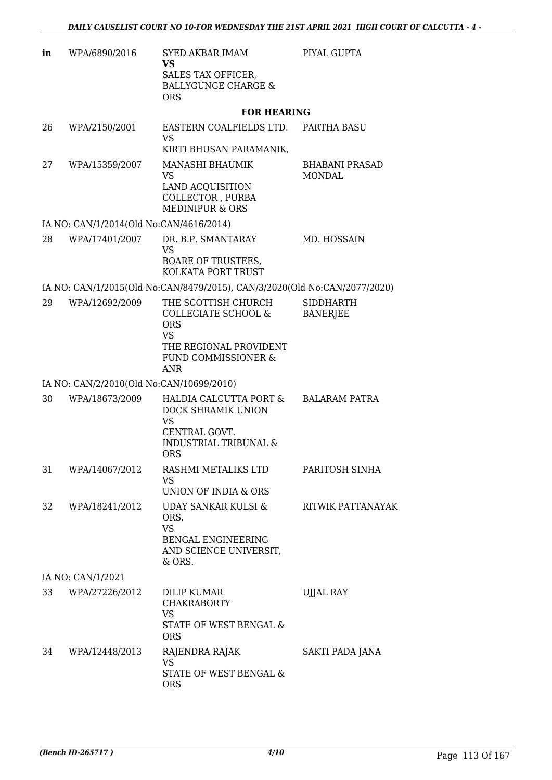| in | WPA/6890/2016                            | SYED AKBAR IMAM<br>VS<br>SALES TAX OFFICER,<br><b>BALLYGUNGE CHARGE &amp;</b><br><b>ORS</b>                                          | PIYAL GUPTA                            |
|----|------------------------------------------|--------------------------------------------------------------------------------------------------------------------------------------|----------------------------------------|
|    |                                          | <b>FOR HEARING</b>                                                                                                                   |                                        |
| 26 | WPA/2150/2001                            | EASTERN COALFIELDS LTD.<br>VS                                                                                                        | PARTHA BASU                            |
| 27 | WPA/15359/2007                           | KIRTI BHUSAN PARAMANIK,<br>MANASHI BHAUMIK<br><b>VS</b><br><b>LAND ACQUISITION</b><br>COLLECTOR, PURBA<br><b>MEDINIPUR &amp; ORS</b> | <b>BHABANI PRASAD</b><br><b>MONDAL</b> |
|    | IA NO: CAN/1/2014(Old No:CAN/4616/2014)  |                                                                                                                                      |                                        |
| 28 | WPA/17401/2007                           | DR. B.P. SMANTARAY<br><b>VS</b><br><b>BOARE OF TRUSTEES,</b><br>KOLKATA PORT TRUST                                                   | MD. HOSSAIN                            |
|    |                                          | IA NO: CAN/1/2015(Old No:CAN/8479/2015), CAN/3/2020(Old No:CAN/2077/2020)                                                            |                                        |
| 29 | WPA/12692/2009                           | THE SCOTTISH CHURCH<br>COLLEGIATE SCHOOL &<br><b>ORS</b><br><b>VS</b><br>THE REGIONAL PROVIDENT<br>FUND COMMISSIONER &<br>ANR        | <b>SIDDHARTH</b><br><b>BANERJEE</b>    |
|    | IA NO: CAN/2/2010(Old No:CAN/10699/2010) |                                                                                                                                      |                                        |
| 30 | WPA/18673/2009                           | HALDIA CALCUTTA PORT &<br>DOCK SHRAMIK UNION<br><b>VS</b><br>CENTRAL GOVT.<br><b>INDUSTRIAL TRIBUNAL &amp;</b><br><b>ORS</b>         | <b>BALARAM PATRA</b>                   |
| 31 | WPA/14067/2012                           | RASHMI METALIKS LTD<br><b>VS</b><br>UNION OF INDIA & ORS                                                                             | PARITOSH SINHA                         |
| 32 | WPA/18241/2012                           | UDAY SANKAR KULSI &<br>ORS.<br><b>VS</b><br>BENGAL ENGINEERING<br>AND SCIENCE UNIVERSIT,<br>& ORS.                                   | RITWIK PATTANAYAK                      |
|    | IA NO: CAN/1/2021                        |                                                                                                                                      |                                        |
| 33 | WPA/27226/2012                           | DILIP KUMAR<br><b>CHAKRABORTY</b><br><b>VS</b><br>STATE OF WEST BENGAL &<br><b>ORS</b>                                               | UJJAL RAY                              |
| 34 | WPA/12448/2013                           | RAJENDRA RAJAK<br><b>VS</b><br>STATE OF WEST BENGAL &<br><b>ORS</b>                                                                  | SAKTI PADA JANA                        |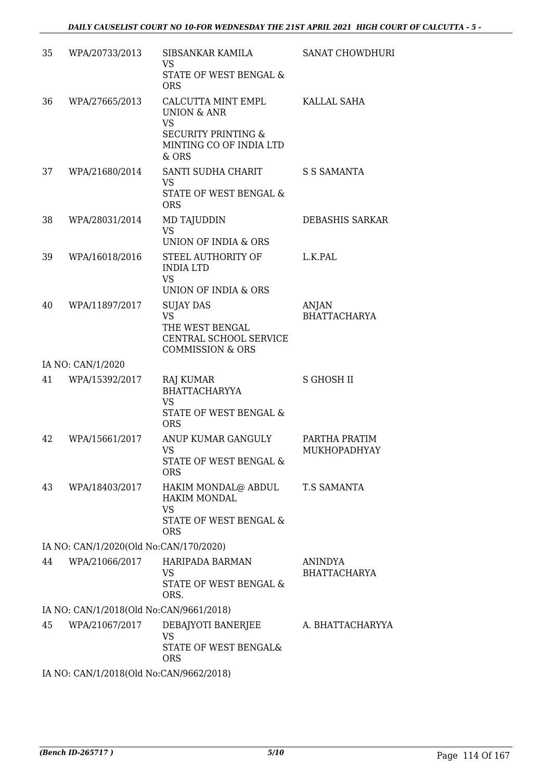| 35 | WPA/20733/2013                          | SIBSANKAR KAMILA<br><b>VS</b><br>STATE OF WEST BENGAL &<br><b>ORS</b>                                                           | <b>SANAT CHOWDHURI</b>              |
|----|-----------------------------------------|---------------------------------------------------------------------------------------------------------------------------------|-------------------------------------|
| 36 | WPA/27665/2013                          | CALCUTTA MINT EMPL<br><b>UNION &amp; ANR</b><br><b>VS</b><br><b>SECURITY PRINTING &amp;</b><br>MINTING CO OF INDIA LTD<br>& ORS | KALLAL SAHA                         |
| 37 | WPA/21680/2014                          | SANTI SUDHA CHARIT<br><b>VS</b><br>STATE OF WEST BENGAL &<br><b>ORS</b>                                                         | S S SAMANTA                         |
| 38 | WPA/28031/2014                          | MD TAJUDDIN<br><b>VS</b><br><b>UNION OF INDIA &amp; ORS</b>                                                                     | DEBASHIS SARKAR                     |
| 39 | WPA/16018/2016                          | STEEL AUTHORITY OF<br><b>INDIA LTD</b><br><b>VS</b><br>UNION OF INDIA & ORS                                                     | L.K.PAL                             |
| 40 | WPA/11897/2017                          | <b>SUJAY DAS</b><br><b>VS</b><br>THE WEST BENGAL<br>CENTRAL SCHOOL SERVICE<br><b>COMMISSION &amp; ORS</b>                       | <b>ANJAN</b><br><b>BHATTACHARYA</b> |
|    | IA NO: CAN/1/2020                       |                                                                                                                                 |                                     |
| 41 | WPA/15392/2017                          | RAJ KUMAR<br><b>BHATTACHARYYA</b><br><b>VS</b><br>STATE OF WEST BENGAL &<br><b>ORS</b>                                          | <b>S GHOSH II</b>                   |
| 42 | WPA/15661/2017                          | ANUP KUMAR GANGULY<br><b>VS</b><br>STATE OF WEST BENGAL &<br><b>ORS</b>                                                         | PARTHA PRATIM<br>MUKHOPADHYAY       |
| 43 | WPA/18403/2017                          | HAKIM MONDAL@ ABDUL<br><b>HAKIM MONDAL</b><br><b>VS</b><br><b>STATE OF WEST BENGAL &amp;</b><br><b>ORS</b>                      | T.S SAMANTA                         |
|    | IA NO: CAN/1/2020(Old No:CAN/170/2020)  |                                                                                                                                 |                                     |
| 44 | WPA/21066/2017                          | HARIPADA BARMAN<br>VS<br>STATE OF WEST BENGAL &<br>ORS.                                                                         | ANINDYA<br><b>BHATTACHARYA</b>      |
|    | IA NO: CAN/1/2018(Old No:CAN/9661/2018) |                                                                                                                                 |                                     |
| 45 | WPA/21067/2017                          | DEBAJYOTI BANERJEE<br><b>VS</b><br>STATE OF WEST BENGAL&<br><b>ORS</b>                                                          | A. BHATTACHARYYA                    |
|    | IA NO: CAN/1/2018(Old No:CAN/9662/2018) |                                                                                                                                 |                                     |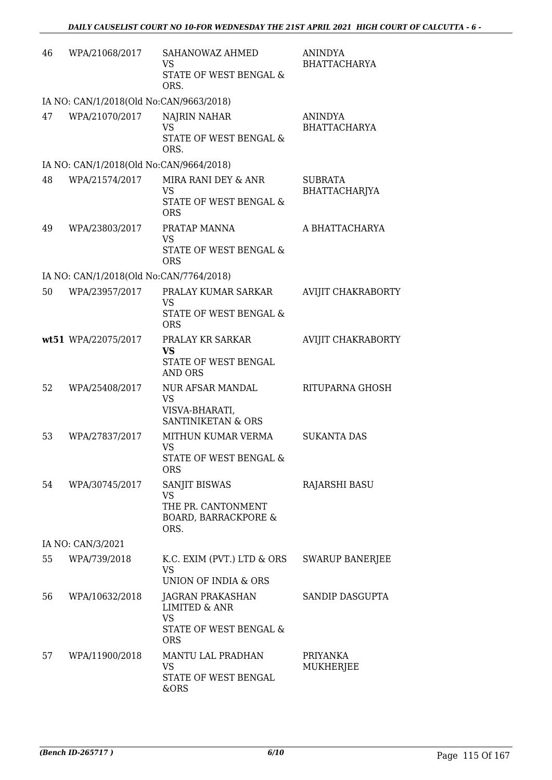| 46 | WPA/21068/2017                          | SAHANOWAZ AHMED<br><b>VS</b><br>STATE OF WEST BENGAL &        | <b>ANINDYA</b><br><b>BHATTACHARYA</b> |
|----|-----------------------------------------|---------------------------------------------------------------|---------------------------------------|
|    |                                         | ORS.                                                          |                                       |
|    | IA NO: CAN/1/2018(Old No:CAN/9663/2018) |                                                               |                                       |
| 47 | WPA/21070/2017                          | NAJRIN NAHAR<br><b>VS</b><br>STATE OF WEST BENGAL &           | <b>ANINDYA</b><br><b>BHATTACHARYA</b> |
|    |                                         | ORS.                                                          |                                       |
|    | IA NO: CAN/1/2018(Old No:CAN/9664/2018) |                                                               |                                       |
| 48 | WPA/21574/2017                          | MIRA RANI DEY & ANR<br><b>VS</b>                              | <b>SUBRATA</b><br>BHATTACHARJYA       |
|    |                                         | STATE OF WEST BENGAL &<br><b>ORS</b>                          |                                       |
| 49 | WPA/23803/2017                          | PRATAP MANNA<br><b>VS</b>                                     | A BHATTACHARYA                        |
|    |                                         | STATE OF WEST BENGAL &<br><b>ORS</b>                          |                                       |
|    | IA NO: CAN/1/2018(Old No:CAN/7764/2018) |                                                               |                                       |
| 50 | WPA/23957/2017                          | PRALAY KUMAR SARKAR<br><b>VS</b>                              | AVIJIT CHAKRABORTY                    |
|    |                                         | STATE OF WEST BENGAL &<br><b>ORS</b>                          |                                       |
|    | wt51 WPA/22075/2017                     | PRALAY KR SARKAR<br>VS                                        | <b>AVIJIT CHAKRABORTY</b>             |
|    |                                         | STATE OF WEST BENGAL<br><b>AND ORS</b>                        |                                       |
| 52 | WPA/25408/2017                          | NUR AFSAR MANDAL<br><b>VS</b>                                 | RITUPARNA GHOSH                       |
|    |                                         | VISVA-BHARATI,<br><b>SANTINIKETAN &amp; ORS</b>               |                                       |
| 53 | WPA/27837/2017                          | MITHUN KUMAR VERMA<br><b>VS</b>                               | <b>SUKANTA DAS</b>                    |
|    |                                         | STATE OF WEST BENGAL &<br><b>ORS</b>                          |                                       |
| 54 | WPA/30745/2017                          | SANJIT BISWAS<br>VS                                           | RAJARSHI BASU                         |
|    |                                         | THE PR. CANTONMENT<br><b>BOARD, BARRACKPORE &amp;</b><br>ORS. |                                       |
|    | IA NO: CAN/3/2021                       |                                                               |                                       |
| 55 | WPA/739/2018                            | K.C. EXIM (PVT.) LTD & ORS<br><b>VS</b>                       | <b>SWARUP BANERJEE</b>                |
|    |                                         | UNION OF INDIA & ORS                                          |                                       |
| 56 | WPA/10632/2018                          | JAGRAN PRAKASHAN<br><b>LIMITED &amp; ANR</b><br><b>VS</b>     | SANDIP DASGUPTA                       |
|    |                                         | STATE OF WEST BENGAL &<br><b>ORS</b>                          |                                       |
| 57 | WPA/11900/2018                          | MANTU LAL PRADHAN<br>VS                                       | PRIYANKA<br>MUKHERJEE                 |
|    |                                         | STATE OF WEST BENGAL<br>&ORS                                  |                                       |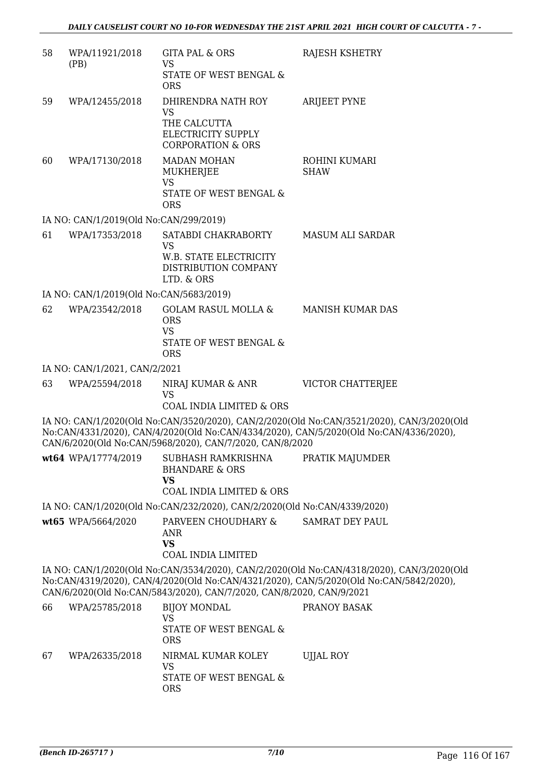| 58 | WPA/11921/2018<br>(PB)                  | <b>GITA PAL &amp; ORS</b><br><b>VS</b><br>STATE OF WEST BENGAL &<br><b>ORS</b>                                          | RAJESH KSHETRY                                                                                                                                                                      |
|----|-----------------------------------------|-------------------------------------------------------------------------------------------------------------------------|-------------------------------------------------------------------------------------------------------------------------------------------------------------------------------------|
| 59 | WPA/12455/2018                          | DHIRENDRA NATH ROY<br><b>VS</b><br>THE CALCUTTA<br>ELECTRICITY SUPPLY<br><b>CORPORATION &amp; ORS</b>                   | <b>ARIJEET PYNE</b>                                                                                                                                                                 |
| 60 | WPA/17130/2018                          | <b>MADAN MOHAN</b><br>MUKHERJEE<br><b>VS</b><br>STATE OF WEST BENGAL &<br><b>ORS</b>                                    | ROHINI KUMARI<br><b>SHAW</b>                                                                                                                                                        |
|    | IA NO: CAN/1/2019(Old No:CAN/299/2019)  |                                                                                                                         |                                                                                                                                                                                     |
| 61 | WPA/17353/2018                          | SATABDI CHAKRABORTY<br><b>VS</b><br><b>W.B. STATE ELECTRICITY</b><br>DISTRIBUTION COMPANY<br>LTD. & ORS                 | <b>MASUM ALI SARDAR</b>                                                                                                                                                             |
|    | IA NO: CAN/1/2019(Old No:CAN/5683/2019) |                                                                                                                         |                                                                                                                                                                                     |
| 62 | WPA/23542/2018                          | <b>GOLAM RASUL MOLLA &amp;</b><br><b>ORS</b><br><b>VS</b><br>STATE OF WEST BENGAL &<br><b>ORS</b>                       | <b>MANISH KUMAR DAS</b>                                                                                                                                                             |
|    | IA NO: CAN/1/2021, CAN/2/2021           |                                                                                                                         |                                                                                                                                                                                     |
| 63 | WPA/25594/2018                          | NIRAJ KUMAR & ANR<br><b>VS</b>                                                                                          | VICTOR CHATTERJEE                                                                                                                                                                   |
|    |                                         | <b>COAL INDIA LIMITED &amp; ORS</b><br>CAN/6/2020(Old No:CAN/5968/2020), CAN/7/2020, CAN/8/2020                         | IA NO: CAN/1/2020(Old No:CAN/3520/2020), CAN/2/2020(Old No:CAN/3521/2020), CAN/3/2020(Old<br>No:CAN/4331/2020), CAN/4/2020(Old No:CAN/4334/2020), CAN/5/2020(Old No:CAN/4336/2020), |
|    |                                         | wt64 WPA/17774/2019 SUBHASH RAMKRISHNA<br><b>BHANDARE &amp; ORS</b><br><b>VS</b><br><b>COAL INDIA LIMITED &amp; ORS</b> | PRATIK MAJUMDER                                                                                                                                                                     |
|    |                                         | IA NO: CAN/1/2020(Old No:CAN/232/2020), CAN/2/2020(Old No:CAN/4339/2020)                                                |                                                                                                                                                                                     |
|    | wt65 WPA/5664/2020                      | PARVEEN CHOUDHARY & SAMRAT DEY PAUL<br><b>ANR</b><br><b>VS</b><br><b>COAL INDIA LIMITED</b>                             |                                                                                                                                                                                     |
|    |                                         | CAN/6/2020(Old No:CAN/5843/2020), CAN/7/2020, CAN/8/2020, CAN/9/2021                                                    | IA NO: CAN/1/2020(Old No:CAN/3534/2020), CAN/2/2020(Old No:CAN/4318/2020), CAN/3/2020(Old<br>No:CAN/4319/2020), CAN/4/2020(Old No:CAN/4321/2020), CAN/5/2020(Old No:CAN/5842/2020), |
| 66 | WPA/25785/2018                          | <b>BIJOY MONDAL</b><br>VS<br>STATE OF WEST BENGAL &<br><b>ORS</b>                                                       | PRANOY BASAK                                                                                                                                                                        |
| 67 | WPA/26335/2018                          | NIRMAL KUMAR KOLEY<br><b>VS</b><br>STATE OF WEST BENGAL &<br><b>ORS</b>                                                 | <b>UJJAL ROY</b>                                                                                                                                                                    |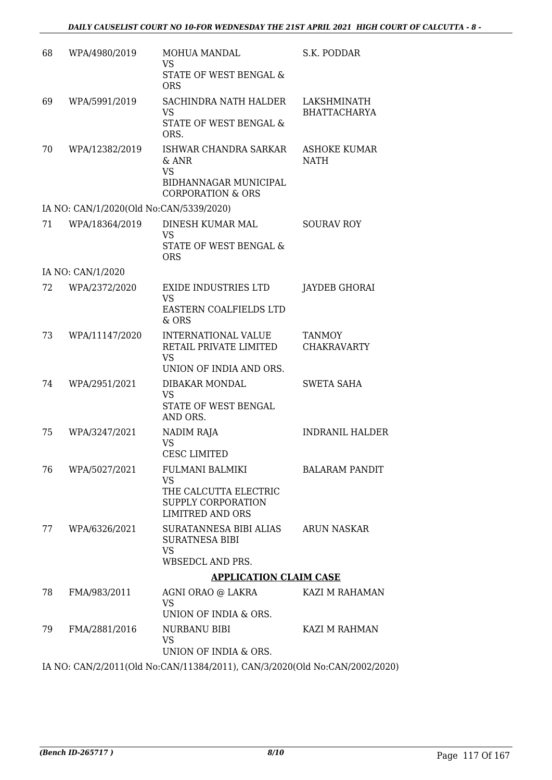| 68 | WPA/4980/2019                           | MOHUA MANDAL<br><b>VS</b>                                                                        | S.K. PODDAR                         |
|----|-----------------------------------------|--------------------------------------------------------------------------------------------------|-------------------------------------|
|    |                                         | STATE OF WEST BENGAL &<br><b>ORS</b>                                                             |                                     |
| 69 | WPA/5991/2019                           | SACHINDRA NATH HALDER<br><b>VS</b>                                                               | LAKSHMINATH<br><b>BHATTACHARYA</b>  |
|    |                                         | STATE OF WEST BENGAL &<br>ORS.                                                                   |                                     |
| 70 | WPA/12382/2019                          | ISHWAR CHANDRA SARKAR<br>& ANR<br><b>VS</b>                                                      | <b>ASHOKE KUMAR</b><br><b>NATH</b>  |
|    |                                         | BIDHANNAGAR MUNICIPAL<br><b>CORPORATION &amp; ORS</b>                                            |                                     |
|    | IA NO: CAN/1/2020(Old No:CAN/5339/2020) |                                                                                                  |                                     |
| 71 | WPA/18364/2019                          | DINESH KUMAR MAL<br><b>VS</b>                                                                    | <b>SOURAV ROY</b>                   |
|    |                                         | STATE OF WEST BENGAL &<br><b>ORS</b>                                                             |                                     |
|    | IA NO: CAN/1/2020                       |                                                                                                  |                                     |
| 72 | WPA/2372/2020                           | <b>EXIDE INDUSTRIES LTD</b><br><b>VS</b>                                                         | JAYDEB GHORAI                       |
|    |                                         | EASTERN COALFIELDS LTD<br>$&$ ORS                                                                |                                     |
| 73 | WPA/11147/2020                          | INTERNATIONAL VALUE<br>RETAIL PRIVATE LIMITED<br><b>VS</b><br>UNION OF INDIA AND ORS.            | <b>TANMOY</b><br><b>CHAKRAVARTY</b> |
| 74 | WPA/2951/2021                           | DIBAKAR MONDAL                                                                                   | <b>SWETA SAHA</b>                   |
|    |                                         | <b>VS</b><br>STATE OF WEST BENGAL<br>AND ORS.                                                    |                                     |
| 75 | WPA/3247/2021                           | NADIM RAJA<br><b>VS</b>                                                                          | <b>INDRANIL HALDER</b>              |
|    |                                         | <b>CESC LIMITED</b>                                                                              |                                     |
| 76 | WPA/5027/2021                           | <b>FULMANI BALMIKI</b><br>VS                                                                     | <b>BALARAM PANDIT</b>               |
|    |                                         | THE CALCUTTA ELECTRIC<br>SUPPLY CORPORATION<br><b>LIMITRED AND ORS</b>                           |                                     |
| 77 | WPA/6326/2021                           | SURATANNESA BIBI ALIAS<br><b>SURATNESA BIBI</b><br><b>VS</b>                                     | ARUN NASKAR                         |
|    |                                         | <b>WBSEDCL AND PRS.</b>                                                                          |                                     |
|    |                                         | <b>APPLICATION CLAIM CASE</b>                                                                    |                                     |
| 78 | FMA/983/2011                            | AGNI ORAO @ LAKRA<br><b>VS</b>                                                                   | KAZI M RAHAMAN                      |
|    |                                         | UNION OF INDIA & ORS.                                                                            |                                     |
| 79 | FMA/2881/2016                           | NURBANU BIBI<br>VS                                                                               | KAZI M RAHMAN                       |
|    |                                         | UNION OF INDIA & ORS.<br>IA MO CAMP 20011 (OLI M. CAMPI1204/2011) CAMP 2000 (OLI M. CAMPO002/200 |                                     |

IA NO: CAN/2/2011(Old No:CAN/11384/2011), CAN/3/2020(Old No:CAN/2002/2020)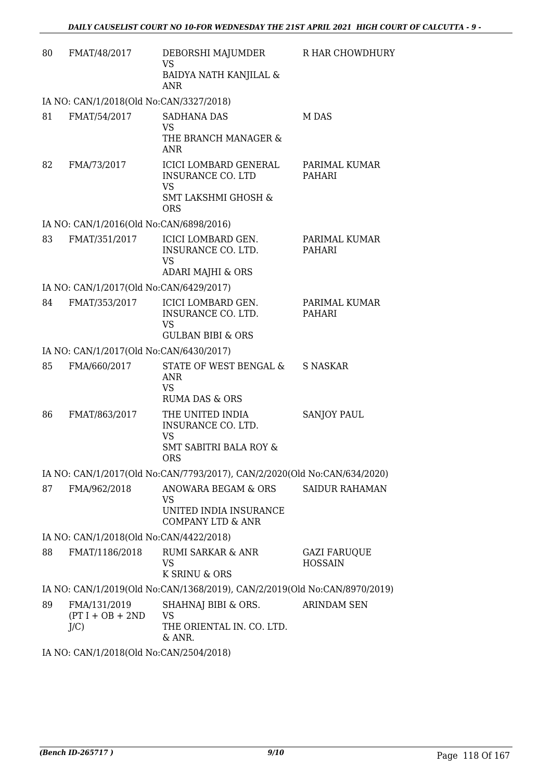| 80 | FMAT/48/2017                                  | DEBORSHI MAJUMDER<br><b>VS</b><br>BAIDYA NATH KANJILAL &<br><b>ANR</b>                                         | R HAR CHOWDHURY                       |
|----|-----------------------------------------------|----------------------------------------------------------------------------------------------------------------|---------------------------------------|
|    | IA NO: CAN/1/2018(Old No:CAN/3327/2018)       |                                                                                                                |                                       |
| 81 | FMAT/54/2017                                  | <b>SADHANA DAS</b><br><b>VS</b><br>THE BRANCH MANAGER &<br><b>ANR</b>                                          | M DAS                                 |
| 82 | FMA/73/2017                                   | ICICI LOMBARD GENERAL<br><b>INSURANCE CO. LTD</b><br><b>VS</b><br><b>SMT LAKSHMI GHOSH &amp;</b><br><b>ORS</b> | PARIMAL KUMAR<br>PAHARI               |
|    | IA NO: CAN/1/2016(Old No:CAN/6898/2016)       |                                                                                                                |                                       |
| 83 | FMAT/351/2017                                 | ICICI LOMBARD GEN.<br>INSURANCE CO. LTD.<br><b>VS</b><br><b>ADARI MAJHI &amp; ORS</b>                          | PARIMAL KUMAR<br>PAHARI               |
|    | IA NO: CAN/1/2017(Old No:CAN/6429/2017)       |                                                                                                                |                                       |
| 84 | FMAT/353/2017                                 | <b>ICICI LOMBARD GEN.</b><br>INSURANCE CO. LTD.<br><b>VS</b><br><b>GULBAN BIBI &amp; ORS</b>                   | PARIMAL KUMAR<br>PAHARI               |
|    | IA NO: CAN/1/2017(Old No:CAN/6430/2017)       |                                                                                                                |                                       |
| 85 | FMA/660/2017                                  | STATE OF WEST BENGAL &<br>ANR<br><b>VS</b><br>RUMA DAS & ORS                                                   | S NASKAR                              |
| 86 | FMAT/863/2017                                 | THE UNITED INDIA<br>INSURANCE CO. LTD.<br><b>VS</b><br><b>SMT SABITRI BALA ROY &amp;</b><br>ORS                | <b>SANJOY PAUL</b>                    |
|    |                                               | IA NO: CAN/1/2017(Old No:CAN/7793/2017), CAN/2/2020(Old No:CAN/634/2020)                                       |                                       |
| 87 | FMA/962/2018                                  | ANOWARA BEGAM & ORS<br><b>VS</b><br>UNITED INDIA INSURANCE<br><b>COMPANY LTD &amp; ANR</b>                     | <b>SAIDUR RAHAMAN</b>                 |
|    | IA NO: CAN/1/2018(Old No:CAN/4422/2018)       |                                                                                                                |                                       |
| 88 | FMAT/1186/2018                                | <b>RUMI SARKAR &amp; ANR</b><br>VS<br>K SRINU & ORS                                                            | <b>GAZI FARUQUE</b><br><b>HOSSAIN</b> |
|    |                                               | IA NO: CAN/1/2019(Old No:CAN/1368/2019), CAN/2/2019(Old No:CAN/8970/2019)                                      |                                       |
| 89 | FMA/131/2019<br>$(PT I + OB + 2ND$<br>$J/C$ ) | SHAHNAJ BIBI & ORS.<br>VS<br>THE ORIENTAL IN. CO. LTD.<br>& ANR.                                               | <b>ARINDAM SEN</b>                    |
|    |                                               |                                                                                                                |                                       |

IA NO: CAN/1/2018(Old No:CAN/2504/2018)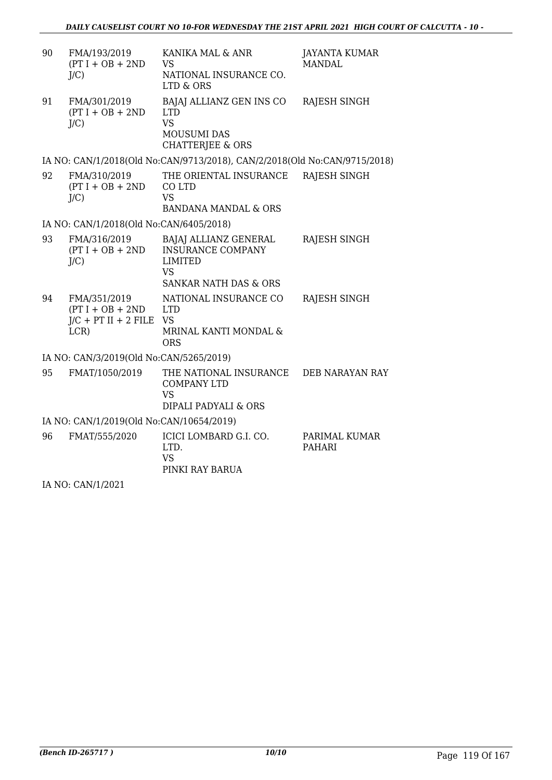| 90 | FMA/193/2019<br>$(PT I + OB + 2ND$<br>$J/C$ )                        | KANIKA MAL & ANR<br><b>VS</b><br>NATIONAL INSURANCE CO.<br>LTD & ORS                                                 | <b>JAYANTA KUMAR</b><br><b>MANDAL</b> |
|----|----------------------------------------------------------------------|----------------------------------------------------------------------------------------------------------------------|---------------------------------------|
| 91 | FMA/301/2019<br>$(PT I + OB + 2ND$<br>J/C                            | BAJAJ ALLIANZ GEN INS CO<br><b>LTD</b><br><b>VS</b><br><b>MOUSUMI DAS</b><br><b>CHATTERJEE &amp; ORS</b>             | <b>RAJESH SINGH</b>                   |
|    |                                                                      | IA NO: CAN/1/2018(Old No:CAN/9713/2018), CAN/2/2018(Old No:CAN/9715/2018)                                            |                                       |
| 92 | FMA/310/2019<br>$(PT I + OB + 2ND$<br>J/C                            | THE ORIENTAL INSURANCE<br>CO LTD<br><b>VS</b><br><b>BANDANA MANDAL &amp; ORS</b>                                     | <b>RAJESH SINGH</b>                   |
|    | IA NO: CAN/1/2018(Old No:CAN/6405/2018)                              |                                                                                                                      |                                       |
| 93 | FMA/316/2019<br>$(PT I + OB + 2ND$<br>J/C                            | BAJAJ ALLIANZ GENERAL<br><b>INSURANCE COMPANY</b><br><b>LIMITED</b><br><b>VS</b><br><b>SANKAR NATH DAS &amp; ORS</b> | RAJESH SINGH                          |
| 94 | FMA/351/2019<br>$(PT I + OB + 2ND$<br>$J/C$ + PT II + 2 FILE<br>LCR) | NATIONAL INSURANCE CO<br><b>LTD</b><br><b>VS</b><br>MRINAL KANTI MONDAL &<br><b>ORS</b>                              | RAJESH SINGH                          |
|    | IA NO: CAN/3/2019(Old No:CAN/5265/2019)                              |                                                                                                                      |                                       |
| 95 | FMAT/1050/2019                                                       | THE NATIONAL INSURANCE<br><b>COMPANY LTD</b><br><b>VS</b><br>DIPALI PADYALI & ORS                                    | DEB NARAYAN RAY                       |
|    | IA NO: CAN/1/2019(Old No:CAN/10654/2019)                             |                                                                                                                      |                                       |
| 96 | FMAT/555/2020                                                        | ICICI LOMBARD G.I. CO.<br>LTD.<br><b>VS</b><br>PINKI RAY BARUA                                                       | PARIMAL KUMAR<br><b>PAHARI</b>        |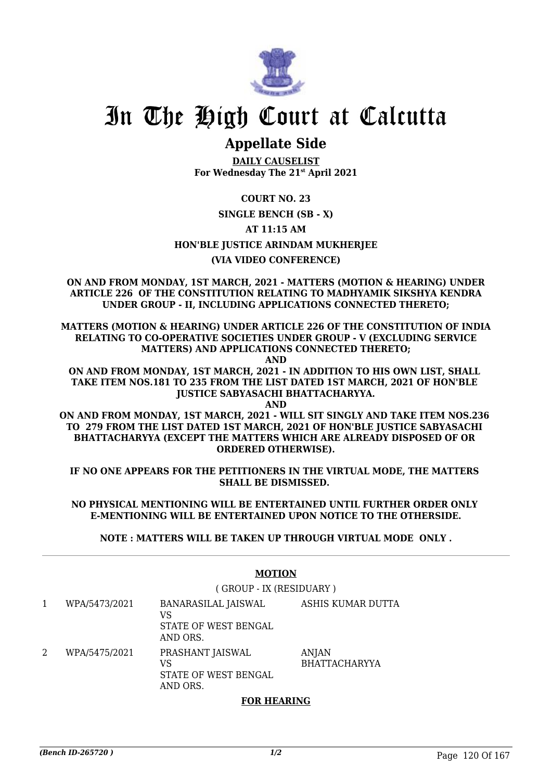

# **Appellate Side**

**DAILY CAUSELIST For Wednesday The 21st April 2021**

**COURT NO. 23**

# **SINGLE BENCH (SB - X)**

**AT 11:15 AM**

### **HON'BLE JUSTICE ARINDAM MUKHERJEE**

# **(VIA VIDEO CONFERENCE)**

**ON AND FROM MONDAY, 1ST MARCH, 2021 - MATTERS (MOTION & HEARING) UNDER ARTICLE 226 OF THE CONSTITUTION RELATING TO MADHYAMIK SIKSHYA KENDRA UNDER GROUP - II, INCLUDING APPLICATIONS CONNECTED THERETO;**

**MATTERS (MOTION & HEARING) UNDER ARTICLE 226 OF THE CONSTITUTION OF INDIA RELATING TO CO-OPERATIVE SOCIETIES UNDER GROUP - V (EXCLUDING SERVICE MATTERS) AND APPLICATIONS CONNECTED THERETO;**

**AND**

**ON AND FROM MONDAY, 1ST MARCH, 2021 - IN ADDITION TO HIS OWN LIST, SHALL TAKE ITEM NOS.181 TO 235 FROM THE LIST DATED 1ST MARCH, 2021 OF HON'BLE JUSTICE SABYASACHI BHATTACHARYYA.**

**AND**

**ON AND FROM MONDAY, 1ST MARCH, 2021 - WILL SIT SINGLY AND TAKE ITEM NOS.236 TO 279 FROM THE LIST DATED 1ST MARCH, 2021 OF HON'BLE JUSTICE SABYASACHI BHATTACHARYYA (EXCEPT THE MATTERS WHICH ARE ALREADY DISPOSED OF OR ORDERED OTHERWISE).**

**IF NO ONE APPEARS FOR THE PETITIONERS IN THE VIRTUAL MODE, THE MATTERS SHALL BE DISMISSED.** 

#### **NO PHYSICAL MENTIONING WILL BE ENTERTAINED UNTIL FURTHER ORDER ONLY E-MENTIONING WILL BE ENTERTAINED UPON NOTICE TO THE OTHERSIDE.**

**NOTE : MATTERS WILL BE TAKEN UP THROUGH VIRTUAL MODE ONLY .**

|   | <b>MOTION</b> |                                                               |                                      |
|---|---------------|---------------------------------------------------------------|--------------------------------------|
|   |               | (GROUP - IX (RESIDUARY)                                       |                                      |
| 1 | WPA/5473/2021 | BANARASILAL JAISWAL<br>VS<br>STATE OF WEST BENGAL<br>AND ORS. | ASHIS KUMAR DUTTA                    |
| 2 | WPA/5475/2021 | PRASHANT JAISWAL<br>VS<br>STATE OF WEST BENGAL<br>AND ORS.    | <b>ANJAN</b><br><b>BHATTACHARYYA</b> |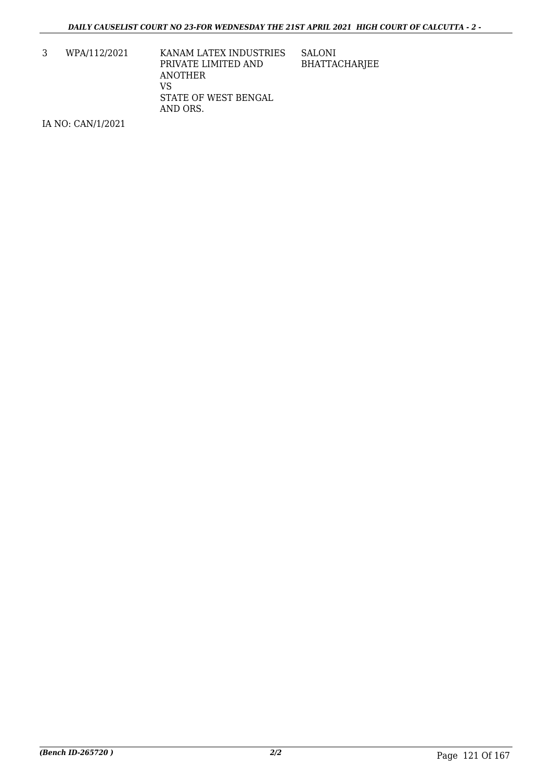3 WPA/112/2021 KANAM LATEX INDUSTRIES PRIVATE LIMITED AND ANOTHER VS STATE OF WEST BENGAL AND ORS. SALONI BHATTACHARJEE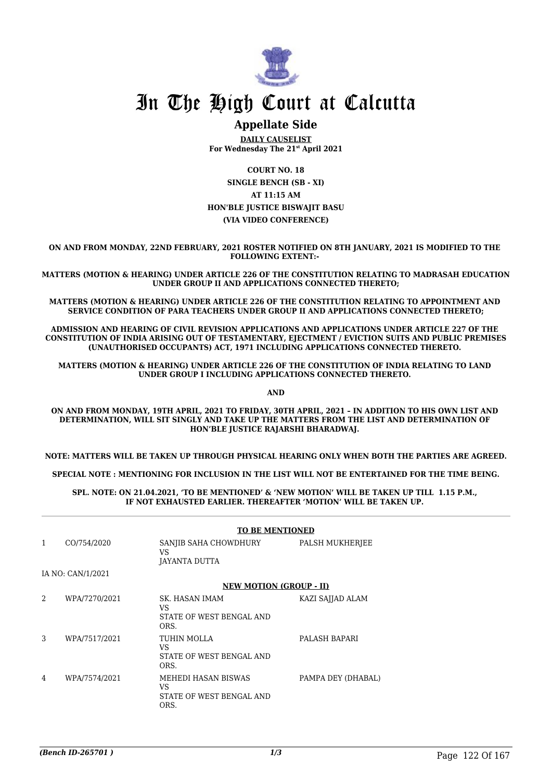

# **Appellate Side**

**DAILY CAUSELIST For Wednesday The 21st April 2021**

**COURT NO. 18 SINGLE BENCH (SB - XI) AT 11:15 AM HON'BLE JUSTICE BISWAJIT BASU (VIA VIDEO CONFERENCE)**

**ON AND FROM MONDAY, 22ND FEBRUARY, 2021 ROSTER NOTIFIED ON 8TH JANUARY, 2021 IS MODIFIED TO THE FOLLOWING EXTENT:-** 

**MATTERS (MOTION & HEARING) UNDER ARTICLE 226 OF THE CONSTITUTION RELATING TO MADRASAH EDUCATION UNDER GROUP II AND APPLICATIONS CONNECTED THERETO;**

**MATTERS (MOTION & HEARING) UNDER ARTICLE 226 OF THE CONSTITUTION RELATING TO APPOINTMENT AND SERVICE CONDITION OF PARA TEACHERS UNDER GROUP II AND APPLICATIONS CONNECTED THERETO;**

**ADMISSION AND HEARING OF CIVIL REVISION APPLICATIONS AND APPLICATIONS UNDER ARTICLE 227 OF THE CONSTITUTION OF INDIA ARISING OUT OF TESTAMENTARY, EJECTMENT / EVICTION SUITS AND PUBLIC PREMISES (UNAUTHORISED OCCUPANTS) ACT, 1971 INCLUDING APPLICATIONS CONNECTED THERETO.** 

**MATTERS (MOTION & HEARING) UNDER ARTICLE 226 OF THE CONSTITUTION OF INDIA RELATING TO LAND UNDER GROUP I INCLUDING APPLICATIONS CONNECTED THERETO.** 

**AND**

**ON AND FROM MONDAY, 19TH APRIL, 2021 TO FRIDAY, 30TH APRIL, 2021 – IN ADDITION TO HIS OWN LIST AND DETERMINATION, WILL SIT SINGLY AND TAKE UP THE MATTERS FROM THE LIST AND DETERMINATION OF HON'BLE JUSTICE RAJARSHI BHARADWAJ.** 

**NOTE: MATTERS WILL BE TAKEN UP THROUGH PHYSICAL HEARING ONLY WHEN BOTH THE PARTIES ARE AGREED.**

**SPECIAL NOTE : MENTIONING FOR INCLUSION IN THE LIST WILL NOT BE ENTERTAINED FOR THE TIME BEING.**

**SPL. NOTE: ON 21.04.2021, 'TO BE MENTIONED' & 'NEW MOTION' WILL BE TAKEN UP TILL 1.15 P.M., IF NOT EXHAUSTED EARLIER. THEREAFTER 'MOTION' WILL BE TAKEN UP.** 

| <b>TO BE MENTIONED</b> |                                                                      |                                |  |
|------------------------|----------------------------------------------------------------------|--------------------------------|--|
| CO/754/2020            | SANJIB SAHA CHOWDHURY<br><b>VS</b><br>JAYANTA DUTTA                  | PALSH MUKHERJEE                |  |
|                        |                                                                      |                                |  |
|                        |                                                                      |                                |  |
| WPA/7270/2021          | SK. HASAN IMAM<br>VS<br>STATE OF WEST BENGAL AND<br>ORS.             | KAZI SAJJAD ALAM               |  |
| WPA/7517/2021          | TUHIN MOLLA<br>VS<br>STATE OF WEST BENGAL AND<br>ORS.                | PALASH BAPARI                  |  |
| WPA/7574/2021          | MEHEDI HASAN BISWAS<br><b>VS</b><br>STATE OF WEST BENGAL AND<br>ORS. | PAMPA DEY (DHABAL)             |  |
|                        | IA NO: CAN/1/2021                                                    | <b>NEW MOTION (GROUP - II)</b> |  |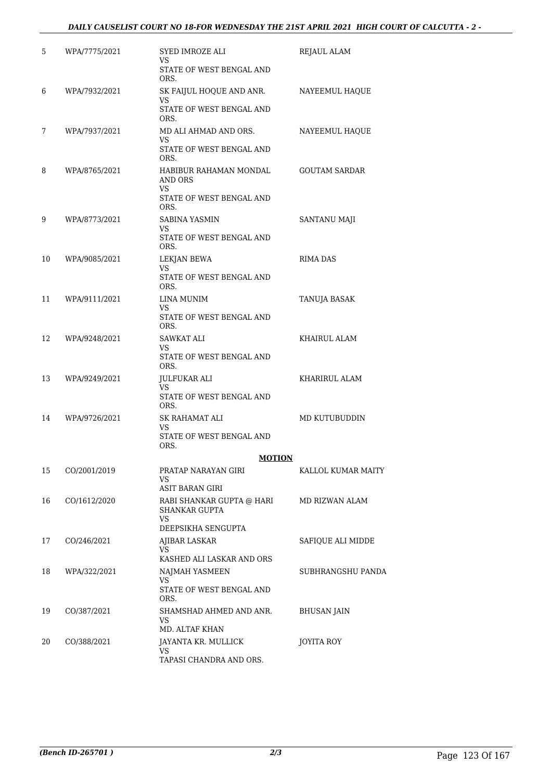### *DAILY CAUSELIST COURT NO 18-FOR WEDNESDAY THE 21ST APRIL 2021 HIGH COURT OF CALCUTTA - 2 -*

| 5  | WPA/7775/2021 | SYED IMROZE ALI<br>VS                               | REJAUL ALAM          |
|----|---------------|-----------------------------------------------------|----------------------|
|    |               | STATE OF WEST BENGAL AND<br>ORS.                    |                      |
| 6  | WPA/7932/2021 | SK FAIJUL HOQUE AND ANR.<br>VS                      | NAYEEMUL HAQUE       |
|    |               | STATE OF WEST BENGAL AND<br>ORS.                    |                      |
| 7  | WPA/7937/2021 | MD ALI AHMAD AND ORS.<br>VS                         | NAYEEMUL HAQUE       |
|    |               | STATE OF WEST BENGAL AND<br>ORS.                    |                      |
| 8  | WPA/8765/2021 | HABIBUR RAHAMAN MONDAL<br>AND ORS<br>VS             | <b>GOUTAM SARDAR</b> |
|    |               | STATE OF WEST BENGAL AND<br>ORS.                    |                      |
| 9  | WPA/8773/2021 | SABINA YASMIN<br>VS                                 | SANTANU MAJI         |
|    |               | STATE OF WEST BENGAL AND<br>ORS.                    |                      |
| 10 | WPA/9085/2021 | LEKJAN BEWA<br>VS                                   | RIMA DAS             |
|    |               | STATE OF WEST BENGAL AND<br>ORS.                    |                      |
| 11 | WPA/9111/2021 | LINA MUNIM<br>VS                                    | TANUJA BASAK         |
|    |               | STATE OF WEST BENGAL AND<br>ORS.                    |                      |
| 12 | WPA/9248/2021 | SAWKAT ALI<br>VS                                    | KHAIRUL ALAM         |
|    |               | STATE OF WEST BENGAL AND<br>ORS.                    |                      |
| 13 | WPA/9249/2021 | JULFUKAR ALI<br>VS                                  | KHARIRUL ALAM        |
|    |               | STATE OF WEST BENGAL AND<br>ORS.                    |                      |
| 14 | WPA/9726/2021 | SK RAHAMAT ALI<br>VS                                | MD KUTUBUDDIN        |
|    |               | STATE OF WEST BENGAL AND<br>ORS.                    |                      |
|    |               | <b>MOTION</b>                                       |                      |
| 15 | CO/2001/2019  | PRATAP NARAYAN GIRI<br>VS<br><b>ASIT BARAN GIRI</b> | KALLOL KUMAR MAITY   |
| 16 | CO/1612/2020  | RABI SHANKAR GUPTA @ HARI<br>SHANKAR GUPTA          | MD RIZWAN ALAM       |
|    |               | VS<br>DEEPSIKHA SENGUPTA                            |                      |
| 17 | CO/246/2021   | AJIBAR LASKAR<br>VS                                 | SAFIQUE ALI MIDDE    |
|    |               | KASHED ALI LASKAR AND ORS                           |                      |
| 18 | WPA/322/2021  | NAJMAH YASMEEN<br>VS                                | SUBHRANGSHU PANDA    |
|    |               | STATE OF WEST BENGAL AND<br>ORS.                    |                      |
| 19 | CO/387/2021   | SHAMSHAD AHMED AND ANR.<br>VS.<br>MD. ALTAF KHAN    | <b>BHUSAN JAIN</b>   |
| 20 | CO/388/2021   | JAYANTA KR. MULLICK                                 | JOYITA ROY           |
|    |               | VS<br>TAPASI CHANDRA AND ORS.                       |                      |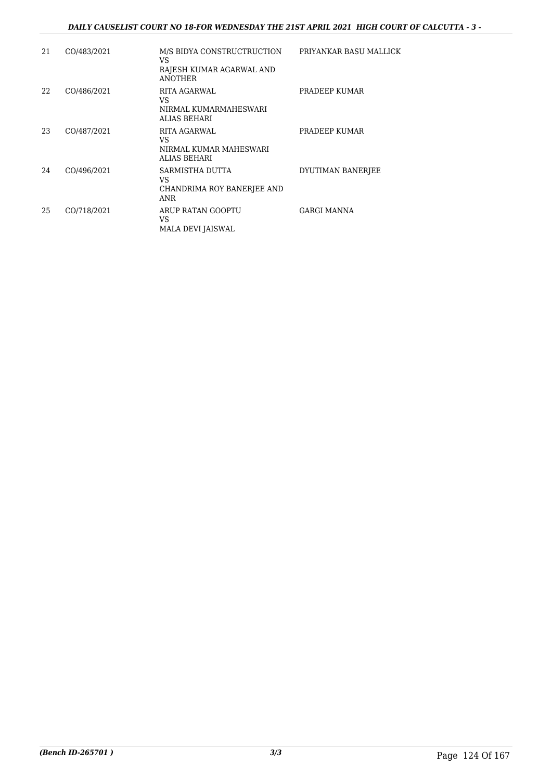### *DAILY CAUSELIST COURT NO 18-FOR WEDNESDAY THE 21ST APRIL 2021 HIGH COURT OF CALCUTTA - 3 -*

| 21 | CO/483/2021 | M/S BIDYA CONSTRUCTRUCTION<br>VS<br>RAJESH KUMAR AGARWAL AND<br><b>ANOTHER</b> | PRIYANKAR BASU MALLICK |
|----|-------------|--------------------------------------------------------------------------------|------------------------|
| 22 | CO/486/2021 | <b>RITA AGARWAL</b><br>VS<br>NIRMAL KUMARMAHESWARI<br>ALIAS BEHARI             | PRADEEP KUMAR          |
| 23 | CO/487/2021 | <b>RITA AGARWAL</b><br>VS<br>NIRMAL KUMAR MAHESWARI<br><b>ALIAS BEHARI</b>     | PRADEEP KUMAR          |
| 24 | CO/496/2021 | SARMISTHA DUTTA<br>VS<br>CHANDRIMA ROY BANERJEE AND<br><b>ANR</b>              | DYUTIMAN BANERJEE      |
| 25 | CO/718/2021 | ARUP RATAN GOOPTU<br>VS<br>MALA DEVI JAISWAL                                   | GARGI MANNA            |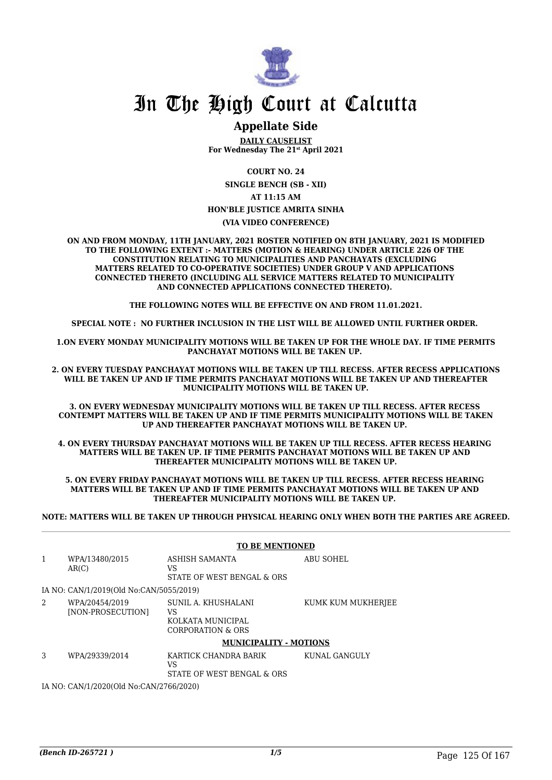

# **Appellate Side**

**DAILY CAUSELIST For Wednesday The 21st April 2021**

**COURT NO. 24**

**SINGLE BENCH (SB - XII) AT 11:15 AM HON'BLE JUSTICE AMRITA SINHA**

**(VIA VIDEO CONFERENCE)**

**ON AND FROM MONDAY, 11TH JANUARY, 2021 ROSTER NOTIFIED ON 8TH JANUARY, 2021 IS MODIFIED TO THE FOLLOWING EXTENT :- MATTERS (MOTION & HEARING) UNDER ARTICLE 226 OF THE CONSTITUTION RELATING TO MUNICIPALITIES AND PANCHAYATS (EXCLUDING MATTERS RELATED TO CO-OPERATIVE SOCIETIES) UNDER GROUP V AND APPLICATIONS CONNECTED THERETO (INCLUDING ALL SERVICE MATTERS RELATED TO MUNICIPALITY AND CONNECTED APPLICATIONS CONNECTED THERETO).** 

**THE FOLLOWING NOTES WILL BE EFFECTIVE ON AND FROM 11.01.2021.**

**SPECIAL NOTE : NO FURTHER INCLUSION IN THE LIST WILL BE ALLOWED UNTIL FURTHER ORDER.** 

**1.ON EVERY MONDAY MUNICIPALITY MOTIONS WILL BE TAKEN UP FOR THE WHOLE DAY. IF TIME PERMITS PANCHAYAT MOTIONS WILL BE TAKEN UP.** 

**2. ON EVERY TUESDAY PANCHAYAT MOTIONS WILL BE TAKEN UP TILL RECESS. AFTER RECESS APPLICATIONS WILL BE TAKEN UP AND IF TIME PERMITS PANCHAYAT MOTIONS WILL BE TAKEN UP AND THEREAFTER MUNICIPALITY MOTIONS WILL BE TAKEN UP.**

**3. ON EVERY WEDNESDAY MUNICIPALITY MOTIONS WILL BE TAKEN UP TILL RECESS. AFTER RECESS CONTEMPT MATTERS WILL BE TAKEN UP AND IF TIME PERMITS MUNICIPALITY MOTIONS WILL BE TAKEN UP AND THEREAFTER PANCHAYAT MOTIONS WILL BE TAKEN UP.** 

**4. ON EVERY THURSDAY PANCHAYAT MOTIONS WILL BE TAKEN UP TILL RECESS. AFTER RECESS HEARING MATTERS WILL BE TAKEN UP. IF TIME PERMITS PANCHAYAT MOTIONS WILL BE TAKEN UP AND THEREAFTER MUNICIPALITY MOTIONS WILL BE TAKEN UP.**

**5. ON EVERY FRIDAY PANCHAYAT MOTIONS WILL BE TAKEN UP TILL RECESS. AFTER RECESS HEARING MATTERS WILL BE TAKEN UP AND IF TIME PERMITS PANCHAYAT MOTIONS WILL BE TAKEN UP AND THEREAFTER MUNICIPALITY MOTIONS WILL BE TAKEN UP.** 

**NOTE: MATTERS WILL BE TAKEN UP THROUGH PHYSICAL HEARING ONLY WHEN BOTH THE PARTIES ARE AGREED.**

|                                         |                                         | <b>TO BE MENTIONED</b>                                              |                    |  |
|-----------------------------------------|-----------------------------------------|---------------------------------------------------------------------|--------------------|--|
| 1                                       | WPA/13480/2015<br>AR(C)                 | ASHISH SAMANTA<br>VS<br>STATE OF WEST BENGAL & ORS                  | <b>ABU SOHEL</b>   |  |
|                                         | IA NO: CAN/1/2019(Old No:CAN/5055/2019) |                                                                     |                    |  |
| 2                                       | WPA/20454/2019<br>[NON-PROSECUTION]     | SUNIL A. KHUSHALANI<br>VS<br>KOLKATA MUNICIPAL<br>CORPORATION & ORS | KUMK KUM MUKHERJEE |  |
|                                         |                                         | <b>MUNICIPALITY - MOTIONS</b>                                       |                    |  |
| 3                                       | WPA/29339/2014                          | KARTICK CHANDRA BARIK<br>VS<br>STATE OF WEST BENGAL & ORS           | KUNAL GANGULY      |  |
| IA NO: CAN/1/2020(Old No:CAN/2766/2020) |                                         |                                                                     |                    |  |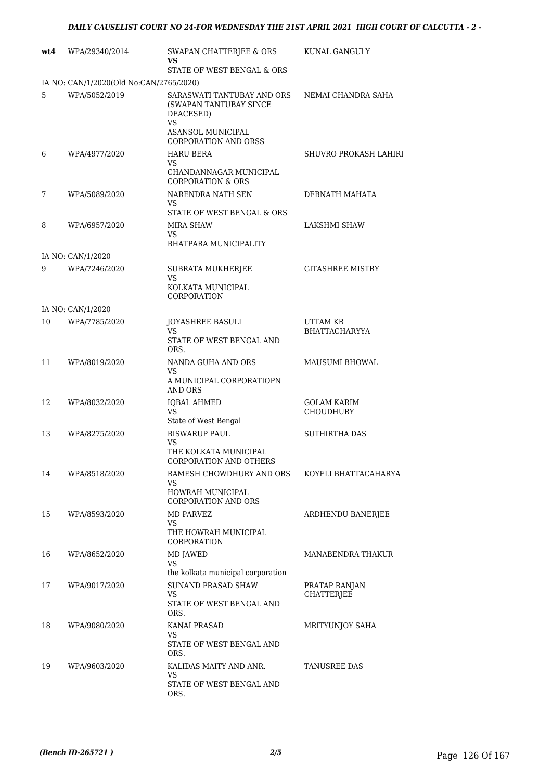| wt4 | WPA/29340/2014                          | SWAPAN CHATTERJEE & ORS<br>VS.                                                   | KUNAL GANGULY                          |
|-----|-----------------------------------------|----------------------------------------------------------------------------------|----------------------------------------|
|     | IA NO: CAN/1/2020(Old No:CAN/2765/2020) | STATE OF WEST BENGAL & ORS                                                       |                                        |
| 5   | WPA/5052/2019                           | SARASWATI TANTUBAY AND ORS<br>(SWAPAN TANTUBAY SINCE<br>DEACESED)<br>VS          | NEMAI CHANDRA SAHA                     |
|     |                                         | <b>ASANSOL MUNICIPAL</b><br><b>CORPORATION AND ORSS</b>                          |                                        |
| 6   | WPA/4977/2020                           | HARU BERA<br>VS.                                                                 | SHUVRO PROKASH LAHIRI                  |
|     |                                         | CHANDANNAGAR MUNICIPAL<br><b>CORPORATION &amp; ORS</b>                           |                                        |
| 7   | WPA/5089/2020                           | NARENDRA NATH SEN<br>VS.                                                         | DEBNATH MAHATA                         |
|     |                                         | STATE OF WEST BENGAL & ORS                                                       |                                        |
| 8   | WPA/6957/2020                           | MIRA SHAW<br>VS                                                                  | LAKSHMI SHAW                           |
|     |                                         | BHATPARA MUNICIPALITY                                                            |                                        |
| 9   | IA NO: CAN/1/2020<br>WPA/7246/2020      | SUBRATA MUKHERJEE                                                                | <b>GITASHREE MISTRY</b>                |
|     |                                         | <b>VS</b><br>KOLKATA MUNICIPAL<br>CORPORATION                                    |                                        |
|     | IA NO: CAN/1/2020                       |                                                                                  |                                        |
| 10  | WPA/7785/2020                           | <b>JOYASHREE BASULI</b><br>VS.<br>STATE OF WEST BENGAL AND                       | UTTAM KR<br><b>BHATTACHARYYA</b>       |
| 11  | WPA/8019/2020                           | ORS.<br>NANDA GUHA AND ORS                                                       | <b>MAUSUMI BHOWAL</b>                  |
|     |                                         | <b>VS</b><br>A MUNICIPAL CORPORATIOPN<br><b>AND ORS</b>                          |                                        |
| 12  | WPA/8032/2020                           | <b>IQBAL AHMED</b><br><b>VS</b>                                                  | <b>GOLAM KARIM</b><br><b>CHOUDHURY</b> |
|     |                                         | State of West Bengal                                                             |                                        |
| 13  | WPA/8275/2020                           | <b>BISWARUP PAUL</b><br>VS<br>THE KOLKATA MUNICIPAL<br>CORPORATION AND OTHERS    | <b>SUTHIRTHA DAS</b>                   |
| 14  | WPA/8518/2020                           | RAMESH CHOWDHURY AND ORS<br>VS<br>HOWRAH MUNICIPAL<br><b>CORPORATION AND ORS</b> | KOYELI BHATTACAHARYA                   |
| 15  | WPA/8593/2020                           | MD PARVEZ<br>VS<br>THE HOWRAH MUNICIPAL<br>CORPORATION                           | ARDHENDU BANERJEE                      |
| 16  | WPA/8652/2020                           | MD JAWED<br><b>VS</b><br>the kolkata municipal corporation                       | MANABENDRA THAKUR                      |
| 17  | WPA/9017/2020                           | SUNAND PRASAD SHAW<br>VS<br>STATE OF WEST BENGAL AND<br>ORS.                     | PRATAP RANJAN<br><b>CHATTERJEE</b>     |
| 18  | WPA/9080/2020                           | KANAI PRASAD<br>VS<br>STATE OF WEST BENGAL AND<br>ORS.                           | MRITYUNJOY SAHA                        |
| 19  | WPA/9603/2020                           | KALIDAS MAITY AND ANR.<br>VS<br>STATE OF WEST BENGAL AND<br>ORS.                 | TANUSREE DAS                           |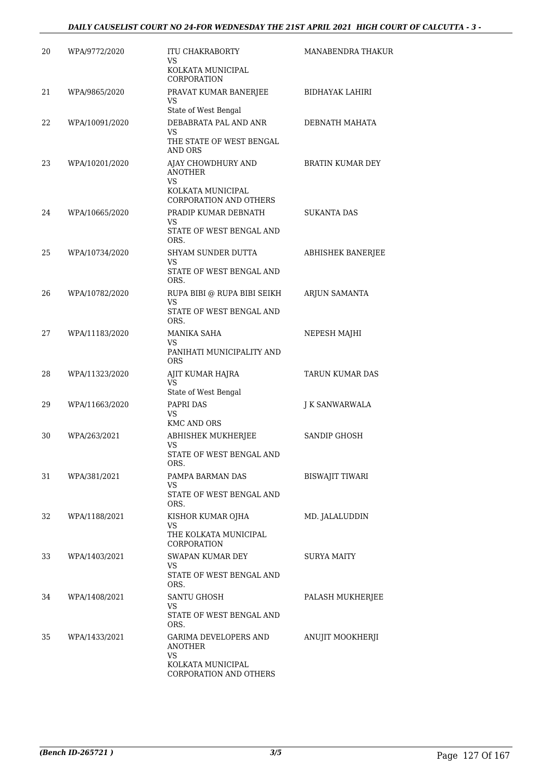| WPA/9772/2020  | <b>ITU CHAKRABORTY</b>                                      | MANABENDRA THAKUR                                                                                                                                                                               |
|----------------|-------------------------------------------------------------|-------------------------------------------------------------------------------------------------------------------------------------------------------------------------------------------------|
|                | KOLKATA MUNICIPAL<br><b>CORPORATION</b>                     |                                                                                                                                                                                                 |
| WPA/9865/2020  | PRAVAT KUMAR BANERJEE<br><b>VS</b>                          | <b>BIDHAYAK LAHIRI</b>                                                                                                                                                                          |
| WPA/10091/2020 | DEBABRATA PAL AND ANR<br><b>VS</b>                          | DEBNATH MAHATA                                                                                                                                                                                  |
|                | THE STATE OF WEST BENGAL<br>AND ORS                         |                                                                                                                                                                                                 |
| WPA/10201/2020 | AJAY CHOWDHURY AND<br><b>ANOTHER</b><br><b>VS</b>           | BRATIN KUMAR DEY                                                                                                                                                                                |
|                | <b>CORPORATION AND OTHERS</b>                               |                                                                                                                                                                                                 |
| WPA/10665/2020 | PRADIP KUMAR DEBNATH<br>VS<br>STATE OF WEST BENGAL AND      | <b>SUKANTA DAS</b>                                                                                                                                                                              |
| WPA/10734/2020 | SHYAM SUNDER DUTTA<br>VS                                    | <b>ABHISHEK BANERJEE</b>                                                                                                                                                                        |
|                | STATE OF WEST BENGAL AND<br>ORS.                            |                                                                                                                                                                                                 |
| WPA/10782/2020 | RUPA BIBI @ RUPA BIBI SEIKH<br><b>VS</b>                    | ARJUN SAMANTA                                                                                                                                                                                   |
|                | ORS.                                                        |                                                                                                                                                                                                 |
| WPA/11183/2020 | MANIKA SAHA<br>VS<br>PANIHATI MUNICIPALITY AND              | NEPESH MAJHI                                                                                                                                                                                    |
| WPA/11323/2020 | AJIT KUMAR HAJRA                                            | TARUN KUMAR DAS                                                                                                                                                                                 |
|                | State of West Bengal                                        |                                                                                                                                                                                                 |
| WPA/11663/2020 | PAPRI DAS<br>VS                                             | J K SANWARWALA                                                                                                                                                                                  |
| WPA/263/2021   | ABHISHEK MUKHERJEE                                          | <b>SANDIP GHOSH</b>                                                                                                                                                                             |
|                | STATE OF WEST BENGAL AND<br>ORS.                            |                                                                                                                                                                                                 |
| WPA/381/2021   | PAMPA BARMAN DAS                                            | <b>BISWAJIT TIWARI</b>                                                                                                                                                                          |
|                | STATE OF WEST BENGAL AND<br>ORS.                            |                                                                                                                                                                                                 |
| WPA/1188/2021  | KISHOR KUMAR OJHA<br>VS<br>THE KOLKATA MUNICIPAL            | MD. JALALUDDIN                                                                                                                                                                                  |
| WPA/1403/2021  | SWAPAN KUMAR DEY<br>VS<br>STATE OF WEST BENGAL AND          | SURYA MAITY                                                                                                                                                                                     |
| WPA/1408/2021  | ORS.<br>SANTU GHOSH                                         | PALASH MUKHERJEE                                                                                                                                                                                |
|                | STATE OF WEST BENGAL AND<br>ORS.                            |                                                                                                                                                                                                 |
| WPA/1433/2021  | GARIMA DEVELOPERS AND<br>ANOTHER<br>VS<br>KOLKATA MUNICIPAL | ANUJIT MOOKHERJI                                                                                                                                                                                |
|                |                                                             | VS<br>State of West Bengal<br>KOLKATA MUNICIPAL<br>ORS.<br>STATE OF WEST BENGAL AND<br><b>ORS</b><br>VS<br><b>KMC AND ORS</b><br>VS<br>VS<br><b>CORPORATION</b><br>VS<br>CORPORATION AND OTHERS |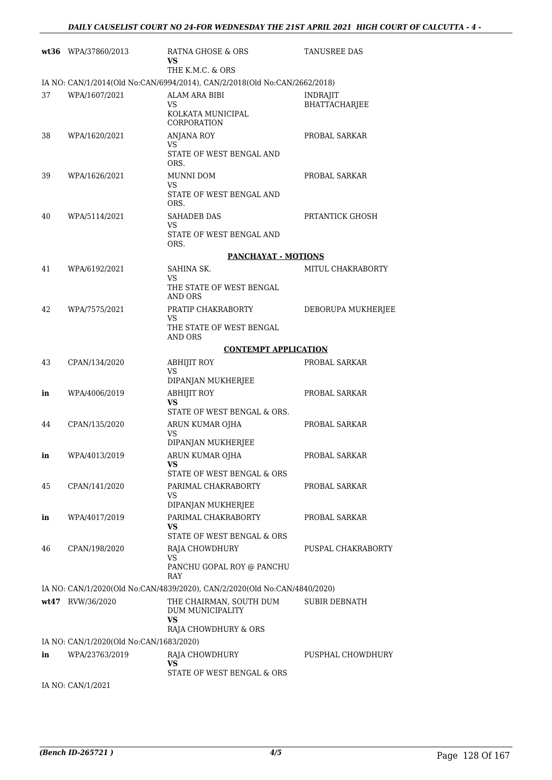|    | wt36 WPA/37860/2013                     | RATNA GHOSE & ORS<br>VS<br>THE K.M.C. & ORS                               | TANUSREE DAS                            |
|----|-----------------------------------------|---------------------------------------------------------------------------|-----------------------------------------|
|    |                                         | IA NO: CAN/1/2014(Old No:CAN/6994/2014), CAN/2/2018(Old No:CAN/2662/2018) |                                         |
| 37 | WPA/1607/2021                           | ALAM ARA BIBI<br>VS<br>KOLKATA MUNICIPAL<br>CORPORATION                   | <b>INDRAJIT</b><br><b>BHATTACHARJEE</b> |
| 38 | WPA/1620/2021                           | <b>ANJANA ROY</b><br><b>VS</b><br>STATE OF WEST BENGAL AND<br>ORS.        | PROBAL SARKAR                           |
| 39 | WPA/1626/2021                           | MUNNI DOM<br>VS<br>STATE OF WEST BENGAL AND<br>ORS.                       | PROBAL SARKAR                           |
| 40 | WPA/5114/2021                           | SAHADEB DAS<br><b>VS</b><br>STATE OF WEST BENGAL AND<br>ORS.              | PRTANTICK GHOSH                         |
|    |                                         | <b>PANCHAYAT - MOTIONS</b>                                                |                                         |
| 41 | WPA/6192/2021                           | SAHINA SK.                                                                | MITUL CHAKRABORTY                       |
|    |                                         | <b>VS</b><br>THE STATE OF WEST BENGAL<br>AND ORS                          |                                         |
| 42 | WPA/7575/2021                           | PRATIP CHAKRABORTY<br>VS                                                  | DEBORUPA MUKHERJEE                      |
|    |                                         | THE STATE OF WEST BENGAL<br>AND ORS                                       |                                         |
|    |                                         | <b>CONTEMPT APPLICATION</b>                                               |                                         |
| 43 | CPAN/134/2020                           | <b>ABHIJIT ROY</b><br>VS<br>DIPANJAN MUKHERJEE                            | PROBAL SARKAR                           |
| in | WPA/4006/2019                           | <b>ABHIJIT ROY</b><br>VS                                                  | PROBAL SARKAR                           |
|    |                                         | STATE OF WEST BENGAL & ORS.                                               |                                         |
| 44 | CPAN/135/2020                           | ARUN KUMAR OJHA<br><b>VS</b>                                              | PROBAL SARKAR                           |
| in | WPA/4013/2019                           | DIPANJAN MUKHERJEE<br>ARUN KUMAR OJHA<br>VS                               | PROBAL SARKAR                           |
|    |                                         | STATE OF WEST BENGAL & ORS                                                |                                         |
| 45 | CPAN/141/2020                           | PARIMAL CHAKRABORTY<br>VS<br>DIPANJAN MUKHERJEE                           | PROBAL SARKAR                           |
| in | WPA/4017/2019                           | PARIMAL CHAKRABORTY                                                       | PROBAL SARKAR                           |
|    |                                         | VS<br>STATE OF WEST BENGAL & ORS                                          |                                         |
| 46 | CPAN/198/2020                           | RAJA CHOWDHURY<br>VS                                                      | PUSPAL CHAKRABORTY                      |
|    |                                         | PANCHU GOPAL ROY @ PANCHU<br>RAY                                          |                                         |
|    |                                         | IA NO: CAN/1/2020(Old No:CAN/4839/2020), CAN/2/2020(Old No:CAN/4840/2020) |                                         |
|    | wt47 RVW/36/2020                        | THE CHAIRMAN, SOUTH DUM<br>DUM MUNICIPALITY<br><b>VS</b>                  | <b>SUBIR DEBNATH</b>                    |
|    |                                         | RAJA CHOWDHURY & ORS                                                      |                                         |
|    | IA NO: CAN/1/2020(Old No:CAN/1683/2020) |                                                                           |                                         |
| in | WPA/23763/2019                          | RAJA CHOWDHURY<br>VS<br>STATE OF WEST BENGAL & ORS                        | PUSPHAL CHOWDHURY                       |
|    |                                         |                                                                           |                                         |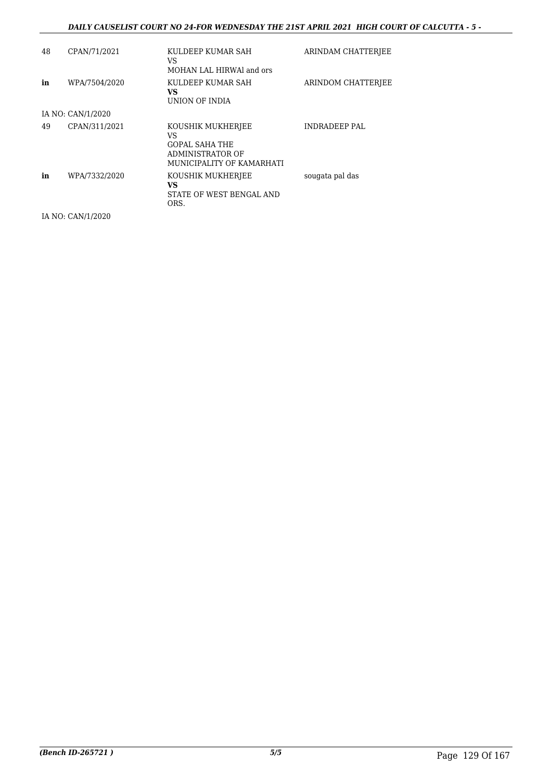### *DAILY CAUSELIST COURT NO 24-FOR WEDNESDAY THE 21ST APRIL 2021 HIGH COURT OF CALCUTTA - 5 -*

| 48 | CPAN/71/2021      | KULDEEP KUMAR SAH<br>VS<br>MOHAN LAL HIRWAl and ors                                               | ARINDAM CHATTERIEE   |
|----|-------------------|---------------------------------------------------------------------------------------------------|----------------------|
| in | WPA/7504/2020     | KULDEEP KUMAR SAH<br>VS.<br>UNION OF INDIA                                                        | ARINDOM CHATTERJEE   |
|    | IA NO: CAN/1/2020 |                                                                                                   |                      |
| 49 | CPAN/311/2021     | KOUSHIK MUKHERJEE<br>VS<br><b>GOPAL SAHA THE</b><br>ADMINISTRATOR OF<br>MUNICIPALITY OF KAMARHATI | <b>INDRADEEP PAL</b> |
| in | WPA/7332/2020     | KOUSHIK MUKHERJEE<br>VS.<br>STATE OF WEST BENGAL AND<br>ORS.                                      | sougata pal das      |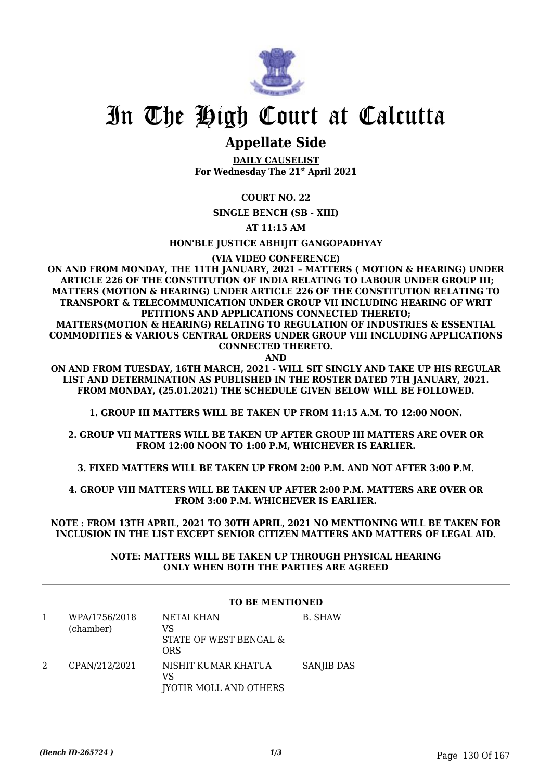

# **Appellate Side**

**DAILY CAUSELIST For Wednesday The 21st April 2021**

# **COURT NO. 22**

**SINGLE BENCH (SB - XIII)**

**AT 11:15 AM**

**HON'BLE JUSTICE ABHIJIT GANGOPADHYAY**

**(VIA VIDEO CONFERENCE)**

**ON AND FROM MONDAY, THE 11TH JANUARY, 2021 – MATTERS ( MOTION & HEARING) UNDER ARTICLE 226 OF THE CONSTITUTION OF INDIA RELATING TO LABOUR UNDER GROUP III; MATTERS (MOTION & HEARING) UNDER ARTICLE 226 OF THE CONSTITUTION RELATING TO TRANSPORT & TELECOMMUNICATION UNDER GROUP VII INCLUDING HEARING OF WRIT PETITIONS AND APPLICATIONS CONNECTED THERETO;**

**MATTERS(MOTION & HEARING) RELATING TO REGULATION OF INDUSTRIES & ESSENTIAL COMMODITIES & VARIOUS CENTRAL ORDERS UNDER GROUP VIII INCLUDING APPLICATIONS CONNECTED THERETO.**

**AND**

**ON AND FROM TUESDAY, 16TH MARCH, 2021 - WILL SIT SINGLY AND TAKE UP HIS REGULAR LIST AND DETERMINATION AS PUBLISHED IN THE ROSTER DATED 7TH JANUARY, 2021. FROM MONDAY, (25.01.2021) THE SCHEDULE GIVEN BELOW WILL BE FOLLOWED.**

**1. GROUP III MATTERS WILL BE TAKEN UP FROM 11:15 A.M. TO 12:00 NOON.**

**2. GROUP VII MATTERS WILL BE TAKEN UP AFTER GROUP III MATTERS ARE OVER OR FROM 12:00 NOON TO 1:00 P.M, WHICHEVER IS EARLIER.**

**3. FIXED MATTERS WILL BE TAKEN UP FROM 2:00 P.M. AND NOT AFTER 3:00 P.M.**

**4. GROUP VIII MATTERS WILL BE TAKEN UP AFTER 2:00 P.M. MATTERS ARE OVER OR FROM 3:00 P.M. WHICHEVER IS EARLIER.**

**NOTE : FROM 13TH APRIL, 2021 TO 30TH APRIL, 2021 NO MENTIONING WILL BE TAKEN FOR INCLUSION IN THE LIST EXCEPT SENIOR CITIZEN MATTERS AND MATTERS OF LEGAL AID.**

> **NOTE: MATTERS WILL BE TAKEN UP THROUGH PHYSICAL HEARING ONLY WHEN BOTH THE PARTIES ARE AGREED**

#### **TO BE MENTIONED**

| WPA/1756/2018<br>(chamber) | NETAI KHAN<br>VS<br>STATE OF WEST BENGAL &<br>ORS          | B. SHAW    |
|----------------------------|------------------------------------------------------------|------------|
| CPAN/212/2021              | NISHIT KUMAR KHATUA<br>VS<br><b>JYOTIR MOLL AND OTHERS</b> | SANJIB DAS |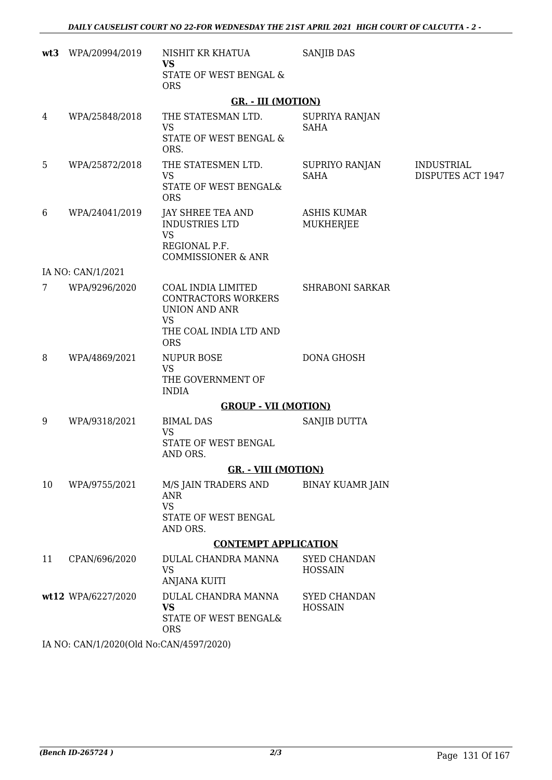| wt3 | WPA/20994/2019                          | NISHIT KR KHATUA<br><b>VS</b><br>STATE OF WEST BENGAL &<br><b>ORS</b>                                           | <b>SANJIB DAS</b>                     |                                        |
|-----|-----------------------------------------|-----------------------------------------------------------------------------------------------------------------|---------------------------------------|----------------------------------------|
|     |                                         | <b>GR. - III (MOTION)</b>                                                                                       |                                       |                                        |
| 4   | WPA/25848/2018                          | THE STATESMAN LTD.<br><b>VS</b><br>STATE OF WEST BENGAL &<br>ORS.                                               | SUPRIYA RANJAN<br><b>SAHA</b>         |                                        |
| 5   | WPA/25872/2018                          | THE STATESMEN LTD.<br><b>VS</b><br>STATE OF WEST BENGAL&<br><b>ORS</b>                                          | SUPRIYO RANJAN<br><b>SAHA</b>         | <b>INDUSTRIAL</b><br>DISPUTES ACT 1947 |
| 6   | WPA/24041/2019                          | <b>JAY SHREE TEA AND</b><br>INDUSTRIES LTD<br><b>VS</b><br>REGIONAL P.F.<br><b>COMMISSIONER &amp; ANR</b>       | <b>ASHIS KUMAR</b><br>MUKHERJEE       |                                        |
|     | IA NO: CAN/1/2021                       |                                                                                                                 |                                       |                                        |
| 7   | WPA/9296/2020                           | COAL INDIA LIMITED<br><b>CONTRACTORS WORKERS</b><br><b>UNION AND ANR</b><br><b>VS</b><br>THE COAL INDIA LTD AND | <b>SHRABONI SARKAR</b>                |                                        |
|     |                                         | <b>ORS</b>                                                                                                      |                                       |                                        |
| 8   | WPA/4869/2021                           | <b>NUPUR BOSE</b><br><b>VS</b><br>THE GOVERNMENT OF<br><b>INDIA</b>                                             | <b>DONA GHOSH</b>                     |                                        |
|     |                                         | <b>GROUP - VII (MOTION)</b>                                                                                     |                                       |                                        |
| 9   | WPA/9318/2021                           | <b>BIMAL DAS</b><br><b>VS</b><br>STATE OF WEST BENGAL<br>AND ORS.                                               | SANJIB DUTTA                          |                                        |
|     |                                         | <b>GR.</b> - VIII (MOTION)                                                                                      |                                       |                                        |
| 10  | WPA/9755/2021                           | M/S JAIN TRADERS AND<br><b>ANR</b><br><b>VS</b><br>STATE OF WEST BENGAL<br>AND ORS.                             | <b>BINAY KUAMR JAIN</b>               |                                        |
|     |                                         | <b>CONTEMPT APPLICATION</b>                                                                                     |                                       |                                        |
| 11  | CPAN/696/2020                           | DULAL CHANDRA MANNA<br><b>VS</b><br><b>ANJANA KUITI</b>                                                         | SYED CHANDAN<br><b>HOSSAIN</b>        |                                        |
|     | wt12 WPA/6227/2020                      | DULAL CHANDRA MANNA<br><b>VS</b><br>STATE OF WEST BENGAL&<br><b>ORS</b>                                         | <b>SYED CHANDAN</b><br><b>HOSSAIN</b> |                                        |
|     | IA NO: CAN/1/2020(Old No:CAN/4597/2020) |                                                                                                                 |                                       |                                        |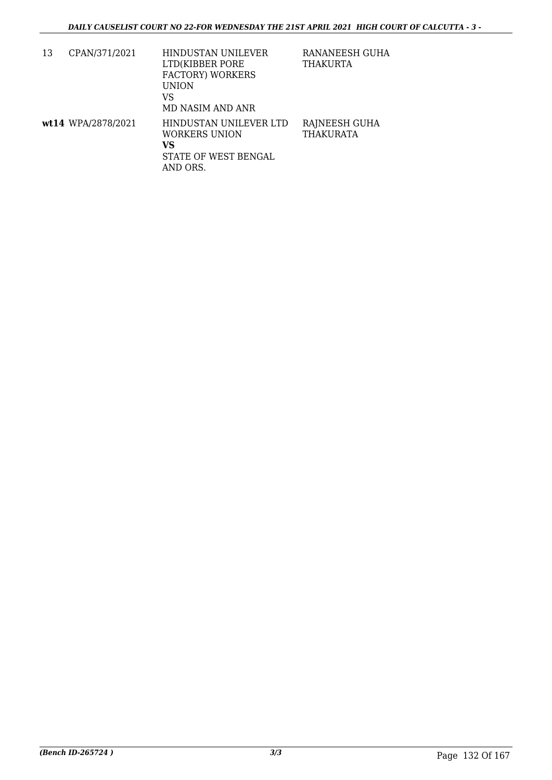| 13 | CPAN/371/2021      | HINDUSTAN UNILEVER<br>LTD(KIBBER PORE<br><b>FACTORY) WORKERS</b><br><b>UNION</b><br>VS<br>MD NASIM AND ANR | RANANEESH GUHA<br>THAKURTA |
|----|--------------------|------------------------------------------------------------------------------------------------------------|----------------------------|
|    | wt14 WPA/2878/2021 | HINDUSTAN UNILEVER LTD<br>WORKERS UNION<br>VS<br>STATE OF WEST BENGAL<br>AND ORS.                          | RAJNEESH GUHA<br>THAKURATA |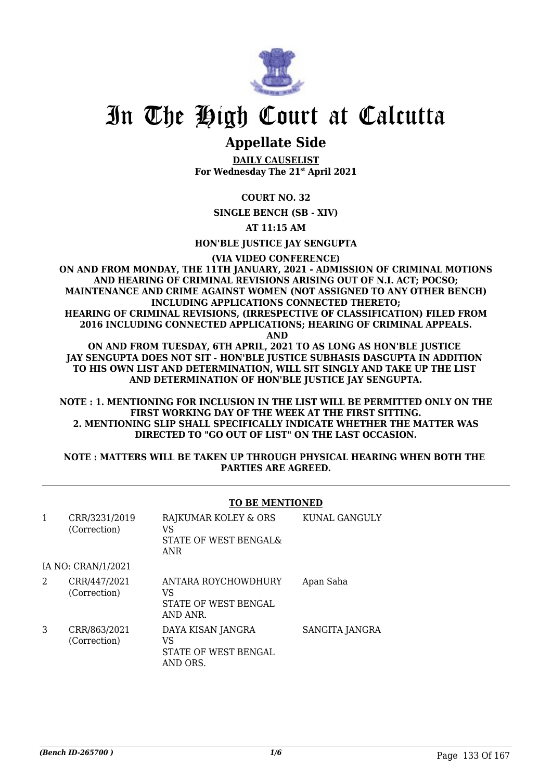

# **Appellate Side**

**DAILY CAUSELIST For Wednesday The 21st April 2021**

# **COURT NO. 32**

**SINGLE BENCH (SB - XIV)**

### **AT 11:15 AM**

**HON'BLE JUSTICE JAY SENGUPTA**

**(VIA VIDEO CONFERENCE)**

**ON AND FROM MONDAY, THE 11TH JANUARY, 2021 - ADMISSION OF CRIMINAL MOTIONS AND HEARING OF CRIMINAL REVISIONS ARISING OUT OF N.I. ACT; POCSO; MAINTENANCE AND CRIME AGAINST WOMEN (NOT ASSIGNED TO ANY OTHER BENCH) INCLUDING APPLICATIONS CONNECTED THERETO; HEARING OF CRIMINAL REVISIONS, (IRRESPECTIVE OF CLASSIFICATION) FILED FROM 2016 INCLUDING CONNECTED APPLICATIONS; HEARING OF CRIMINAL APPEALS.**

 **AND**

**ON AND FROM TUESDAY, 6TH APRIL, 2021 TO AS LONG AS HON'BLE JUSTICE JAY SENGUPTA DOES NOT SIT - HON'BLE JUSTICE SUBHASIS DASGUPTA IN ADDITION TO HIS OWN LIST AND DETERMINATION, WILL SIT SINGLY AND TAKE UP THE LIST AND DETERMINATION OF HON'BLE JUSTICE JAY SENGUPTA.**

**NOTE : 1. MENTIONING FOR INCLUSION IN THE LIST WILL BE PERMITTED ONLY ON THE FIRST WORKING DAY OF THE WEEK AT THE FIRST SITTING. 2. MENTIONING SLIP SHALL SPECIFICALLY INDICATE WHETHER THE MATTER WAS DIRECTED TO "GO OUT OF LIST" ON THE LAST OCCASION.**

### **NOTE : MATTERS WILL BE TAKEN UP THROUGH PHYSICAL HEARING WHEN BOTH THE PARTIES ARE AGREED.**

# **TO BE MENTIONED**

| 1 | CRR/3231/2019<br>(Correction) | RAJKUMAR KOLEY & ORS<br>VS<br>STATE OF WEST BENGAL&<br><b>ANR</b> | KUNAL GANGULY  |
|---|-------------------------------|-------------------------------------------------------------------|----------------|
|   | IA NO: CRAN/1/2021            |                                                                   |                |
| 2 | CRR/447/2021<br>(Correction)  | ANTARA ROYCHOWDHURY<br>VS<br>STATE OF WEST BENGAL<br>AND ANR.     | Apan Saha      |
| 3 | CRR/863/2021<br>(Correction)  | DAYA KISAN JANGRA<br>VS<br>STATE OF WEST BENGAL<br>AND ORS.       | SANGITA JANGRA |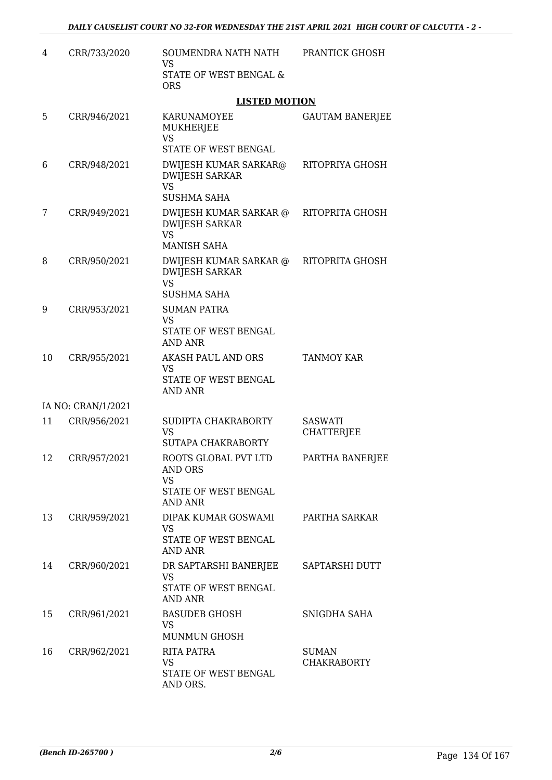| 4  | CRR/733/2020       | SOUMENDRA NATH NATH<br><b>VS</b>                                                       | PRANTICK GHOSH                      |
|----|--------------------|----------------------------------------------------------------------------------------|-------------------------------------|
|    |                    | STATE OF WEST BENGAL &<br><b>ORS</b>                                                   |                                     |
|    |                    | <b>LISTED MOTION</b>                                                                   |                                     |
| 5  | CRR/946/2021       | KARUNAMOYEE<br>MUKHERJEE<br><b>VS</b>                                                  | <b>GAUTAM BANERJEE</b>              |
|    |                    | STATE OF WEST BENGAL                                                                   |                                     |
| 6  | CRR/948/2021       | DWIJESH KUMAR SARKAR@<br><b>DWIJESH SARKAR</b><br><b>VS</b><br><b>SUSHMA SAHA</b>      | RITOPRIYA GHOSH                     |
| 7  | CRR/949/2021       | DWIJESH KUMAR SARKAR @<br><b>DWIJESH SARKAR</b><br><b>VS</b><br><b>MANISH SAHA</b>     | RITOPRITA GHOSH                     |
| 8  | CRR/950/2021       | DWIJESH KUMAR SARKAR @<br><b>DWIJESH SARKAR</b><br><b>VS</b><br>SUSHMA SAHA            | RITOPRITA GHOSH                     |
| 9  | CRR/953/2021       | <b>SUMAN PATRA</b><br><b>VS</b><br>STATE OF WEST BENGAL<br><b>AND ANR</b>              |                                     |
| 10 | CRR/955/2021       | <b>AKASH PAUL AND ORS</b><br><b>VS</b><br>STATE OF WEST BENGAL<br><b>AND ANR</b>       | <b>TANMOY KAR</b>                   |
|    | IA NO: CRAN/1/2021 |                                                                                        |                                     |
| 11 | CRR/956/2021       | SUDIPTA CHAKRABORTY<br><b>VS</b><br><b>SUTAPA CHAKRABORTY</b>                          | <b>SASWATI</b><br><b>CHATTERJEE</b> |
| 12 | CRR/957/2021       | ROOTS GLOBAL PVT LTD<br><b>AND ORS</b><br><b>VS</b><br>STATE OF WEST BENGAL<br>AND ANR | PARTHA BANERJEE                     |
| 13 | CRR/959/2021       | DIPAK KUMAR GOSWAMI<br><b>VS</b><br>STATE OF WEST BENGAL<br>AND ANR                    | PARTHA SARKAR                       |
| 14 | CRR/960/2021       | DR SAPTARSHI BANERJEE SAPTARSHI DUTT<br><b>VS</b><br>STATE OF WEST BENGAL<br>AND ANR   |                                     |
| 15 | CRR/961/2021       | <b>BASUDEB GHOSH</b><br>VS.<br><b>MUNMUN GHOSH</b>                                     | SNIGDHA SAHA                        |
| 16 | CRR/962/2021       | RITA PATRA<br><b>VS</b><br>STATE OF WEST BENGAL<br>AND ORS.                            | <b>SUMAN</b><br><b>CHAKRABORTY</b>  |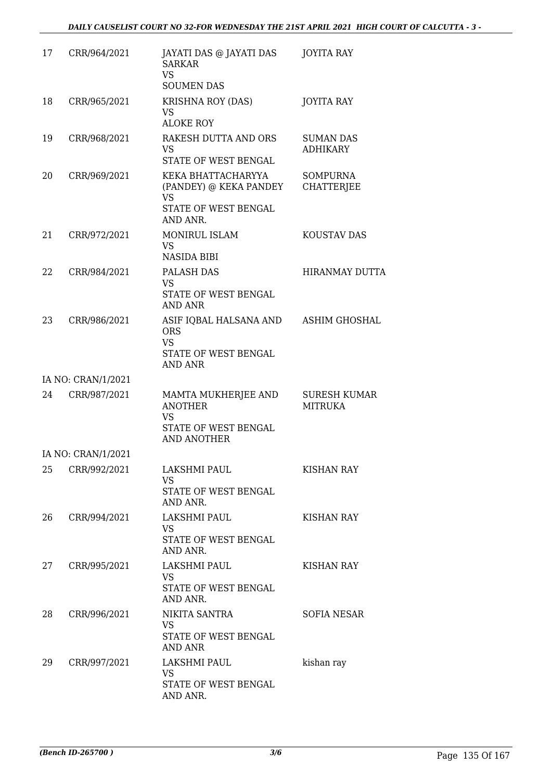| 17 | CRR/964/2021       | JAYATI DAS @ JAYATI DAS<br><b>SARKAR</b><br>VS.<br><b>SOUMEN DAS</b>                             | JOYITA RAY                            |
|----|--------------------|--------------------------------------------------------------------------------------------------|---------------------------------------|
| 18 | CRR/965/2021       | <b>KRISHNA ROY (DAS)</b><br>VS<br><b>ALOKE ROY</b>                                               | <b>JOYITA RAY</b>                     |
| 19 | CRR/968/2021       | RAKESH DUTTA AND ORS<br>VS.<br>STATE OF WEST BENGAL                                              | <b>SUMAN DAS</b><br><b>ADHIKARY</b>   |
| 20 | CRR/969/2021       | KEKA BHATTACHARYYA<br>(PANDEY) @ KEKA PANDEY<br><b>VS</b><br>STATE OF WEST BENGAL<br>AND ANR.    | <b>SOMPURNA</b><br><b>CHATTERJEE</b>  |
| 21 | CRR/972/2021       | MONIRUL ISLAM<br><b>VS</b><br><b>NASIDA BIBI</b>                                                 | <b>KOUSTAV DAS</b>                    |
| 22 | CRR/984/2021       | PALASH DAS<br><b>VS</b><br>STATE OF WEST BENGAL<br>AND ANR                                       | <b>HIRANMAY DUTTA</b>                 |
| 23 | CRR/986/2021       | ASIF IQBAL HALSANA AND<br><b>ORS</b><br><b>VS</b><br>STATE OF WEST BENGAL<br>AND ANR             | ASHIM GHOSHAL                         |
|    | IA NO: CRAN/1/2021 |                                                                                                  |                                       |
| 24 | CRR/987/2021       | MAMTA MUKHERJEE AND<br><b>ANOTHER</b><br><b>VS</b><br>STATE OF WEST BENGAL<br><b>AND ANOTHER</b> | <b>SURESH KUMAR</b><br><b>MITRUKA</b> |
|    | IA NO: CRAN/1/2021 |                                                                                                  |                                       |
| 25 | CRR/992/2021       | LAKSHMI PAUL<br>VS.<br>STATE OF WEST BENGAL<br>AND ANR.                                          | <b>KISHAN RAY</b>                     |
| 26 | CRR/994/2021       | LAKSHMI PAUL<br>VS<br>STATE OF WEST BENGAL<br>AND ANR.                                           | <b>KISHAN RAY</b>                     |
| 27 | CRR/995/2021       | <b>LAKSHMI PAUL</b><br>VS.<br>STATE OF WEST BENGAL<br>AND ANR.                                   | KISHAN RAY                            |
| 28 | CRR/996/2021       | NIKITA SANTRA<br>VS.<br>STATE OF WEST BENGAL<br>AND ANR                                          | SOFIA NESAR                           |
| 29 | CRR/997/2021       | LAKSHMI PAUL<br>VS<br>STATE OF WEST BENGAL<br>AND ANR.                                           | kishan ray                            |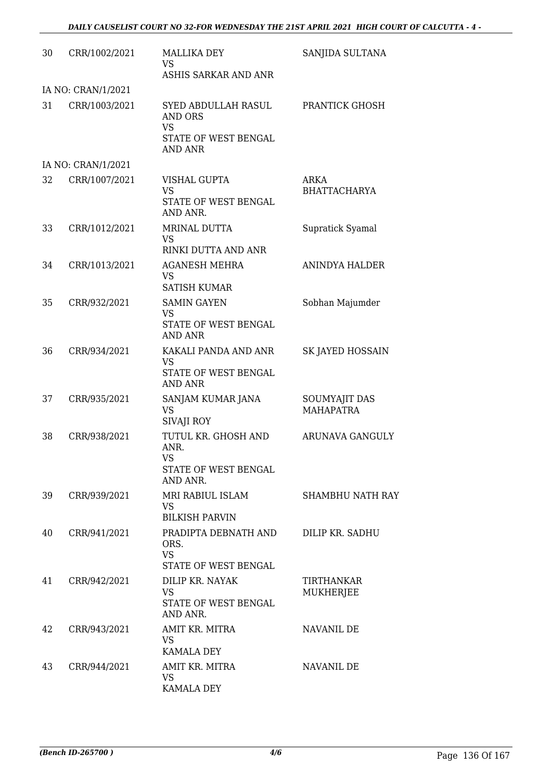| 30 | CRR/1002/2021      | <b>MALLIKA DEY</b><br>VS<br>ASHIS SARKAR AND ANR                                      | SANJIDA SULTANA                   |
|----|--------------------|---------------------------------------------------------------------------------------|-----------------------------------|
|    | IA NO: CRAN/1/2021 |                                                                                       |                                   |
| 31 | CRR/1003/2021      | SYED ABDULLAH RASUL<br>AND ORS<br><b>VS</b><br>STATE OF WEST BENGAL<br><b>AND ANR</b> | PRANTICK GHOSH                    |
|    | IA NO: CRAN/1/2021 |                                                                                       |                                   |
| 32 | CRR/1007/2021      | VISHAL GUPTA<br><b>VS</b><br>STATE OF WEST BENGAL                                     | ARKA<br><b>BHATTACHARYA</b>       |
| 33 | CRR/1012/2021      | AND ANR.<br>MRINAL DUTTA<br>VS.<br>RINKI DUTTA AND ANR                                | Supratick Syamal                  |
| 34 | CRR/1013/2021      | <b>AGANESH MEHRA</b><br>VS<br><b>SATISH KUMAR</b>                                     | <b>ANINDYA HALDER</b>             |
| 35 | CRR/932/2021       | <b>SAMIN GAYEN</b><br><b>VS</b><br>STATE OF WEST BENGAL<br><b>AND ANR</b>             | Sobhan Majumder                   |
| 36 | CRR/934/2021       | KAKALI PANDA AND ANR<br><b>VS</b><br>STATE OF WEST BENGAL<br><b>AND ANR</b>           | SK JAYED HOSSAIN                  |
| 37 | CRR/935/2021       | SANJAM KUMAR JANA<br><b>VS</b><br><b>SIVAJI ROY</b>                                   | SOUMYAJIT DAS<br><b>MAHAPATRA</b> |
| 38 | CRR/938/2021       | TUTUL KR. GHOSH AND<br>ANR.<br><b>VS</b><br>STATE OF WEST BENGAL<br>AND ANR.          | ARUNAVA GANGULY                   |
| 39 | CRR/939/2021       | MRI RABIUL ISLAM<br><b>VS</b><br><b>BILKISH PARVIN</b>                                | SHAMBHU NATH RAY                  |
| 40 | CRR/941/2021       | PRADIPTA DEBNATH AND<br>ORS.<br><b>VS</b><br><b>STATE OF WEST BENGAL</b>              | DILIP KR. SADHU                   |
| 41 | CRR/942/2021       | DILIP KR. NAYAK<br>VS<br>STATE OF WEST BENGAL<br>AND ANR.                             | TIRTHANKAR<br><b>MUKHERJEE</b>    |
| 42 | CRR/943/2021       | AMIT KR. MITRA<br>VS.<br><b>KAMALA DEY</b>                                            | NAVANIL DE                        |
| 43 | CRR/944/2021       | AMIT KR. MITRA<br><b>VS</b><br>KAMALA DEY                                             | NAVANIL DE                        |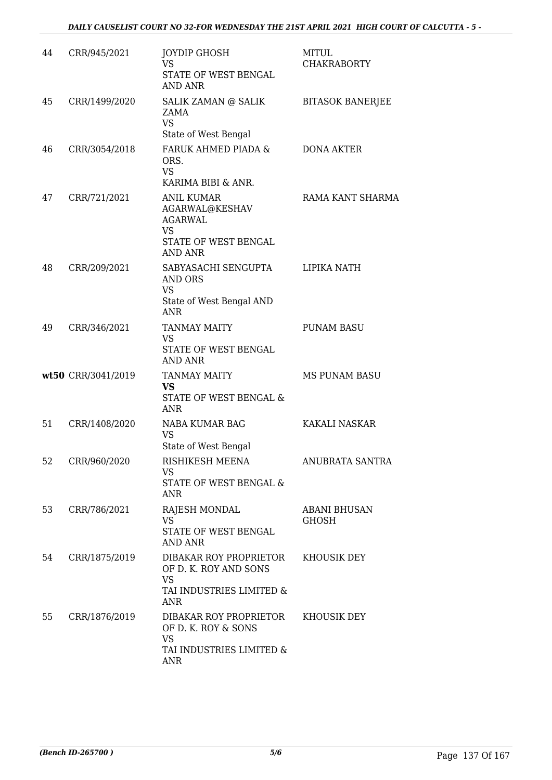| 44 | CRR/945/2021       | <b>JOYDIP GHOSH</b><br><b>VS</b><br>STATE OF WEST BENGAL<br><b>AND ANR</b>                                   | <b>MITUL</b><br><b>CHAKRABORTY</b> |
|----|--------------------|--------------------------------------------------------------------------------------------------------------|------------------------------------|
| 45 | CRR/1499/2020      | SALIK ZAMAN @ SALIK<br>ZAMA<br><b>VS</b><br>State of West Bengal                                             | <b>BITASOK BANERJEE</b>            |
| 46 | CRR/3054/2018      | FARUK AHMED PIADA &<br>ORS.<br><b>VS</b><br>KARIMA BIBI & ANR.                                               | <b>DONA AKTER</b>                  |
| 47 | CRR/721/2021       | <b>ANIL KUMAR</b><br>AGARWAL@KESHAV<br><b>AGARWAL</b><br><b>VS</b><br>STATE OF WEST BENGAL<br><b>AND ANR</b> | RAMA KANT SHARMA                   |
| 48 | CRR/209/2021       | SABYASACHI SENGUPTA<br>AND ORS<br><b>VS</b><br>State of West Bengal AND<br><b>ANR</b>                        | LIPIKA NATH                        |
| 49 | CRR/346/2021       | <b>TANMAY MAITY</b><br>VS<br>STATE OF WEST BENGAL<br><b>AND ANR</b>                                          | <b>PUNAM BASU</b>                  |
|    | wt50 CRR/3041/2019 | <b>TANMAY MAITY</b><br><b>VS</b><br>STATE OF WEST BENGAL &<br><b>ANR</b>                                     | <b>MS PUNAM BASU</b>               |
| 51 | CRR/1408/2020      | NABA KUMAR BAG<br><b>VS</b><br>State of West Bengal                                                          | <b>KAKALI NASKAR</b>               |
| 52 | CRR/960/2020       | RISHIKESH MEENA<br>VS<br>STATE OF WEST BENGAL &<br>ANR                                                       | ANUBRATA SANTRA                    |
| 53 | CRR/786/2021       | RAJESH MONDAL<br><b>VS</b><br>STATE OF WEST BENGAL<br><b>AND ANR</b>                                         | <b>ABANI BHUSAN</b><br>GHOSH       |
| 54 | CRR/1875/2019      | DIBAKAR ROY PROPRIETOR<br>OF D. K. ROY AND SONS<br><b>VS</b><br>TAI INDUSTRIES LIMITED &<br><b>ANR</b>       | KHOUSIK DEY                        |
| 55 | CRR/1876/2019      | DIBAKAR ROY PROPRIETOR<br>OF D. K. ROY & SONS<br><b>VS</b><br>TAI INDUSTRIES LIMITED &<br><b>ANR</b>         | KHOUSIK DEY                        |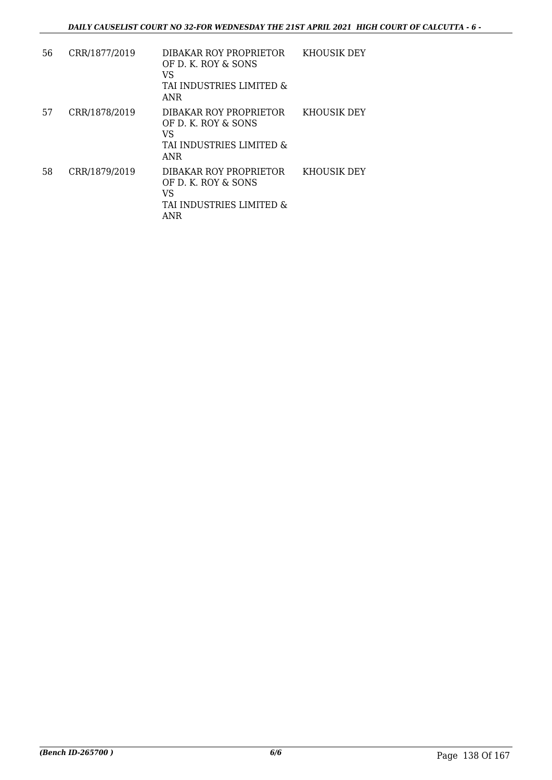| 56 | CRR/1877/2019 | DIBAKAR ROY PROPRIETOR<br>OF D. K. ROY & SONS<br>VS<br>TAI INDUSTRIES LIMITED &<br>ANR        | KHOUSIK DEY |
|----|---------------|-----------------------------------------------------------------------------------------------|-------------|
| 57 | CRR/1878/2019 | DIBAKAR ROY PROPRIETOR<br>OF D. K. ROY & SONS<br>VS<br>TAI INDUSTRIES LIMITED &<br><b>ANR</b> | KHOUSIK DEY |
| 58 | CRR/1879/2019 | DIBAKAR ROY PROPRIETOR<br>OF D. K. ROY & SONS<br>VS<br>TAI INDUSTRIES LIMITED &<br><b>ANR</b> | KHOUSIK DEY |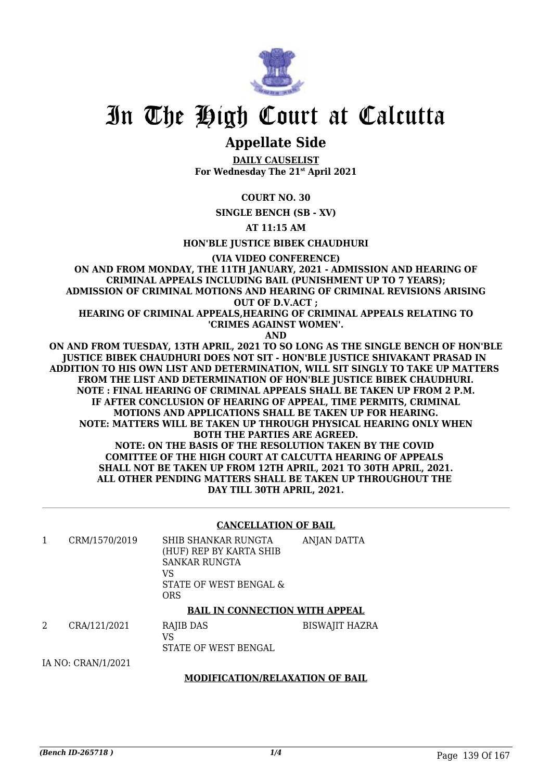

# **Appellate Side**

**DAILY CAUSELIST For Wednesday The 21st April 2021**

**COURT NO. 30**

**SINGLE BENCH (SB - XV)**

**AT 11:15 AM**

**HON'BLE JUSTICE BIBEK CHAUDHURI**

**(VIA VIDEO CONFERENCE)**

**ON AND FROM MONDAY, THE 11TH JANUARY, 2021 - ADMISSION AND HEARING OF CRIMINAL APPEALS INCLUDING BAIL (PUNISHMENT UP TO 7 YEARS); ADMISSION OF CRIMINAL MOTIONS AND HEARING OF CRIMINAL REVISIONS ARISING OUT OF D.V.ACT ;**

**HEARING OF CRIMINAL APPEALS,HEARING OF CRIMINAL APPEALS RELATING TO 'CRIMES AGAINST WOMEN'.**

**AND**

**ON AND FROM TUESDAY, 13TH APRIL, 2021 TO SO LONG AS THE SINGLE BENCH OF HON'BLE JUSTICE BIBEK CHAUDHURI DOES NOT SIT - HON'BLE JUSTICE SHIVAKANT PRASAD IN ADDITION TO HIS OWN LIST AND DETERMINATION, WILL SIT SINGLY TO TAKE UP MATTERS FROM THE LIST AND DETERMINATION OF HON'BLE JUSTICE BIBEK CHAUDHURI. NOTE : FINAL HEARING OF CRIMINAL APPEALS SHALL BE TAKEN UP FROM 2 P.M. IF AFTER CONCLUSION OF HEARING OF APPEAL, TIME PERMITS, CRIMINAL MOTIONS AND APPLICATIONS SHALL BE TAKEN UP FOR HEARING. NOTE: MATTERS WILL BE TAKEN UP THROUGH PHYSICAL HEARING ONLY WHEN BOTH THE PARTIES ARE AGREED. NOTE: ON THE BASIS OF THE RESOLUTION TAKEN BY THE COVID COMITTEE OF THE HIGH COURT AT CALCUTTA HEARING OF APPEALS SHALL NOT BE TAKEN UP FROM 12TH APRIL, 2021 TO 30TH APRIL, 2021. ALL OTHER PENDING MATTERS SHALL BE TAKEN UP THROUGHOUT THE DAY TILL 30TH APRIL, 2021.**

#### **CANCELLATION OF BAIL**

| CRM/1570/2019 | SHIB SHANKAR RUNGTA<br>(HUF) REP BY KARTA SHIB<br>SANKAR RUNGTA<br>VS<br>STATE OF WEST BENGAL &<br>ORS | ANJAN DATTA |
|---------------|--------------------------------------------------------------------------------------------------------|-------------|
|               |                                                                                                        |             |

#### **BAIL IN CONNECTION WITH APPEAL**

| CRA/121/2021 | RAJIB DAS            | BISWAJIT HAZRA |
|--------------|----------------------|----------------|
|              |                      |                |
|              | STATE OF WEST BENGAL |                |
|              |                      |                |

IA NO: CRAN/1/2021

# **MODIFICATION/RELAXATION OF BAIL**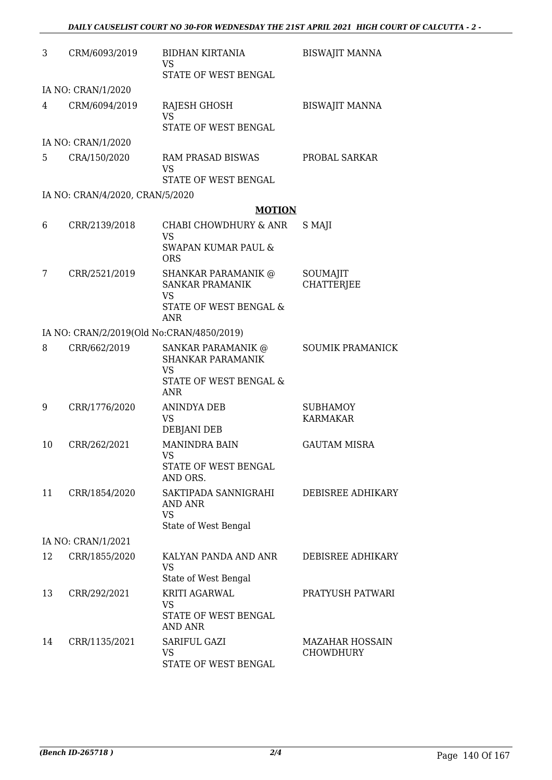| 3  | CRM/6093/2019                             | <b>BIDHAN KIRTANIA</b><br><b>VS</b><br>STATE OF WEST BENGAL                    | <b>BISWAJIT MANNA</b>              |
|----|-------------------------------------------|--------------------------------------------------------------------------------|------------------------------------|
|    | IA NO: CRAN/1/2020                        |                                                                                |                                    |
| 4  | CRM/6094/2019                             | RAJESH GHOSH<br><b>VS</b><br>STATE OF WEST BENGAL                              | <b>BISWAJIT MANNA</b>              |
|    | IA NO: CRAN/1/2020                        |                                                                                |                                    |
| 5  | CRA/150/2020                              | RAM PRASAD BISWAS<br><b>VS</b><br>STATE OF WEST BENGAL                         | PROBAL SARKAR                      |
|    | IA NO: CRAN/4/2020, CRAN/5/2020           |                                                                                |                                    |
|    |                                           | <b>MOTION</b>                                                                  |                                    |
| 6  | CRR/2139/2018                             | CHABI CHOWDHURY & ANR<br><b>VS</b><br><b>SWAPAN KUMAR PAUL &amp;</b>           | S MAJI                             |
|    |                                           | <b>ORS</b>                                                                     |                                    |
| 7  | CRR/2521/2019                             | <b>SHANKAR PARAMANIK @</b><br><b>SANKAR PRAMANIK</b><br><b>VS</b>              | SOUMAJIT<br><b>CHATTERIEE</b>      |
|    |                                           | <b>STATE OF WEST BENGAL &amp;</b><br>ANR                                       |                                    |
|    | IA NO: CRAN/2/2019(Old No:CRAN/4850/2019) |                                                                                |                                    |
| 8  | CRR/662/2019                              | SANKAR PARAMANIK @<br>SHANKAR PARAMANIK<br><b>VS</b><br>STATE OF WEST BENGAL & | <b>SOUMIK PRAMANICK</b>            |
|    |                                           | <b>ANR</b>                                                                     |                                    |
| 9  | CRR/1776/2020                             | <b>ANINDYA DEB</b><br><b>VS</b><br><b>DEBJANI DEB</b>                          | <b>SUBHAMOY</b><br><b>KARMAKAR</b> |
| 10 | CRR/262/2021                              | <b>MANINDRA BAIN</b><br>VS.                                                    | <b>GAUTAM MISRA</b>                |
|    |                                           | STATE OF WEST BENGAL<br>AND ORS.                                               |                                    |
| 11 | CRR/1854/2020                             | SAKTIPADA SANNIGRAHI<br>AND ANR<br><b>VS</b><br>State of West Bengal           | DEBISREE ADHIKARY                  |
|    | IA NO: CRAN/1/2021                        |                                                                                |                                    |
| 12 | CRR/1855/2020                             | KALYAN PANDA AND ANR<br><b>VS</b><br>State of West Bengal                      | DEBISREE ADHIKARY                  |
| 13 | CRR/292/2021                              | KRITI AGARWAL<br>VS<br>STATE OF WEST BENGAL                                    | PRATYUSH PATWARI                   |
| 14 | CRR/1135/2021                             | <b>AND ANR</b><br>SARIFUL GAZI<br><b>VS</b><br>STATE OF WEST BENGAL            | MAZAHAR HOSSAIN<br>CHOWDHURY       |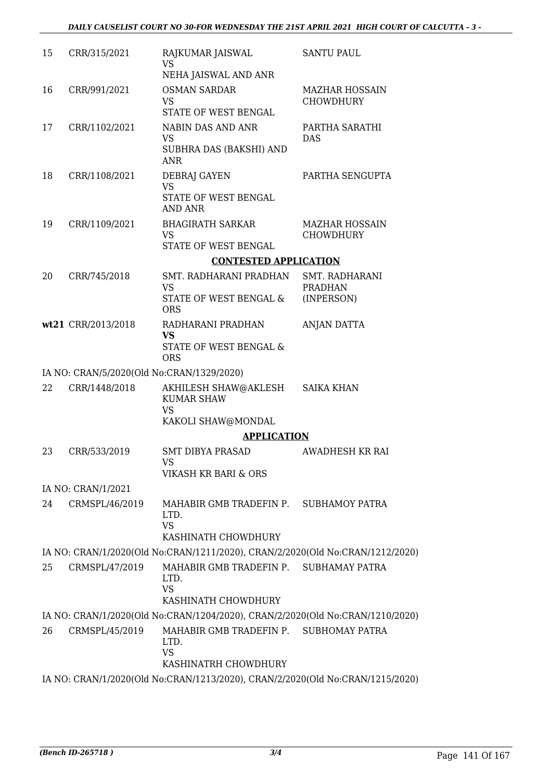| 15 | CRR/315/2021                              | RAJKUMAR JAISWAL<br><b>VS</b><br>NEHA JAISWAL AND ANR                                                 | <b>SANTU PAUL</b>                         |
|----|-------------------------------------------|-------------------------------------------------------------------------------------------------------|-------------------------------------------|
| 16 | CRR/991/2021                              | <b>OSMAN SARDAR</b><br><b>VS</b><br>STATE OF WEST BENGAL                                              | <b>MAZHAR HOSSAIN</b><br><b>CHOWDHURY</b> |
| 17 | CRR/1102/2021                             | NABIN DAS AND ANR<br><b>VS</b><br>SUBHRA DAS (BAKSHI) AND<br><b>ANR</b>                               | PARTHA SARATHI<br><b>DAS</b>              |
| 18 | CRR/1108/2021                             | <b>DEBRAJ GAYEN</b><br><b>VS</b><br>STATE OF WEST BENGAL<br><b>AND ANR</b>                            | PARTHA SENGUPTA                           |
| 19 | CRR/1109/2021                             | <b>BHAGIRATH SARKAR</b><br><b>VS</b><br>STATE OF WEST BENGAL                                          | <b>MAZHAR HOSSAIN</b><br><b>CHOWDHURY</b> |
|    |                                           | <b>CONTESTED APPLICATION</b>                                                                          |                                           |
| 20 | CRR/745/2018                              | SMT. RADHARANI PRADHAN<br><b>VS</b>                                                                   | SMT. RADHARANI<br><b>PRADHAN</b>          |
|    |                                           | STATE OF WEST BENGAL &<br><b>ORS</b>                                                                  | (INPERSON)                                |
|    | wt21 CRR/2013/2018                        | RADHARANI PRADHAN<br><b>VS</b>                                                                        | <b>ANJAN DATTA</b>                        |
|    |                                           | STATE OF WEST BENGAL &<br><b>ORS</b>                                                                  |                                           |
|    | IA NO: CRAN/5/2020(Old No:CRAN/1329/2020) |                                                                                                       |                                           |
| 22 | CRR/1448/2018                             | AKHILESH SHAW@AKLESH<br><b>KUMAR SHAW</b><br><b>VS</b>                                                | <b>SAIKA KHAN</b>                         |
|    |                                           | KAKOLI SHAW@MONDAL                                                                                    |                                           |
|    |                                           | <b>APPLICATION</b>                                                                                    |                                           |
| 23 | CRR/533/2019                              | <b>SMT DIBYA PRASAD</b><br>VS                                                                         | AWADHESH KR RAI                           |
|    |                                           | VIKASH KR BARI & ORS                                                                                  |                                           |
|    | IA NO: CRAN/1/2021                        |                                                                                                       |                                           |
| 24 | CRMSPL/46/2019                            | MAHABIR GMB TRADEFIN P. SUBHAMOY PATRA<br>LTD.<br><b>VS</b><br>KASHINATH CHOWDHURY                    |                                           |
|    |                                           | IA NO: CRAN/1/2020(Old No:CRAN/1211/2020), CRAN/2/2020(Old No:CRAN/1212/2020)                         |                                           |
| 25 | CRMSPL/47/2019                            | MAHABIR GMB TRADEFIN P. SUBHAMAY PATRA<br>LTD.<br><b>VS</b>                                           |                                           |
|    |                                           | KASHINATH CHOWDHURY                                                                                   |                                           |
|    |                                           | IA NO: CRAN/1/2020(Old No:CRAN/1204/2020), CRAN/2/2020(Old No:CRAN/1210/2020)                         |                                           |
| 26 | CRMSPL/45/2019                            | MAHABIR GMB TRADEFIN P. SUBHOMAY PATRA<br>LTD.<br><b>VS</b>                                           |                                           |
|    |                                           | KASHINATRH CHOWDHURY<br>IA NO: CRAN/1/2020(Old No:CRAN/1213/2020), CRAN/2/2020(Old No:CRAN/1215/2020) |                                           |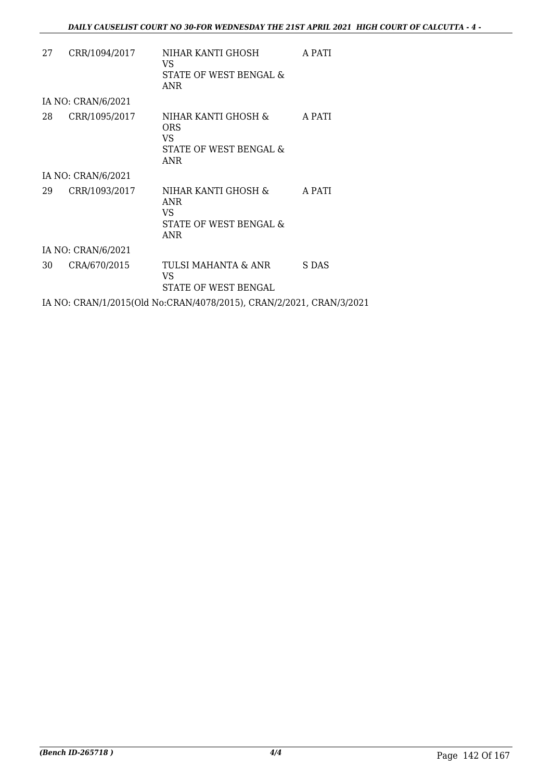| 27 | CRR/1094/2017      | NIHAR KANTI GHOSH<br>VS.<br>STATE OF WEST BENGAL &<br>ANR                 | A PATI |
|----|--------------------|---------------------------------------------------------------------------|--------|
|    | IA NO: CRAN/6/2021 |                                                                           |        |
| 28 | CRR/1095/2017      | NIHAR KANTI GHOSH &<br>ORS<br>VS.<br>STATE OF WEST BENGAL &<br>ANR        | A PATI |
|    | IA NO: CRAN/6/2021 |                                                                           |        |
| 29 | CRR/1093/2017      | NIHAR KANTI GHOSH &<br><b>ANR</b><br>VS.<br>STATE OF WEST BENGAL &<br>ANR | A PATI |
|    | IA NO: CRAN/6/2021 |                                                                           |        |
| 30 | CRA/670/2015       | TULSI MAHANTA & ANR<br>VS<br>STATE OF WEST BENGAL                         | S DAS  |
|    |                    | IA NO: CRAN/1/2015(Old No:CRAN/4078/2015), CRAN/2/2021, CRAN/3/2021       |        |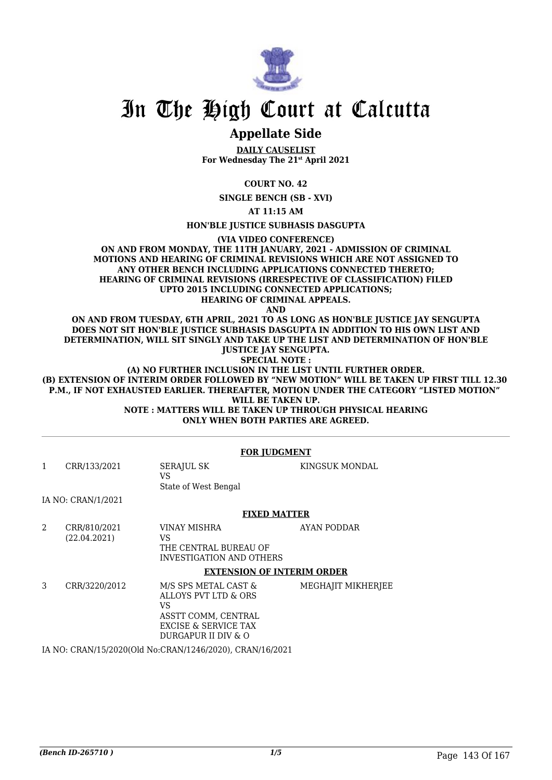

## In The High Court at Calcutta

### **Appellate Side**

**DAILY CAUSELIST For Wednesday The 21st April 2021**

**COURT NO. 42**

**SINGLE BENCH (SB - XVI)**

**AT 11:15 AM**

**HON'BLE JUSTICE SUBHASIS DASGUPTA**

**(VIA VIDEO CONFERENCE)**

**ON AND FROM MONDAY, THE 11TH JANUARY, 2021 - ADMISSION OF CRIMINAL MOTIONS AND HEARING OF CRIMINAL REVISIONS WHICH ARE NOT ASSIGNED TO ANY OTHER BENCH INCLUDING APPLICATIONS CONNECTED THERETO; HEARING OF CRIMINAL REVISIONS (IRRESPECTIVE OF CLASSIFICATION) FILED UPTO 2015 INCLUDING CONNECTED APPLICATIONS; HEARING OF CRIMINAL APPEALS.**

**AND**

**ON AND FROM TUESDAY, 6TH APRIL, 2021 TO AS LONG AS HON'BLE JUSTICE JAY SENGUPTA DOES NOT SIT HON'BLE JUSTICE SUBHASIS DASGUPTA IN ADDITION TO HIS OWN LIST AND DETERMINATION, WILL SIT SINGLY AND TAKE UP THE LIST AND DETERMINATION OF HON'BLE JUSTICE JAY SENGUPTA.**

**SPECIAL NOTE :**

**(A) NO FURTHER INCLUSION IN THE LIST UNTIL FURTHER ORDER. (B) EXTENSION OF INTERIM ORDER FOLLOWED BY "NEW MOTION" WILL BE TAKEN UP FIRST TILL 12.30 P.M., IF NOT EXHAUSTED EARLIER. THEREAFTER, MOTION UNDER THE CATEGORY "LISTED MOTION" WILL BE TAKEN UP. NOTE : MATTERS WILL BE TAKEN UP THROUGH PHYSICAL HEARING**

**ONLY WHEN BOTH PARTIES ARE AGREED.**

|   |                                                              | <b>FOR JUDGMENT</b>                                                                                                       |                    |  |  |
|---|--------------------------------------------------------------|---------------------------------------------------------------------------------------------------------------------------|--------------------|--|--|
| 1 | CRR/133/2021                                                 | <b>SERAJUL SK</b><br>VS<br>State of West Bengal                                                                           | KINGSUK MONDAL     |  |  |
|   | IA NO: CRAN/1/2021                                           |                                                                                                                           |                    |  |  |
|   |                                                              | <b>FIXED MATTER</b>                                                                                                       |                    |  |  |
| 2 | CRR/810/2021<br>(22.04.2021)                                 | VINAY MISHRA<br>VS.<br>THE CENTRAL BUREAU OF<br>INVESTIGATION AND OTHERS                                                  | AYAN PODDAR        |  |  |
|   |                                                              | <b>EXTENSION OF INTERIM ORDER</b>                                                                                         |                    |  |  |
| 3 | CRR/3220/2012                                                | M/S SPS METAL CAST &<br>ALLOYS PVT LTD & ORS<br>VS.<br>ASSTT COMM, CENTRAL<br>EXCISE & SERVICE TAX<br>DURGAPUR II DIV & O | MEGHAJIT MIKHERJEE |  |  |
|   | IA NIO CONNISSE COOOCCULUI - COANISSE COOOO - COANISSE COOSS |                                                                                                                           |                    |  |  |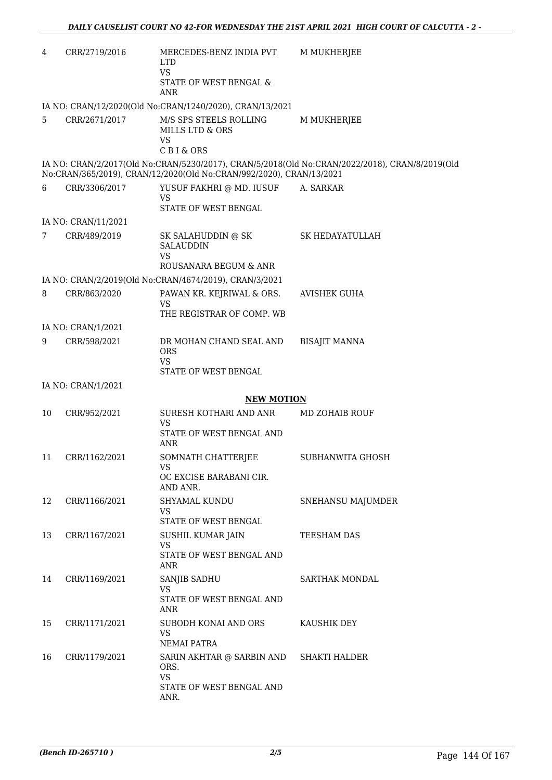| 4  | CRR/2719/2016       | MERCEDES-BENZ INDIA PVT<br><b>LTD</b><br><b>VS</b><br>STATE OF WEST BENGAL &<br><b>ANR</b> | M MUKHERJEE                                                                                    |
|----|---------------------|--------------------------------------------------------------------------------------------|------------------------------------------------------------------------------------------------|
|    |                     | IA NO: CRAN/12/2020(Old No:CRAN/1240/2020), CRAN/13/2021                                   |                                                                                                |
| 5  | CRR/2671/2017       | M/S SPS STEELS ROLLING<br>MILLS LTD & ORS<br><b>VS</b>                                     | M MUKHERJEE                                                                                    |
|    |                     | C B I & ORS                                                                                | IA NO: CRAN/2/2017(Old No:CRAN/5230/2017), CRAN/5/2018(Old No:CRAN/2022/2018), CRAN/8/2019(Old |
|    |                     | No:CRAN/365/2019), CRAN/12/2020(Old No:CRAN/992/2020), CRAN/13/2021                        |                                                                                                |
| 6  | CRR/3306/2017       | YUSUF FAKHRI @ MD. IUSUF<br><b>VS</b>                                                      | A. SARKAR                                                                                      |
|    |                     | STATE OF WEST BENGAL                                                                       |                                                                                                |
|    | IA NO: CRAN/11/2021 |                                                                                            |                                                                                                |
| 7  | CRR/489/2019        | SK SALAHUDDIN @ SK<br><b>SALAUDDIN</b>                                                     | SK HEDAYATULLAH                                                                                |
|    |                     | <b>VS</b><br>ROUSANARA BEGUM & ANR                                                         |                                                                                                |
|    |                     | IA NO: CRAN/2/2019(Old No:CRAN/4674/2019), CRAN/3/2021                                     |                                                                                                |
| 8  | CRR/863/2020        | PAWAN KR. KEJRIWAL & ORS.<br>VS                                                            | AVISHEK GUHA                                                                                   |
|    |                     | THE REGISTRAR OF COMP. WB                                                                  |                                                                                                |
|    | IA NO: CRAN/1/2021  |                                                                                            |                                                                                                |
| 9  | CRR/598/2021        | DR MOHAN CHAND SEAL AND<br><b>ORS</b>                                                      | <b>BISAJIT MANNA</b>                                                                           |
|    |                     | <b>VS</b><br>STATE OF WEST BENGAL                                                          |                                                                                                |
|    | IA NO: CRAN/1/2021  |                                                                                            |                                                                                                |
|    |                     | <b>NEW MOTION</b>                                                                          |                                                                                                |
| 10 | CRR/952/2021        | SURESH KOTHARI AND ANR<br>VS                                                               | MD ZOHAIB ROUF                                                                                 |
|    |                     | STATE OF WEST BENGAL AND<br><b>ANR</b>                                                     |                                                                                                |
| 11 | CRR/1162/2021       | SOMNATH CHATTERJEE<br>VS                                                                   | SUBHANWITA GHOSH                                                                               |
|    |                     | OC EXCISE BARABANI CIR.<br>AND ANR.                                                        |                                                                                                |
| 12 | CRR/1166/2021       | SHYAMAL KUNDU<br><b>VS</b>                                                                 | <b>SNEHANSU MAJUMDER</b>                                                                       |
|    |                     | STATE OF WEST BENGAL                                                                       |                                                                                                |
| 13 | CRR/1167/2021       | SUSHIL KUMAR JAIN<br>VS                                                                    | TEESHAM DAS                                                                                    |
|    |                     | STATE OF WEST BENGAL AND<br>ANR                                                            |                                                                                                |
| 14 | CRR/1169/2021       | SANJIB SADHU<br>VS                                                                         | SARTHAK MONDAL                                                                                 |
|    |                     | STATE OF WEST BENGAL AND<br>ANR                                                            |                                                                                                |
| 15 | CRR/1171/2021       | SUBODH KONAI AND ORS<br>VS                                                                 | KAUSHIK DEY                                                                                    |
|    |                     | NEMAI PATRA                                                                                |                                                                                                |
| 16 | CRR/1179/2021       | SARIN AKHTAR @ SARBIN AND<br>ORS.                                                          | <b>SHAKTI HALDER</b>                                                                           |
|    |                     | <b>VS</b><br>STATE OF WEST BENGAL AND<br>ANR.                                              |                                                                                                |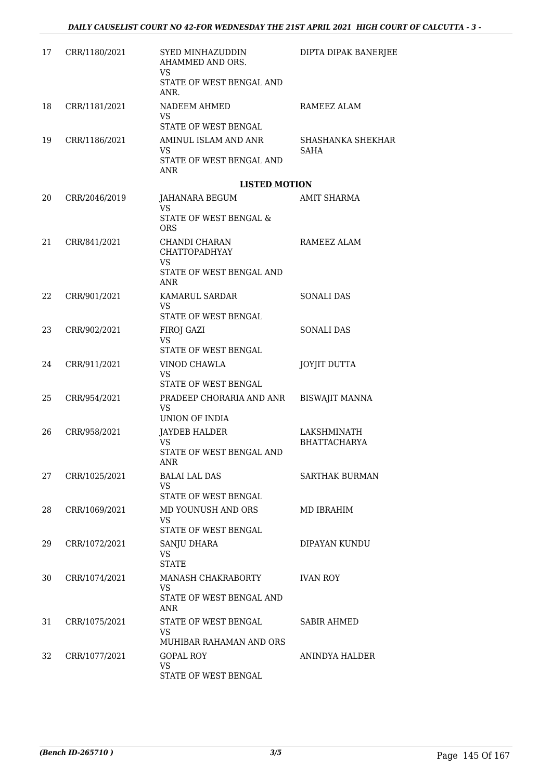| 17 | CRR/1180/2021 | SYED MINHAZUDDIN<br>AHAMMED AND ORS.<br>VS                               | DIPTA DIPAK BANERJEE             |
|----|---------------|--------------------------------------------------------------------------|----------------------------------|
|    |               | STATE OF WEST BENGAL AND<br>ANR.                                         |                                  |
| 18 | CRR/1181/2021 | NADEEM AHMED<br>VS                                                       | RAMEEZ ALAM                      |
|    |               | STATE OF WEST BENGAL                                                     |                                  |
| 19 | CRR/1186/2021 | AMINUL ISLAM AND ANR<br>VS                                               | SHASHANKA SHEKHAR<br><b>SAHA</b> |
|    |               | STATE OF WEST BENGAL AND<br><b>ANR</b>                                   |                                  |
|    |               | <b>LISTED MOTION</b>                                                     |                                  |
| 20 | CRR/2046/2019 | JAHANARA BEGUM<br>VS.                                                    | AMIT SHARMA                      |
|    |               | STATE OF WEST BENGAL &<br><b>ORS</b>                                     |                                  |
| 21 | CRR/841/2021  | CHANDI CHARAN<br><b>CHATTOPADHYAY</b><br>VS.<br>STATE OF WEST BENGAL AND | RAMEEZ ALAM                      |
|    |               | ANR                                                                      |                                  |
| 22 | CRR/901/2021  | KAMARUL SARDAR                                                           | <b>SONALI DAS</b>                |
|    |               | VS<br>STATE OF WEST BENGAL                                               |                                  |
| 23 | CRR/902/2021  | FIROJ GAZI<br>VS<br>STATE OF WEST BENGAL                                 | <b>SONALI DAS</b>                |
| 24 | CRR/911/2021  | VINOD CHAWLA<br>VS                                                       | <b>JOYJIT DUTTA</b>              |
|    |               | STATE OF WEST BENGAL                                                     |                                  |
| 25 | CRR/954/2021  | PRADEEP CHORARIA AND ANR<br>VS.<br>UNION OF INDIA                        | <b>BISWAJIT MANNA</b>            |
| 26 | CRR/958/2021  | <b>JAYDEB HALDER</b>                                                     | LAKSHMINATH                      |
|    |               | VS.<br>STATE OF WEST BENGAL AND                                          | <b>BHATTACHARYA</b>              |
|    |               | ANR                                                                      |                                  |
| 27 | CRR/1025/2021 | <b>BALAI LAL DAS</b><br>VS<br>STATE OF WEST BENGAL                       | <b>SARTHAK BURMAN</b>            |
| 28 | CRR/1069/2021 | MD YOUNUSH AND ORS                                                       | MD IBRAHIM                       |
|    |               | VS.<br>STATE OF WEST BENGAL                                              |                                  |
| 29 | CRR/1072/2021 | SANJU DHARA                                                              | DIPAYAN KUNDU                    |
|    |               | VS<br><b>STATE</b>                                                       |                                  |
| 30 | CRR/1074/2021 | MANASH CHAKRABORTY<br><b>VS</b>                                          | <b>IVAN ROY</b>                  |
|    |               | STATE OF WEST BENGAL AND<br>ANR                                          |                                  |
| 31 | CRR/1075/2021 | STATE OF WEST BENGAL<br><b>VS</b>                                        | <b>SABIR AHMED</b>               |
|    |               | MUHIBAR RAHAMAN AND ORS                                                  |                                  |
| 32 | CRR/1077/2021 | <b>GOPAL ROY</b><br><b>VS</b><br>STATE OF WEST BENGAL                    | ANINDYA HALDER                   |
|    |               |                                                                          |                                  |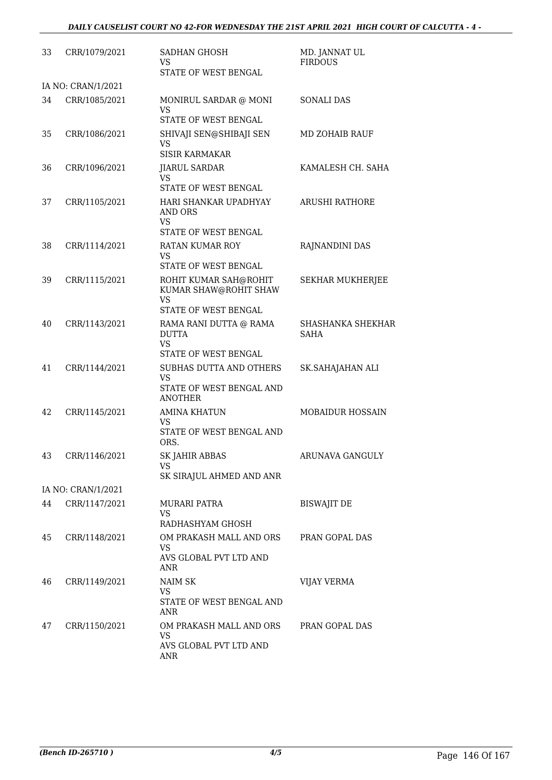| 33 | CRR/1079/2021      | <b>SADHAN GHOSH</b><br>VS.<br>STATE OF WEST BENGAL                                            | MD. JANNAT UL<br><b>FIRDOUS</b> |
|----|--------------------|-----------------------------------------------------------------------------------------------|---------------------------------|
|    | IA NO: CRAN/1/2021 |                                                                                               |                                 |
| 34 | CRR/1085/2021      | MONIRUL SARDAR @ MONI<br>VS<br><b>STATE OF WEST BENGAL</b>                                    | <b>SONALI DAS</b>               |
| 35 | CRR/1086/2021      | SHIVAJI SEN@SHIBAJI SEN<br><b>VS</b><br><b>SISIR KARMAKAR</b>                                 | <b>MD ZOHAIB RAUF</b>           |
| 36 | CRR/1096/2021      | <b>JIARUL SARDAR</b><br><b>VS</b>                                                             | KAMALESH CH. SAHA               |
| 37 | CRR/1105/2021      | STATE OF WEST BENGAL<br>HARI SHANKAR UPADHYAY<br><b>AND ORS</b><br>VS<br>STATE OF WEST BENGAL | <b>ARUSHI RATHORE</b>           |
| 38 | CRR/1114/2021      | <b>RATAN KUMAR ROY</b><br><b>VS</b><br>STATE OF WEST BENGAL                                   | RAJNANDINI DAS                  |
| 39 | CRR/1115/2021      | ROHIT KUMAR SAH@ROHIT<br>KUMAR SHAW@ROHIT SHAW<br>VS                                          | <b>SEKHAR MUKHERJEE</b>         |
| 40 | CRR/1143/2021      | STATE OF WEST BENGAL<br>RAMA RANI DUTTA @ RAMA<br><b>DUTTA</b><br>VS<br>STATE OF WEST BENGAL  | SHASHANKA SHEKHAR<br>SAHA       |
| 41 | CRR/1144/2021      | <b>SUBHAS DUTTA AND OTHERS</b><br>VS<br>STATE OF WEST BENGAL AND<br><b>ANOTHER</b>            | SK.SAHAJAHAN ALI                |
| 42 | CRR/1145/2021      | <b>AMINA KHATUN</b><br>VS<br>STATE OF WEST BENGAL AND<br>ORS.                                 | <b>MOBAIDUR HOSSAIN</b>         |
| 43 | CRR/1146/2021      | <b>SK JAHIR ABBAS</b><br>VS                                                                   | ARUNAVA GANGULY                 |
|    | IA NO: CRAN/1/2021 | SK SIRAJUL AHMED AND ANR                                                                      |                                 |
| 44 | CRR/1147/2021      | MURARI PATRA<br>VS<br>RADHASHYAM GHOSH                                                        | <b>BISWAJIT DE</b>              |
| 45 | CRR/1148/2021      | OM PRAKASH MALL AND ORS<br><b>VS</b><br>AVS GLOBAL PVT LTD AND<br>ANR                         | PRAN GOPAL DAS                  |
| 46 | CRR/1149/2021      | <b>NAIM SK</b><br><b>VS</b><br>STATE OF WEST BENGAL AND<br>ANR                                | <b>VIJAY VERMA</b>              |
| 47 | CRR/1150/2021      | OM PRAKASH MALL AND ORS<br><b>VS</b><br>AVS GLOBAL PVT LTD AND<br>ANR                         | PRAN GOPAL DAS                  |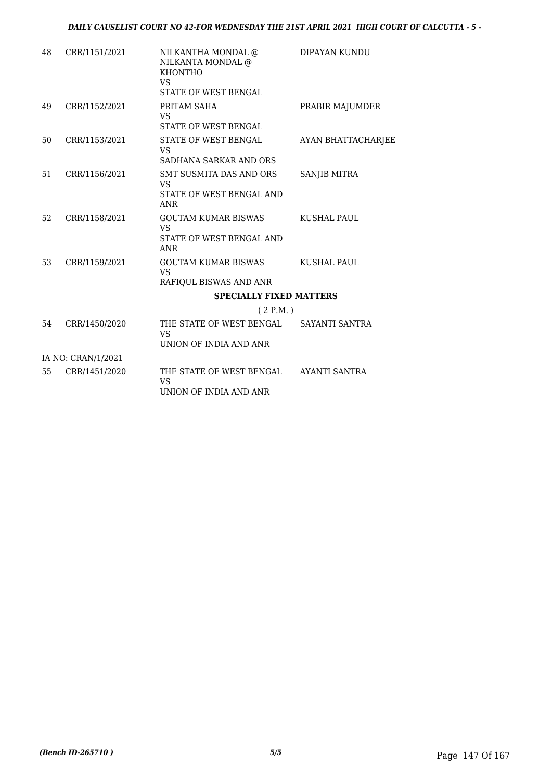| 48 | CRR/1151/2021      | NILKANTHA MONDAL @<br>NILKANTA MONDAL @<br><b>KHONTHO</b><br>VS<br><b>STATE OF WEST BENGAL</b> | DIPAYAN KUNDU             |
|----|--------------------|------------------------------------------------------------------------------------------------|---------------------------|
| 49 | CRR/1152/2021      | PRITAM SAHA<br><b>VS</b><br>STATE OF WEST BENGAL                                               | PRABIR MAJUMDER           |
| 50 | CRR/1153/2021      | STATE OF WEST BENGAL<br><b>VS</b><br>SADHANA SARKAR AND ORS                                    | <b>AYAN BHATTACHARJEE</b> |
| 51 | CRR/1156/2021      | SMT SUSMITA DAS AND ORS<br>VS<br>STATE OF WEST BENGAL AND<br><b>ANR</b>                        | SANJIB MITRA              |
| 52 | CRR/1158/2021      | <b>GOUTAM KUMAR BISWAS</b><br>VS.<br>STATE OF WEST BENGAL AND<br><b>ANR</b>                    | <b>KUSHAL PAUL</b>        |
| 53 | CRR/1159/2021      | <b>GOUTAM KUMAR BISWAS</b><br><b>VS</b><br>RAFIQUL BISWAS AND ANR                              | KUSHAL PAUL               |
|    |                    | <b>SPECIALLY FIXED MATTERS</b>                                                                 |                           |
|    |                    | (2 P.M.)                                                                                       |                           |
| 54 | CRR/1450/2020      | THE STATE OF WEST BENGAL<br>VS<br>UNION OF INDIA AND ANR                                       | SAYANTI SANTRA            |
|    | IA NO: CRAN/1/2021 |                                                                                                |                           |
| 55 | CRR/1451/2020      | THE STATE OF WEST BENGAL<br><b>VS</b><br>UNION OF INDIA AND ANR                                | AYANTI SANTRA             |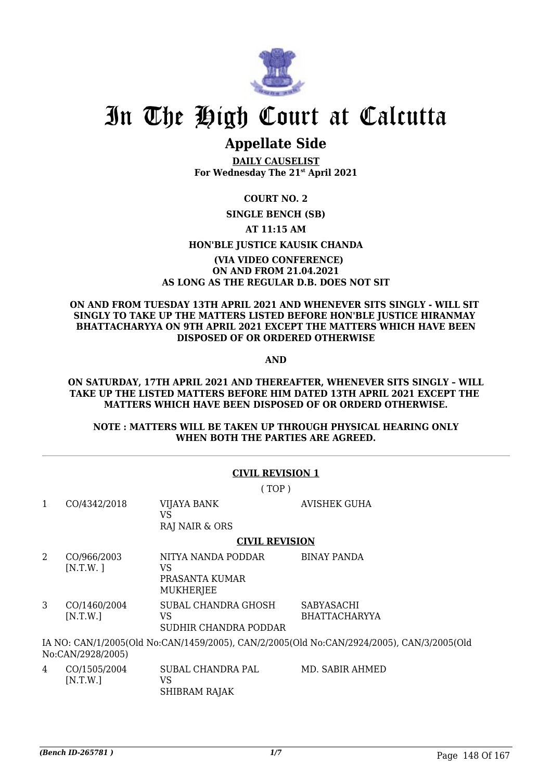

# In The High Court at Calcutta

### **Appellate Side**

**DAILY CAUSELIST For Wednesday The 21st April 2021**

#### **COURT NO. 2**

#### **SINGLE BENCH (SB)**

**AT 11:15 AM**

#### **HON'BLE JUSTICE KAUSIK CHANDA**

#### **(VIA VIDEO CONFERENCE) ON AND FROM 21.04.2021 AS LONG AS THE REGULAR D.B. DOES NOT SIT**

#### **ON AND FROM TUESDAY 13TH APRIL 2021 AND WHENEVER SITS SINGLY - WILL SIT SINGLY TO TAKE UP THE MATTERS LISTED BEFORE HON'BLE JUSTICE HIRANMAY BHATTACHARYYA ON 9TH APRIL 2021 EXCEPT THE MATTERS WHICH HAVE BEEN DISPOSED OF OR ORDERED OTHERWISE**

**AND**

#### **ON SATURDAY, 17TH APRIL 2021 AND THEREAFTER, WHENEVER SITS SINGLY – WILL TAKE UP THE LISTED MATTERS BEFORE HIM DATED 13TH APRIL 2021 EXCEPT THE MATTERS WHICH HAVE BEEN DISPOSED OF OR ORDERD OTHERWISE.**

#### **NOTE : MATTERS WILL BE TAKEN UP THROUGH PHYSICAL HEARING ONLY WHEN BOTH THE PARTIES ARE AGREED.**

|   |                                                                                                                | <b>CIVIL REVISION 1</b>                                        |                                           |  |  |
|---|----------------------------------------------------------------------------------------------------------------|----------------------------------------------------------------|-------------------------------------------|--|--|
|   |                                                                                                                | (TOP)                                                          |                                           |  |  |
| 1 | CO/4342/2018                                                                                                   | VIJAYA BANK<br>VS<br>RAJ NAIR & ORS                            | AVISHEK GUHA                              |  |  |
|   |                                                                                                                | <b>CIVIL REVISION</b>                                          |                                           |  |  |
| 2 | CO/966/2003<br>[N.T.W.]                                                                                        | NITYA NANDA PODDAR<br>VS<br>PRASANTA KUMAR<br><b>MUKHERJEE</b> | <b>BINAY PANDA</b>                        |  |  |
| 3 | CO/1460/2004<br>[N.T.W.]                                                                                       | SUBAL CHANDRA GHOSH<br>VS<br>SUDHIR CHANDRA PODDAR             | <b>SABYASACHI</b><br><b>BHATTACHARYYA</b> |  |  |
|   | IA NO: CAN/1/2005(Old No:CAN/1459/2005), CAN/2/2005(Old No:CAN/2924/2005), CAN/3/2005(Old<br>No:CAN/2928/2005) |                                                                |                                           |  |  |
| 4 | CO/1505/2004<br>[N.T.W.]                                                                                       | SUBAL CHANDRA PAL<br><b>VS</b><br>SHIBRAM RAJAK                | MD. SABIR AHMED                           |  |  |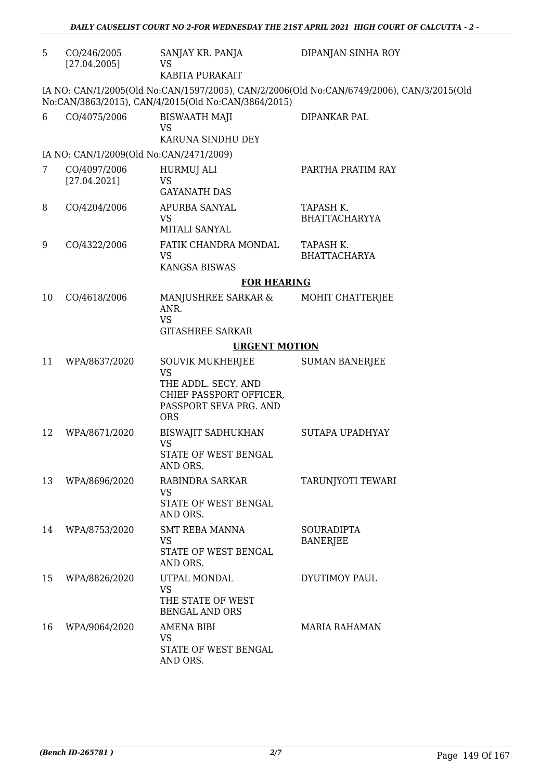| 5  | CO/246/2005<br>[27.04.2005]             | SANJAY KR. PANJA<br><b>VS</b><br>KABITA PURAKAIT                                                                        | DIPANJAN SINHA ROY                                                                        |
|----|-----------------------------------------|-------------------------------------------------------------------------------------------------------------------------|-------------------------------------------------------------------------------------------|
|    |                                         | No:CAN/3863/2015), CAN/4/2015(Old No:CAN/3864/2015)                                                                     | IA NO: CAN/1/2005(Old No:CAN/1597/2005), CAN/2/2006(Old No:CAN/6749/2006), CAN/3/2015(Old |
| 6  | CO/4075/2006                            | <b>BISWAATH MAJI</b><br><b>VS</b><br>KARUNA SINDHU DEY                                                                  | DIPANKAR PAL                                                                              |
|    | IA NO: CAN/1/2009(Old No:CAN/2471/2009) |                                                                                                                         |                                                                                           |
| 7  | CO/4097/2006<br>[27.04.2021]            | HURMUJ ALI<br><b>VS</b><br><b>GAYANATH DAS</b>                                                                          | PARTHA PRATIM RAY                                                                         |
| 8  | CO/4204/2006                            | APURBA SANYAL<br><b>VS</b><br>MITALI SANYAL                                                                             | TAPASH K.<br><b>BHATTACHARYYA</b>                                                         |
| 9  | CO/4322/2006                            | FATIK CHANDRA MONDAL<br><b>VS</b><br><b>KANGSA BISWAS</b>                                                               | TAPASH K.<br><b>BHATTACHARYA</b>                                                          |
|    |                                         | <b>FOR HEARING</b>                                                                                                      |                                                                                           |
| 10 | CO/4618/2006                            | MANJUSHREE SARKAR &<br>ANR.<br><b>VS</b><br><b>GITASHREE SARKAR</b>                                                     | MOHIT CHATTERJEE                                                                          |
|    |                                         | <b>URGENT MOTION</b>                                                                                                    |                                                                                           |
| 11 | WPA/8637/2020                           | SOUVIK MUKHERJEE<br><b>VS</b><br>THE ADDL. SECY. AND<br>CHIEF PASSPORT OFFICER,<br>PASSPORT SEVA PRG. AND<br><b>ORS</b> | <b>SUMAN BANERJEE</b>                                                                     |
| 12 | WPA/8671/2020                           | <b>BISWAJIT SADHUKHAN</b><br><b>VS</b><br>STATE OF WEST BENGAL<br>AND ORS.                                              | SUTAPA UPADHYAY                                                                           |
| 13 | WPA/8696/2020                           | RABINDRA SARKAR<br><b>VS</b><br>STATE OF WEST BENGAL<br>AND ORS.                                                        | TARUNJYOTI TEWARI                                                                         |
| 14 | WPA/8753/2020                           | <b>SMT REBA MANNA</b><br><b>VS</b><br>STATE OF WEST BENGAL<br>AND ORS.                                                  | <b>SOURADIPTA</b><br><b>BANERJEE</b>                                                      |
| 15 | WPA/8826/2020                           | UTPAL MONDAL<br><b>VS</b><br>THE STATE OF WEST<br><b>BENGAL AND ORS</b>                                                 | DYUTIMOY PAUL                                                                             |
| 16 | WPA/9064/2020                           | AMENA BIBI<br><b>VS</b><br>STATE OF WEST BENGAL<br>AND ORS.                                                             | <b>MARIA RAHAMAN</b>                                                                      |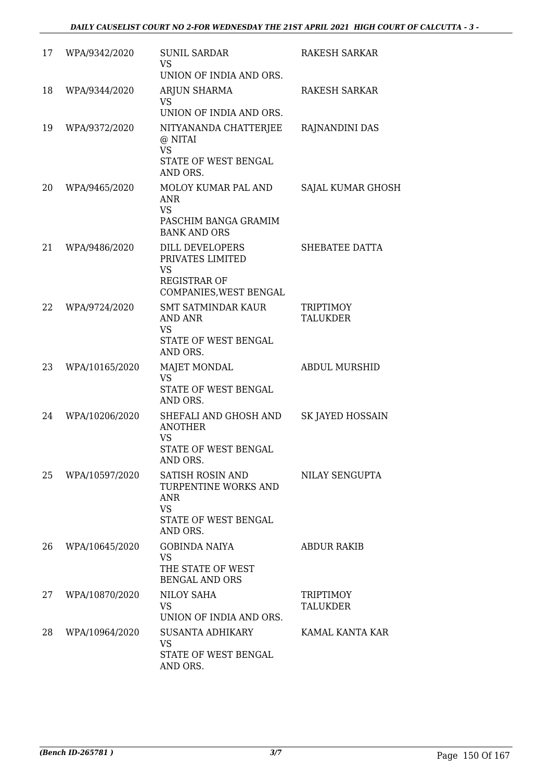| 17 | WPA/9342/2020  | <b>SUNIL SARDAR</b><br><b>VS</b><br>UNION OF INDIA AND ORS.                                             | <b>RAKESH SARKAR</b>         |
|----|----------------|---------------------------------------------------------------------------------------------------------|------------------------------|
| 18 | WPA/9344/2020  | ARJUN SHARMA<br><b>VS</b><br>UNION OF INDIA AND ORS.                                                    | RAKESH SARKAR                |
| 19 | WPA/9372/2020  | NITYANANDA CHATTERJEE<br>@ NITAI<br><b>VS</b><br>STATE OF WEST BENGAL<br>AND ORS.                       | RAJNANDINI DAS               |
| 20 | WPA/9465/2020  | MOLOY KUMAR PAL AND<br><b>ANR</b><br><b>VS</b><br>PASCHIM BANGA GRAMIM<br><b>BANK AND ORS</b>           | SAJAL KUMAR GHOSH            |
| 21 | WPA/9486/2020  | DILL DEVELOPERS<br>PRIVATES LIMITED<br>VS<br><b>REGISTRAR OF</b><br>COMPANIES, WEST BENGAL              | SHEBATEE DATTA               |
| 22 | WPA/9724/2020  | <b>SMT SATMINDAR KAUR</b><br><b>AND ANR</b><br>VS<br>STATE OF WEST BENGAL<br>AND ORS.                   | TRIPTIMOY<br><b>TALUKDER</b> |
| 23 | WPA/10165/2020 | <b>MAJET MONDAL</b><br><b>VS</b><br>STATE OF WEST BENGAL<br>AND ORS.                                    | <b>ABDUL MURSHID</b>         |
| 24 | WPA/10206/2020 | SHEFALI AND GHOSH AND<br><b>ANOTHER</b><br>VS<br>STATE OF WEST BENGAL<br>AND ORS.                       | SK JAYED HOSSAIN             |
| 25 | WPA/10597/2020 | SATISH ROSIN AND<br>TURPENTINE WORKS AND<br><b>ANR</b><br><b>VS</b><br>STATE OF WEST BENGAL<br>AND ORS. | NILAY SENGUPTA               |
| 26 | WPA/10645/2020 | <b>GOBINDA NAIYA</b><br><b>VS</b><br>THE STATE OF WEST<br><b>BENGAL AND ORS</b>                         | <b>ABDUR RAKIB</b>           |
| 27 | WPA/10870/2020 | <b>NILOY SAHA</b><br><b>VS</b><br>UNION OF INDIA AND ORS.                                               | TRIPTIMOY<br>TALUKDER        |
| 28 | WPA/10964/2020 | SUSANTA ADHIKARY<br><b>VS</b><br>STATE OF WEST BENGAL<br>AND ORS.                                       | KAMAL KANTA KAR              |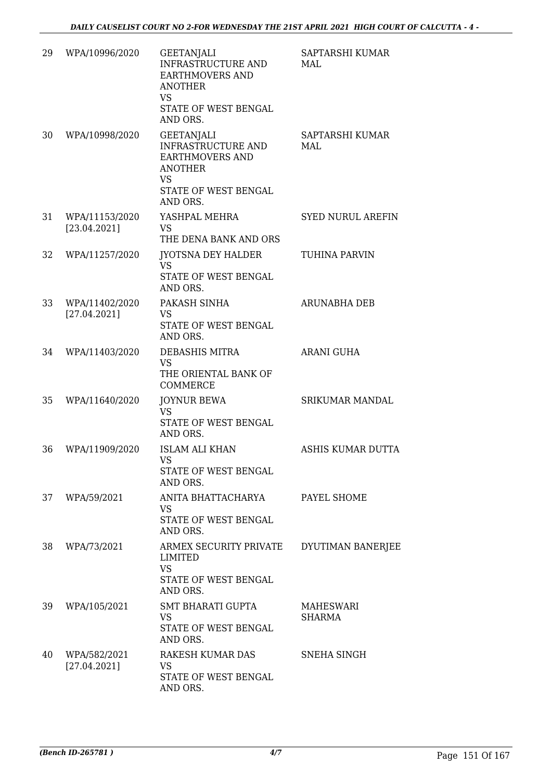| 29 | WPA/10996/2020                 | <b>GEETANJALI</b><br>INFRASTRUCTURE AND<br><b>EARTHMOVERS AND</b><br><b>ANOTHER</b><br><b>VS</b><br>STATE OF WEST BENGAL<br>AND ORS. | SAPTARSHI KUMAR<br>MAI.  |
|----|--------------------------------|--------------------------------------------------------------------------------------------------------------------------------------|--------------------------|
| 30 | WPA/10998/2020                 | <b>GEETANJALI</b><br>INFRASTRUCTURE AND<br><b>EARTHMOVERS AND</b><br><b>ANOTHER</b><br><b>VS</b><br>STATE OF WEST BENGAL<br>AND ORS. | SAPTARSHI KUMAR<br>MAI.  |
| 31 | WPA/11153/2020<br>[23.04.2021] | YASHPAL MEHRA<br><b>VS</b><br>THE DENA BANK AND ORS                                                                                  | <b>SYED NURUL AREFIN</b> |
| 32 | WPA/11257/2020                 | JYOTSNA DEY HALDER<br><b>VS</b><br>STATE OF WEST BENGAL<br>AND ORS.                                                                  | TUHINA PARVIN            |
| 33 | WPA/11402/2020<br>[27.04.2021] | PAKASH SINHA<br><b>VS</b><br>STATE OF WEST BENGAL<br>AND ORS.                                                                        | <b>ARUNABHA DEB</b>      |
| 34 | WPA/11403/2020                 | DEBASHIS MITRA<br><b>VS</b><br>THE ORIENTAL BANK OF<br><b>COMMERCE</b>                                                               | <b>ARANI GUHA</b>        |
| 35 | WPA/11640/2020                 | <b>JOYNUR BEWA</b><br><b>VS</b><br>STATE OF WEST BENGAL<br>AND ORS.                                                                  | <b>SRIKUMAR MANDAL</b>   |
| 36 | WPA/11909/2020                 | <b>ISLAM ALI KHAN</b><br>VS —<br>STATE OF WEST BENGAL<br>AND ORS.                                                                    | ASHIS KUMAR DUTTA        |
| 37 | WPA/59/2021                    | ANITA BHATTACHARYA<br><b>VS</b><br>STATE OF WEST BENGAL<br>AND ORS.                                                                  | PAYEL SHOME              |
| 38 | WPA/73/2021                    | ARMEX SECURITY PRIVATE<br>LIMITED<br><b>VS</b><br>STATE OF WEST BENGAL<br>AND ORS.                                                   | DYUTIMAN BANERJEE        |
| 39 | WPA/105/2021                   | <b>SMT BHARATI GUPTA</b><br><b>VS</b><br>STATE OF WEST BENGAL<br>AND ORS.                                                            | MAHESWARI<br>SHARMA      |
| 40 | WPA/582/2021<br>[27.04.2021]   | RAKESH KUMAR DAS<br><b>VS</b><br>STATE OF WEST BENGAL<br>AND ORS.                                                                    | SNEHA SINGH              |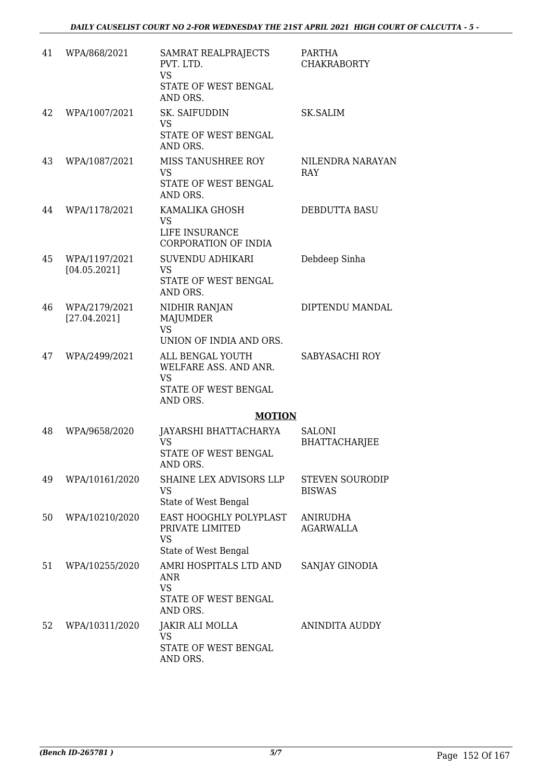| 41 | WPA/868/2021                  | SAMRAT REALPRAJECTS<br>PVT. LTD.<br><b>VS</b><br>STATE OF WEST BENGAL<br>AND ORS.          | PARTHA<br><b>CHAKRABORTY</b>            |
|----|-------------------------------|--------------------------------------------------------------------------------------------|-----------------------------------------|
| 42 | WPA/1007/2021                 | <b>SK. SAIFUDDIN</b><br><b>VS</b><br>STATE OF WEST BENGAL<br>AND ORS.                      | <b>SK.SALIM</b>                         |
| 43 | WPA/1087/2021                 | MISS TANUSHREE ROY<br><b>VS</b><br>STATE OF WEST BENGAL<br>AND ORS.                        | NILENDRA NARAYAN<br><b>RAY</b>          |
| 44 | WPA/1178/2021                 | KAMALIKA GHOSH<br><b>VS</b><br>LIFE INSURANCE<br><b>CORPORATION OF INDIA</b>               | <b>DEBDUTTA BASU</b>                    |
| 45 | WPA/1197/2021<br>[04.05.2021] | SUVENDU ADHIKARI<br><b>VS</b><br><b>STATE OF WEST BENGAL</b><br>AND ORS.                   | Debdeep Sinha                           |
| 46 | WPA/2179/2021<br>[27.04.2021] | NIDHIR RANJAN<br>MAJUMDER<br><b>VS</b><br>UNION OF INDIA AND ORS.                          | DIPTENDU MANDAL                         |
| 47 | WPA/2499/2021                 | ALL BENGAL YOUTH<br>WELFARE ASS. AND ANR.<br><b>VS</b><br>STATE OF WEST BENGAL<br>AND ORS. | SABYASACHI ROY                          |
|    |                               | <b>MOTION</b>                                                                              |                                         |
| 48 | WPA/9658/2020                 | JAYARSHI BHATTACHARYA<br><b>VS</b><br>STATE OF WEST BENGAL<br>AND ORS.                     | <b>SALONI</b><br><b>BHATTACHARJEE</b>   |
| 49 | WPA/10161/2020                | SHAINE LEX ADVISORS LLP<br>VS.<br>State of West Bengal                                     | <b>STEVEN SOURODIP</b><br><b>BISWAS</b> |
| 50 | WPA/10210/2020                | EAST HOOGHLY POLYPLAST<br>PRIVATE LIMITED<br><b>VS</b><br>State of West Bengal             | <b>ANIRUDHA</b><br><b>AGARWALLA</b>     |
| 51 | WPA/10255/2020                | AMRI HOSPITALS LTD AND<br><b>ANR</b><br><b>VS</b><br>STATE OF WEST BENGAL<br>AND ORS.      | SANJAY GINODIA                          |
| 52 | WPA/10311/2020                | JAKIR ALI MOLLA<br><b>VS</b><br>STATE OF WEST BENGAL<br>AND ORS.                           | <b>ANINDITA AUDDY</b>                   |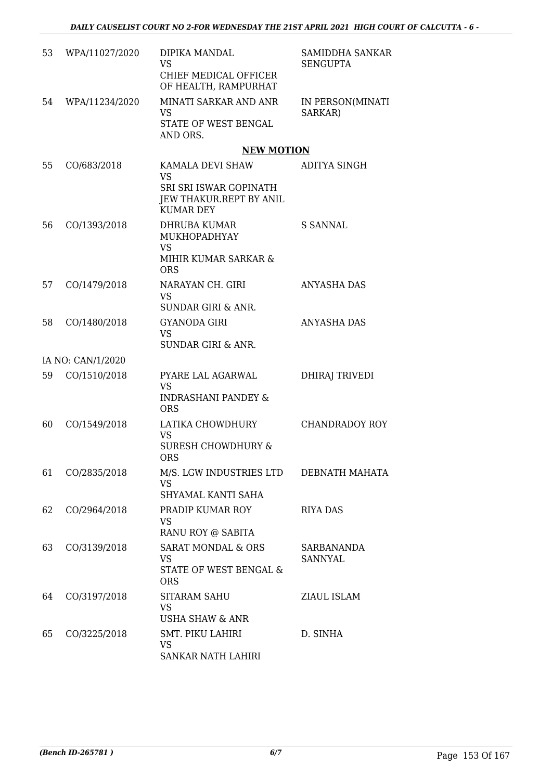| 53 | WPA/11027/2020    | DIPIKA MANDAL<br><b>VS</b>                                                     | SAMIDDHA SANKAR<br><b>SENGUPTA</b>  |
|----|-------------------|--------------------------------------------------------------------------------|-------------------------------------|
|    |                   | CHIEF MEDICAL OFFICER<br>OF HEALTH, RAMPURHAT                                  |                                     |
| 54 | WPA/11234/2020    | MINATI SARKAR AND ANR<br><b>VS</b>                                             | IN PERSON(MINATI<br>SARKAR)         |
|    |                   | STATE OF WEST BENGAL<br>AND ORS.                                               |                                     |
|    |                   | <b>NEW MOTION</b>                                                              |                                     |
| 55 | CO/683/2018       | KAMALA DEVI SHAW<br><b>VS</b>                                                  | ADITYA SINGH                        |
|    |                   | SRI SRI ISWAR GOPINATH<br>JEW THAKUR.REPT BY ANIL<br><b>KUMAR DEY</b>          |                                     |
| 56 | CO/1393/2018      | <b>DHRUBA KUMAR</b><br>MUKHOPADHYAY                                            | S SANNAL                            |
|    |                   | <b>VS</b><br>MIHIR KUMAR SARKAR &<br><b>ORS</b>                                |                                     |
| 57 | CO/1479/2018      | NARAYAN CH. GIRI<br><b>VS</b>                                                  | <b>ANYASHA DAS</b>                  |
|    |                   | <b>SUNDAR GIRI &amp; ANR.</b>                                                  |                                     |
| 58 | CO/1480/2018      | GYANODA GIRI<br><b>VS</b>                                                      | <b>ANYASHA DAS</b>                  |
|    |                   | <b>SUNDAR GIRI &amp; ANR.</b>                                                  |                                     |
|    | IA NO: CAN/1/2020 |                                                                                |                                     |
| 59 | CO/1510/2018      | PYARE LAL AGARWAL<br><b>VS</b><br><b>INDRASHANI PANDEY &amp;</b><br><b>ORS</b> | DHIRAJ TRIVEDI                      |
| 60 | CO/1549/2018      | LATIKA CHOWDHURY                                                               | CHANDRADOY ROY                      |
|    |                   | <b>VS</b><br>SURESH CHOWDHURY &<br>ORS                                         |                                     |
| 61 | CO/2835/2018      | M/S. LGW INDUSTRIES LTD<br><b>VS</b>                                           | DEBNATH MAHATA                      |
|    |                   | SHYAMAL KANTI SAHA                                                             |                                     |
| 62 | CO/2964/2018      | PRADIP KUMAR ROY<br><b>VS</b>                                                  | <b>RIYA DAS</b>                     |
|    |                   | RANU ROY @ SABITA                                                              |                                     |
| 63 | CO/3139/2018      | <b>SARAT MONDAL &amp; ORS</b><br><b>VS</b>                                     | <b>SARBANANDA</b><br><b>SANNYAL</b> |
|    |                   | STATE OF WEST BENGAL &<br><b>ORS</b>                                           |                                     |
| 64 | CO/3197/2018      | SITARAM SAHU                                                                   | ZIAUL ISLAM                         |
|    |                   | <b>VS</b><br><b>USHA SHAW &amp; ANR</b>                                        |                                     |
| 65 | CO/3225/2018      | <b>SMT. PIKU LAHIRI</b>                                                        | D. SINHA                            |
|    |                   | VS<br>SANKAR NATH LAHIRI                                                       |                                     |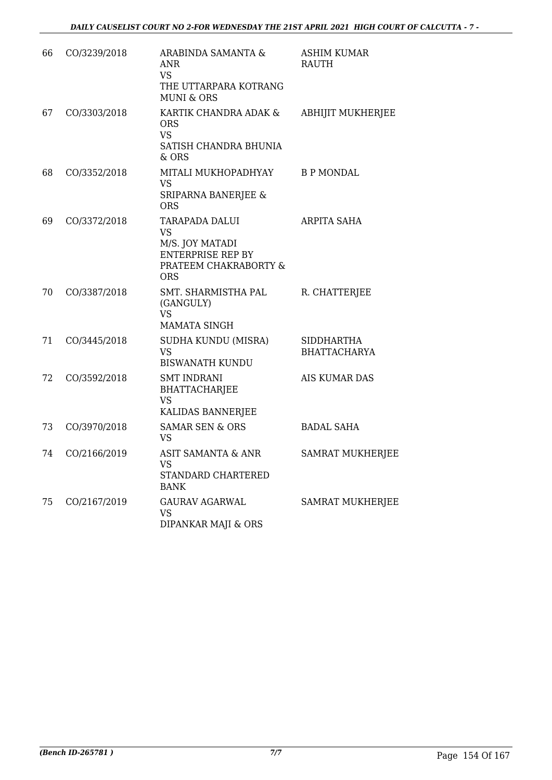| 66 | CO/3239/2018 | ARABINDA SAMANTA &<br>ANR<br><b>VS</b><br>THE UTTARPARA KOTRANG<br><b>MUNI &amp; ORS</b>                          | <b>ASHIM KUMAR</b><br><b>RAUTH</b>       |
|----|--------------|-------------------------------------------------------------------------------------------------------------------|------------------------------------------|
| 67 | CO/3303/2018 | KARTIK CHANDRA ADAK &<br><b>ORS</b><br><b>VS</b><br>SATISH CHANDRA BHUNIA<br>$&$ ORS                              | <b>ABHIJIT MUKHERJEE</b>                 |
| 68 | CO/3352/2018 | MITALI MUKHOPADHYAY<br><b>VS</b><br>SRIPARNA BANERJEE &<br><b>ORS</b>                                             | <b>B P MONDAL</b>                        |
| 69 | CO/3372/2018 | TARAPADA DALUI<br><b>VS</b><br>M/S. JOY MATADI<br><b>ENTERPRISE REP BY</b><br>PRATEEM CHAKRABORTY &<br><b>ORS</b> | ARPITA SAHA                              |
| 70 | CO/3387/2018 | SMT. SHARMISTHA PAL<br>(GANGULY)<br><b>VS</b><br><b>MAMATA SINGH</b>                                              | R. CHATTERJEE                            |
| 71 | CO/3445/2018 | SUDHA KUNDU (MISRA)<br><b>VS</b><br><b>BISWANATH KUNDU</b>                                                        | <b>SIDDHARTHA</b><br><b>BHATTACHARYA</b> |
| 72 | CO/3592/2018 | <b>SMT INDRANI</b><br><b>BHATTACHARJEE</b><br><b>VS</b><br>KALIDAS BANNERJEE                                      | <b>AIS KUMAR DAS</b>                     |
| 73 | CO/3970/2018 | <b>SAMAR SEN &amp; ORS</b><br><b>VS</b>                                                                           | <b>BADAL SAHA</b>                        |
| 74 | CO/2166/2019 | <b>ASIT SAMANTA &amp; ANR</b><br><b>VS</b><br>STANDARD CHARTERED<br><b>BANK</b>                                   | <b>SAMRAT MUKHERJEE</b>                  |
| 75 | CO/2167/2019 | <b>GAURAV AGARWAL</b><br><b>VS</b><br>DIPANKAR MAJI & ORS                                                         | SAMRAT MUKHERJEE                         |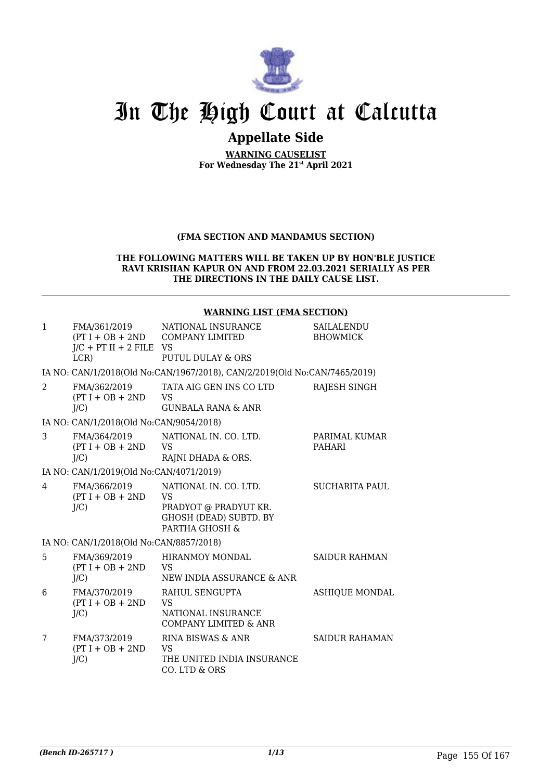

## In The High Court at Calcutta

### **Appellate Side**

**WARNING CAUSELIST For Wednesday The 21st April 2021**

#### **(FMA SECTION AND MANDAMUS SECTION)**

#### **THE FOLLOWING MATTERS WILL BE TAKEN UP BY HON'BLE JUSTICE RAVI KRISHAN KAPUR ON AND FROM 22.03.2021 SERIALLY AS PER THE DIRECTIONS IN THE DAILY CAUSE LIST.**

#### **WARNING LIST (FMA SECTION)**

| $\mathbf{1}$   | FMA/361/2019<br>$J/C$ + PT II + 2 FILE VS<br>LCR | NATIONAL INSURANCE<br>$(PT I + OB + 2ND$ COMPANY LIMITED<br>PUTUL DULAY & ORS                           | SAILALENDU<br><b>BHOWMICK</b>  |
|----------------|--------------------------------------------------|---------------------------------------------------------------------------------------------------------|--------------------------------|
|                |                                                  | IA NO: CAN/1/2018(Old No:CAN/1967/2018), CAN/2/2019(Old No:CAN/7465/2019)                               |                                |
| $\mathcal{L}$  | FMA/362/2019<br>$(PT I + OB + 2ND$<br>J/C        | TATA AIG GEN INS CO LTD<br><b>VS</b><br><b>GUNBALA RANA &amp; ANR</b>                                   | RAJESH SINGH                   |
|                | IA NO: CAN/1/2018(Old No:CAN/9054/2018)          |                                                                                                         |                                |
| 3              | FMA/364/2019<br>$(PT I + OB + 2ND$<br>$J/C$ )    | NATIONAL IN, CO. LTD.<br><b>VS</b><br>RAJNI DHADA & ORS.                                                | PARIMAL KUMAR<br><b>PAHARI</b> |
|                | IA NO: CAN/1/2019(Old No:CAN/4071/2019)          |                                                                                                         |                                |
| $\overline{4}$ | FMA/366/2019<br>$(PT I + OB + 2ND$<br>J/C        | NATIONAL IN. CO. LTD.<br>VS<br>PRADYOT @ PRADYUT KR.<br><b>GHOSH (DEAD) SUBTD. BY</b><br>PARTHA GHOSH & | <b>SUCHARITA PAUL</b>          |
|                | IA NO: CAN/1/2018(Old No:CAN/8857/2018)          |                                                                                                         |                                |
| 5              | FMA/369/2019<br>$(PT I + OB + 2ND$<br>J/C        | <b>HIRANMOY MONDAL</b><br>VS<br>NEW INDIA ASSURANCE & ANR                                               | <b>SAIDUR RAHMAN</b>           |
| 6              | FMA/370/2019<br>$(PT I + OB + 2ND$<br>$J/C$ )    | RAHUL SENGUPTA<br><b>VS</b><br>NATIONAL INSURANCE<br><b>COMPANY LIMITED &amp; ANR</b>                   | <b>ASHIQUE MONDAL</b>          |
| 7              | FMA/373/2019<br>$(PT I + OB + 2ND$<br>$J/C$ )    | RINA BISWAS & ANR<br>VS<br>THE UNITED INDIA INSURANCE<br>CO. LTD & ORS                                  | <b>SAIDUR RAHAMAN</b>          |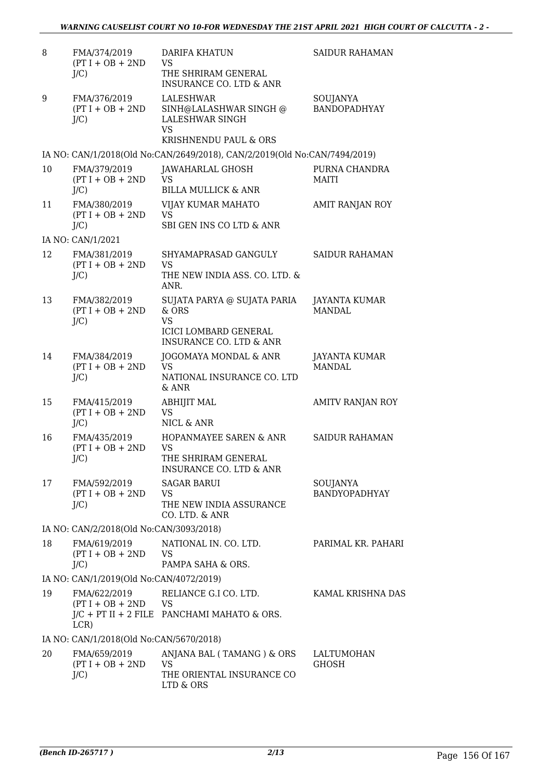| 8  | FMA/374/2019<br>$(PT I + OB + 2ND$<br>$J/C$ ) | <b>DARIFA KHATUN</b><br><b>VS</b><br>THE SHRIRAM GENERAL                                     | <b>SAIDUR RAHAMAN</b>            |
|----|-----------------------------------------------|----------------------------------------------------------------------------------------------|----------------------------------|
|    |                                               | <b>INSURANCE CO. LTD &amp; ANR</b>                                                           |                                  |
| 9  | FMA/376/2019<br>$(PT I + OB + 2ND$<br>$J/C$ ) | LALESHWAR<br>SINH@LALASHWAR SINGH @<br>LALESHWAR SINGH<br><b>VS</b><br>KRISHNENDU PAUL & ORS | SOUJANYA<br>BANDOPADHYAY         |
|    |                                               | IA NO: CAN/1/2018(Old No:CAN/2649/2018), CAN/2/2019(Old No:CAN/7494/2019)                    |                                  |
| 10 | FMA/379/2019<br>$(PT I + OB + 2ND$            | JAWAHARLAL GHOSH<br>VS                                                                       | PURNA CHANDRA<br><b>MAITI</b>    |
|    | $J/C$ )                                       | <b>BILLA MULLICK &amp; ANR</b>                                                               |                                  |
| 11 | FMA/380/2019<br>$(PT I + OB + 2ND$<br>$J/C$ ) | VIJAY KUMAR MAHATO<br><b>VS</b><br>SBI GEN INS CO LTD & ANR                                  | AMIT RANJAN ROY                  |
|    | IA NO: CAN/1/2021                             |                                                                                              |                                  |
| 12 | FMA/381/2019<br>$(PT I + OB + 2ND$<br>$J/C$ ) | SHYAMAPRASAD GANGULY<br>VS<br>THE NEW INDIA ASS. CO. LTD. &                                  | <b>SAIDUR RAHAMAN</b>            |
| 13 | FMA/382/2019                                  | ANR.<br>SUJATA PARYA @ SUJATA PARIA                                                          | JAYANTA KUMAR                    |
|    | $(PT I + OB + 2ND$<br>$J/C$ )                 | & ORS<br><b>VS</b><br><b>ICICI LOMBARD GENERAL</b><br><b>INSURANCE CO. LTD &amp; ANR</b>     | MANDAL.                          |
| 14 | FMA/384/2019<br>$(PT I + OB + 2ND$<br>$J/C$ ) | JOGOMAYA MONDAL & ANR<br><b>VS</b><br>NATIONAL INSURANCE CO. LTD<br>$&$ ANR                  | JAYANTA KUMAR<br><b>MANDAL</b>   |
| 15 | FMA/415/2019<br>$(PT I + OB + 2ND$<br>$J/C$ ) | <b>ABHIJIT MAL</b><br><b>VS</b><br>NICL & ANR                                                | <b>AMITV RANJAN ROY</b>          |
| 16 | FMA/435/2019<br>$(PT I + OB + 2ND$<br>$J/C$ ) | HOPANMAYEE SAREN & ANR<br>VS<br>THE SHRIRAM GENERAL<br>INSURANCE CO. LTD & ANR               | <b>SAIDUR RAHAMAN</b>            |
| 17 | FMA/592/2019<br>$(PT I + OB + 2ND$<br>$J/C$ ) | <b>SAGAR BARUI</b><br>VS<br>THE NEW INDIA ASSURANCE<br>CO. LTD. & ANR                        | SOUJANYA<br><b>BANDYOPADHYAY</b> |
|    | IA NO: CAN/2/2018(Old No:CAN/3093/2018)       |                                                                                              |                                  |
| 18 | FMA/619/2019<br>$(PT I + OB + 2ND$            | NATIONAL IN. CO. LTD.<br><b>VS</b>                                                           | PARIMAL KR. PAHARI               |
|    | $J/C$ )                                       | PAMPA SAHA & ORS.                                                                            |                                  |
|    | IA NO: CAN/1/2019(Old No:CAN/4072/2019)       |                                                                                              |                                  |
| 19 | FMA/622/2019<br>$(PT I + OB + 2ND$ VS<br>LCR) | RELIANCE G.I CO. LTD.<br>$J/C$ + PT II + 2 FILE PANCHAMI MAHATO & ORS.                       | KAMAL KRISHNA DAS                |
|    | IA NO: CAN/1/2018(Old No:CAN/5670/2018)       |                                                                                              |                                  |
| 20 | FMA/659/2019<br>$(PT I + OB + 2ND$<br>$J/C$ ) | ANJANA BAL (TAMANG) & ORS<br><b>VS</b><br>THE ORIENTAL INSURANCE CO                          | LALTUMOHAN<br><b>GHOSH</b>       |
|    |                                               | LTD & ORS                                                                                    |                                  |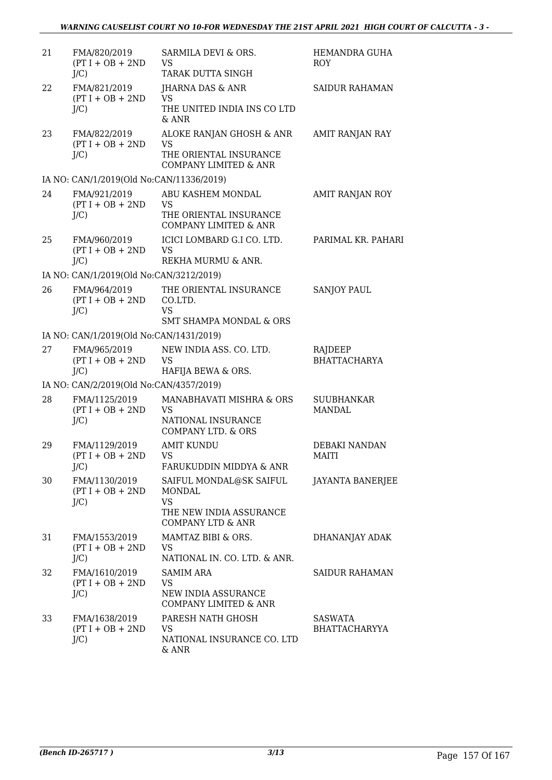| 21 | FMA/820/2019<br>$(PT I + OB + 2ND$<br>$J/C$ )  | SARMILA DEVI & ORS.<br>VS.<br>TARAK DUTTA SINGH                                                           | HEMANDRA GUHA<br><b>ROY</b>        |
|----|------------------------------------------------|-----------------------------------------------------------------------------------------------------------|------------------------------------|
| 22 | FMA/821/2019<br>$(PT I + OB + 2ND$<br>$J/C$ )  | JHARNA DAS & ANR<br><b>VS</b><br>THE UNITED INDIA INS CO LTD<br>$&$ ANR                                   | <b>SAIDUR RAHAMAN</b>              |
| 23 | FMA/822/2019<br>$(PT I + OB + 2ND$<br>$J/C$ )  | ALOKE RANJAN GHOSH & ANR<br><b>VS</b><br>THE ORIENTAL INSURANCE<br>COMPANY LIMITED & ANR                  | AMIT RANJAN RAY                    |
|    | IA NO: CAN/1/2019(Old No:CAN/11336/2019)       |                                                                                                           |                                    |
| 24 | FMA/921/2019<br>$(PT I + OB + 2ND$<br>$J/C$ )  | ABU KASHEM MONDAL<br>VS<br>THE ORIENTAL INSURANCE<br><b>COMPANY LIMITED &amp; ANR</b>                     | AMIT RANJAN ROY                    |
| 25 | FMA/960/2019<br>$(PT I + OB + 2ND$<br>$J/C$ )  | ICICI LOMBARD G.I CO. LTD.<br><b>VS</b><br>REKHA MURMU & ANR.                                             | PARIMAL KR. PAHARI                 |
|    | IA NO: CAN/1/2019(Old No:CAN/3212/2019)        |                                                                                                           |                                    |
| 26 | FMA/964/2019<br>$(PT I + OB + 2ND$<br>$J/C$ )  | THE ORIENTAL INSURANCE<br>CO.LTD.<br>VS                                                                   | <b>SANJOY PAUL</b>                 |
|    |                                                | <b>SMT SHAMPA MONDAL &amp; ORS</b>                                                                        |                                    |
|    | IA NO: CAN/1/2019(Old No:CAN/1431/2019)        |                                                                                                           |                                    |
| 27 | FMA/965/2019<br>$(PT I + OB + 2ND$<br>$J/C$ )  | NEW INDIA ASS. CO. LTD.<br><b>VS</b><br>HAFIJA BEWA & ORS.                                                | RAJDEEP<br><b>BHATTACHARYA</b>     |
|    | IA NO: CAN/2/2019(Old No:CAN/4357/2019)        |                                                                                                           |                                    |
| 28 | FMA/1125/2019<br>$(PT I + OB + 2ND$<br>$J/C$ ) | MANABHAVATI MISHRA & ORS<br><b>VS</b><br>NATIONAL INSURANCE<br><b>COMPANY LTD. &amp; ORS</b>              | <b>SUUBHANKAR</b><br><b>MANDAL</b> |
| 29 | FMA/1129/2019<br>$(PT I + OB + 2ND$<br>$J/C$ ) | <b>AMIT KUNDU</b><br>VS.<br>FARUKUDDIN MIDDYA & ANR                                                       | <b>DEBAKI NANDAN</b><br>MAITI      |
| 30 | FMA/1130/2019<br>$(PT I + OB + 2ND$<br>$J/C$ ) | SAIFUL MONDAL@SK SAIFUL<br>MONDAL<br><b>VS</b><br>THE NEW INDIA ASSURANCE<br><b>COMPANY LTD &amp; ANR</b> | <b>JAYANTA BANERJEE</b>            |
| 31 | FMA/1553/2019<br>$(PT I + OB + 2ND$<br>$J/C$ ) | MAMTAZ BIBI & ORS.<br>VS<br>NATIONAL IN. CO. LTD. & ANR.                                                  | DHANANJAY ADAK                     |
| 32 | FMA/1610/2019<br>$(PT I + OB + 2ND$<br>$J/C$ ) | <b>SAMIM ARA</b><br><b>VS</b><br>NEW INDIA ASSURANCE<br>COMPANY LIMITED & ANR                             | <b>SAIDUR RAHAMAN</b>              |
| 33 | FMA/1638/2019<br>$(PT I + OB + 2ND$<br>$J/C$ ) | PARESH NATH GHOSH<br><b>VS</b><br>NATIONAL INSURANCE CO. LTD<br>& ANR                                     | SASWATA<br><b>BHATTACHARYYA</b>    |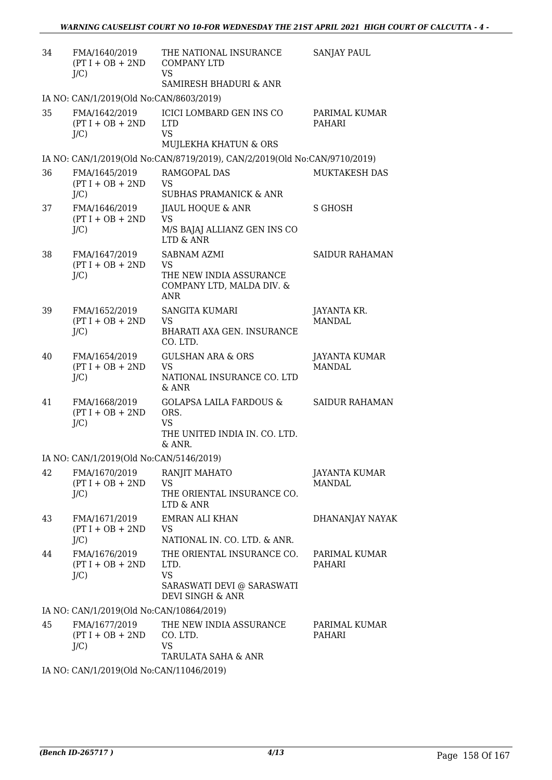| 34 | FMA/1640/2019<br>$(PT I + OB + 2ND$<br>$J/C$ ) | THE NATIONAL INSURANCE<br><b>COMPANY LTD</b><br><b>VS</b><br>SAMIRESH BHADURI & ANR                | <b>SANJAY PAUL</b>                    |
|----|------------------------------------------------|----------------------------------------------------------------------------------------------------|---------------------------------------|
|    | IA NO: CAN/1/2019(Old No:CAN/8603/2019)        |                                                                                                    |                                       |
| 35 | FMA/1642/2019<br>$(PT I + OB + 2ND$<br>$J/C$ ) | <b>ICICI LOMBARD GEN INS CO</b><br><b>LTD</b><br>VS.<br>MUJLEKHA KHATUN & ORS                      | PARIMAL KUMAR<br>PAHARI               |
|    |                                                | IA NO: CAN/1/2019(Old No:CAN/8719/2019), CAN/2/2019(Old No:CAN/9710/2019)                          |                                       |
| 36 | FMA/1645/2019<br>$(PT I + OB + 2ND$<br>$J/C$ ) | RAMGOPAL DAS<br><b>VS</b><br><b>SUBHAS PRAMANICK &amp; ANR</b>                                     | <b>MUKTAKESH DAS</b>                  |
| 37 | FMA/1646/2019<br>$(PT I + OB + 2ND$<br>$J/C$ ) | JIAUL HOQUE & ANR<br><b>VS</b><br>M/S BAJAJ ALLIANZ GEN INS CO<br>LTD & ANR                        | <b>S GHOSH</b>                        |
| 38 | FMA/1647/2019<br>$(PT I + OB + 2ND$<br>$J/C$ ) | SABNAM AZMI<br><b>VS</b><br>THE NEW INDIA ASSURANCE<br>COMPANY LTD, MALDA DIV. &<br><b>ANR</b>     | SAIDUR RAHAMAN                        |
| 39 | FMA/1652/2019<br>$(PT I + OB + 2ND$<br>$J/C$ ) | <b>SANGITA KUMARI</b><br>VS<br>BHARATI AXA GEN. INSURANCE<br>CO. LTD.                              | JAYANTA KR.<br><b>MANDAL</b>          |
| 40 | FMA/1654/2019<br>$(PT I + OB + 2ND$<br>$J/C$ ) | <b>GULSHAN ARA &amp; ORS</b><br>VS.<br>NATIONAL INSURANCE CO. LTD<br>& ANR                         | JAYANTA KUMAR<br>MANDAL               |
| 41 | FMA/1668/2019<br>$(PT I + OB + 2ND$<br>$J/C$ ) | <b>GOLAPSA LAILA FARDOUS &amp;</b><br>ORS.<br><b>VS</b><br>THE UNITED INDIA IN. CO. LTD.<br>& ANR. | <b>SAIDUR RAHAMAN</b>                 |
|    | IA NO: CAN/1/2019(Old No:CAN/5146/2019)        |                                                                                                    |                                       |
| 42 | FMA/1670/2019<br>$(PT I + OB + 2ND$<br>$J/C$ ) | RANJIT MAHATO<br><b>VS</b><br>THE ORIENTAL INSURANCE CO.<br>LTD & ANR                              | <b>JAYANTA KUMAR</b><br><b>MANDAL</b> |
| 43 | FMA/1671/2019<br>$(PT I + OB + 2ND$<br>$J/C$ ) | <b>EMRAN ALI KHAN</b><br>VS.<br>NATIONAL IN. CO. LTD. & ANR.                                       | DHANANJAY NAYAK                       |
| 44 | FMA/1676/2019<br>$(PT I + OB + 2ND$<br>$J/C$ ) | THE ORIENTAL INSURANCE CO.<br>LTD.<br><b>VS</b><br>SARASWATI DEVI @ SARASWATI<br>DEVI SINGH & ANR  | PARIMAL KUMAR<br>PAHARI               |
|    | IA NO: CAN/1/2019(Old No:CAN/10864/2019)       |                                                                                                    |                                       |
| 45 | FMA/1677/2019<br>$(PT I + OB + 2ND$<br>$J/C$ ) | THE NEW INDIA ASSURANCE<br>CO. LTD.<br>VS.<br>TARULATA SAHA & ANR                                  | PARIMAL KUMAR<br>PAHARI               |
|    | IA NO: CAN/1/2019(Old No:CAN/11046/2019)       |                                                                                                    |                                       |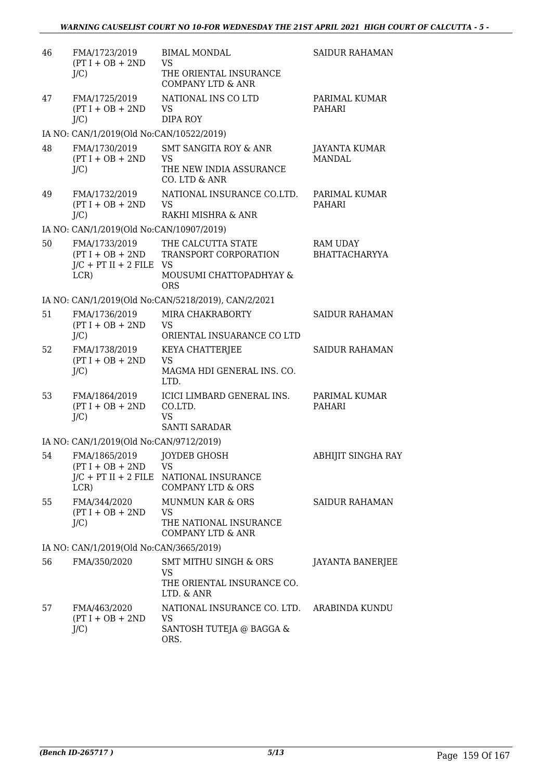| 46 | FMA/1723/2019<br>$(PT I + OB + 2ND$<br>$J/C$ )                           | <b>BIMAL MONDAL</b><br><b>VS</b><br>THE ORIENTAL INSURANCE<br><b>COMPANY LTD &amp; ANR</b>         | <b>SAIDUR RAHAMAN</b>                   |
|----|--------------------------------------------------------------------------|----------------------------------------------------------------------------------------------------|-----------------------------------------|
| 47 | FMA/1725/2019<br>$(PT I + OB + 2ND$<br>J/C                               | NATIONAL INS CO LTD<br><b>VS</b><br>DIPA ROY                                                       | PARIMAL KUMAR<br>PAHARI                 |
|    | IA NO: CAN/1/2019(Old No:CAN/10522/2019)                                 |                                                                                                    |                                         |
| 48 | FMA/1730/2019<br>$(PT I + OB + 2ND$<br>$J/C$ )                           | <b>SMT SANGITA ROY &amp; ANR</b><br><b>VS</b><br>THE NEW INDIA ASSURANCE<br>CO. LTD & ANR          | JAYANTA KUMAR<br><b>MANDAL</b>          |
| 49 | FMA/1732/2019<br>$(PT I + OB + 2ND$<br>$J/C$ )                           | NATIONAL INSURANCE CO.LTD.<br><b>VS</b><br>RAKHI MISHRA & ANR                                      | PARIMAL KUMAR<br>PAHARI                 |
|    | IA NO: CAN/1/2019(Old No:CAN/10907/2019)                                 |                                                                                                    |                                         |
| 50 | FMA/1733/2019<br>$(PT I + OB + 2ND$<br>$J/C$ + PT II + 2 FILE VS<br>LCR) | THE CALCUTTA STATE<br>TRANSPORT CORPORATION<br>MOUSUMI CHATTOPADHYAY &<br><b>ORS</b>               | <b>RAM UDAY</b><br><b>BHATTACHARYYA</b> |
|    |                                                                          | IA NO: CAN/1/2019(Old No:CAN/5218/2019), CAN/2/2021                                                |                                         |
| 51 | FMA/1736/2019<br>$(PT I + OB + 2ND$<br>$J/C$ )                           | MIRA CHAKRABORTY<br><b>VS</b><br>ORIENTAL INSUARANCE CO LTD                                        | <b>SAIDUR RAHAMAN</b>                   |
| 52 | FMA/1738/2019<br>$(PT I + OB + 2ND$<br>$J/C$ )                           | KEYA CHATTERJEE<br><b>VS</b><br>MAGMA HDI GENERAL INS. CO.<br>LTD.                                 | <b>SAIDUR RAHAMAN</b>                   |
| 53 | FMA/1864/2019<br>$(PT I + OB + 2ND$<br>$J/C$ )                           | ICICI LIMBARD GENERAL INS.<br>CO.LTD.<br><b>VS</b><br><b>SANTI SARADAR</b>                         | PARIMAL KUMAR<br>PAHARI                 |
|    | IA NO: CAN/1/2019(Old No:CAN/9712/2019)                                  |                                                                                                    |                                         |
|    | 54 FMA/1865/2019 JOYDEB GHOSH<br>$(PT I + OB + 2ND$<br>LCR)              | <b>VS</b><br>J/C + PT II + 2 FILE NATIONAL INSURANCE<br><b>COMPANY LTD &amp; ORS</b>               | ABHIJIT SINGHA RAY                      |
| 55 | FMA/344/2020<br>$(PT I + OB + 2ND$<br>$J/C$ )                            | <b>MUNMUN KAR &amp; ORS</b><br><b>VS</b><br>THE NATIONAL INSURANCE<br><b>COMPANY LTD &amp; ANR</b> | <b>SAIDUR RAHAMAN</b>                   |
|    | IA NO: CAN/1/2019(Old No:CAN/3665/2019)                                  |                                                                                                    |                                         |
| 56 | FMA/350/2020                                                             | <b>SMT MITHU SINGH &amp; ORS</b><br><b>VS</b><br>THE ORIENTAL INSURANCE CO.<br>LTD. & ANR          | <b>JAYANTA BANERJEE</b>                 |
| 57 | FMA/463/2020<br>$(PT I + OB + 2ND$<br>$J/C$ )                            | NATIONAL INSURANCE CO. LTD. ARABINDA KUNDU<br><b>VS</b><br>SANTOSH TUTEJA @ BAGGA &<br>ORS.        |                                         |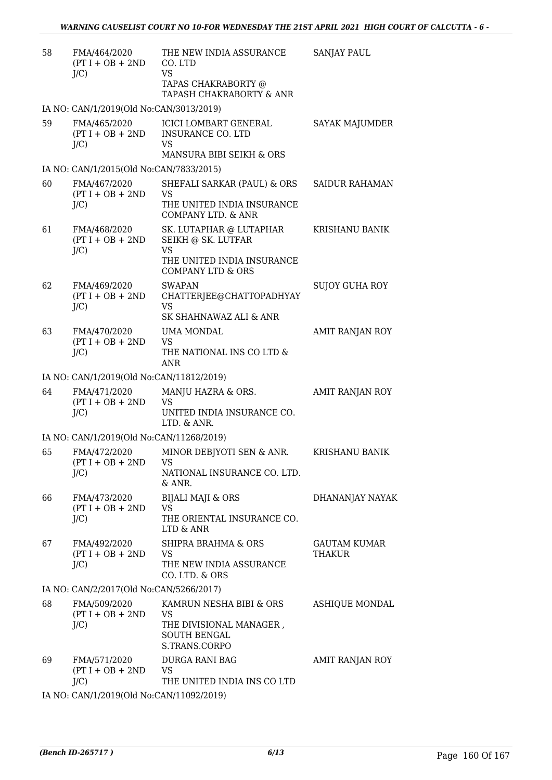| 58 | FMA/464/2020<br>$(PT I + OB + 2ND$<br>$J/C$ ) | THE NEW INDIA ASSURANCE<br>CO. LTD<br><b>VS</b><br>TAPAS CHAKRABORTY @                     | SANJAY PAUL                   |
|----|-----------------------------------------------|--------------------------------------------------------------------------------------------|-------------------------------|
|    |                                               | TAPASH CHAKRABORTY & ANR                                                                   |                               |
|    | IA NO: CAN/1/2019(Old No:CAN/3013/2019)       |                                                                                            |                               |
| 59 | FMA/465/2020<br>$(PT I + OB + 2ND$<br>$J/C$ ) | ICICI LOMBART GENERAL<br><b>INSURANCE CO. LTD</b><br><b>VS</b><br>MANSURA BIBI SEIKH & ORS | <b>SAYAK MAJUMDER</b>         |
|    | IA NO: CAN/1/2015(Old No:CAN/7833/2015)       |                                                                                            |                               |
| 60 | FMA/467/2020                                  | SHEFALI SARKAR (PAUL) & ORS                                                                | SAIDUR RAHAMAN                |
|    | $(PT I + OB + 2ND$<br>$J/C$ )                 | <b>VS</b><br>THE UNITED INDIA INSURANCE<br>COMPANY LTD. & ANR                              |                               |
| 61 | FMA/468/2020<br>$(PT I + OB + 2ND$            | SK. LUTAPHAR @ LUTAPHAR<br>SEIKH @ SK. LUTFAR                                              | <b>KRISHANU BANIK</b>         |
|    | $J/C$ )                                       | <b>VS</b><br>THE UNITED INDIA INSURANCE<br><b>COMPANY LTD &amp; ORS</b>                    |                               |
| 62 | FMA/469/2020<br>$(PT I + OB + 2ND$            | <b>SWAPAN</b><br>CHATTERJEE@CHATTOPADHYAY                                                  | <b>SUJOY GUHA ROY</b>         |
|    | $J/C$ )                                       | <b>VS</b><br>SK SHAHNAWAZ ALI & ANR                                                        |                               |
| 63 | FMA/470/2020                                  | UMA MONDAL<br><b>VS</b>                                                                    | AMIT RANJAN ROY               |
|    | $(PT I + OB + 2ND$<br>$J/C$ )                 | THE NATIONAL INS CO LTD &<br>ANR                                                           |                               |
|    | IA NO: CAN/1/2019(Old No:CAN/11812/2019)      |                                                                                            |                               |
| 64 | FMA/471/2020<br>$(PT I + OB + 2ND$<br>$J/C$ ) | MANJU HAZRA & ORS.<br><b>VS</b><br>UNITED INDIA INSURANCE CO.                              | AMIT RANJAN ROY               |
|    |                                               | LTD. & ANR.                                                                                |                               |
|    | IA NO: CAN/1/2019(Old No:CAN/11268/2019)      |                                                                                            |                               |
| 65 | FMA/472/2020<br>$(PT I + OB + 2ND$<br>$J/C$ ) | MINOR DEBJYOTI SEN & ANR.<br><b>VS</b><br>NATIONAL INSURANCE CO. LTD.<br>& ANR.            | <b>KRISHANU BANIK</b>         |
| 66 | FMA/473/2020                                  | <b>BIJALI MAJI &amp; ORS</b>                                                               | DHANANJAY NAYAK               |
|    | $(PT I + OB + 2ND$<br>$J/C$ )                 | <b>VS</b><br>THE ORIENTAL INSURANCE CO.<br>LTD & ANR                                       |                               |
| 67 | FMA/492/2020<br>$(PT I + OB + 2ND$<br>$J/C$ ) | SHIPRA BRAHMA & ORS<br><b>VS</b><br>THE NEW INDIA ASSURANCE<br>CO. LTD. & ORS              | <b>GAUTAM KUMAR</b><br>THAKUR |
|    | IA NO: CAN/2/2017(Old No:CAN/5266/2017)       |                                                                                            |                               |
| 68 | FMA/509/2020<br>$(PT I + OB + 2ND$<br>$J/C$ ) | KAMRUN NESHA BIBI & ORS<br>VS<br>THE DIVISIONAL MANAGER,<br><b>SOUTH BENGAL</b>            | ASHIQUE MONDAL                |
| 69 | FMA/571/2020<br>$(PT I + OB + 2ND$<br>$J/C$ ) | S.TRANS.CORPO<br>DURGA RANI BAG<br><b>VS</b><br>THE UNITED INDIA INS CO LTD                | AMIT RANJAN ROY               |
|    | IA NO: CAN/1/2019(Old No:CAN/11092/2019)      |                                                                                            |                               |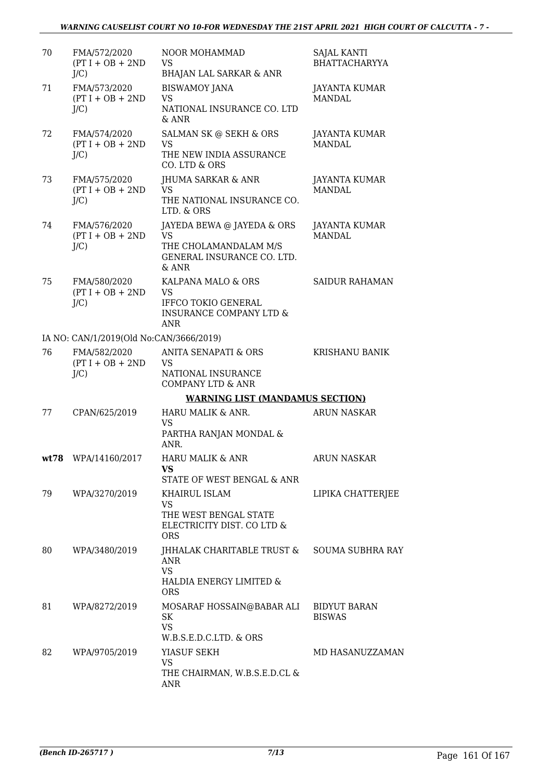| 70 | FMA/572/2020<br>$(PT I + OB + 2ND$<br>$J/C$ ) | NOOR MOHAMMAD<br><b>VS</b><br><b>BHAJAN LAL SARKAR &amp; ANR</b>                                                  | <b>SAJAL KANTI</b><br><b>BHATTACHARYYA</b> |
|----|-----------------------------------------------|-------------------------------------------------------------------------------------------------------------------|--------------------------------------------|
| 71 | FMA/573/2020<br>$(PT I + OB + 2ND$<br>$J/C$ ) | <b>BISWAMOY JANA</b><br><b>VS</b><br>NATIONAL INSURANCE CO. LTD<br>& ANR                                          | <b>JAYANTA KUMAR</b><br><b>MANDAL</b>      |
| 72 | FMA/574/2020<br>$(PT I + OB + 2ND$<br>J/C     | SALMAN SK @ SEKH & ORS<br><b>VS</b><br>THE NEW INDIA ASSURANCE<br>CO. LTD & ORS                                   | <b>JAYANTA KUMAR</b><br><b>MANDAL</b>      |
| 73 | FMA/575/2020<br>$(PT I + OB + 2ND$<br>$J/C$ ) | JHUMA SARKAR & ANR<br><b>VS</b><br>THE NATIONAL INSURANCE CO.<br>LTD. & ORS                                       | JAYANTA KUMAR<br><b>MANDAL</b>             |
| 74 | FMA/576/2020<br>$(PT I + OB + 2ND$<br>$J/C$ ) | JAYEDA BEWA @ JAYEDA & ORS<br><b>VS</b><br>THE CHOLAMANDALAM M/S<br>GENERAL INSURANCE CO. LTD.<br>& ANR           | JAYANTA KUMAR<br><b>MANDAL</b>             |
| 75 | FMA/580/2020<br>$(PT I + OB + 2ND$<br>$J/C$ ) | KALPANA MALO & ORS<br><b>VS</b><br><b>IFFCO TOKIO GENERAL</b><br><b>INSURANCE COMPANY LTD &amp;</b><br><b>ANR</b> | <b>SAIDUR RAHAMAN</b>                      |
|    | IA NO: CAN/1/2019(Old No:CAN/3666/2019)       |                                                                                                                   |                                            |
| 76 | FMA/582/2020<br>$(PT I + OB + 2ND$<br>$J/C$ ) | ANITA SENAPATI & ORS<br><b>VS</b><br>NATIONAL INSURANCE<br><b>COMPANY LTD &amp; ANR</b>                           | <b>KRISHANU BANIK</b>                      |
|    |                                               | <b>WARNING LIST (MANDAMUS SECTION)</b>                                                                            |                                            |
| 77 | CPAN/625/2019                                 | HARU MALIK & ANR.<br><b>VS</b><br>PARTHA RANJAN MONDAL &<br>ANR.                                                  | <b>ARUN NASKAR</b>                         |
|    | wt78 WPA/14160/2017                           | <b>HARU MALIK &amp; ANR</b><br>VS<br>STATE OF WEST BENGAL & ANR                                                   | <b>ARUN NASKAR</b>                         |
| 79 | WPA/3270/2019                                 | KHAIRUL ISLAM<br><b>VS</b><br>THE WEST BENGAL STATE<br>ELECTRICITY DIST. CO LTD &<br><b>ORS</b>                   | LIPIKA CHATTERJEE                          |
| 80 | WPA/3480/2019                                 | JHHALAK CHARITABLE TRUST &<br>ANR<br><b>VS</b><br>HALDIA ENERGY LIMITED &<br><b>ORS</b>                           | <b>SOUMA SUBHRA RAY</b>                    |
| 81 | WPA/8272/2019                                 | MOSARAF HOSSAIN@BABAR ALI<br>SK<br><b>VS</b><br>W.B.S.E.D.C.LTD. & ORS                                            | <b>BIDYUT BARAN</b><br><b>BISWAS</b>       |
| 82 | WPA/9705/2019                                 | YIASUF SEKH<br><b>VS</b><br>THE CHAIRMAN, W.B.S.E.D.CL &<br>ANR                                                   | MD HASANUZZAMAN                            |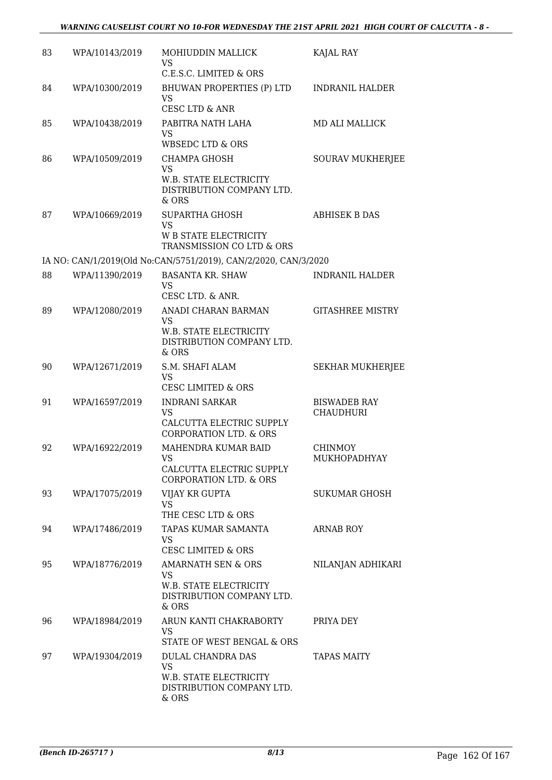| 83 | WPA/10143/2019 | MOHIUDDIN MALLICK<br><b>VS</b><br>C.E.S.C. LIMITED & ORS                                                     | KAJAL RAY                               |
|----|----------------|--------------------------------------------------------------------------------------------------------------|-----------------------------------------|
| 84 | WPA/10300/2019 | BHUWAN PROPERTIES (P) LTD<br><b>VS</b><br>CESC LTD & ANR                                                     | <b>INDRANIL HALDER</b>                  |
| 85 | WPA/10438/2019 | PABITRA NATH LAHA<br><b>VS</b><br><b>WBSEDC LTD &amp; ORS</b>                                                | <b>MD ALI MALLICK</b>                   |
| 86 | WPA/10509/2019 | <b>CHAMPA GHOSH</b><br><b>VS</b><br>W.B. STATE ELECTRICITY<br>DISTRIBUTION COMPANY LTD.<br>$&$ ORS           | <b>SOURAV MUKHERJEE</b>                 |
| 87 | WPA/10669/2019 | <b>SUPARTHA GHOSH</b><br><b>VS</b><br><b>W B STATE ELECTRICITY</b><br>TRANSMISSION CO LTD & ORS              | <b>ABHISEK B DAS</b>                    |
|    |                | IA NO: CAN/1/2019(Old No:CAN/5751/2019), CAN/2/2020, CAN/3/2020                                              |                                         |
| 88 | WPA/11390/2019 | <b>BASANTA KR. SHAW</b><br><b>VS</b><br>CESC LTD. & ANR.                                                     | INDRANIL HALDER                         |
| 89 | WPA/12080/2019 | ANADI CHARAN BARMAN<br><b>VS</b><br>W.B. STATE ELECTRICITY<br>DISTRIBUTION COMPANY LTD.<br>& ORS             | <b>GITASHREE MISTRY</b>                 |
| 90 | WPA/12671/2019 | S.M. SHAFI ALAM<br><b>VS</b><br><b>CESC LIMITED &amp; ORS</b>                                                | <b>SEKHAR MUKHERJEE</b>                 |
| 91 | WPA/16597/2019 | <b>INDRANI SARKAR</b><br><b>VS</b><br>CALCUTTA ELECTRIC SUPPLY<br><b>CORPORATION LTD. &amp; ORS</b>          | <b>BISWADEB RAY</b><br><b>CHAUDHURI</b> |
| 92 | WPA/16922/2019 | MAHENDRA KUMAR BAID<br>VS FOR STRUMP.<br>CALCUTTA ELECTRIC SUPPLY<br><b>CORPORATION LTD. &amp; ORS</b>       | CHINMOY<br>MUKHOPADHYAY                 |
| 93 | WPA/17075/2019 | VIJAY KR GUPTA<br><b>VS</b><br>THE CESC LTD & ORS                                                            | <b>SUKUMAR GHOSH</b>                    |
| 94 | WPA/17486/2019 | TAPAS KUMAR SAMANTA<br><b>VS</b><br><b>CESC LIMITED &amp; ORS</b>                                            | <b>ARNAB ROY</b>                        |
| 95 | WPA/18776/2019 | <b>AMARNATH SEN &amp; ORS</b><br><b>VS</b><br>W.B. STATE ELECTRICITY<br>DISTRIBUTION COMPANY LTD.<br>$&$ ORS | NILANJAN ADHIKARI                       |
| 96 | WPA/18984/2019 | ARUN KANTI CHAKRABORTY<br>VS.<br>STATE OF WEST BENGAL & ORS                                                  | PRIYA DEY                               |
| 97 | WPA/19304/2019 | <b>DULAL CHANDRA DAS</b><br><b>VS</b><br>W.B. STATE ELECTRICITY<br>DISTRIBUTION COMPANY LTD.<br>& ORS        | <b>TAPAS MAITY</b>                      |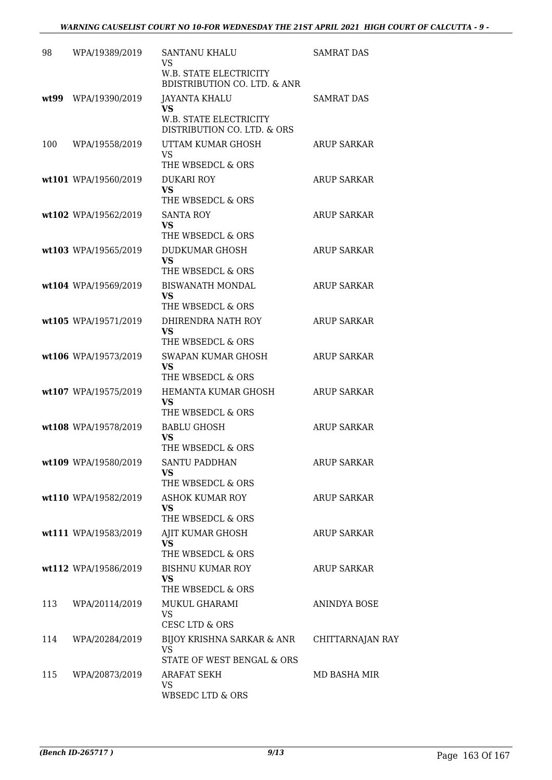| 98   | WPA/19389/2019       | <b>SANTANU KHALU</b><br><b>VS</b>                                        | <b>SAMRAT DAS</b>  |
|------|----------------------|--------------------------------------------------------------------------|--------------------|
|      |                      | <b>W.B. STATE ELECTRICITY</b><br><b>BDISTRIBUTION CO. LTD. &amp; ANR</b> |                    |
| wt99 | WPA/19390/2019       | <b>JAYANTA KHALU</b><br>VS                                               | <b>SAMRAT DAS</b>  |
|      |                      | W.B. STATE ELECTRICITY<br>DISTRIBUTION CO. LTD. & ORS                    |                    |
| 100  | WPA/19558/2019       | UTTAM KUMAR GHOSH<br><b>VS</b>                                           | <b>ARUP SARKAR</b> |
|      |                      | THE WBSEDCL & ORS                                                        |                    |
|      | wt101 WPA/19560/2019 | <b>DUKARI ROY</b><br><b>VS</b>                                           | ARUP SARKAR        |
|      |                      | THE WBSEDCL & ORS                                                        |                    |
|      | wt102 WPA/19562/2019 | <b>SANTA ROY</b><br><b>VS</b>                                            | <b>ARUP SARKAR</b> |
|      |                      | THE WBSEDCL & ORS                                                        |                    |
|      | wt103 WPA/19565/2019 | DUDKUMAR GHOSH<br><b>VS</b>                                              | <b>ARUP SARKAR</b> |
|      |                      | THE WBSEDCL & ORS                                                        |                    |
|      | wt104 WPA/19569/2019 | <b>BISWANATH MONDAL</b><br><b>VS</b>                                     | <b>ARUP SARKAR</b> |
|      |                      | THE WBSEDCL & ORS                                                        |                    |
|      | wt105 WPA/19571/2019 | DHIRENDRA NATH ROY<br><b>VS</b>                                          | <b>ARUP SARKAR</b> |
|      |                      | THE WBSEDCL & ORS                                                        |                    |
|      | wt106 WPA/19573/2019 | SWAPAN KUMAR GHOSH<br><b>VS</b>                                          | <b>ARUP SARKAR</b> |
|      |                      | THE WBSEDCL & ORS                                                        |                    |
|      | wt107 WPA/19575/2019 | HEMANTA KUMAR GHOSH<br><b>VS</b>                                         | <b>ARUP SARKAR</b> |
|      |                      | THE WBSEDCL & ORS                                                        |                    |
|      | wt108 WPA/19578/2019 | <b>BABLU GHOSH</b><br>VS                                                 | <b>ARUP SARKAR</b> |
|      |                      | THE WBSEDCL & ORS                                                        |                    |
|      | wt109 WPA/19580/2019 | <b>SANTU PADDHAN</b><br>VS                                               | <b>ARUP SARKAR</b> |
|      |                      | THE WBSEDCL & ORS                                                        |                    |
|      | wt110 WPA/19582/2019 | <b>ASHOK KUMAR ROY</b><br><b>VS</b>                                      | ARUP SARKAR        |
|      |                      | THE WBSEDCL & ORS                                                        |                    |
|      | wt111 WPA/19583/2019 | AJIT KUMAR GHOSH<br><b>VS</b>                                            | <b>ARUP SARKAR</b> |
|      |                      | THE WBSEDCL & ORS                                                        |                    |
|      | wt112 WPA/19586/2019 | <b>BISHNU KUMAR ROY</b><br><b>VS</b>                                     | ARUP SARKAR        |
|      |                      | THE WBSEDCL & ORS                                                        |                    |
| 113  | WPA/20114/2019       | MUKUL GHARAMI<br><b>VS</b>                                               | ANINDYA BOSE       |
|      |                      | CESC LTD & ORS                                                           |                    |
| 114  | WPA/20284/2019       | BIJOY KRISHNA SARKAR & ANR<br><b>VS</b>                                  | CHITTARNAJAN RAY   |
|      |                      | STATE OF WEST BENGAL & ORS                                               |                    |
| 115  | WPA/20873/2019       | <b>ARAFAT SEKH</b><br><b>VS</b>                                          | MD BASHA MIR       |
|      |                      | <b>WBSEDC LTD &amp; ORS</b>                                              |                    |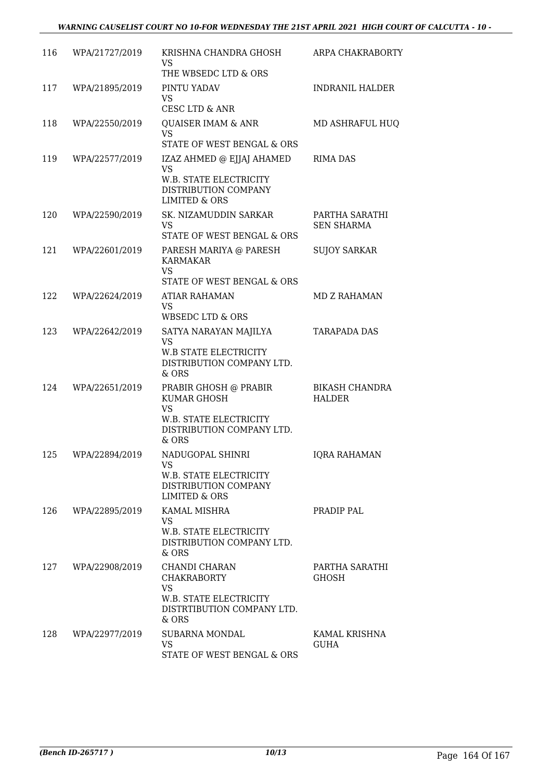| 116 | WPA/21727/2019 | KRISHNA CHANDRA GHOSH<br>VS<br>THE WBSEDC LTD & ORS                                                                  | ARPA CHAKRABORTY                       |
|-----|----------------|----------------------------------------------------------------------------------------------------------------------|----------------------------------------|
| 117 | WPA/21895/2019 | PINTU YADAV<br><b>VS</b><br><b>CESC LTD &amp; ANR</b>                                                                | <b>INDRANIL HALDER</b>                 |
| 118 | WPA/22550/2019 | <b>QUAISER IMAM &amp; ANR</b><br><b>VS</b><br>STATE OF WEST BENGAL & ORS                                             | MD ASHRAFUL HUQ                        |
| 119 | WPA/22577/2019 | IZAZ AHMED @ EJJAJ AHAMED<br><b>VS</b><br>W.B. STATE ELECTRICITY<br>DISTRIBUTION COMPANY<br><b>LIMITED &amp; ORS</b> | <b>RIMA DAS</b>                        |
| 120 | WPA/22590/2019 | SK. NIZAMUDDIN SARKAR<br><b>VS</b><br>STATE OF WEST BENGAL & ORS                                                     | PARTHA SARATHI<br><b>SEN SHARMA</b>    |
| 121 | WPA/22601/2019 | PARESH MARIYA @ PARESH<br>KARMAKAR<br><b>VS</b><br>STATE OF WEST BENGAL & ORS                                        | <b>SUJOY SARKAR</b>                    |
| 122 | WPA/22624/2019 | ATIAR RAHAMAN<br><b>VS</b><br>WBSEDC LTD & ORS                                                                       | <b>MD Z RAHAMAN</b>                    |
| 123 | WPA/22642/2019 | SATYA NARAYAN MAJILYA<br><b>VS</b><br><b>W.B STATE ELECTRICITY</b><br>DISTRIBUTION COMPANY LTD.<br>& ORS             | <b>TARAPADA DAS</b>                    |
| 124 | WPA/22651/2019 | PRABIR GHOSH @ PRABIR<br>KUMAR GHOSH<br><b>VS</b><br>W.B. STATE ELECTRICITY<br>DISTRIBUTION COMPANY LTD.<br>& ORS    | <b>BIKASH CHANDRA</b><br><b>HALDER</b> |
| 125 | WPA/22894/2019 | NADUGOPAL SHINRI<br><b>VS</b><br>W.B. STATE ELECTRICITY<br>DISTRIBUTION COMPANY<br>LIMITED & ORS                     | <b>IQRA RAHAMAN</b>                    |
| 126 | WPA/22895/2019 | KAMAL MISHRA<br><b>VS</b><br>W.B. STATE ELECTRICITY<br>DISTRIBUTION COMPANY LTD.<br>& ORS                            | PRADIP PAL                             |
| 127 | WPA/22908/2019 | CHANDI CHARAN<br><b>CHAKRABORTY</b><br><b>VS</b><br>W.B. STATE ELECTRICITY<br>DISTRTIBUTION COMPANY LTD.<br>& ORS    | PARTHA SARATHI<br><b>GHOSH</b>         |
| 128 | WPA/22977/2019 | SUBARNA MONDAL<br><b>VS</b><br>STATE OF WEST BENGAL & ORS                                                            | KAMAL KRISHNA<br>GUHA                  |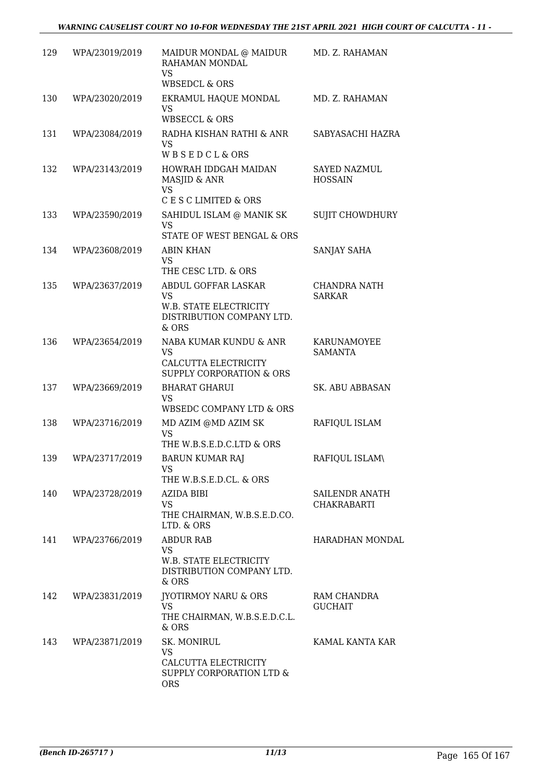| 129 | WPA/23019/2019     | MAIDUR MONDAL @ MAIDUR<br>RAHAMAN MONDAL<br><b>VS</b>                                              | MD. Z. RAHAMAN                              |
|-----|--------------------|----------------------------------------------------------------------------------------------------|---------------------------------------------|
| 130 | WPA/23020/2019     | <b>WBSEDCL &amp; ORS</b><br>EKRAMUL HAQUE MONDAL<br><b>VS</b><br><b>WBSECCL &amp; ORS</b>          | MD. Z. RAHAMAN                              |
| 131 | WPA/23084/2019     | RADHA KISHAN RATHI & ANR<br><b>VS</b><br>WBSEDCL&ORS                                               | SABYASACHI HAZRA                            |
| 132 | WPA/23143/2019     | HOWRAH IDDGAH MAIDAN<br>MASJID & ANR<br><b>VS</b>                                                  | <b>SAYED NAZMUL</b><br><b>HOSSAIN</b>       |
| 133 | WPA/23590/2019     | C E S C LIMITED & ORS<br>SAHIDUL ISLAM @ MANIK SK<br><b>VS</b><br>STATE OF WEST BENGAL & ORS       | <b>SUJIT CHOWDHURY</b>                      |
| 134 | WPA/23608/2019     | <b>ABIN KHAN</b><br><b>VS</b><br>THE CESC LTD. & ORS                                               | SANJAY SAHA                                 |
| 135 | WPA/23637/2019     | ABDUL GOFFAR LASKAR<br><b>VS</b><br>W.B. STATE ELECTRICITY<br>DISTRIBUTION COMPANY LTD.<br>& ORS   | CHANDRA NATH<br><b>SARKAR</b>               |
| 136 | WPA/23654/2019     | NABA KUMAR KUNDU & ANR<br><b>VS</b><br>CALCUTTA ELECTRICITY<br><b>SUPPLY CORPORATION &amp; ORS</b> | KARUNAMOYEE<br><b>SAMANTA</b>               |
| 137 | WPA/23669/2019     | <b>BHARAT GHARUI</b><br><b>VS</b><br>WBSEDC COMPANY LTD & ORS                                      | <b>SK. ABU ABBASAN</b>                      |
| 138 | WPA/23716/2019     | MD AZIM @MD AZIM SK<br><b>VS</b><br>THE W.B.S.E.D.C.LTD & ORS                                      | RAFIQUL ISLAM                               |
| 139 | WPA/23717/2019     | <b>BARUN KUMAR RAJ</b><br>VS<br>THE W.B.S.E.D.CL. & ORS                                            | RAFIQUL ISLAM\                              |
| 140 | WPA/23728/2019     | AZIDA BIBI<br><b>VS</b><br>THE CHAIRMAN, W.B.S.E.D.CO.<br>LTD. & ORS                               | <b>SAILENDR ANATH</b><br><b>CHAKRABARTI</b> |
|     | 141 WPA/23766/2019 | <b>ABDUR RAB</b><br><b>VS</b><br>W.B. STATE ELECTRICITY<br>DISTRIBUTION COMPANY LTD.<br>& ORS      | HARADHAN MONDAL                             |
| 142 | WPA/23831/2019     | JYOTIRMOY NARU & ORS<br><b>VS</b><br>THE CHAIRMAN, W.B.S.E.D.C.L.<br>& ORS                         | RAM CHANDRA<br><b>GUCHAIT</b>               |
| 143 | WPA/23871/2019     | SK. MONIRUL<br><b>VS</b><br>CALCUTTA ELECTRICITY<br>SUPPLY CORPORATION LTD &<br><b>ORS</b>         | KAMAL KANTA KAR                             |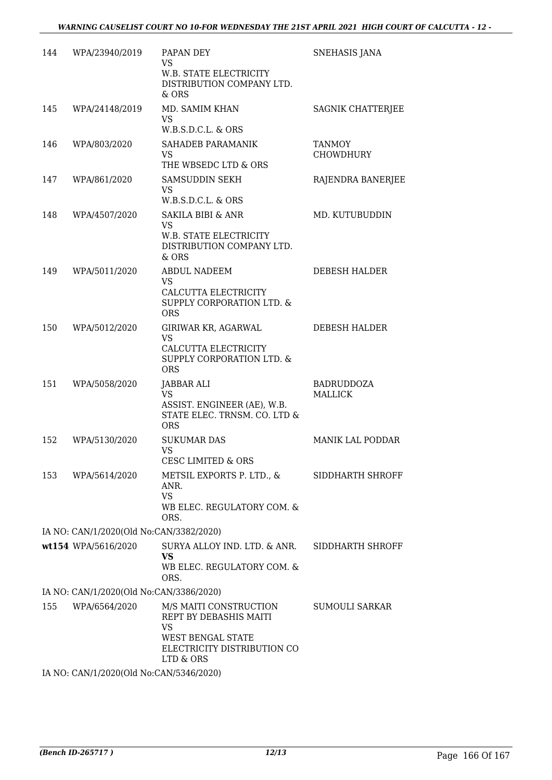| 144 | WPA/23940/2019                          | PAPAN DEY<br><b>VS</b><br>W.B. STATE ELECTRICITY<br>DISTRIBUTION COMPANY LTD.<br>& ORS                                         | SNEHASIS JANA                       |
|-----|-----------------------------------------|--------------------------------------------------------------------------------------------------------------------------------|-------------------------------------|
| 145 | WPA/24148/2019                          | MD. SAMIM KHAN<br><b>VS</b><br>W.B.S.D.C.L. & ORS                                                                              | SAGNIK CHATTERJEE                   |
| 146 | WPA/803/2020                            | SAHADEB PARAMANIK<br><b>VS</b><br>THE WBSEDC LTD & ORS                                                                         | <b>TANMOY</b><br><b>CHOWDHURY</b>   |
| 147 | WPA/861/2020                            | SAMSUDDIN SEKH<br>VS.<br>W.B.S.D.C.L. & ORS                                                                                    | RAJENDRA BANERJEE                   |
| 148 | WPA/4507/2020                           | <b>SAKILA BIBI &amp; ANR</b><br><b>VS</b><br>W.B. STATE ELECTRICITY<br>DISTRIBUTION COMPANY LTD.<br>$&$ ORS                    | MD. KUTUBUDDIN                      |
| 149 | WPA/5011/2020                           | ABDUL NADEEM<br>VS.<br>CALCUTTA ELECTRICITY<br>SUPPLY CORPORATION LTD. &<br><b>ORS</b>                                         | DEBESH HALDER                       |
| 150 | WPA/5012/2020                           | GIRIWAR KR, AGARWAL<br><b>VS</b><br>CALCUTTA ELECTRICITY<br>SUPPLY CORPORATION LTD. &<br><b>ORS</b>                            | DEBESH HALDER                       |
| 151 | WPA/5058/2020                           | JABBAR ALI<br><b>VS</b><br>ASSIST. ENGINEER (AE), W.B.<br>STATE ELEC. TRNSM. CO. LTD &<br><b>ORS</b>                           | <b>BADRUDDOZA</b><br><b>MALLICK</b> |
| 152 | WPA/5130/2020                           | <b>SUKUMAR DAS</b><br>VS<br><b>CESC LIMITED &amp; ORS</b>                                                                      | <b>MANIK LAL PODDAR</b>             |
| 153 | WPA/5614/2020                           | METSIL EXPORTS P. LTD., &<br>ANR.<br><b>VS</b><br>WB ELEC. REGULATORY COM. &<br>ORS.                                           | SIDDHARTH SHROFF                    |
|     | IA NO: CAN/1/2020(Old No:CAN/3382/2020) |                                                                                                                                |                                     |
|     | wt154 WPA/5616/2020                     | SURYA ALLOY IND. LTD. & ANR.<br><b>VS</b><br>WB ELEC. REGULATORY COM. &<br>ORS.                                                | SIDDHARTH SHROFF                    |
|     | IA NO: CAN/1/2020(Old No:CAN/3386/2020) |                                                                                                                                |                                     |
| 155 | WPA/6564/2020                           | M/S MAITI CONSTRUCTION<br>REPT BY DEBASHIS MAITI<br>VS<br><b>WEST BENGAL STATE</b><br>ELECTRICITY DISTRIBUTION CO<br>LTD & ORS | SUMOULI SARKAR                      |
|     | IA NO: CAN/1/2020(Old No:CAN/5346/2020) |                                                                                                                                |                                     |